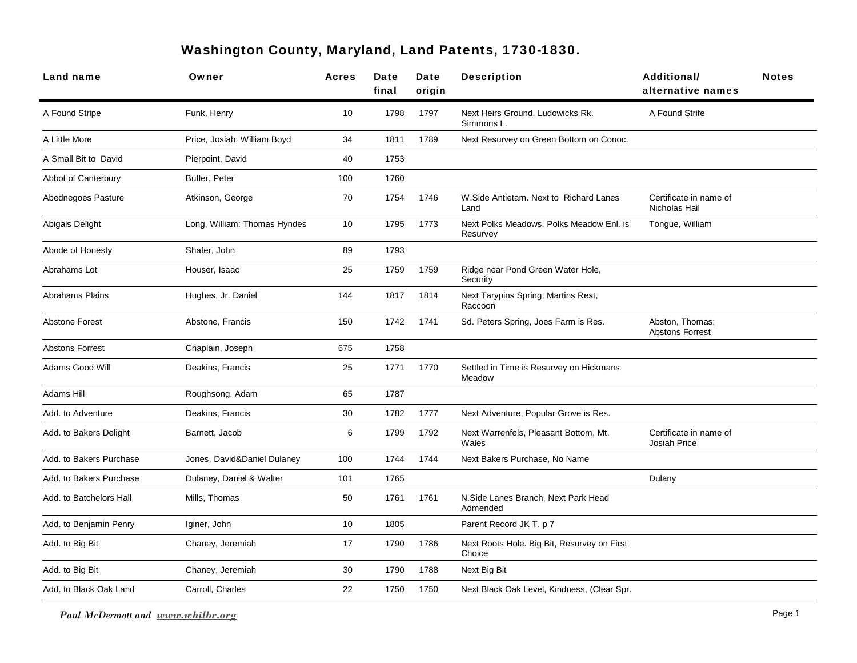## Washington County, Maryland, Land Patents, 1730-1830.

| Land name               | Owner                        | <b>Acres</b> | Date<br>final | Date<br>origin | <b>Description</b>                                    | <b>Additional/</b><br>alternative names       | <b>Notes</b> |
|-------------------------|------------------------------|--------------|---------------|----------------|-------------------------------------------------------|-----------------------------------------------|--------------|
| A Found Stripe          | Funk, Henry                  | 10           | 1798          | 1797           | Next Heirs Ground, Ludowicks Rk.<br>Simmons L.        | A Found Strife                                |              |
| A Little More           | Price, Josiah: William Boyd  | 34           | 1811          | 1789           | Next Resurvey on Green Bottom on Conoc.               |                                               |              |
| A Small Bit to David    | Pierpoint, David             | 40           | 1753          |                |                                                       |                                               |              |
| Abbot of Canterbury     | Butler, Peter                | 100          | 1760          |                |                                                       |                                               |              |
| Abednegoes Pasture      | Atkinson, George             | 70           | 1754          | 1746           | W. Side Antietam. Next to Richard Lanes<br>Land       | Certificate in name of<br>Nicholas Hail       |              |
| Abigals Delight         | Long, William: Thomas Hyndes | 10           | 1795          | 1773           | Next Polks Meadows, Polks Meadow Enl. is<br>Resurvey  | Tongue, William                               |              |
| Abode of Honesty        | Shafer, John                 | 89           | 1793          |                |                                                       |                                               |              |
| Abrahams Lot            | Houser, Isaac                | 25           | 1759          | 1759           | Ridge near Pond Green Water Hole,<br>Security         |                                               |              |
| <b>Abrahams Plains</b>  | Hughes, Jr. Daniel           | 144          | 1817          | 1814           | Next Tarypins Spring, Martins Rest,<br>Raccoon        |                                               |              |
| <b>Abstone Forest</b>   | Abstone, Francis             | 150          | 1742          | 1741           | Sd. Peters Spring, Joes Farm is Res.                  | Abston, Thomas;<br><b>Abstons Forrest</b>     |              |
| <b>Abstons Forrest</b>  | Chaplain, Joseph             | 675          | 1758          |                |                                                       |                                               |              |
| Adams Good Will         | Deakins, Francis             | 25           | 1771          | 1770           | Settled in Time is Resurvey on Hickmans<br>Meadow     |                                               |              |
| Adams Hill              | Roughsong, Adam              | 65           | 1787          |                |                                                       |                                               |              |
| Add. to Adventure       | Deakins, Francis             | 30           | 1782          | 1777           | Next Adventure, Popular Grove is Res.                 |                                               |              |
| Add. to Bakers Delight  | Barnett, Jacob               | 6            | 1799          | 1792           | Next Warrenfels, Pleasant Bottom, Mt.<br>Wales        | Certificate in name of<br><b>Josiah Price</b> |              |
| Add. to Bakers Purchase | Jones, David&Daniel Dulaney  | 100          | 1744          | 1744           | Next Bakers Purchase, No Name                         |                                               |              |
| Add. to Bakers Purchase | Dulaney, Daniel & Walter     | 101          | 1765          |                |                                                       | Dulany                                        |              |
| Add. to Batchelors Hall | Mills, Thomas                | 50           | 1761          | 1761           | N.Side Lanes Branch, Next Park Head<br>Admended       |                                               |              |
| Add. to Benjamin Penry  | Iginer, John                 | 10           | 1805          |                | Parent Record JK T. p 7                               |                                               |              |
| Add. to Big Bit         | Chaney, Jeremiah             | 17           | 1790          | 1786           | Next Roots Hole. Big Bit, Resurvey on First<br>Choice |                                               |              |
| Add. to Big Bit         | Chaney, Jeremiah             | 30           | 1790          | 1788           | Next Big Bit                                          |                                               |              |
| Add. to Black Oak Land  | Carroll, Charles             | 22           | 1750          | 1750           | Next Black Oak Level, Kindness, (Clear Spr.           |                                               |              |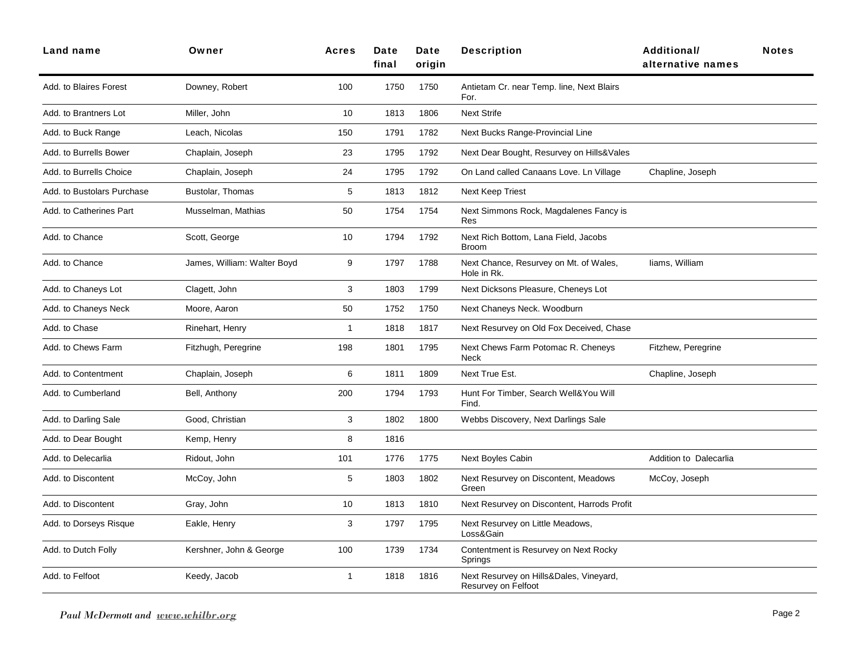| <b>Land name</b>           | Owner                       | <b>Acres</b> | Date<br>final | Date<br>oriain | <b>Description</b>                                             | <b>Additional/</b><br>alternative names | <b>Notes</b> |
|----------------------------|-----------------------------|--------------|---------------|----------------|----------------------------------------------------------------|-----------------------------------------|--------------|
| Add. to Blaires Forest     | Downey, Robert              | 100          | 1750          | 1750           | Antietam Cr. near Temp. line, Next Blairs<br>For.              |                                         |              |
| Add. to Brantners Lot      | Miller, John                | 10           | 1813          | 1806           | <b>Next Strife</b>                                             |                                         |              |
| Add. to Buck Range         | Leach, Nicolas              | 150          | 1791          | 1782           | Next Bucks Range-Provincial Line                               |                                         |              |
| Add. to Burrells Bower     | Chaplain, Joseph            | 23           | 1795          | 1792           | Next Dear Bought, Resurvey on Hills&Vales                      |                                         |              |
| Add. to Burrells Choice    | Chaplain, Joseph            | 24           | 1795          | 1792           | On Land called Canaans Love. Ln Village                        | Chapline, Joseph                        |              |
| Add. to Bustolars Purchase | Bustolar, Thomas            | 5            | 1813          | 1812           | Next Keep Triest                                               |                                         |              |
| Add. to Catherines Part    | Musselman, Mathias          | 50           | 1754          | 1754           | Next Simmons Rock, Magdalenes Fancy is<br>Res                  |                                         |              |
| Add. to Chance             | Scott, George               | 10           | 1794          | 1792           | Next Rich Bottom, Lana Field, Jacobs<br><b>Broom</b>           |                                         |              |
| Add. to Chance             | James, William: Walter Boyd | 9            | 1797          | 1788           | Next Chance, Resurvey on Mt. of Wales,<br>Hole in Rk.          | liams, William                          |              |
| Add. to Chaneys Lot        | Clagett, John               | 3            | 1803          | 1799           | Next Dicksons Pleasure, Cheneys Lot                            |                                         |              |
| Add. to Chaneys Neck       | Moore, Aaron                | 50           | 1752          | 1750           | Next Chaneys Neck. Woodburn                                    |                                         |              |
| Add. to Chase              | Rinehart, Henry             | $\mathbf 1$  | 1818          | 1817           | Next Resurvey on Old Fox Deceived, Chase                       |                                         |              |
| Add. to Chews Farm         | Fitzhugh, Peregrine         | 198          | 1801          | 1795           | Next Chews Farm Potomac R. Cheneys<br>Neck                     | Fitzhew, Peregrine                      |              |
| Add. to Contentment        | Chaplain, Joseph            | 6            | 1811          | 1809           | Next True Est.                                                 | Chapline, Joseph                        |              |
| Add. to Cumberland         | Bell, Anthony               | 200          | 1794          | 1793           | Hunt For Timber, Search Well&You Will<br>Find.                 |                                         |              |
| Add. to Darling Sale       | Good, Christian             | 3            | 1802          | 1800           | Webbs Discovery, Next Darlings Sale                            |                                         |              |
| Add. to Dear Bought        | Kemp, Henry                 | 8            | 1816          |                |                                                                |                                         |              |
| Add. to Delecarlia         | Ridout, John                | 101          | 1776          | 1775           | <b>Next Boyles Cabin</b>                                       | Addition to Dalecarlia                  |              |
| Add. to Discontent         | McCoy, John                 | 5            | 1803          | 1802           | Next Resurvey on Discontent, Meadows<br>Green                  | McCoy, Joseph                           |              |
| Add. to Discontent         | Gray, John                  | 10           | 1813          | 1810           | Next Resurvey on Discontent, Harrods Profit                    |                                         |              |
| Add. to Dorseys Risque     | Eakle, Henry                | 3            | 1797          | 1795           | Next Resurvey on Little Meadows,<br>Loss&Gain                  |                                         |              |
| Add. to Dutch Folly        | Kershner, John & George     | 100          | 1739          | 1734           | Contentment is Resurvey on Next Rocky<br>Springs               |                                         |              |
| Add. to Felfoot            | Keedy, Jacob                | $\mathbf{1}$ | 1818          | 1816           | Next Resurvey on Hills&Dales, Vineyard,<br>Resurvey on Felfoot |                                         |              |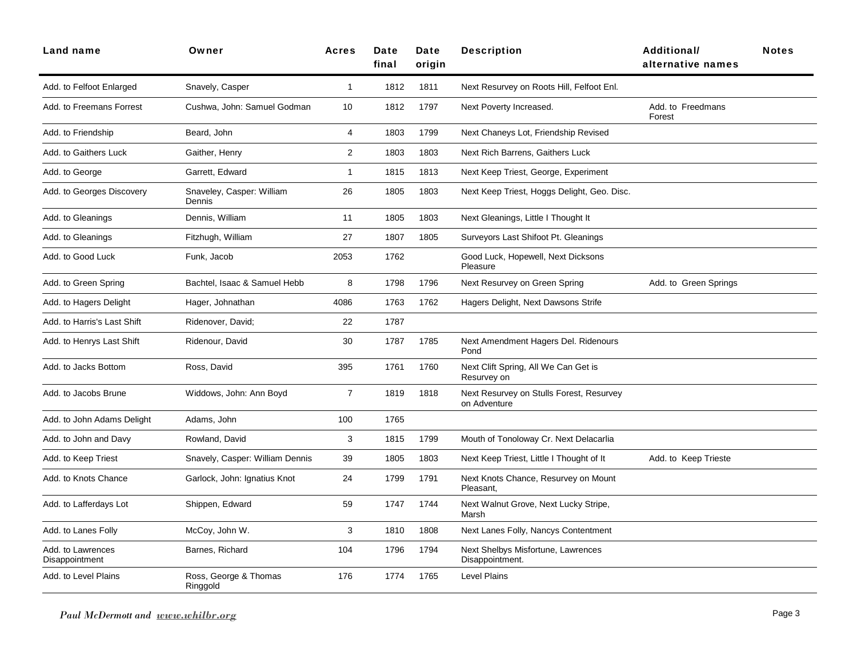| <b>Land name</b>                    | Owner                               | <b>Acres</b>   | Date<br>final | Date<br>origin | <b>Description</b>                                       | <b>Additional/</b><br>alternative names | <b>Notes</b> |
|-------------------------------------|-------------------------------------|----------------|---------------|----------------|----------------------------------------------------------|-----------------------------------------|--------------|
| Add. to Felfoot Enlarged            | Snavely, Casper                     | 1              | 1812          | 1811           | Next Resurvey on Roots Hill, Felfoot Enl.                |                                         |              |
| Add. to Freemans Forrest            | Cushwa, John: Samuel Godman         | 10             | 1812          | 1797           | Next Poverty Increased.                                  | Add. to Freedmans<br>Forest             |              |
| Add. to Friendship                  | Beard, John                         | $\overline{4}$ | 1803          | 1799           | Next Chaneys Lot, Friendship Revised                     |                                         |              |
| Add. to Gaithers Luck               | Gaither, Henry                      | $\mathbf{2}$   | 1803          | 1803           | Next Rich Barrens, Gaithers Luck                         |                                         |              |
| Add. to George                      | Garrett, Edward                     | $\mathbf{1}$   | 1815          | 1813           | Next Keep Triest, George, Experiment                     |                                         |              |
| Add. to Georges Discovery           | Snaveley, Casper: William<br>Dennis | 26             | 1805          | 1803           | Next Keep Triest, Hoggs Delight, Geo. Disc.              |                                         |              |
| Add. to Gleanings                   | Dennis, William                     | 11             | 1805          | 1803           | Next Gleanings, Little I Thought It                      |                                         |              |
| Add. to Gleanings                   | Fitzhugh, William                   | 27             | 1807          | 1805           | Surveyors Last Shifoot Pt. Gleanings                     |                                         |              |
| Add. to Good Luck                   | Funk, Jacob                         | 2053           | 1762          |                | Good Luck, Hopewell, Next Dicksons<br>Pleasure           |                                         |              |
| Add. to Green Spring                | Bachtel, Isaac & Samuel Hebb        | 8              | 1798          | 1796           | Next Resurvey on Green Spring                            | Add. to Green Springs                   |              |
| Add. to Hagers Delight              | Hager, Johnathan                    | 4086           | 1763          | 1762           | Hagers Delight, Next Dawsons Strife                      |                                         |              |
| Add. to Harris's Last Shift         | Ridenover, David;                   | 22             | 1787          |                |                                                          |                                         |              |
| Add. to Henrys Last Shift           | Ridenour, David                     | 30             | 1787          | 1785           | Next Amendment Hagers Del. Ridenours<br>Pond             |                                         |              |
| Add. to Jacks Bottom                | Ross, David                         | 395            | 1761          | 1760           | Next Clift Spring, All We Can Get is<br>Resurvey on      |                                         |              |
| Add. to Jacobs Brune                | Widdows, John: Ann Boyd             | $\overline{7}$ | 1819          | 1818           | Next Resurvey on Stulls Forest, Resurvey<br>on Adventure |                                         |              |
| Add. to John Adams Delight          | Adams, John                         | 100            | 1765          |                |                                                          |                                         |              |
| Add. to John and Davy               | Rowland, David                      | 3              | 1815          | 1799           | Mouth of Tonoloway Cr. Next Delacarlia                   |                                         |              |
| Add. to Keep Triest                 | Snavely, Casper: William Dennis     | 39             | 1805          | 1803           | Next Keep Triest, Little I Thought of It                 | Add. to Keep Trieste                    |              |
| Add. to Knots Chance                | Garlock, John: Ignatius Knot        | 24             | 1799          | 1791           | Next Knots Chance, Resurvey on Mount<br>Pleasant,        |                                         |              |
| Add. to Lafferdays Lot              | Shippen, Edward                     | 59             | 1747          | 1744           | Next Walnut Grove, Next Lucky Stripe,<br>Marsh           |                                         |              |
| Add. to Lanes Folly                 | McCoy, John W.                      | 3              | 1810          | 1808           | Next Lanes Folly, Nancys Contentment                     |                                         |              |
| Add. to Lawrences<br>Disappointment | Barnes, Richard                     | 104            | 1796          | 1794           | Next Shelbys Misfortune, Lawrences<br>Disappointment.    |                                         |              |
| Add. to Level Plains                | Ross, George & Thomas<br>Ringgold   | 176            | 1774          | 1765           | <b>Level Plains</b>                                      |                                         |              |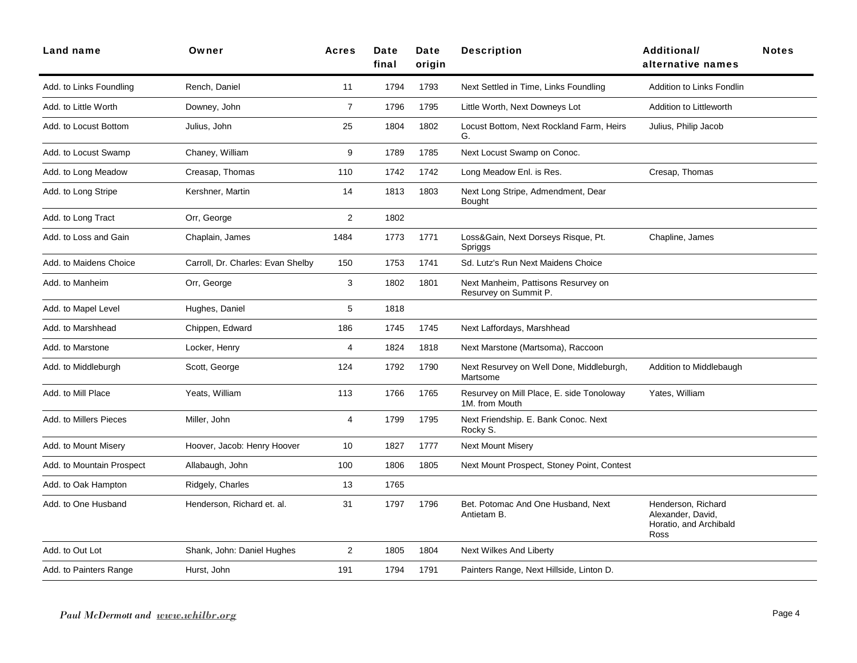| Land name                 | Owner                             | <b>Acres</b>   | Date<br>final | Date<br>origin | <b>Description</b>                                           | <b>Additional/</b><br>alternative names                                   | <b>Notes</b> |
|---------------------------|-----------------------------------|----------------|---------------|----------------|--------------------------------------------------------------|---------------------------------------------------------------------------|--------------|
| Add. to Links Foundling   | Rench, Daniel                     | 11             | 1794          | 1793           | Next Settled in Time, Links Foundling                        | Addition to Links Fondlin                                                 |              |
| Add. to Little Worth      | Downey, John                      | $\overline{7}$ | 1796          | 1795           | Little Worth, Next Downeys Lot                               | Addition to Littleworth                                                   |              |
| Add. to Locust Bottom     | Julius, John                      | 25             | 1804          | 1802           | Locust Bottom, Next Rockland Farm, Heirs<br>G.               | Julius, Philip Jacob                                                      |              |
| Add. to Locust Swamp      | Chaney, William                   | 9              | 1789          | 1785           | Next Locust Swamp on Conoc.                                  |                                                                           |              |
| Add. to Long Meadow       | Creasap, Thomas                   | 110            | 1742          | 1742           | Long Meadow Enl. is Res.                                     | Cresap, Thomas                                                            |              |
| Add. to Long Stripe       | Kershner, Martin                  | 14             | 1813          | 1803           | Next Long Stripe, Admendment, Dear<br><b>Bought</b>          |                                                                           |              |
| Add. to Long Tract        | Orr, George                       | $\overline{2}$ | 1802          |                |                                                              |                                                                           |              |
| Add, to Loss and Gain     | Chaplain, James                   | 1484           | 1773          | 1771           | Loss&Gain, Next Dorseys Risque, Pt.<br>Spriggs               | Chapline, James                                                           |              |
| Add. to Maidens Choice    | Carroll, Dr. Charles: Evan Shelby | 150            | 1753          | 1741           | Sd. Lutz's Run Next Maidens Choice                           |                                                                           |              |
| Add. to Manheim           | Orr, George                       | 3              | 1802          | 1801           | Next Manheim, Pattisons Resurvey on<br>Resurvey on Summit P. |                                                                           |              |
| Add. to Mapel Level       | Hughes, Daniel                    | 5              | 1818          |                |                                                              |                                                                           |              |
| Add. to Marshhead         | Chippen, Edward                   | 186            | 1745          | 1745           | Next Laffordays, Marshhead                                   |                                                                           |              |
| Add. to Marstone          | Locker, Henry                     | $\overline{4}$ | 1824          | 1818           | Next Marstone (Martsoma), Raccoon                            |                                                                           |              |
| Add. to Middleburgh       | Scott, George                     | 124            | 1792          | 1790           | Next Resurvey on Well Done, Middleburgh,<br>Martsome         | Addition to Middlebaugh                                                   |              |
| Add, to Mill Place        | Yeats, William                    | 113            | 1766          | 1765           | Resurvey on Mill Place, E. side Tonoloway<br>1M. from Mouth  | Yates, William                                                            |              |
| Add. to Millers Pieces    | Miller, John                      | 4              | 1799          | 1795           | Next Friendship. E. Bank Conoc. Next<br>Rocky S.             |                                                                           |              |
| Add. to Mount Misery      | Hoover, Jacob: Henry Hoover       | 10             | 1827          | 1777           | <b>Next Mount Misery</b>                                     |                                                                           |              |
| Add. to Mountain Prospect | Allabaugh, John                   | 100            | 1806          | 1805           | Next Mount Prospect, Stoney Point, Contest                   |                                                                           |              |
| Add. to Oak Hampton       | Ridgely, Charles                  | 13             | 1765          |                |                                                              |                                                                           |              |
| Add. to One Husband       | Henderson, Richard et. al.        | 31             | 1797          | 1796           | Bet. Potomac And One Husband, Next<br>Antietam B.            | Henderson, Richard<br>Alexander, David,<br>Horatio, and Archibald<br>Ross |              |
| Add. to Out Lot           | Shank, John: Daniel Hughes        | $\overline{2}$ | 1805          | 1804           | Next Wilkes And Liberty                                      |                                                                           |              |
| Add. to Painters Range    | Hurst, John                       | 191            | 1794          | 1791           | Painters Range, Next Hillside, Linton D.                     |                                                                           |              |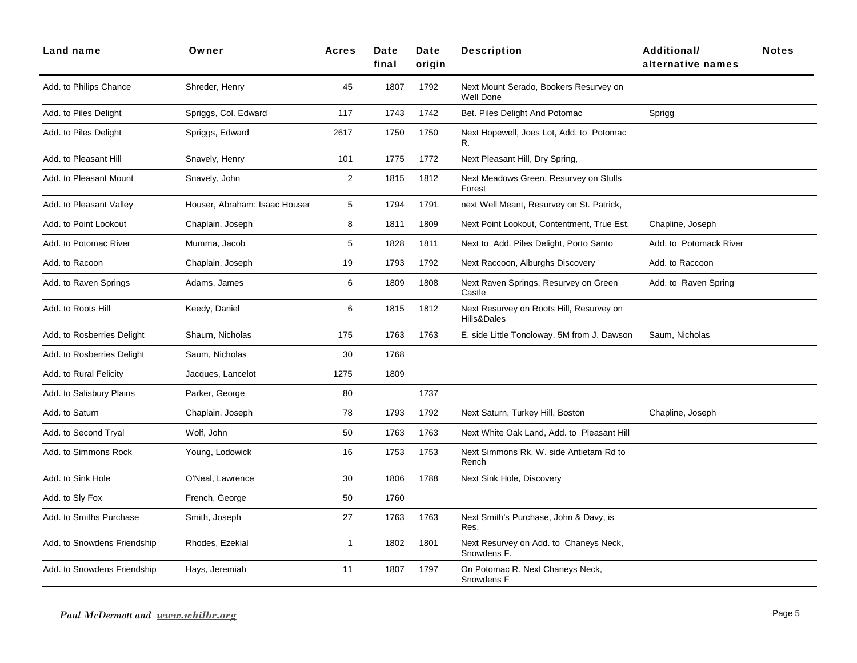| <b>Land name</b>            | Owner                         | <b>Acres</b> | Date<br>final | Date<br>origin | <b>Description</b>                                         | <b>Additional/</b><br>alternative names | <b>Notes</b> |
|-----------------------------|-------------------------------|--------------|---------------|----------------|------------------------------------------------------------|-----------------------------------------|--------------|
| Add. to Philips Chance      | Shreder, Henry                | 45           | 1807          | 1792           | Next Mount Serado, Bookers Resurvey on<br><b>Well Done</b> |                                         |              |
| Add. to Piles Delight       | Spriggs, Col. Edward          | 117          | 1743          | 1742           | Bet. Piles Delight And Potomac                             | Sprigg                                  |              |
| Add. to Piles Delight       | Spriggs, Edward               | 2617         | 1750          | 1750           | Next Hopewell, Joes Lot, Add. to Potomac<br>R.             |                                         |              |
| Add. to Pleasant Hill       | Snavely, Henry                | 101          | 1775          | 1772           | Next Pleasant Hill, Dry Spring,                            |                                         |              |
| Add. to Pleasant Mount      | Snavely, John                 | $\mathbf{2}$ | 1815          | 1812           | Next Meadows Green, Resurvey on Stulls<br>Forest           |                                         |              |
| Add. to Pleasant Valley     | Houser, Abraham: Isaac Houser | 5            | 1794          | 1791           | next Well Meant, Resurvey on St. Patrick,                  |                                         |              |
| Add. to Point Lookout       | Chaplain, Joseph              | 8            | 1811          | 1809           | Next Point Lookout, Contentment, True Est.                 | Chapline, Joseph                        |              |
| Add. to Potomac River       | Mumma, Jacob                  | 5            | 1828          | 1811           | Next to Add. Piles Delight, Porto Santo                    | Add. to Potomack River                  |              |
| Add. to Racoon              | Chaplain, Joseph              | 19           | 1793          | 1792           | Next Raccoon, Alburghs Discovery                           | Add. to Raccoon                         |              |
| Add. to Raven Springs       | Adams, James                  | 6            | 1809          | 1808           | Next Raven Springs, Resurvey on Green<br>Castle            | Add. to Raven Spring                    |              |
| Add. to Roots Hill          | Keedy, Daniel                 | 6            | 1815          | 1812           | Next Resurvey on Roots Hill, Resurvey on<br>Hills&Dales    |                                         |              |
| Add. to Rosberries Delight  | Shaum, Nicholas               | 175          | 1763          | 1763           | E. side Little Tonoloway. 5M from J. Dawson                | Saum, Nicholas                          |              |
| Add. to Rosberries Delight  | Saum, Nicholas                | 30           | 1768          |                |                                                            |                                         |              |
| Add. to Rural Felicity      | Jacques, Lancelot             | 1275         | 1809          |                |                                                            |                                         |              |
| Add. to Salisbury Plains    | Parker, George                | 80           |               | 1737           |                                                            |                                         |              |
| Add. to Saturn              | Chaplain, Joseph              | 78           | 1793          | 1792           | Next Saturn, Turkey Hill, Boston                           | Chapline, Joseph                        |              |
| Add. to Second Tryal        | Wolf, John                    | 50           | 1763          | 1763           | Next White Oak Land, Add. to Pleasant Hill                 |                                         |              |
| Add. to Simmons Rock        | Young, Lodowick               | 16           | 1753          | 1753           | Next Simmons Rk, W. side Antietam Rd to<br>Rench           |                                         |              |
| Add. to Sink Hole           | O'Neal, Lawrence              | 30           | 1806          | 1788           | Next Sink Hole, Discovery                                  |                                         |              |
| Add. to Sly Fox             | French, George                | 50           | 1760          |                |                                                            |                                         |              |
| Add. to Smiths Purchase     | Smith, Joseph                 | 27           | 1763          | 1763           | Next Smith's Purchase, John & Davy, is<br>Res.             |                                         |              |
| Add. to Snowdens Friendship | Rhodes, Ezekial               | 1            | 1802          | 1801           | Next Resurvey on Add. to Chaneys Neck,<br>Snowdens F.      |                                         |              |
| Add. to Snowdens Friendship | Hays, Jeremiah                | 11           | 1807          | 1797           | On Potomac R. Next Chaneys Neck,<br>Snowdens F             |                                         |              |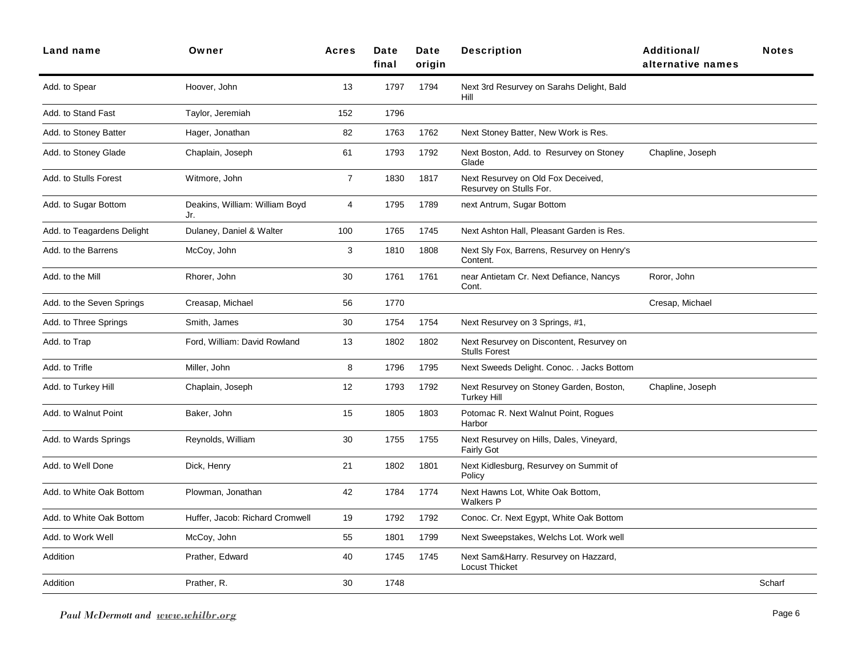| <b>Land name</b>           | Owner                                 | <b>Acres</b>   | <b>Date</b><br>final | Date<br>oriain | <b>Description</b>                                               | <b>Additional/</b><br>alternative names | <b>Notes</b> |
|----------------------------|---------------------------------------|----------------|----------------------|----------------|------------------------------------------------------------------|-----------------------------------------|--------------|
| Add. to Spear              | Hoover, John                          | 13             | 1797                 | 1794           | Next 3rd Resurvey on Sarahs Delight, Bald<br>Hill                |                                         |              |
| Add. to Stand Fast         | Taylor, Jeremiah                      | 152            | 1796                 |                |                                                                  |                                         |              |
| Add. to Stoney Batter      | Hager, Jonathan                       | 82             | 1763                 | 1762           | Next Stoney Batter, New Work is Res.                             |                                         |              |
| Add. to Stoney Glade       | Chaplain, Joseph                      | 61             | 1793                 | 1792           | Next Boston, Add. to Resurvey on Stoney<br>Glade                 | Chapline, Joseph                        |              |
| Add. to Stulls Forest      | Witmore, John                         | $\overline{7}$ | 1830                 | 1817           | Next Resurvey on Old Fox Deceived,<br>Resurvey on Stulls For.    |                                         |              |
| Add. to Sugar Bottom       | Deakins, William: William Boyd<br>Jr. | 4              | 1795                 | 1789           | next Antrum, Sugar Bottom                                        |                                         |              |
| Add. to Teagardens Delight | Dulaney, Daniel & Walter              | 100            | 1765                 | 1745           | Next Ashton Hall, Pleasant Garden is Res.                        |                                         |              |
| Add. to the Barrens        | McCoy, John                           | $\sqrt{3}$     | 1810                 | 1808           | Next Sly Fox, Barrens, Resurvey on Henry's<br>Content.           |                                         |              |
| Add. to the Mill           | Rhorer, John                          | 30             | 1761                 | 1761           | near Antietam Cr. Next Defiance, Nancys<br>Cont.                 | Roror, John                             |              |
| Add. to the Seven Springs  | Creasap, Michael                      | 56             | 1770                 |                |                                                                  | Cresap, Michael                         |              |
| Add. to Three Springs      | Smith, James                          | 30             | 1754                 | 1754           | Next Resurvey on 3 Springs, #1,                                  |                                         |              |
| Add. to Trap               | Ford, William: David Rowland          | 13             | 1802                 | 1802           | Next Resurvey on Discontent, Resurvey on<br><b>Stulls Forest</b> |                                         |              |
| Add. to Trifle             | Miller, John                          | 8              | 1796                 | 1795           | Next Sweeds Delight. Conoc. . Jacks Bottom                       |                                         |              |
| Add. to Turkey Hill        | Chaplain, Joseph                      | 12             | 1793                 | 1792           | Next Resurvey on Stoney Garden, Boston,<br><b>Turkey Hill</b>    | Chapline, Joseph                        |              |
| Add. to Walnut Point       | Baker, John                           | 15             | 1805                 | 1803           | Potomac R. Next Walnut Point, Rogues<br>Harbor                   |                                         |              |
| Add. to Wards Springs      | Reynolds, William                     | 30             | 1755                 | 1755           | Next Resurvey on Hills, Dales, Vineyard,<br><b>Fairly Got</b>    |                                         |              |
| Add. to Well Done          | Dick, Henry                           | 21             | 1802                 | 1801           | Next Kidlesburg, Resurvey on Summit of<br>Policy                 |                                         |              |
| Add. to White Oak Bottom   | Plowman, Jonathan                     | 42             | 1784                 | 1774           | Next Hawns Lot, White Oak Bottom,<br><b>Walkers P</b>            |                                         |              |
| Add. to White Oak Bottom   | Huffer, Jacob: Richard Cromwell       | 19             | 1792                 | 1792           | Conoc. Cr. Next Egypt, White Oak Bottom                          |                                         |              |
| Add. to Work Well          | McCoy, John                           | 55             | 1801                 | 1799           | Next Sweepstakes, Welchs Lot. Work well                          |                                         |              |
| Addition                   | Prather, Edward                       | 40             | 1745                 | 1745           | Next Sam&Harry. Resurvey on Hazzard,<br><b>Locust Thicket</b>    |                                         |              |
| Addition                   | Prather, R.                           | 30             | 1748                 |                |                                                                  |                                         | Scharf       |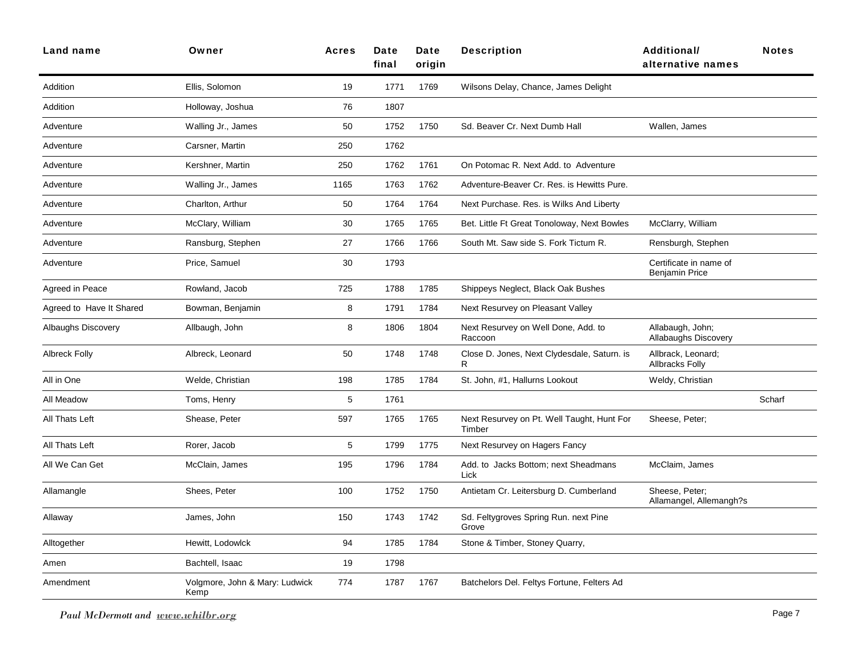| Land name                 | Owner                                  | <b>Acres</b> | Date<br>final | Date<br>origin | <b>Description</b>                                   | Additional/<br>alternative names                | <b>Notes</b> |
|---------------------------|----------------------------------------|--------------|---------------|----------------|------------------------------------------------------|-------------------------------------------------|--------------|
| Addition                  | Ellis, Solomon                         | 19           | 1771          | 1769           | Wilsons Delay, Chance, James Delight                 |                                                 |              |
| Addition                  | Holloway, Joshua                       | 76           | 1807          |                |                                                      |                                                 |              |
| Adventure                 | Walling Jr., James                     | 50           | 1752          | 1750           | Sd. Beaver Cr. Next Dumb Hall                        | Wallen, James                                   |              |
| Adventure                 | Carsner, Martin                        | 250          | 1762          |                |                                                      |                                                 |              |
| Adventure                 | Kershner, Martin                       | 250          | 1762          | 1761           | On Potomac R. Next Add. to Adventure                 |                                                 |              |
| Adventure                 | Walling Jr., James                     | 1165         | 1763          | 1762           | Adventure-Beaver Cr. Res. is Hewitts Pure.           |                                                 |              |
| Adventure                 | Charlton, Arthur                       | 50           | 1764          | 1764           | Next Purchase. Res. is Wilks And Liberty             |                                                 |              |
| Adventure                 | McClary, William                       | 30           | 1765          | 1765           | Bet. Little Ft Great Tonoloway, Next Bowles          | McClarry, William                               |              |
| Adventure                 | Ransburg, Stephen                      | 27           | 1766          | 1766           | South Mt. Saw side S. Fork Tictum R.                 | Rensburgh, Stephen                              |              |
| Adventure                 | Price, Samuel                          | 30           | 1793          |                |                                                      | Certificate in name of<br><b>Benjamin Price</b> |              |
| Agreed in Peace           | Rowland, Jacob                         | 725          | 1788          | 1785           | Shippeys Neglect, Black Oak Bushes                   |                                                 |              |
| Agreed to Have It Shared  | Bowman, Benjamin                       | 8            | 1791          | 1784           | Next Resurvey on Pleasant Valley                     |                                                 |              |
| <b>Albaughs Discovery</b> | Allbaugh, John                         | 8            | 1806          | 1804           | Next Resurvey on Well Done, Add. to<br>Raccoon       | Allabaugh, John;<br>Allabaughs Discovery        |              |
| <b>Albreck Folly</b>      | Albreck, Leonard                       | 50           | 1748          | 1748           | Close D. Jones, Next Clydesdale, Saturn. is<br>R     | Allbrack, Leonard;<br><b>Allbracks Folly</b>    |              |
| All in One                | Welde, Christian                       | 198          | 1785          | 1784           | St. John, #1, Hallurns Lookout                       | Weldy, Christian                                |              |
| All Meadow                | Toms, Henry                            | 5            | 1761          |                |                                                      |                                                 | Scharf       |
| All Thats Left            | Shease, Peter                          | 597          | 1765          | 1765           | Next Resurvey on Pt. Well Taught, Hunt For<br>Timber | Sheese, Peter;                                  |              |
| All Thats Left            | Rorer, Jacob                           | 5            | 1799          | 1775           | Next Resurvey on Hagers Fancy                        |                                                 |              |
| All We Can Get            | McClain, James                         | 195          | 1796          | 1784           | Add. to Jacks Bottom; next Sheadmans<br>Lick         | McClaim, James                                  |              |
| Allamangle                | Shees, Peter                           | 100          | 1752          | 1750           | Antietam Cr. Leitersburg D. Cumberland               | Sheese, Peter;<br>Allamangel, Allemangh?s       |              |
| Allaway                   | James, John                            | 150          | 1743          | 1742           | Sd. Feltygroves Spring Run. next Pine<br>Grove       |                                                 |              |
| Alltogether               | Hewitt, Lodowlck                       | 94           | 1785          | 1784           | Stone & Timber, Stoney Quarry,                       |                                                 |              |
| Amen                      | Bachtell, Isaac                        | 19           | 1798          |                |                                                      |                                                 |              |
| Amendment                 | Volgmore, John & Mary: Ludwick<br>Kemp | 774          | 1787          | 1767           | Batchelors Del. Feltys Fortune, Felters Ad           |                                                 |              |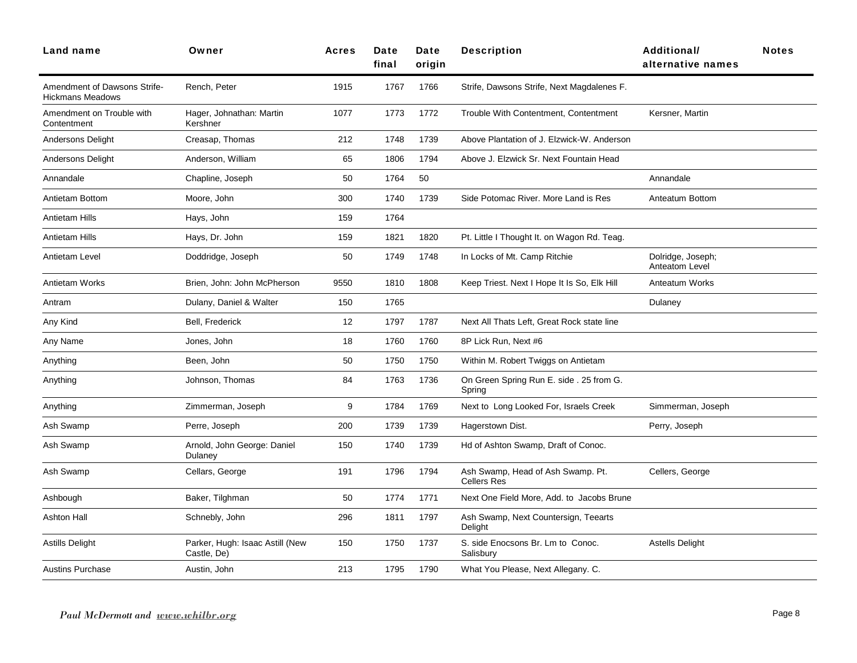| <b>Land name</b>                                        | Owner                                          | <b>Acres</b> | Date<br>final | Date<br>origin | <b>Description</b>                                      | Additional/<br>alternative names    | <b>Notes</b> |
|---------------------------------------------------------|------------------------------------------------|--------------|---------------|----------------|---------------------------------------------------------|-------------------------------------|--------------|
| Amendment of Dawsons Strife-<br><b>Hickmans Meadows</b> | Rench, Peter                                   | 1915         | 1767          | 1766           | Strife, Dawsons Strife, Next Magdalenes F.              |                                     |              |
| Amendment on Trouble with<br>Contentment                | Hager, Johnathan: Martin<br>Kershner           | 1077         | 1773          | 1772           | Trouble With Contentment, Contentment                   | Kersner, Martin                     |              |
| <b>Andersons Delight</b>                                | Creasap, Thomas                                | 212          | 1748          | 1739           | Above Plantation of J. Elzwick-W. Anderson              |                                     |              |
| <b>Andersons Delight</b>                                | Anderson, William                              | 65           | 1806          | 1794           | Above J. Elzwick Sr. Next Fountain Head                 |                                     |              |
| Annandale                                               | Chapline, Joseph                               | 50           | 1764          | 50             |                                                         | Annandale                           |              |
| Antietam Bottom                                         | Moore, John                                    | 300          | 1740          | 1739           | Side Potomac River, More Land is Res                    | Anteatum Bottom                     |              |
| Antietam Hills                                          | Hays, John                                     | 159          | 1764          |                |                                                         |                                     |              |
| Antietam Hills                                          | Hays, Dr. John                                 | 159          | 1821          | 1820           | Pt. Little I Thought It. on Wagon Rd. Teag.             |                                     |              |
| Antietam Level                                          | Doddridge, Joseph                              | 50           | 1749          | 1748           | In Locks of Mt. Camp Ritchie                            | Dolridge, Joseph;<br>Anteatom Level |              |
| Antietam Works                                          | Brien, John: John McPherson                    | 9550         | 1810          | 1808           | Keep Triest. Next I Hope It Is So, Elk Hill             | Anteatum Works                      |              |
| Antram                                                  | Dulany, Daniel & Walter                        | 150          | 1765          |                |                                                         | Dulaney                             |              |
| Any Kind                                                | <b>Bell. Frederick</b>                         | 12           | 1797          | 1787           | Next All Thats Left. Great Rock state line              |                                     |              |
| Any Name                                                | Jones, John                                    | 18           | 1760          | 1760           | 8P Lick Run, Next #6                                    |                                     |              |
| Anything                                                | Been, John                                     | 50           | 1750          | 1750           | Within M. Robert Twiggs on Antietam                     |                                     |              |
| Anything                                                | Johnson, Thomas                                | 84           | 1763          | 1736           | On Green Spring Run E. side . 25 from G.<br>Spring      |                                     |              |
| Anything                                                | Zimmerman, Joseph                              | 9            | 1784          | 1769           | Next to Long Looked For, Israels Creek                  | Simmerman, Joseph                   |              |
| Ash Swamp                                               | Perre, Joseph                                  | 200          | 1739          | 1739           | Hagerstown Dist.                                        | Perry, Joseph                       |              |
| Ash Swamp                                               | Arnold, John George: Daniel<br>Dulaney         | 150          | 1740          | 1739           | Hd of Ashton Swamp, Draft of Conoc.                     |                                     |              |
| Ash Swamp                                               | Cellars, George                                | 191          | 1796          | 1794           | Ash Swamp, Head of Ash Swamp. Pt.<br><b>Cellers Res</b> | Cellers, George                     |              |
| Ashbough                                                | Baker, Tilghman                                | 50           | 1774          | 1771           | Next One Field More, Add. to Jacobs Brune               |                                     |              |
| <b>Ashton Hall</b>                                      | Schnebly, John                                 | 296          | 1811          | 1797           | Ash Swamp, Next Countersign, Teearts<br>Delight         |                                     |              |
| <b>Astills Delight</b>                                  | Parker, Hugh: Isaac Astill (New<br>Castle, De) | 150          | 1750          | 1737           | S. side Enocsons Br. Lm to Conoc.<br>Salisbury          | <b>Astells Delight</b>              |              |
| <b>Austins Purchase</b>                                 | Austin, John                                   | 213          | 1795          | 1790           | What You Please, Next Allegany. C.                      |                                     |              |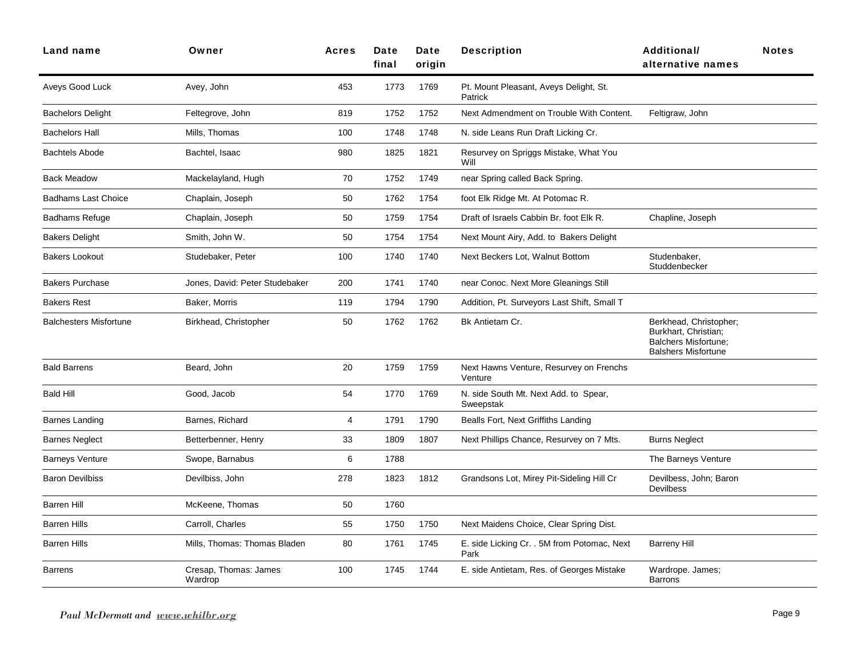| <b>Land name</b>              | Owner                            | <b>Acres</b> | Date<br>final | Date<br>origin | <b>Description</b>                                  | Additional/<br>alternative names                                                                            | <b>Notes</b> |
|-------------------------------|----------------------------------|--------------|---------------|----------------|-----------------------------------------------------|-------------------------------------------------------------------------------------------------------------|--------------|
| Aveys Good Luck               | Avey, John                       | 453          | 1773          | 1769           | Pt. Mount Pleasant, Aveys Delight, St.<br>Patrick   |                                                                                                             |              |
| <b>Bachelors Delight</b>      | Feltegrove, John                 | 819          | 1752          | 1752           | Next Admendment on Trouble With Content.            | Feltigraw, John                                                                                             |              |
| <b>Bachelors Hall</b>         | Mills, Thomas                    | 100          | 1748          | 1748           | N. side Leans Run Draft Licking Cr.                 |                                                                                                             |              |
| <b>Bachtels Abode</b>         | Bachtel, Isaac                   | 980          | 1825          | 1821           | Resurvey on Spriggs Mistake, What You<br>Will       |                                                                                                             |              |
| <b>Back Meadow</b>            | Mackelayland, Hugh               | 70           | 1752          | 1749           | near Spring called Back Spring.                     |                                                                                                             |              |
| <b>Badhams Last Choice</b>    | Chaplain, Joseph                 | 50           | 1762          | 1754           | foot Elk Ridge Mt. At Potomac R.                    |                                                                                                             |              |
| Badhams Refuge                | Chaplain, Joseph                 | 50           | 1759          | 1754           | Draft of Israels Cabbin Br. foot Elk R.             | Chapline, Joseph                                                                                            |              |
| <b>Bakers Delight</b>         | Smith, John W.                   | 50           | 1754          | 1754           | Next Mount Airy, Add. to Bakers Delight             |                                                                                                             |              |
| <b>Bakers Lookout</b>         | Studebaker, Peter                | 100          | 1740          | 1740           | Next Beckers Lot, Walnut Bottom                     | Studenbaker,<br>Studdenbecker                                                                               |              |
| <b>Bakers Purchase</b>        | Jones, David: Peter Studebaker   | 200          | 1741          | 1740           | near Conoc. Next More Gleanings Still               |                                                                                                             |              |
| <b>Bakers Rest</b>            | Baker, Morris                    | 119          | 1794          | 1790           | Addition, Pt. Surveyors Last Shift, Small T         |                                                                                                             |              |
| <b>Balchesters Misfortune</b> | Birkhead, Christopher            | 50           | 1762          | 1762           | Bk Antietam Cr.                                     | Berkhead, Christopher;<br>Burkhart, Christian;<br><b>Balchers Misfortune:</b><br><b>Balshers Misfortune</b> |              |
| <b>Bald Barrens</b>           | Beard, John                      | 20           | 1759          | 1759           | Next Hawns Venture, Resurvey on Frenchs<br>Venture  |                                                                                                             |              |
| <b>Bald Hill</b>              | Good, Jacob                      | 54           | 1770          | 1769           | N. side South Mt. Next Add. to Spear,<br>Sweepstak  |                                                                                                             |              |
| Barnes Landing                | Barnes, Richard                  | 4            | 1791          | 1790           | Bealls Fort, Next Griffiths Landing                 |                                                                                                             |              |
| <b>Barnes Neglect</b>         | Betterbenner, Henry              | 33           | 1809          | 1807           | Next Phillips Chance, Resurvey on 7 Mts.            | <b>Burns Neglect</b>                                                                                        |              |
| <b>Barneys Venture</b>        | Swope, Barnabus                  | 6            | 1788          |                |                                                     | The Barneys Venture                                                                                         |              |
| <b>Baron Devilbiss</b>        | Devilbiss, John                  | 278          | 1823          | 1812           | Grandsons Lot, Mirey Pit-Sideling Hill Cr           | Devilbess, John; Baron<br>Devilbess                                                                         |              |
| Barren Hill                   | McKeene, Thomas                  | 50           | 1760          |                |                                                     |                                                                                                             |              |
| <b>Barren Hills</b>           | Carroll, Charles                 | 55           | 1750          | 1750           | Next Maidens Choice, Clear Spring Dist.             |                                                                                                             |              |
| <b>Barren Hills</b>           | Mills, Thomas: Thomas Bladen     | 80           | 1761          | 1745           | E. side Licking Cr. . 5M from Potomac, Next<br>Park | <b>Barreny Hill</b>                                                                                         |              |
| Barrens                       | Cresap, Thomas: James<br>Wardrop | 100          | 1745          | 1744           | E. side Antietam, Res. of Georges Mistake           | Wardrope. James:<br><b>Barrons</b>                                                                          |              |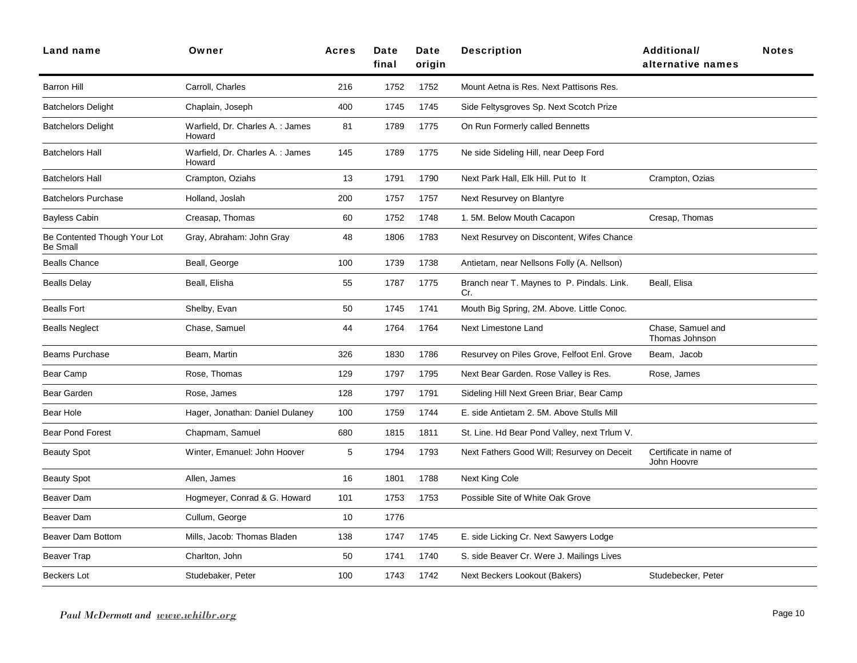| Land name                                       | Owner                                      | <b>Acres</b> | Date<br>final | Date<br>origin | <b>Description</b>                                | Additional/<br>alternative names      | <b>Notes</b> |
|-------------------------------------------------|--------------------------------------------|--------------|---------------|----------------|---------------------------------------------------|---------------------------------------|--------------|
| <b>Barron Hill</b>                              | Carroll, Charles                           | 216          | 1752          | 1752           | Mount Aetna is Res. Next Pattisons Res.           |                                       |              |
| <b>Batchelors Delight</b>                       | Chaplain, Joseph                           | 400          | 1745          | 1745           | Side Feltysgroves Sp. Next Scotch Prize           |                                       |              |
| <b>Batchelors Delight</b>                       | Warfield, Dr. Charles A. : James<br>Howard | 81           | 1789          | 1775           | On Run Formerly called Bennetts                   |                                       |              |
| <b>Batchelors Hall</b>                          | Warfield, Dr. Charles A. : James<br>Howard | 145          | 1789          | 1775           | Ne side Sideling Hill, near Deep Ford             |                                       |              |
| <b>Batchelors Hall</b>                          | Crampton, Oziahs                           | 13           | 1791          | 1790           | Next Park Hall, Elk Hill. Put to It               | Crampton, Ozias                       |              |
| <b>Batchelors Purchase</b>                      | Holland, Joslah                            | 200          | 1757          | 1757           | Next Resurvey on Blantyre                         |                                       |              |
| Bayless Cabin                                   | Creasap, Thomas                            | 60           | 1752          | 1748           | 1. 5M. Below Mouth Cacapon                        | Cresap, Thomas                        |              |
| Be Contented Though Your Lot<br><b>Be Small</b> | Gray, Abraham: John Gray                   | 48           | 1806          | 1783           | Next Resurvey on Discontent, Wifes Chance         |                                       |              |
| <b>Bealls Chance</b>                            | Beall, George                              | 100          | 1739          | 1738           | Antietam, near Nellsons Folly (A. Nellson)        |                                       |              |
| <b>Bealls Delay</b>                             | Beall, Elisha                              | 55           | 1787          | 1775           | Branch near T. Maynes to P. Pindals. Link.<br>Cr. | Beall, Elisa                          |              |
| <b>Bealls Fort</b>                              | Shelby, Evan                               | 50           | 1745          | 1741           | Mouth Big Spring, 2M. Above. Little Conoc.        |                                       |              |
| <b>Bealls Neglect</b>                           | Chase, Samuel                              | 44           | 1764          | 1764           | Next Limestone Land                               | Chase, Samuel and<br>Thomas Johnson   |              |
| <b>Beams Purchase</b>                           | Beam, Martin                               | 326          | 1830          | 1786           | Resurvey on Piles Grove, Felfoot Enl. Grove       | Beam, Jacob                           |              |
| Bear Camp                                       | Rose, Thomas                               | 129          | 1797          | 1795           | Next Bear Garden. Rose Valley is Res.             | Rose, James                           |              |
| Bear Garden                                     | Rose, James                                | 128          | 1797          | 1791           | Sideling Hill Next Green Briar, Bear Camp         |                                       |              |
| Bear Hole                                       | Hager, Jonathan: Daniel Dulaney            | 100          | 1759          | 1744           | E. side Antietam 2, 5M. Above Stulls Mill         |                                       |              |
| <b>Bear Pond Forest</b>                         | Chapmam, Samuel                            | 680          | 1815          | 1811           | St. Line. Hd Bear Pond Valley, next Trlum V.      |                                       |              |
| <b>Beauty Spot</b>                              | Winter, Emanuel: John Hoover               | 5            | 1794          | 1793           | Next Fathers Good Will; Resurvey on Deceit        | Certificate in name of<br>John Hoovre |              |
| <b>Beauty Spot</b>                              | Allen, James                               | 16           | 1801          | 1788           | Next King Cole                                    |                                       |              |
| Beaver Dam                                      | Hogmeyer, Conrad & G. Howard               | 101          | 1753          | 1753           | Possible Site of White Oak Grove                  |                                       |              |
| Beaver Dam                                      | Cullum, George                             | 10           | 1776          |                |                                                   |                                       |              |
| Beaver Dam Bottom                               | Mills, Jacob: Thomas Bladen                | 138          | 1747          | 1745           | E. side Licking Cr. Next Sawyers Lodge            |                                       |              |
| Beaver Trap                                     | Charlton, John                             | 50           | 1741          | 1740           | S. side Beaver Cr. Were J. Mailings Lives         |                                       |              |
| Beckers Lot                                     | Studebaker, Peter                          | 100          | 1743          | 1742           | Next Beckers Lookout (Bakers)                     | Studebecker, Peter                    |              |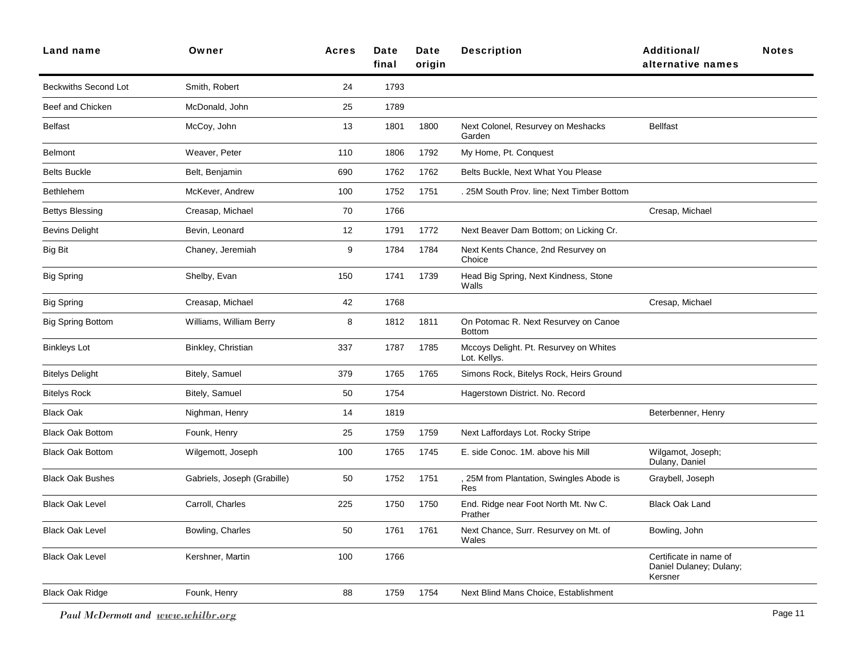| <b>Land name</b>            | Owner                       | <b>Acres</b> | Date<br>final | Date<br>origin | <b>Description</b>                                     | Additional/<br>alternative names                             | <b>Notes</b> |
|-----------------------------|-----------------------------|--------------|---------------|----------------|--------------------------------------------------------|--------------------------------------------------------------|--------------|
| <b>Beckwiths Second Lot</b> | Smith, Robert               | 24           | 1793          |                |                                                        |                                                              |              |
| Beef and Chicken            | McDonald, John              | 25           | 1789          |                |                                                        |                                                              |              |
| <b>Belfast</b>              | McCoy, John                 | 13           | 1801          | 1800           | Next Colonel, Resurvey on Meshacks<br>Garden           | <b>Bellfast</b>                                              |              |
| <b>Belmont</b>              | Weaver, Peter               | 110          | 1806          | 1792           | My Home, Pt. Conquest                                  |                                                              |              |
| <b>Belts Buckle</b>         | Belt, Benjamin              | 690          | 1762          | 1762           | Belts Buckle, Next What You Please                     |                                                              |              |
| <b>Bethlehem</b>            | McKever, Andrew             | 100          | 1752          | 1751           | . 25M South Prov. line; Next Timber Bottom             |                                                              |              |
| <b>Bettys Blessing</b>      | Creasap, Michael            | 70           | 1766          |                |                                                        | Cresap, Michael                                              |              |
| <b>Bevins Delight</b>       | Bevin, Leonard              | 12           | 1791          | 1772           | Next Beaver Dam Bottom; on Licking Cr.                 |                                                              |              |
| <b>Big Bit</b>              | Chaney, Jeremiah            | 9            | 1784          | 1784           | Next Kents Chance, 2nd Resurvey on<br>Choice           |                                                              |              |
| <b>Big Spring</b>           | Shelby, Evan                | 150          | 1741          | 1739           | Head Big Spring, Next Kindness, Stone<br>Walls         |                                                              |              |
| <b>Big Spring</b>           | Creasap, Michael            | 42           | 1768          |                |                                                        | Cresap, Michael                                              |              |
| <b>Big Spring Bottom</b>    | Williams, William Berry     | 8            | 1812          | 1811           | On Potomac R. Next Resurvey on Canoe<br><b>Bottom</b>  |                                                              |              |
| <b>Binkleys Lot</b>         | Binkley, Christian          | 337          | 1787          | 1785           | Mccoys Delight. Pt. Resurvey on Whites<br>Lot. Kellys. |                                                              |              |
| <b>Bitelys Delight</b>      | Bitely, Samuel              | 379          | 1765          | 1765           | Simons Rock, Bitelys Rock, Heirs Ground                |                                                              |              |
| <b>Bitelys Rock</b>         | Bitely, Samuel              | 50           | 1754          |                | Hagerstown District. No. Record                        |                                                              |              |
| <b>Black Oak</b>            | Nighman, Henry              | 14           | 1819          |                |                                                        | Beterbenner, Henry                                           |              |
| <b>Black Oak Bottom</b>     | Founk, Henry                | 25           | 1759          | 1759           | Next Laffordays Lot. Rocky Stripe                      |                                                              |              |
| <b>Black Oak Bottom</b>     | Wilgemott, Joseph           | 100          | 1765          | 1745           | E. side Conoc. 1M. above his Mill                      | Wilgamot, Joseph;<br>Dulany, Daniel                          |              |
| <b>Black Oak Bushes</b>     | Gabriels, Joseph (Grabille) | 50           | 1752          | 1751           | 25M from Plantation, Swingles Abode is<br>Res          | Graybell, Joseph                                             |              |
| <b>Black Oak Level</b>      | Carroll, Charles            | 225          | 1750          | 1750           | End. Ridge near Foot North Mt. Nw C.<br>Prather        | <b>Black Oak Land</b>                                        |              |
| <b>Black Oak Level</b>      | Bowling, Charles            | 50           | 1761          | 1761           | Next Chance, Surr. Resurvey on Mt. of<br>Wales         | Bowling, John                                                |              |
| <b>Black Oak Level</b>      | Kershner, Martin            | 100          | 1766          |                |                                                        | Certificate in name of<br>Daniel Dulaney; Dulany;<br>Kersner |              |
| <b>Black Oak Ridge</b>      | Founk, Henry                | 88           | 1759          | 1754           | Next Blind Mans Choice, Establishment                  |                                                              |              |
|                             |                             |              |               |                |                                                        |                                                              |              |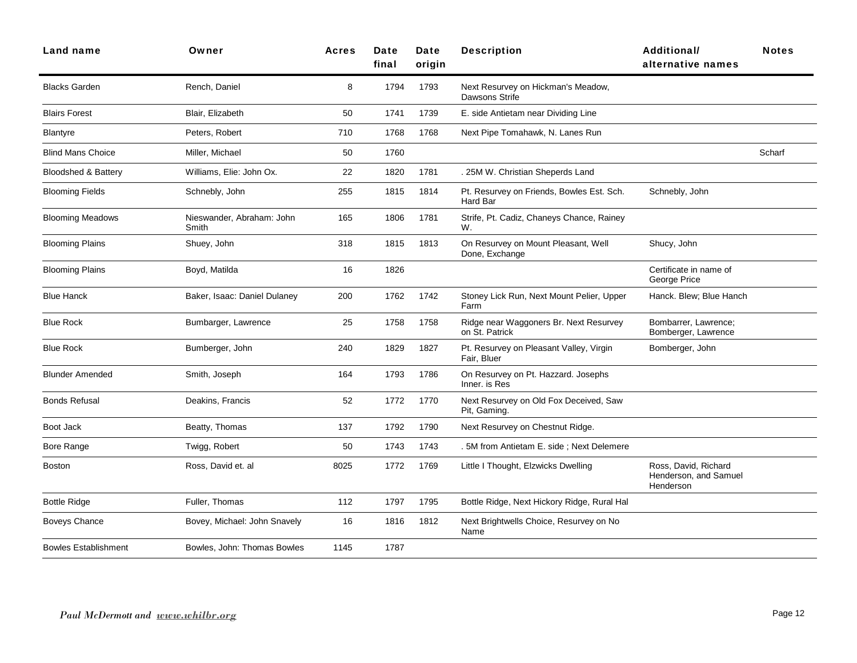| Land name                      | Owner                              | <b>Acres</b> | Date<br>final | <b>Date</b><br>origin | <b>Description</b>                                       | Additional/<br>alternative names                           | <b>Notes</b> |
|--------------------------------|------------------------------------|--------------|---------------|-----------------------|----------------------------------------------------------|------------------------------------------------------------|--------------|
| <b>Blacks Garden</b>           | Rench, Daniel                      | 8            | 1794          | 1793                  | Next Resurvey on Hickman's Meadow,<br>Dawsons Strife     |                                                            |              |
| <b>Blairs Forest</b>           | Blair, Elizabeth                   | 50           | 1741          | 1739                  | E. side Antietam near Dividing Line                      |                                                            |              |
| Blantyre                       | Peters, Robert                     | 710          | 1768          | 1768                  | Next Pipe Tomahawk, N. Lanes Run                         |                                                            |              |
| <b>Blind Mans Choice</b>       | Miller, Michael                    | 50           | 1760          |                       |                                                          |                                                            | Scharf       |
| <b>Bloodshed &amp; Battery</b> | Williams, Elie: John Ox.           | 22           | 1820          | 1781                  | . 25M W. Christian Sheperds Land                         |                                                            |              |
| <b>Blooming Fields</b>         | Schnebly, John                     | 255          | 1815          | 1814                  | Pt. Resurvey on Friends, Bowles Est. Sch.<br>Hard Bar    | Schnebly, John                                             |              |
| <b>Blooming Meadows</b>        | Nieswander, Abraham: John<br>Smith | 165          | 1806          | 1781                  | Strife, Pt. Cadiz, Chaneys Chance, Rainey<br>W.          |                                                            |              |
| <b>Blooming Plains</b>         | Shuey, John                        | 318          | 1815          | 1813                  | On Resurvey on Mount Pleasant, Well<br>Done, Exchange    | Shucy, John                                                |              |
| <b>Blooming Plains</b>         | Boyd, Matilda                      | 16           | 1826          |                       |                                                          | Certificate in name of<br>George Price                     |              |
| <b>Blue Hanck</b>              | Baker, Isaac: Daniel Dulaney       | 200          | 1762          | 1742                  | Stoney Lick Run, Next Mount Pelier, Upper<br>Farm        | Hanck. Blew; Blue Hanch                                    |              |
| <b>Blue Rock</b>               | Bumbarger, Lawrence                | 25           | 1758          | 1758                  | Ridge near Waggoners Br. Next Resurvey<br>on St. Patrick | Bombarrer, Lawrence;<br>Bomberger, Lawrence                |              |
| <b>Blue Rock</b>               | Bumberger, John                    | 240          | 1829          | 1827                  | Pt. Resurvey on Pleasant Valley, Virgin<br>Fair, Bluer   | Bomberger, John                                            |              |
| <b>Blunder Amended</b>         | Smith, Joseph                      | 164          | 1793          | 1786                  | On Resurvey on Pt. Hazzard. Josephs<br>Inner, is Res     |                                                            |              |
| <b>Bonds Refusal</b>           | Deakins, Francis                   | 52           | 1772          | 1770                  | Next Resurvey on Old Fox Deceived, Saw<br>Pit, Gaming.   |                                                            |              |
| Boot Jack                      | Beatty, Thomas                     | 137          | 1792          | 1790                  | Next Resurvey on Chestnut Ridge.                         |                                                            |              |
| Bore Range                     | Twigg, Robert                      | 50           | 1743          | 1743                  | . 5M from Antietam E. side ; Next Delemere               |                                                            |              |
| <b>Boston</b>                  | Ross, David et. al                 | 8025         | 1772          | 1769                  | Little I Thought, Elzwicks Dwelling                      | Ross, David, Richard<br>Henderson, and Samuel<br>Henderson |              |
| <b>Bottle Ridge</b>            | Fuller, Thomas                     | 112          | 1797          | 1795                  | Bottle Ridge, Next Hickory Ridge, Rural Hal              |                                                            |              |
| <b>Boveys Chance</b>           | Bovey, Michael: John Snavely       | 16           | 1816          | 1812                  | Next Brightwells Choice, Resurvey on No<br>Name          |                                                            |              |
| <b>Bowles Establishment</b>    | Bowles, John: Thomas Bowles        | 1145         | 1787          |                       |                                                          |                                                            |              |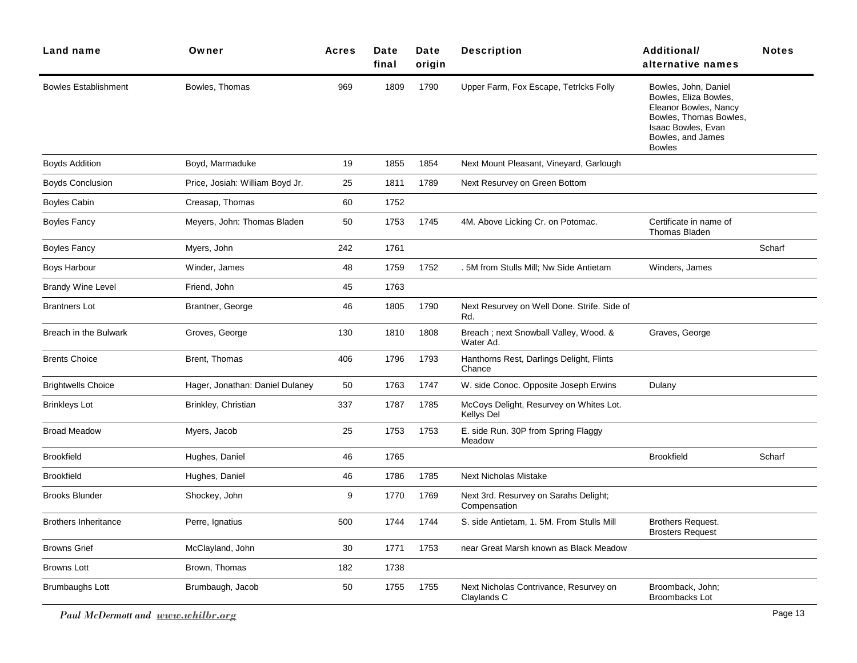| Owner                           | <b>Acres</b> | Date<br>final | Date<br>origin | <b>Description</b>                                    | <b>Additional/</b><br>alternative names                                                                                                                      | <b>Notes</b> |
|---------------------------------|--------------|---------------|----------------|-------------------------------------------------------|--------------------------------------------------------------------------------------------------------------------------------------------------------------|--------------|
| Bowles, Thomas                  | 969          | 1809          | 1790           | Upper Farm, Fox Escape, Tetricks Folly                | Bowles, John, Daniel<br>Bowles, Eliza Bowles,<br>Eleanor Bowles, Nancy<br>Bowles, Thomas Bowles,<br>Isaac Bowles, Evan<br>Bowles, and James<br><b>Bowles</b> |              |
| Boyd, Marmaduke                 | 19           | 1855          | 1854           | Next Mount Pleasant, Vineyard, Garlough               |                                                                                                                                                              |              |
| Price, Josiah: William Boyd Jr. | 25           | 1811          | 1789           | Next Resurvey on Green Bottom                         |                                                                                                                                                              |              |
| Creasap, Thomas                 | 60           | 1752          |                |                                                       |                                                                                                                                                              |              |
| Meyers, John: Thomas Bladen     | 50           | 1753          | 1745           | 4M. Above Licking Cr. on Potomac.                     | Certificate in name of<br><b>Thomas Bladen</b>                                                                                                               |              |
| Myers, John                     | 242          | 1761          |                |                                                       |                                                                                                                                                              | Scharf       |
| Winder, James                   | 48           | 1759          | 1752           | . 5M from Stulls Mill; Nw Side Antietam               | Winders, James                                                                                                                                               |              |
| Friend, John                    | 45           | 1763          |                |                                                       |                                                                                                                                                              |              |
| Brantner, George                | 46           | 1805          | 1790           | Next Resurvey on Well Done. Strife. Side of<br>Rd.    |                                                                                                                                                              |              |
| Groves, George                  | 130          | 1810          | 1808           | Breach; next Snowball Valley, Wood. &<br>Water Ad.    | Graves, George                                                                                                                                               |              |
| Brent, Thomas                   | 406          | 1796          | 1793           | Hanthorns Rest, Darlings Delight, Flints<br>Chance    |                                                                                                                                                              |              |
| Hager, Jonathan: Daniel Dulaney | 50           | 1763          | 1747           | W. side Conoc. Opposite Joseph Erwins                 | Dulany                                                                                                                                                       |              |
| Brinkley, Christian             | 337          | 1787          | 1785           | McCoys Delight, Resurvey on Whites Lot.<br>Kellys Del |                                                                                                                                                              |              |
| Myers, Jacob                    | 25           | 1753          | 1753           | E. side Run. 30P from Spring Flaggy<br>Meadow         |                                                                                                                                                              |              |
| Hughes, Daniel                  | 46           | 1765          |                |                                                       | <b>Brookfield</b>                                                                                                                                            | Scharf       |
| Hughes, Daniel                  | 46           | 1786          | 1785           | <b>Next Nicholas Mistake</b>                          |                                                                                                                                                              |              |
| Shockey, John                   | 9            | 1770          | 1769           | Next 3rd. Resurvey on Sarahs Delight;<br>Compensation |                                                                                                                                                              |              |
| Perre, Ignatius                 | 500          | 1744          | 1744           | S. side Antietam, 1. 5M. From Stulls Mill             | Brothers Request.<br><b>Brosters Request</b>                                                                                                                 |              |
| McClayland, John                | 30           | 1771          | 1753           | near Great Marsh known as Black Meadow                |                                                                                                                                                              |              |
| Brown, Thomas                   | 182          | 1738          |                |                                                       |                                                                                                                                                              |              |
| Brumbaugh, Jacob                | 50           | 1755          | 1755           | Next Nicholas Contrivance, Resurvey on<br>Claylands C | Broomback, John;<br><b>Broombacks Lot</b>                                                                                                                    |              |
|                                 |              |               |                |                                                       |                                                                                                                                                              |              |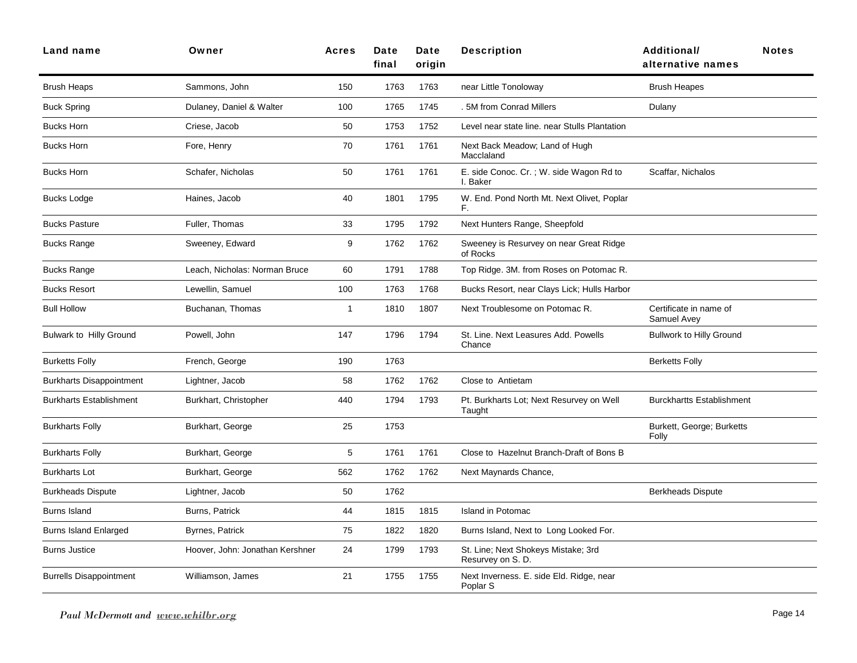| <b>Land name</b>                | Owner                           | <b>Acres</b> | Date<br>final | Date<br>oriain | <b>Description</b>                                      | <b>Additional/</b><br><b>Notes</b><br>alternative names |
|---------------------------------|---------------------------------|--------------|---------------|----------------|---------------------------------------------------------|---------------------------------------------------------|
| <b>Brush Heaps</b>              | Sammons, John                   | 150          | 1763          | 1763           | near Little Tonoloway                                   | <b>Brush Heapes</b>                                     |
| <b>Buck Spring</b>              | Dulaney, Daniel & Walter        | 100          | 1765          | 1745           | .5M from Conrad Millers                                 | Dulany                                                  |
| <b>Bucks Horn</b>               | Criese, Jacob                   | 50           | 1753          | 1752           | Level near state line. near Stulls Plantation           |                                                         |
| <b>Bucks Horn</b>               | Fore, Henry                     | 70           | 1761          | 1761           | Next Back Meadow; Land of Hugh<br>Macclaland            |                                                         |
| <b>Bucks Horn</b>               | Schafer, Nicholas               | 50           | 1761          | 1761           | E. side Conoc. Cr.; W. side Wagon Rd to<br>I. Baker     | Scaffar, Nichalos                                       |
| <b>Bucks Lodge</b>              | Haines, Jacob                   | 40           | 1801          | 1795           | W. End. Pond North Mt. Next Olivet, Poplar<br>F.        |                                                         |
| <b>Bucks Pasture</b>            | Fuller, Thomas                  | 33           | 1795          | 1792           | Next Hunters Range, Sheepfold                           |                                                         |
| <b>Bucks Range</b>              | Sweeney, Edward                 | 9            | 1762          | 1762           | Sweeney is Resurvey on near Great Ridge<br>of Rocks     |                                                         |
| <b>Bucks Range</b>              | Leach, Nicholas: Norman Bruce   | 60           | 1791          | 1788           | Top Ridge. 3M. from Roses on Potomac R.                 |                                                         |
| <b>Bucks Resort</b>             | Lewellin, Samuel                | 100          | 1763          | 1768           | Bucks Resort, near Clays Lick; Hulls Harbor             |                                                         |
| <b>Bull Hollow</b>              | Buchanan, Thomas                | $\mathbf 1$  | 1810          | 1807           | Next Troublesome on Potomac R.                          | Certificate in name of<br>Samuel Avey                   |
| Bulwark to Hilly Ground         | Powell, John                    | 147          | 1796          | 1794           | St. Line. Next Leasures Add. Powells<br>Chance          | <b>Bullwork to Hilly Ground</b>                         |
| <b>Burketts Folly</b>           | French, George                  | 190          | 1763          |                |                                                         | <b>Berketts Folly</b>                                   |
| <b>Burkharts Disappointment</b> | Lightner, Jacob                 | 58           | 1762          | 1762           | Close to Antietam                                       |                                                         |
| <b>Burkharts Establishment</b>  | Burkhart, Christopher           | 440          | 1794          | 1793           | Pt. Burkharts Lot; Next Resurvey on Well<br>Taught      | <b>Burckhartts Establishment</b>                        |
| <b>Burkharts Folly</b>          | Burkhart, George                | 25           | 1753          |                |                                                         | Burkett, George; Burketts<br>Folly                      |
| <b>Burkharts Folly</b>          | Burkhart, George                | 5            | 1761          | 1761           | Close to Hazelnut Branch-Draft of Bons B                |                                                         |
| <b>Burkharts Lot</b>            | Burkhart, George                | 562          | 1762          | 1762           | Next Maynards Chance,                                   |                                                         |
| <b>Burkheads Dispute</b>        | Lightner, Jacob                 | 50           | 1762          |                |                                                         | <b>Berkheads Dispute</b>                                |
| <b>Burns Island</b>             | Burns, Patrick                  | 44           | 1815          | 1815           | Island in Potomac                                       |                                                         |
| <b>Burns Island Enlarged</b>    | Byrnes, Patrick                 | 75           | 1822          | 1820           | Burns Island, Next to Long Looked For.                  |                                                         |
| <b>Burns Justice</b>            | Hoover, John: Jonathan Kershner | 24           | 1799          | 1793           | St. Line; Next Shokeys Mistake; 3rd<br>Resurvey on S.D. |                                                         |
| <b>Burrells Disappointment</b>  | Williamson, James               | 21           | 1755          | 1755           | Next Inverness. E. side Eld. Ridge, near<br>Poplar S    |                                                         |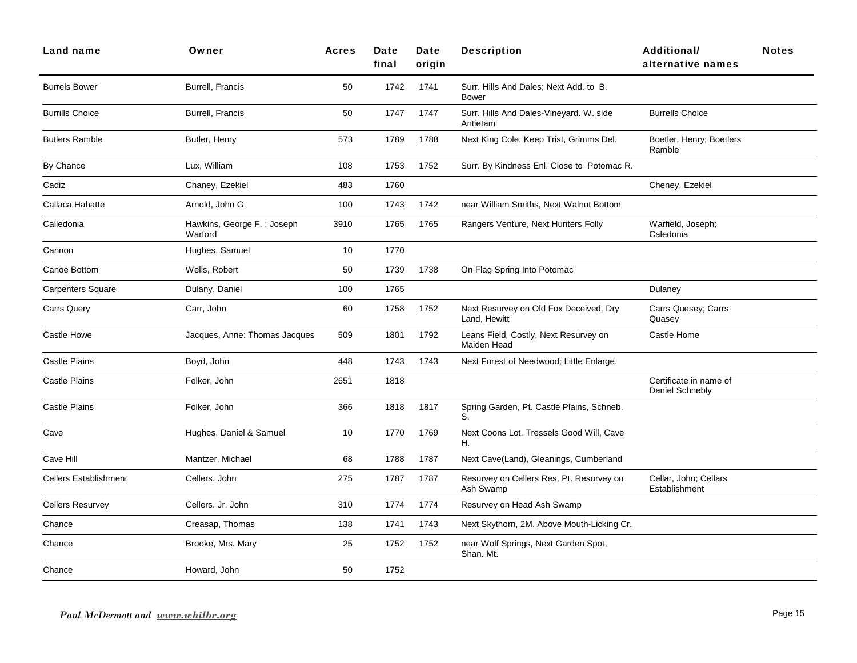| Land name                    | Owner                                 | <b>Acres</b> | Date<br>final | Date<br>origin | <b>Description</b>                                     | Additional/<br>alternative names          | <b>Notes</b> |
|------------------------------|---------------------------------------|--------------|---------------|----------------|--------------------------------------------------------|-------------------------------------------|--------------|
| <b>Burrels Bower</b>         | <b>Burrell, Francis</b>               | 50           | 1742          | 1741           | Surr. Hills And Dales; Next Add. to B.<br><b>Bower</b> |                                           |              |
| <b>Burrills Choice</b>       | Burrell, Francis                      | 50           | 1747          | 1747           | Surr. Hills And Dales-Vineyard. W. side<br>Antietam    | <b>Burrells Choice</b>                    |              |
| <b>Butlers Ramble</b>        | Butler, Henry                         | 573          | 1789          | 1788           | Next King Cole, Keep Trist, Grimms Del.                | Boetler, Henry; Boetlers<br>Ramble        |              |
| By Chance                    | Lux, William                          | 108          | 1753          | 1752           | Surr. By Kindness Enl. Close to Potomac R.             |                                           |              |
| Cadiz                        | Chaney, Ezekiel                       | 483          | 1760          |                |                                                        | Cheney, Ezekiel                           |              |
| Callaca Hahatte              | Arnold, John G.                       | 100          | 1743          | 1742           | near William Smiths, Next Walnut Bottom                |                                           |              |
| Calledonia                   | Hawkins, George F.: Joseph<br>Warford | 3910         | 1765          | 1765           | Rangers Venture, Next Hunters Folly                    | Warfield, Joseph;<br>Caledonia            |              |
| Cannon                       | Hughes, Samuel                        | 10           | 1770          |                |                                                        |                                           |              |
| Canoe Bottom                 | Wells, Robert                         | 50           | 1739          | 1738           | On Flag Spring Into Potomac                            |                                           |              |
| <b>Carpenters Square</b>     | Dulany, Daniel                        | 100          | 1765          |                |                                                        | Dulaney                                   |              |
| <b>Carrs Query</b>           | Carr, John                            | 60           | 1758          | 1752           | Next Resurvey on Old Fox Deceived, Dry<br>Land, Hewitt | Carrs Quesey; Carrs<br>Quasey             |              |
| Castle Howe                  | Jacques, Anne: Thomas Jacques         | 509          | 1801          | 1792           | Leans Field, Costly, Next Resurvey on<br>Maiden Head   | Castle Home                               |              |
| <b>Castle Plains</b>         | Boyd, John                            | 448          | 1743          | 1743           | Next Forest of Needwood; Little Enlarge.               |                                           |              |
| <b>Castle Plains</b>         | Felker, John                          | 2651         | 1818          |                |                                                        | Certificate in name of<br>Daniel Schnebly |              |
| <b>Castle Plains</b>         | Folker, John                          | 366          | 1818          | 1817           | Spring Garden, Pt. Castle Plains, Schneb.<br>S.        |                                           |              |
| Cave                         | Hughes, Daniel & Samuel               | 10           | 1770          | 1769           | Next Coons Lot. Tressels Good Will, Cave<br>Η.         |                                           |              |
| Cave Hill                    | Mantzer, Michael                      | 68           | 1788          | 1787           | Next Cave(Land), Gleanings, Cumberland                 |                                           |              |
| <b>Cellers Establishment</b> | Cellers, John                         | 275          | 1787          | 1787           | Resurvey on Cellers Res, Pt. Resurvey on<br>Ash Swamp  | Cellar, John; Cellars<br>Establishment    |              |
| <b>Cellers Resurvey</b>      | Cellers. Jr. John                     | 310          | 1774          | 1774           | Resurvey on Head Ash Swamp                             |                                           |              |
| Chance                       | Creasap, Thomas                       | 138          | 1741          | 1743           | Next Skythorn, 2M. Above Mouth-Licking Cr.             |                                           |              |
| Chance                       | Brooke, Mrs. Mary                     | 25           | 1752          | 1752           | near Wolf Springs, Next Garden Spot,<br>Shan. Mt.      |                                           |              |
| Chance                       | Howard, John                          | 50           | 1752          |                |                                                        |                                           |              |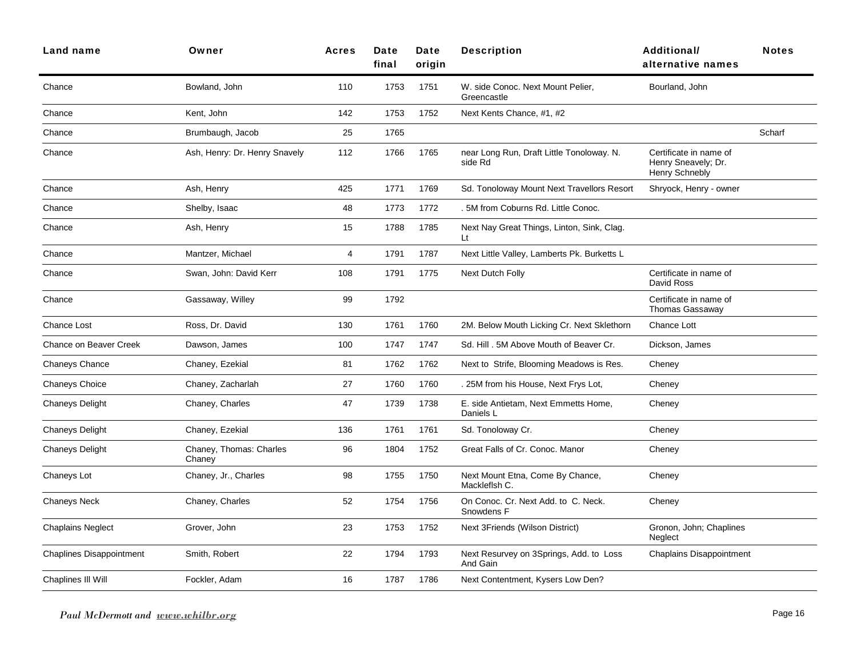| <b>Land name</b>                | Owner                             | <b>Acres</b> | Date<br>final | <b>Date</b><br>oriain | <b>Description</b>                                   | <b>Additional/</b><br>alternative names                                | <b>Notes</b> |
|---------------------------------|-----------------------------------|--------------|---------------|-----------------------|------------------------------------------------------|------------------------------------------------------------------------|--------------|
| Chance                          | Bowland, John                     | 110          | 1753          | 1751                  | W. side Conoc. Next Mount Pelier,<br>Greencastle     | Bourland, John                                                         |              |
| Chance                          | Kent, John                        | 142          | 1753          | 1752                  | Next Kents Chance, #1, #2                            |                                                                        |              |
| Chance                          | Brumbaugh, Jacob                  | 25           | 1765          |                       |                                                      |                                                                        | Scharf       |
| Chance                          | Ash, Henry: Dr. Henry Snavely     | 112          | 1766          | 1765                  | near Long Run, Draft Little Tonoloway. N.<br>side Rd | Certificate in name of<br>Henry Sneavely; Dr.<br><b>Henry Schnebly</b> |              |
| Chance                          | Ash, Henry                        | 425          | 1771          | 1769                  | Sd. Tonoloway Mount Next Travellors Resort           | Shryock, Henry - owner                                                 |              |
| Chance                          | Shelby, Isaac                     | 48           | 1773          | 1772                  | . 5M from Coburns Rd. Little Conoc.                  |                                                                        |              |
| Chance                          | Ash, Henry                        | 15           | 1788          | 1785                  | Next Nay Great Things, Linton, Sink, Clag.<br>Lt     |                                                                        |              |
| Chance                          | Mantzer, Michael                  | 4            | 1791          | 1787                  | Next Little Valley, Lamberts Pk. Burketts L          |                                                                        |              |
| Chance                          | Swan, John: David Kerr            | 108          | 1791          | 1775                  | Next Dutch Folly                                     | Certificate in name of<br>David Ross                                   |              |
| Chance                          | Gassaway, Willey                  | 99           | 1792          |                       |                                                      | Certificate in name of<br>Thomas Gassaway                              |              |
| <b>Chance Lost</b>              | Ross, Dr. David                   | 130          | 1761          | 1760                  | 2M. Below Mouth Licking Cr. Next Sklethorn           | Chance Lott                                                            |              |
| Chance on Beaver Creek          | Dawson, James                     | 100          | 1747          | 1747                  | Sd. Hill . 5M Above Mouth of Beaver Cr.              | Dickson, James                                                         |              |
| Chaneys Chance                  | Chaney, Ezekial                   | 81           | 1762          | 1762                  | Next to Strife, Blooming Meadows is Res.             | Cheney                                                                 |              |
| <b>Chaneys Choice</b>           | Chaney, Zacharlah                 | 27           | 1760          | 1760                  | . 25M from his House, Next Frys Lot,                 | Cheney                                                                 |              |
| <b>Chaneys Delight</b>          | Chaney, Charles                   | 47           | 1739          | 1738                  | E. side Antietam, Next Emmetts Home,<br>Daniels L    | Cheney                                                                 |              |
| Chaneys Delight                 | Chaney, Ezekial                   | 136          | 1761          | 1761                  | Sd. Tonoloway Cr.                                    | Cheney                                                                 |              |
| <b>Chaneys Delight</b>          | Chaney, Thomas: Charles<br>Chaney | 96           | 1804          | 1752                  | Great Falls of Cr. Conoc. Manor                      | Cheney                                                                 |              |
| Chaneys Lot                     | Chaney, Jr., Charles              | 98           | 1755          | 1750                  | Next Mount Etna, Come By Chance,<br>Mackleflsh C.    | Cheney                                                                 |              |
| <b>Chaneys Neck</b>             | Chaney, Charles                   | 52           | 1754          | 1756                  | On Conoc. Cr. Next Add. to C. Neck.<br>Snowdens F    | Cheney                                                                 |              |
| <b>Chaplains Neglect</b>        | Grover, John                      | 23           | 1753          | 1752                  | Next 3Friends (Wilson District)                      | Gronon, John; Chaplines<br>Neglect                                     |              |
| <b>Chaplines Disappointment</b> | Smith, Robert                     | 22           | 1794          | 1793                  | Next Resurvey on 3Springs, Add. to Loss<br>And Gain  | <b>Chaplains Disappointment</b>                                        |              |
| Chaplines III Will              | Fockler, Adam                     | 16           | 1787          | 1786                  | Next Contentment, Kysers Low Den?                    |                                                                        |              |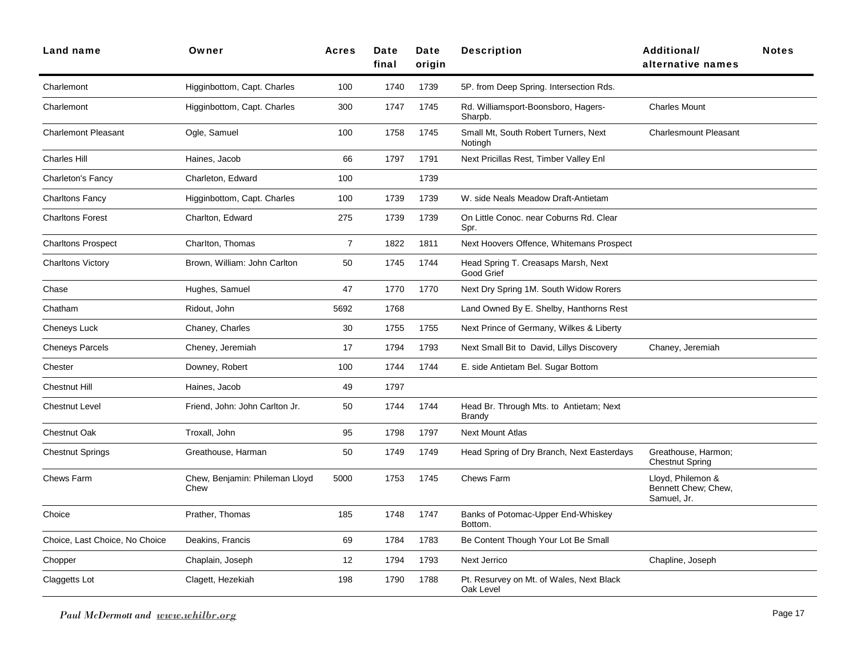| Land name                      | Owner                                  | <b>Acres</b>   | Date<br>final | Date<br>origin | <b>Description</b>                                       | Additional/<br>alternative names                        | <b>Notes</b> |
|--------------------------------|----------------------------------------|----------------|---------------|----------------|----------------------------------------------------------|---------------------------------------------------------|--------------|
| Charlemont                     | Higginbottom, Capt. Charles            | 100            | 1740          | 1739           | 5P. from Deep Spring. Intersection Rds.                  |                                                         |              |
| Charlemont                     | Higginbottom, Capt. Charles            | 300            | 1747          | 1745           | Rd. Williamsport-Boonsboro, Hagers-<br>Sharpb.           | <b>Charles Mount</b>                                    |              |
| <b>Charlemont Pleasant</b>     | Ogle, Samuel                           | 100            | 1758          | 1745           | Small Mt, South Robert Turners, Next<br>Notingh          | <b>Charlesmount Pleasant</b>                            |              |
| <b>Charles Hill</b>            | Haines, Jacob                          | 66             | 1797          | 1791           | Next Pricillas Rest, Timber Valley Enl                   |                                                         |              |
| Charleton's Fancy              | Charleton, Edward                      | 100            |               | 1739           |                                                          |                                                         |              |
| <b>Charltons Fancy</b>         | Higginbottom, Capt. Charles            | 100            | 1739          | 1739           | W. side Neals Meadow Draft-Antietam                      |                                                         |              |
| <b>Charltons Forest</b>        | Charlton, Edward                       | 275            | 1739          | 1739           | On Little Conoc. near Coburns Rd. Clear<br>Spr.          |                                                         |              |
| <b>Charltons Prospect</b>      | Charlton, Thomas                       | $\overline{7}$ | 1822          | 1811           | Next Hoovers Offence, Whitemans Prospect                 |                                                         |              |
| <b>Charltons Victory</b>       | Brown, William: John Carlton           | 50             | 1745          | 1744           | Head Spring T. Creasaps Marsh, Next<br>Good Grief        |                                                         |              |
| Chase                          | Hughes, Samuel                         | 47             | 1770          | 1770           | Next Dry Spring 1M. South Widow Rorers                   |                                                         |              |
| Chatham                        | Ridout, John                           | 5692           | 1768          |                | Land Owned By E. Shelby, Hanthorns Rest                  |                                                         |              |
| Cheneys Luck                   | Chaney, Charles                        | 30             | 1755          | 1755           | Next Prince of Germany, Wilkes & Liberty                 |                                                         |              |
| <b>Cheneys Parcels</b>         | Cheney, Jeremiah                       | 17             | 1794          | 1793           | Next Small Bit to David, Lillys Discovery                | Chaney, Jeremiah                                        |              |
| Chester                        | Downey, Robert                         | 100            | 1744          | 1744           | E. side Antietam Bel. Sugar Bottom                       |                                                         |              |
| <b>Chestnut Hill</b>           | Haines, Jacob                          | 49             | 1797          |                |                                                          |                                                         |              |
| <b>Chestnut Level</b>          | Friend, John: John Carlton Jr.         | 50             | 1744          | 1744           | Head Br. Through Mts. to Antietam; Next<br><b>Brandy</b> |                                                         |              |
| <b>Chestnut Oak</b>            | Troxall, John                          | 95             | 1798          | 1797           | <b>Next Mount Atlas</b>                                  |                                                         |              |
| <b>Chestnut Springs</b>        | Greathouse, Harman                     | 50             | 1749          | 1749           | Head Spring of Dry Branch, Next Easterdays               | Greathouse, Harmon;<br><b>Chestnut Spring</b>           |              |
| Chews Farm                     | Chew, Benjamin: Phileman Lloyd<br>Chew | 5000           | 1753          | 1745           | Chews Farm                                               | Lloyd, Philemon &<br>Bennett Chew; Chew,<br>Samuel, Jr. |              |
| Choice                         | Prather, Thomas                        | 185            | 1748          | 1747           | Banks of Potomac-Upper End-Whiskey<br>Bottom.            |                                                         |              |
| Choice, Last Choice, No Choice | Deakins, Francis                       | 69             | 1784          | 1783           | Be Content Though Your Lot Be Small                      |                                                         |              |
| Chopper                        | Chaplain, Joseph                       | 12             | 1794          | 1793           | Next Jerrico                                             | Chapline, Joseph                                        |              |
| Claggetts Lot                  | Clagett, Hezekiah                      | 198            | 1790          | 1788           | Pt. Resurvey on Mt. of Wales, Next Black<br>Oak Level    |                                                         |              |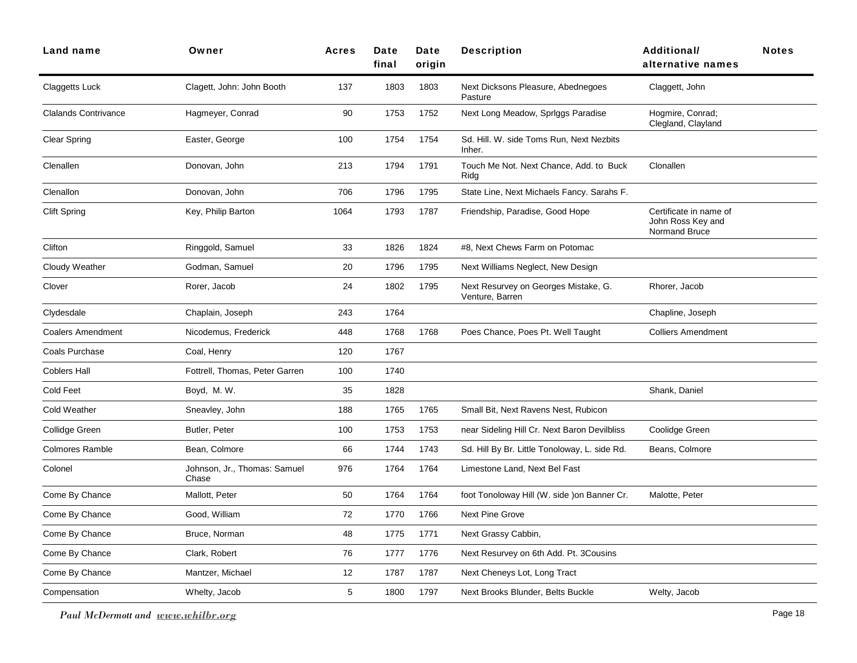| Land name                   | Owner                                 | <b>Acres</b> | Date<br>final | Date<br>origin | <b>Description</b>                                      | <b>Additional/</b><br>alternative names                      | <b>Notes</b> |
|-----------------------------|---------------------------------------|--------------|---------------|----------------|---------------------------------------------------------|--------------------------------------------------------------|--------------|
| <b>Claggetts Luck</b>       | Clagett, John: John Booth             | 137          | 1803          | 1803           | Next Dicksons Pleasure, Abednegoes<br>Pasture           | Claggett, John                                               |              |
| <b>Clalands Contrivance</b> | Hagmeyer, Conrad                      | 90           | 1753          | 1752           | Next Long Meadow, Spriggs Paradise                      | Hogmire, Conrad;<br>Clegland, Clayland                       |              |
| <b>Clear Spring</b>         | Easter, George                        | 100          | 1754          | 1754           | Sd. Hill. W. side Toms Run, Next Nezbits<br>Inher.      |                                                              |              |
| Clenallen                   | Donovan, John                         | 213          | 1794          | 1791           | Touch Me Not. Next Chance, Add. to Buck<br>Ridg         | Clonallen                                                    |              |
| Clenallon                   | Donovan, John                         | 706          | 1796          | 1795           | State Line, Next Michaels Fancy. Sarahs F.              |                                                              |              |
| <b>Clift Spring</b>         | Key, Philip Barton                    | 1064         | 1793          | 1787           | Friendship, Paradise, Good Hope                         | Certificate in name of<br>John Ross Key and<br>Normand Bruce |              |
| Clifton                     | Ringgold, Samuel                      | 33           | 1826          | 1824           | #8, Next Chews Farm on Potomac                          |                                                              |              |
| Cloudy Weather              | Godman, Samuel                        | 20           | 1796          | 1795           | Next Williams Neglect, New Design                       |                                                              |              |
| Clover                      | Rorer, Jacob                          | 24           | 1802          | 1795           | Next Resurvey on Georges Mistake, G.<br>Venture, Barren | Rhorer, Jacob                                                |              |
| Clydesdale                  | Chaplain, Joseph                      | 243          | 1764          |                |                                                         | Chapline, Joseph                                             |              |
| <b>Coalers Amendment</b>    | Nicodemus, Frederick                  | 448          | 1768          | 1768           | Poes Chance, Poes Pt. Well Taught                       | <b>Colliers Amendment</b>                                    |              |
| Coals Purchase              | Coal, Henry                           | 120          | 1767          |                |                                                         |                                                              |              |
| <b>Coblers Hall</b>         | Fottrell, Thomas, Peter Garren        | 100          | 1740          |                |                                                         |                                                              |              |
| Cold Feet                   | Boyd, M.W.                            | 35           | 1828          |                |                                                         | Shank, Daniel                                                |              |
| <b>Cold Weather</b>         | Sneavley, John                        | 188          | 1765          | 1765           | Small Bit, Next Ravens Nest, Rubicon                    |                                                              |              |
| Collidge Green              | Butler, Peter                         | 100          | 1753          | 1753           | near Sideling Hill Cr. Next Baron Devilbliss            | Coolidge Green                                               |              |
| <b>Colmores Ramble</b>      | Bean, Colmore                         | 66           | 1744          | 1743           | Sd. Hill By Br. Little Tonoloway, L. side Rd.           | Beans, Colmore                                               |              |
| Colonel                     | Johnson, Jr., Thomas: Samuel<br>Chase | 976          | 1764          | 1764           | Limestone Land, Next Bel Fast                           |                                                              |              |
| Come By Chance              | Mallott, Peter                        | 50           | 1764          | 1764           | foot Tonoloway Hill (W. side ) on Banner Cr.            | Malotte, Peter                                               |              |
| Come By Chance              | Good, William                         | 72           | 1770          | 1766           | <b>Next Pine Grove</b>                                  |                                                              |              |
| Come By Chance              | Bruce, Norman                         | 48           | 1775          | 1771           | Next Grassy Cabbin,                                     |                                                              |              |
| Come By Chance              | Clark, Robert                         | 76           | 1777          | 1776           | Next Resurvey on 6th Add. Pt. 3Cousins                  |                                                              |              |
| Come By Chance              | Mantzer, Michael                      | 12           | 1787          | 1787           | Next Cheneys Lot, Long Tract                            |                                                              |              |
| Compensation                | Whelty, Jacob                         | 5            | 1800          | 1797           | Next Brooks Blunder, Belts Buckle                       | Welty, Jacob                                                 |              |
|                             |                                       |              |               |                |                                                         |                                                              |              |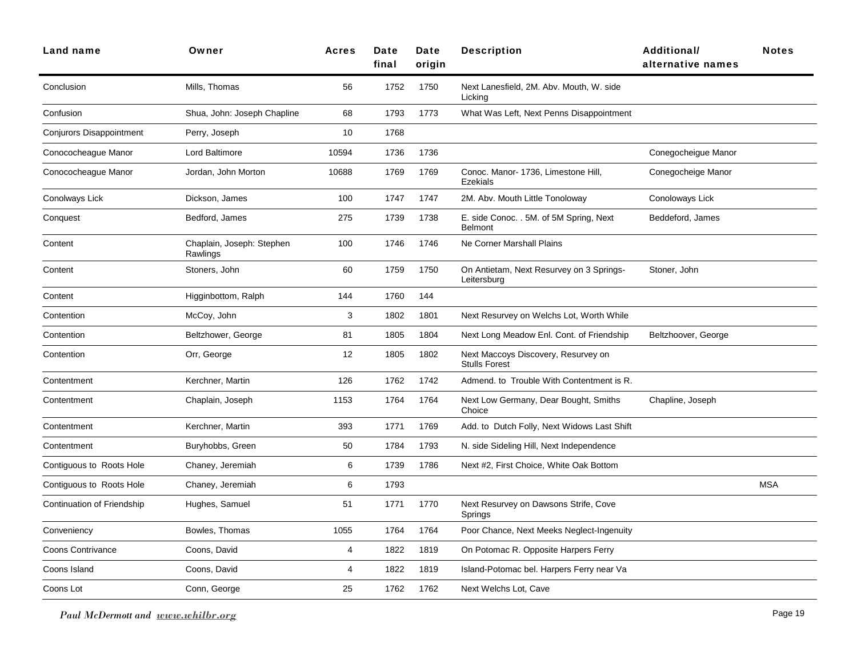| Land name                  | Owner                                 | <b>Acres</b> | Date<br>final | Date<br>origin | <b>Description</b>                                          | <b>Additional/</b><br>alternative names | <b>Notes</b> |
|----------------------------|---------------------------------------|--------------|---------------|----------------|-------------------------------------------------------------|-----------------------------------------|--------------|
| Conclusion                 | Mills, Thomas                         | 56           | 1752          | 1750           | Next Lanesfield, 2M. Abv. Mouth, W. side<br>Licking         |                                         |              |
| Confusion                  | Shua, John: Joseph Chapline           | 68           | 1793          | 1773           | What Was Left, Next Penns Disappointment                    |                                         |              |
| Conjurors Disappointment   | Perry, Joseph                         | 10           | 1768          |                |                                                             |                                         |              |
| Conococheague Manor        | Lord Baltimore                        | 10594        | 1736          | 1736           |                                                             | Conegocheigue Manor                     |              |
| Conococheague Manor        | Jordan, John Morton                   | 10688        | 1769          | 1769           | Conoc. Manor- 1736, Limestone Hill,<br><b>Ezekials</b>      | Conegocheige Manor                      |              |
| Conolways Lick             | Dickson, James                        | 100          | 1747          | 1747           | 2M. Abv. Mouth Little Tonoloway                             | Conoloways Lick                         |              |
| Conquest                   | Bedford, James                        | 275          | 1739          | 1738           | E. side Conoc. . 5M. of 5M Spring, Next<br><b>Belmont</b>   | Beddeford, James                        |              |
| Content                    | Chaplain, Joseph: Stephen<br>Rawlings | 100          | 1746          | 1746           | Ne Corner Marshall Plains                                   |                                         |              |
| Content                    | Stoners, John                         | 60           | 1759          | 1750           | On Antietam, Next Resurvey on 3 Springs-<br>Leitersburg     | Stoner, John                            |              |
| Content                    | Higginbottom, Ralph                   | 144          | 1760          | 144            |                                                             |                                         |              |
| Contention                 | McCoy, John                           | 3            | 1802          | 1801           | Next Resurvey on Welchs Lot, Worth While                    |                                         |              |
| Contention                 | Beltzhower, George                    | 81           | 1805          | 1804           | Next Long Meadow Enl. Cont. of Friendship                   | Beltzhoover, George                     |              |
| Contention                 | Orr, George                           | 12           | 1805          | 1802           | Next Maccoys Discovery, Resurvey on<br><b>Stulls Forest</b> |                                         |              |
| Contentment                | Kerchner, Martin                      | 126          | 1762          | 1742           | Admend. to Trouble With Contentment is R.                   |                                         |              |
| Contentment                | Chaplain, Joseph                      | 1153         | 1764          | 1764           | Next Low Germany, Dear Bought, Smiths<br>Choice             | Chapline, Joseph                        |              |
| Contentment                | Kerchner, Martin                      | 393          | 1771          | 1769           | Add. to Dutch Folly, Next Widows Last Shift                 |                                         |              |
| Contentment                | Buryhobbs, Green                      | 50           | 1784          | 1793           | N. side Sideling Hill, Next Independence                    |                                         |              |
| Contiguous to Roots Hole   | Chaney, Jeremiah                      | 6            | 1739          | 1786           | Next #2, First Choice, White Oak Bottom                     |                                         |              |
| Contiguous to Roots Hole   | Chaney, Jeremiah                      | 6            | 1793          |                |                                                             |                                         | <b>MSA</b>   |
| Continuation of Friendship | Hughes, Samuel                        | 51           | 1771          | 1770           | Next Resurvey on Dawsons Strife, Cove<br>Springs            |                                         |              |
| Conveniency                | Bowles, Thomas                        | 1055         | 1764          | 1764           | Poor Chance, Next Meeks Neglect-Ingenuity                   |                                         |              |
| <b>Coons Contrivance</b>   | Coons, David                          | 4            | 1822          | 1819           | On Potomac R. Opposite Harpers Ferry                        |                                         |              |
| Coons Island               | Coons, David                          | 4            | 1822          | 1819           | Island-Potomac bel. Harpers Ferry near Va                   |                                         |              |
| Coons Lot                  | Conn, George                          | 25           | 1762          | 1762           | Next Welchs Lot, Cave                                       |                                         |              |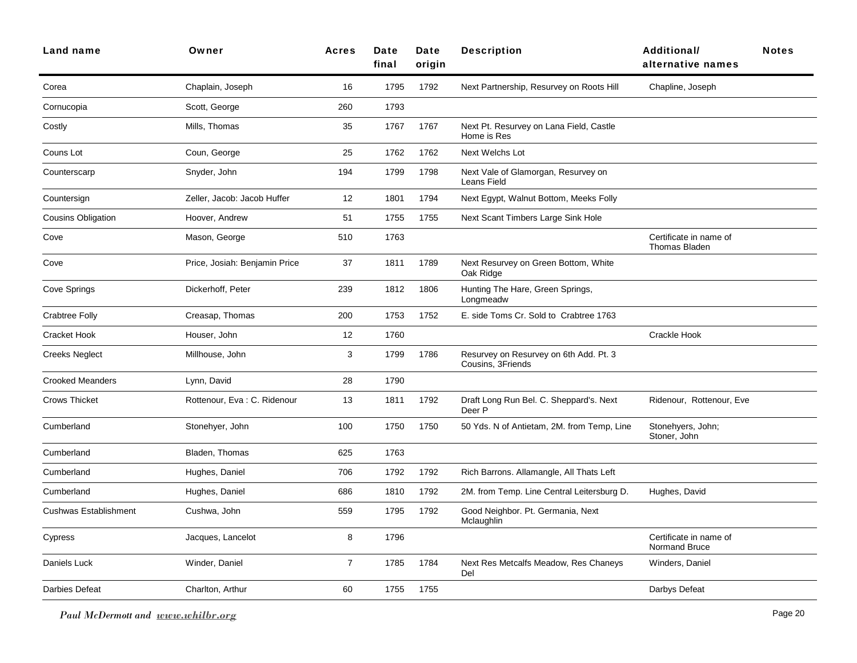| Land name                 | Owner                         | <b>Acres</b>   | Date<br>final | Date<br>origin | <b>Description</b>                                          | <b>Additional/</b><br>alternative names        | <b>Notes</b> |
|---------------------------|-------------------------------|----------------|---------------|----------------|-------------------------------------------------------------|------------------------------------------------|--------------|
| Corea                     | Chaplain, Joseph              | 16             | 1795          | 1792           | Next Partnership, Resurvey on Roots Hill                    | Chapline, Joseph                               |              |
| Cornucopia                | Scott, George                 | 260            | 1793          |                |                                                             |                                                |              |
| Costly                    | Mills, Thomas                 | 35             | 1767          | 1767           | Next Pt. Resurvey on Lana Field, Castle<br>Home is Res      |                                                |              |
| Couns Lot                 | Coun, George                  | 25             | 1762          | 1762           | <b>Next Welchs Lot</b>                                      |                                                |              |
| Counterscarp              | Snyder, John                  | 194            | 1799          | 1798           | Next Vale of Glamorgan, Resurvey on<br>Leans Field          |                                                |              |
| Countersign               | Zeller, Jacob: Jacob Huffer   | 12             | 1801          | 1794           | Next Egypt, Walnut Bottom, Meeks Folly                      |                                                |              |
| <b>Cousins Obligation</b> | Hoover, Andrew                | 51             | 1755          | 1755           | Next Scant Timbers Large Sink Hole                          |                                                |              |
| Cove                      | Mason, George                 | 510            | 1763          |                |                                                             | Certificate in name of<br><b>Thomas Bladen</b> |              |
| Cove                      | Price, Josiah: Benjamin Price | 37             | 1811          | 1789           | Next Resurvey on Green Bottom, White<br>Oak Ridge           |                                                |              |
| Cove Springs              | Dickerhoff, Peter             | 239            | 1812          | 1806           | Hunting The Hare, Green Springs,<br>Longmeadw               |                                                |              |
| <b>Crabtree Folly</b>     | Creasap, Thomas               | 200            | 1753          | 1752           | E. side Toms Cr. Sold to Crabtree 1763                      |                                                |              |
| Cracket Hook              | Houser, John                  | 12             | 1760          |                |                                                             | Crackle Hook                                   |              |
| <b>Creeks Neglect</b>     | Millhouse, John               | 3              | 1799          | 1786           | Resurvey on Resurvey on 6th Add. Pt. 3<br>Cousins, 3Friends |                                                |              |
| <b>Crooked Meanders</b>   | Lynn, David                   | 28             | 1790          |                |                                                             |                                                |              |
| <b>Crows Thicket</b>      | Rottenour, Eva: C. Ridenour   | 13             | 1811          | 1792           | Draft Long Run Bel. C. Sheppard's. Next<br>Deer P           | Ridenour, Rottenour, Eve                       |              |
| Cumberland                | Stonehyer, John               | 100            | 1750          | 1750           | 50 Yds. N of Antietam, 2M. from Temp, Line                  | Stonehyers, John;<br>Stoner, John              |              |
| Cumberland                | Bladen, Thomas                | 625            | 1763          |                |                                                             |                                                |              |
| Cumberland                | Hughes, Daniel                | 706            | 1792          | 1792           | Rich Barrons. Allamangle, All Thats Left                    |                                                |              |
| Cumberland                | Hughes, Daniel                | 686            | 1810          | 1792           | 2M. from Temp. Line Central Leitersburg D.                  | Hughes, David                                  |              |
| Cushwas Establishment     | Cushwa, John                  | 559            | 1795          | 1792           | Good Neighbor. Pt. Germania, Next<br>Mclaughlin             |                                                |              |
| Cypress                   | Jacques, Lancelot             | 8              | 1796          |                |                                                             | Certificate in name of<br>Normand Bruce        |              |
| Daniels Luck              | Winder, Daniel                | $\overline{7}$ | 1785          | 1784           | Next Res Metcalfs Meadow, Res Chaneys<br>Del                | Winders, Daniel                                |              |
| Darbies Defeat            | Charlton, Arthur              | 60             | 1755          | 1755           |                                                             | Darbys Defeat                                  |              |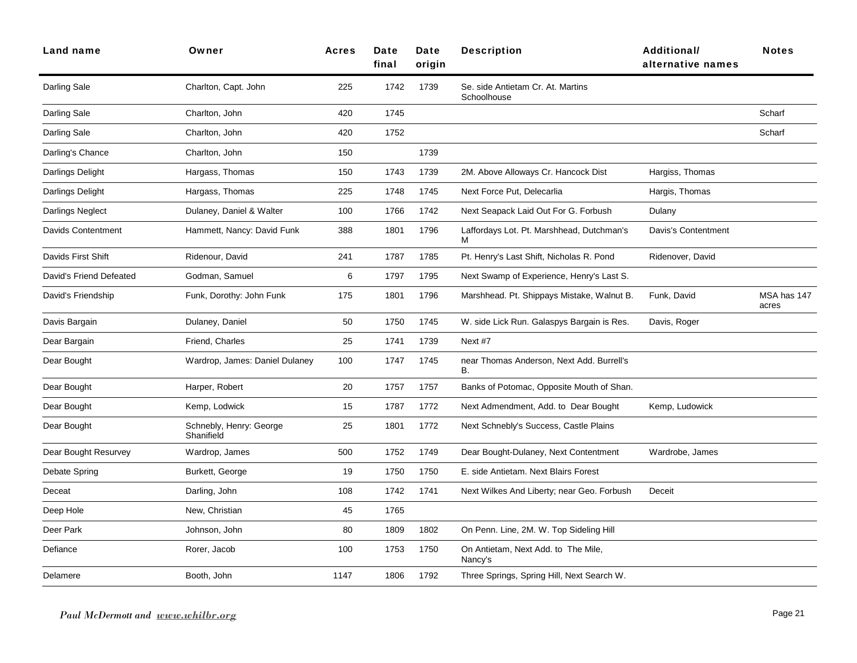| Land name               | Owner                                 | <b>Acres</b> | <b>Date</b><br>final | Date<br>origin | <b>Description</b>                                     | Additional/<br>alternative names | <b>Notes</b>         |
|-------------------------|---------------------------------------|--------------|----------------------|----------------|--------------------------------------------------------|----------------------------------|----------------------|
| Darling Sale            | Charlton, Capt. John                  | 225          | 1742                 | 1739           | Se. side Antietam Cr. At. Martins<br>Schoolhouse       |                                  |                      |
| Darling Sale            | Charlton, John                        | 420          | 1745                 |                |                                                        |                                  | Scharf               |
| Darling Sale            | Charlton, John                        | 420          | 1752                 |                |                                                        |                                  | Scharf               |
| Darling's Chance        | Charlton, John                        | 150          |                      | 1739           |                                                        |                                  |                      |
| Darlings Delight        | Hargass, Thomas                       | 150          | 1743                 | 1739           | 2M. Above Alloways Cr. Hancock Dist                    | Hargiss, Thomas                  |                      |
| Darlings Delight        | Hargass, Thomas                       | 225          | 1748                 | 1745           | Next Force Put, Delecarlia                             | Hargis, Thomas                   |                      |
| Darlings Neglect        | Dulaney, Daniel & Walter              | 100          | 1766                 | 1742           | Next Seapack Laid Out For G. Forbush                   | Dulany                           |                      |
| Davids Contentment      | Hammett, Nancy: David Funk            | 388          | 1801                 | 1796           | Laffordays Lot. Pt. Marshhead, Dutchman's<br>м         | Davis's Contentment              |                      |
| Davids First Shift      | Ridenour, David                       | 241          | 1787                 | 1785           | Pt. Henry's Last Shift, Nicholas R. Pond               | Ridenover, David                 |                      |
| David's Friend Defeated | Godman, Samuel                        | 6            | 1797                 | 1795           | Next Swamp of Experience, Henry's Last S.              |                                  |                      |
| David's Friendship      | Funk, Dorothy: John Funk              | 175          | 1801                 | 1796           | Marshhead. Pt. Shippays Mistake, Walnut B.             | Funk, David                      | MSA has 147<br>acres |
| Davis Bargain           | Dulaney, Daniel                       | 50           | 1750                 | 1745           | W. side Lick Run. Galaspys Bargain is Res.             | Davis, Roger                     |                      |
| Dear Bargain            | Friend, Charles                       | 25           | 1741                 | 1739           | Next #7                                                |                                  |                      |
| Dear Bought             | Wardrop, James: Daniel Dulaney        | 100          | 1747                 | 1745           | near Thomas Anderson, Next Add. Burrell's<br><b>B.</b> |                                  |                      |
| Dear Bought             | Harper, Robert                        | 20           | 1757                 | 1757           | Banks of Potomac, Opposite Mouth of Shan.              |                                  |                      |
| Dear Bought             | Kemp, Lodwick                         | 15           | 1787                 | 1772           | Next Admendment, Add. to Dear Bought                   | Kemp, Ludowick                   |                      |
| Dear Bought             | Schnebly, Henry: George<br>Shanifield | 25           | 1801                 | 1772           | Next Schnebly's Success, Castle Plains                 |                                  |                      |
| Dear Bought Resurvey    | Wardrop, James                        | 500          | 1752                 | 1749           | Dear Bought-Dulaney, Next Contentment                  | Wardrobe, James                  |                      |
| Debate Spring           | Burkett, George                       | 19           | 1750                 | 1750           | E. side Antietam. Next Blairs Forest                   |                                  |                      |
| Deceat                  | Darling, John                         | 108          | 1742                 | 1741           | Next Wilkes And Liberty; near Geo. Forbush             | Deceit                           |                      |
| Deep Hole               | New, Christian                        | 45           | 1765                 |                |                                                        |                                  |                      |
| Deer Park               | Johnson, John                         | 80           | 1809                 | 1802           | On Penn. Line, 2M. W. Top Sideling Hill                |                                  |                      |
| Defiance                | Rorer, Jacob                          | 100          | 1753                 | 1750           | On Antietam, Next Add. to The Mile,<br>Nancy's         |                                  |                      |
| Delamere                | Booth, John                           | 1147         | 1806                 | 1792           | Three Springs, Spring Hill, Next Search W.             |                                  |                      |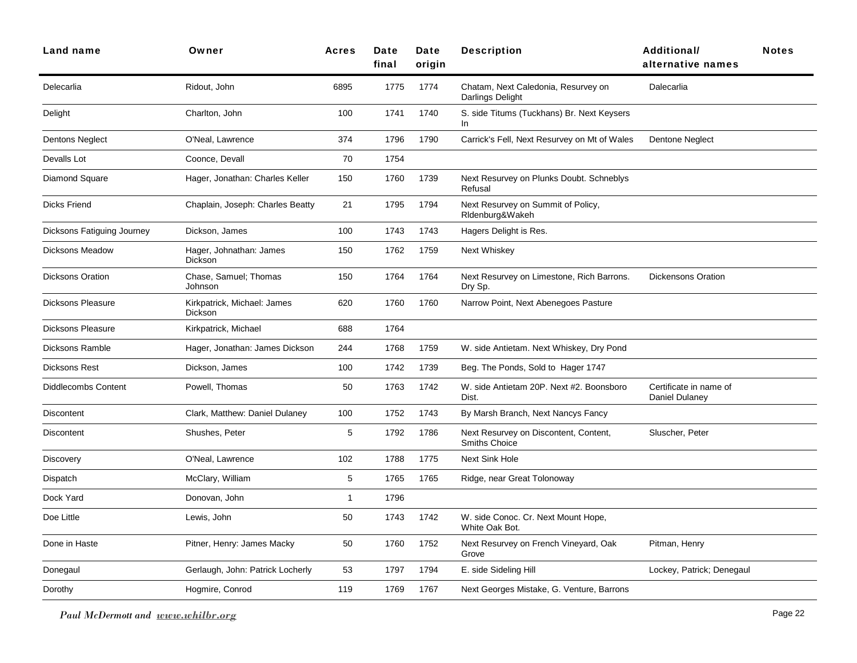| Land name                  | Owner                                  | <b>Acres</b>   | Date<br>final | Date<br>origin | <b>Description</b>                                            | Additional/<br>alternative names         | <b>Notes</b> |
|----------------------------|----------------------------------------|----------------|---------------|----------------|---------------------------------------------------------------|------------------------------------------|--------------|
| Delecarlia                 | Ridout, John                           | 6895           | 1775          | 1774           | Chatam, Next Caledonia, Resurvey on<br>Darlings Delight       | Dalecarlia                               |              |
| Delight                    | Charlton, John                         | 100            | 1741          | 1740           | S. side Titums (Tuckhans) Br. Next Keysers<br>In.             |                                          |              |
| Dentons Neglect            | O'Neal, Lawrence                       | 374            | 1796          | 1790           | Carrick's Fell, Next Resurvey on Mt of Wales                  | <b>Dentone Neglect</b>                   |              |
| Devalls Lot                | Coonce, Devall                         | 70             | 1754          |                |                                                               |                                          |              |
| Diamond Square             | Hager, Jonathan: Charles Keller        | 150            | 1760          | 1739           | Next Resurvey on Plunks Doubt. Schneblys<br>Refusal           |                                          |              |
| <b>Dicks Friend</b>        | Chaplain, Joseph: Charles Beatty       | 21             | 1795          | 1794           | Next Resurvey on Summit of Policy,<br>RIdenburg&Wakeh         |                                          |              |
| Dicksons Fatiguing Journey | Dickson, James                         | 100            | 1743          | 1743           | Hagers Delight is Res.                                        |                                          |              |
| <b>Dicksons Meadow</b>     | Hager, Johnathan: James<br>Dickson     | 150            | 1762          | 1759           | Next Whiskey                                                  |                                          |              |
| <b>Dicksons Oration</b>    | Chase, Samuel; Thomas<br>Johnson       | 150            | 1764          | 1764           | Next Resurvey on Limestone, Rich Barrons.<br>Dry Sp.          | <b>Dickensons Oration</b>                |              |
| <b>Dicksons Pleasure</b>   | Kirkpatrick, Michael: James<br>Dickson | 620            | 1760          | 1760           | Narrow Point, Next Abenegoes Pasture                          |                                          |              |
| <b>Dicksons Pleasure</b>   | Kirkpatrick, Michael                   | 688            | 1764          |                |                                                               |                                          |              |
| <b>Dicksons Ramble</b>     | Hager, Jonathan: James Dickson         | 244            | 1768          | 1759           | W. side Antietam. Next Whiskey, Dry Pond                      |                                          |              |
| <b>Dicksons Rest</b>       | Dickson, James                         | 100            | 1742          | 1739           | Beg. The Ponds, Sold to Hager 1747                            |                                          |              |
| <b>Diddlecombs Content</b> | Powell, Thomas                         | 50             | 1763          | 1742           | W. side Antietam 20P. Next #2. Boonsboro<br>Dist.             | Certificate in name of<br>Daniel Dulaney |              |
| Discontent                 | Clark, Matthew: Daniel Dulaney         | 100            | 1752          | 1743           | By Marsh Branch, Next Nancys Fancy                            |                                          |              |
| <b>Discontent</b>          | Shushes, Peter                         | 5              | 1792          | 1786           | Next Resurvey on Discontent, Content,<br><b>Smiths Choice</b> | Sluscher, Peter                          |              |
| <b>Discovery</b>           | O'Neal, Lawrence                       | 102            | 1788          | 1775           | <b>Next Sink Hole</b>                                         |                                          |              |
| Dispatch                   | McClary, William                       | 5              | 1765          | 1765           | Ridge, near Great Tolonoway                                   |                                          |              |
| Dock Yard                  | Donovan, John                          | $\overline{1}$ | 1796          |                |                                                               |                                          |              |
| Doe Little                 | Lewis, John                            | 50             | 1743          | 1742           | W. side Conoc. Cr. Next Mount Hope,<br>White Oak Bot.         |                                          |              |
| Done in Haste              | Pitner, Henry: James Macky             | 50             | 1760          | 1752           | Next Resurvey on French Vineyard, Oak<br>Grove                | Pitman, Henry                            |              |
| Donegaul                   | Gerlaugh, John: Patrick Locherly       | 53             | 1797          | 1794           | E. side Sideling Hill                                         | Lockey, Patrick; Denegaul                |              |
| Dorothy                    | Hogmire, Conrod                        | 119            | 1769          | 1767           | Next Georges Mistake, G. Venture, Barrons                     |                                          |              |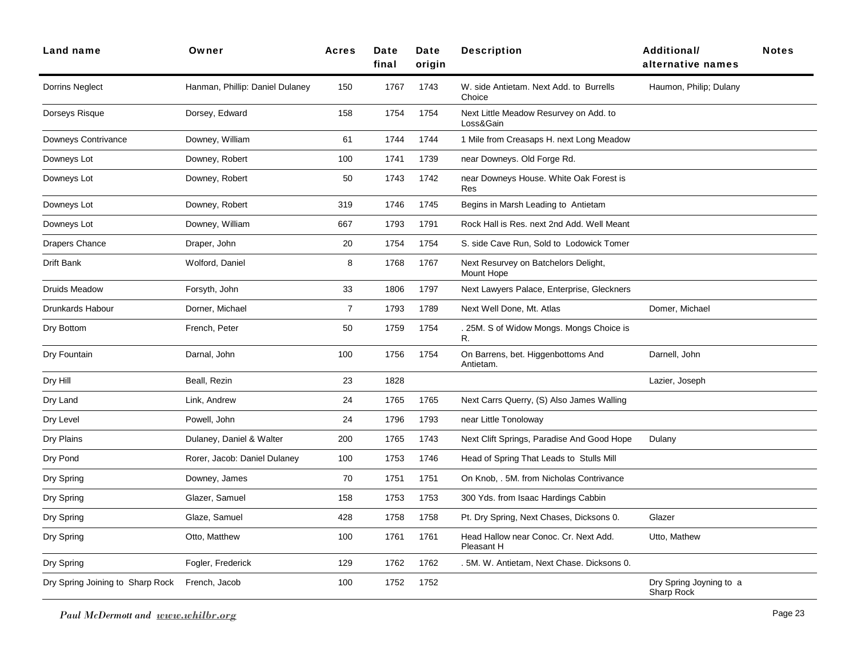| Land name                        | Owner                           | <b>Acres</b>   | Date<br>final | Date<br>origin | <b>Description</b>                                  | <b>Additional/</b><br>alternative names | <b>Notes</b> |
|----------------------------------|---------------------------------|----------------|---------------|----------------|-----------------------------------------------------|-----------------------------------------|--------------|
| Dorrins Neglect                  | Hanman, Phillip: Daniel Dulaney | 150            | 1767          | 1743           | W. side Antietam. Next Add. to Burrells<br>Choice   | Haumon, Philip; Dulany                  |              |
| Dorseys Risque                   | Dorsey, Edward                  | 158            | 1754          | 1754           | Next Little Meadow Resurvey on Add. to<br>Loss&Gain |                                         |              |
| Downeys Contrivance              | Downey, William                 | 61             | 1744          | 1744           | 1 Mile from Creasaps H. next Long Meadow            |                                         |              |
| Downeys Lot                      | Downey, Robert                  | 100            | 1741          | 1739           | near Downeys. Old Forge Rd.                         |                                         |              |
| Downeys Lot                      | Downey, Robert                  | 50             | 1743          | 1742           | near Downeys House. White Oak Forest is<br>Res      |                                         |              |
| Downeys Lot                      | Downey, Robert                  | 319            | 1746          | 1745           | Begins in Marsh Leading to Antietam                 |                                         |              |
| Downeys Lot                      | Downey, William                 | 667            | 1793          | 1791           | Rock Hall is Res. next 2nd Add. Well Meant          |                                         |              |
| Drapers Chance                   | Draper, John                    | 20             | 1754          | 1754           | S. side Cave Run, Sold to Lodowick Tomer            |                                         |              |
| Drift Bank                       | Wolford, Daniel                 | 8              | 1768          | 1767           | Next Resurvey on Batchelors Delight,<br>Mount Hope  |                                         |              |
| Druids Meadow                    | Forsyth, John                   | 33             | 1806          | 1797           | Next Lawyers Palace, Enterprise, Gleckners          |                                         |              |
| Drunkards Habour                 | Dorner, Michael                 | $\overline{7}$ | 1793          | 1789           | Next Well Done, Mt. Atlas                           | Domer, Michael                          |              |
| Dry Bottom                       | French, Peter                   | 50             | 1759          | 1754           | . 25M. S of Widow Mongs. Mongs Choice is<br>R.      |                                         |              |
| Dry Fountain                     | Darnal, John                    | 100            | 1756          | 1754           | On Barrens, bet. Higgenbottoms And<br>Antietam.     | Darnell, John                           |              |
| Dry Hill                         | Beall, Rezin                    | 23             | 1828          |                |                                                     | Lazier, Joseph                          |              |
| Dry Land                         | Link, Andrew                    | 24             | 1765          | 1765           | Next Carrs Querry, (S) Also James Walling           |                                         |              |
| Dry Level                        | Powell, John                    | 24             | 1796          | 1793           | near Little Tonoloway                               |                                         |              |
| Dry Plains                       | Dulaney, Daniel & Walter        | 200            | 1765          | 1743           | Next Clift Springs, Paradise And Good Hope          | Dulany                                  |              |
| Dry Pond                         | Rorer, Jacob: Daniel Dulaney    | 100            | 1753          | 1746           | Head of Spring That Leads to Stulls Mill            |                                         |              |
| Dry Spring                       | Downey, James                   | 70             | 1751          | 1751           | On Knob, . 5M. from Nicholas Contrivance            |                                         |              |
| Dry Spring                       | Glazer, Samuel                  | 158            | 1753          | 1753           | 300 Yds. from Isaac Hardings Cabbin                 |                                         |              |
| Dry Spring                       | Glaze, Samuel                   | 428            | 1758          | 1758           | Pt. Dry Spring, Next Chases, Dicksons 0.            | Glazer                                  |              |
| Dry Spring                       | Otto, Matthew                   | 100            | 1761          | 1761           | Head Hallow near Conoc. Cr. Next Add.<br>Pleasant H | Utto, Mathew                            |              |
| Dry Spring                       | Fogler, Frederick               | 129            | 1762          | 1762           | . 5M. W. Antietam, Next Chase. Dicksons 0.          |                                         |              |
| Dry Spring Joining to Sharp Rock | French, Jacob                   | 100            | 1752          | 1752           |                                                     | Dry Spring Joyning to a<br>Sharp Rock   |              |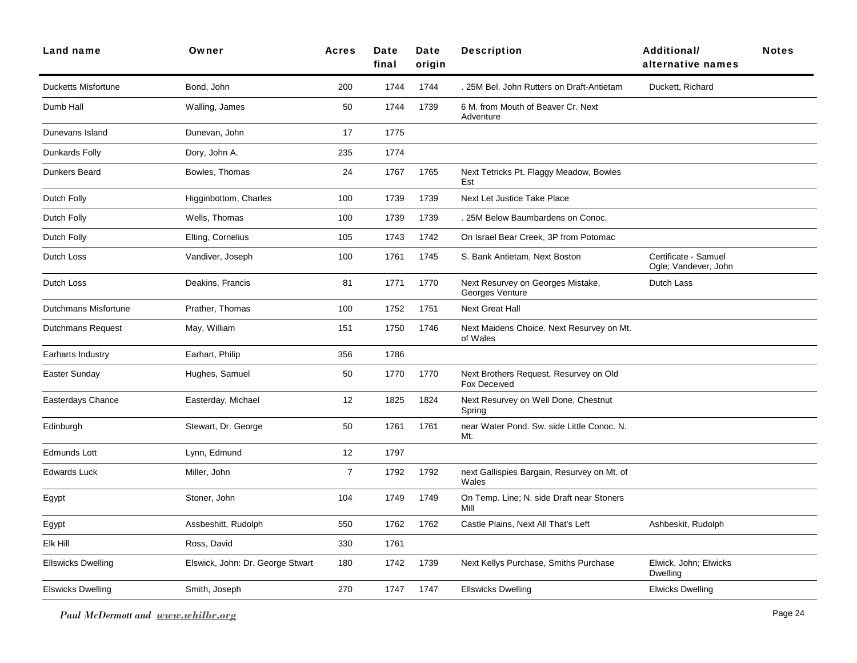| Land name                  | Owner                            | <b>Acres</b>   | Date<br>final | Date<br>origin | <b>Description</b>                                            | <b>Additional/</b><br>alternative names      | <b>Notes</b> |
|----------------------------|----------------------------------|----------------|---------------|----------------|---------------------------------------------------------------|----------------------------------------------|--------------|
| <b>Ducketts Misfortune</b> | Bond, John                       | 200            | 1744          | 1744           | . 25M Bel. John Rutters on Draft-Antietam                     | Duckett, Richard                             |              |
| Dumb Hall                  | Walling, James                   | 50             | 1744          | 1739           | 6 M. from Mouth of Beaver Cr. Next<br>Adventure               |                                              |              |
| Dunevans Island            | Dunevan, John                    | 17             | 1775          |                |                                                               |                                              |              |
| Dunkards Folly             | Dory, John A.                    | 235            | 1774          |                |                                                               |                                              |              |
| Dunkers Beard              | Bowles, Thomas                   | 24             | 1767          | 1765           | Next Tetricks Pt. Flaggy Meadow, Bowles<br>Est                |                                              |              |
| Dutch Folly                | Higginbottom, Charles            | 100            | 1739          | 1739           | Next Let Justice Take Place                                   |                                              |              |
| Dutch Folly                | Wells, Thomas                    | 100            | 1739          | 1739           | 25M Below Baumbardens on Conoc.                               |                                              |              |
| Dutch Folly                | Elting, Cornelius                | 105            | 1743          | 1742           | On Israel Bear Creek, 3P from Potomac                         |                                              |              |
| Dutch Loss                 | Vandiver, Joseph                 | 100            | 1761          | 1745           | S. Bank Antietam, Next Boston                                 | Certificate - Samuel<br>Ogle; Vandever, John |              |
| Dutch Loss                 | Deakins, Francis                 | 81             | 1771          | 1770           | Next Resurvey on Georges Mistake,<br>Georges Venture          | Dutch Lass                                   |              |
| Dutchmans Misfortune       | Prather, Thomas                  | 100            | 1752          | 1751           | <b>Next Great Hall</b>                                        |                                              |              |
| <b>Dutchmans Request</b>   | May, William                     | 151            | 1750          | 1746           | Next Maidens Choice. Next Resurvey on Mt.<br>of Wales         |                                              |              |
| Earharts Industry          | Earhart, Philip                  | 356            | 1786          |                |                                                               |                                              |              |
| Easter Sunday              | Hughes, Samuel                   | 50             | 1770          | 1770           | Next Brothers Request, Resurvey on Old<br><b>Fox Deceived</b> |                                              |              |
| Easterdays Chance          | Easterday, Michael               | 12             | 1825          | 1824           | Next Resurvey on Well Done, Chestnut<br>Spring                |                                              |              |
| Edinburgh                  | Stewart, Dr. George              | 50             | 1761          | 1761           | near Water Pond. Sw. side Little Conoc. N.<br>Mt.             |                                              |              |
| <b>Edmunds Lott</b>        | Lynn, Edmund                     | 12             | 1797          |                |                                                               |                                              |              |
| <b>Edwards Luck</b>        | Miller, John                     | $\overline{7}$ | 1792          | 1792           | next Gallispies Bargain, Resurvey on Mt. of<br>Wales          |                                              |              |
| Egypt                      | Stoner, John                     | 104            | 1749          | 1749           | On Temp. Line; N. side Draft near Stoners<br>Mill             |                                              |              |
| Egypt                      | Assbeshitt, Rudolph              | 550            | 1762          | 1762           | Castle Plains, Next All That's Left                           | Ashbeskit, Rudolph                           |              |
| Elk Hill                   | Ross, David                      | 330            | 1761          |                |                                                               |                                              |              |
| <b>Ellswicks Dwelling</b>  | Elswick, John: Dr. George Stwart | 180            | 1742          | 1739           | Next Kellys Purchase, Smiths Purchase                         | Elwick, John; Elwicks<br>Dwelling            |              |
| Elswicks Dwelling          | Smith, Joseph                    | 270            | 1747          | 1747           | <b>Ellswicks Dwelling</b>                                     | <b>Elwicks Dwelling</b>                      |              |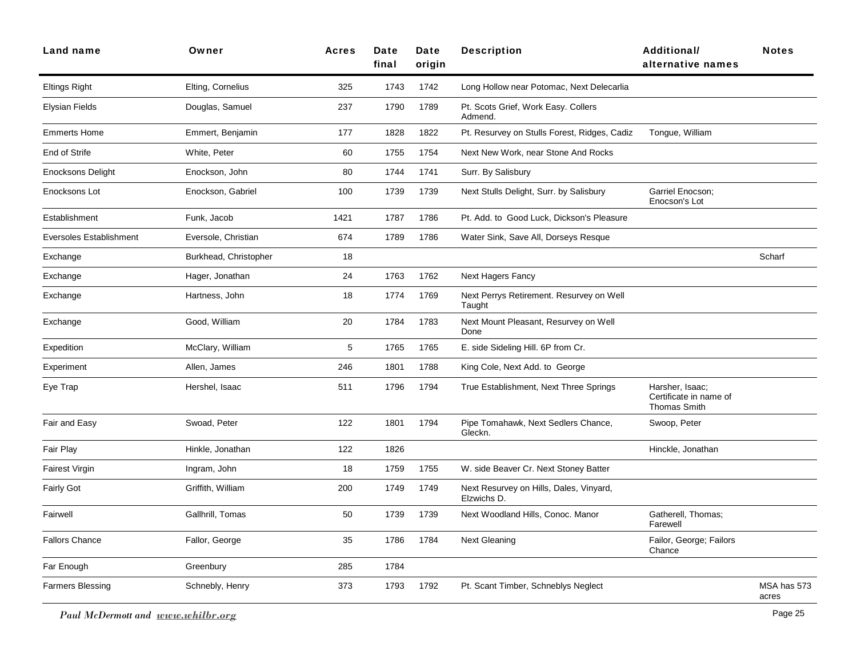| <b>Land name</b>               | Owner                 | <b>Acres</b> | Date<br>final | Date<br>origin | <b>Description</b>                                     | <b>Additional/</b><br>alternative names                   | <b>Notes</b>         |
|--------------------------------|-----------------------|--------------|---------------|----------------|--------------------------------------------------------|-----------------------------------------------------------|----------------------|
| <b>Eltings Right</b>           | Elting, Cornelius     | 325          | 1743          | 1742           | Long Hollow near Potomac, Next Delecarlia              |                                                           |                      |
| Elysian Fields                 | Douglas, Samuel       | 237          | 1790          | 1789           | Pt. Scots Grief, Work Easy. Collers<br>Admend.         |                                                           |                      |
| <b>Emmerts Home</b>            | Emmert, Benjamin      | 177          | 1828          | 1822           | Pt. Resurvey on Stulls Forest, Ridges, Cadiz           | Tongue, William                                           |                      |
| End of Strife                  | White, Peter          | 60           | 1755          | 1754           | Next New Work, near Stone And Rocks                    |                                                           |                      |
| <b>Enocksons Delight</b>       | Enockson, John        | 80           | 1744          | 1741           | Surr. By Salisbury                                     |                                                           |                      |
| Enocksons Lot                  | Enockson, Gabriel     | 100          | 1739          | 1739           | Next Stulls Delight, Surr. by Salisbury                | Garriel Enocson;<br>Enocson's Lot                         |                      |
| Establishment                  | Funk, Jacob           | 1421         | 1787          | 1786           | Pt. Add. to Good Luck, Dickson's Pleasure              |                                                           |                      |
| <b>Eversoles Establishment</b> | Eversole, Christian   | 674          | 1789          | 1786           | Water Sink, Save All, Dorseys Resque                   |                                                           |                      |
| Exchange                       | Burkhead, Christopher | 18           |               |                |                                                        |                                                           | Scharf               |
| Exchange                       | Hager, Jonathan       | 24           | 1763          | 1762           | <b>Next Hagers Fancy</b>                               |                                                           |                      |
| Exchange                       | Hartness, John        | 18           | 1774          | 1769           | Next Perrys Retirement. Resurvey on Well<br>Taught     |                                                           |                      |
| Exchange                       | Good, William         | 20           | 1784          | 1783           | Next Mount Pleasant, Resurvey on Well<br>Done          |                                                           |                      |
| Expedition                     | McClary, William      | 5            | 1765          | 1765           | E. side Sideling Hill. 6P from Cr.                     |                                                           |                      |
| Experiment                     | Allen, James          | 246          | 1801          | 1788           | King Cole, Next Add. to George                         |                                                           |                      |
| Eye Trap                       | Hershel, Isaac        | 511          | 1796          | 1794           | True Establishment, Next Three Springs                 | Harsher, Isaac;<br>Certificate in name of<br>Thomas Smith |                      |
| Fair and Easy                  | Swoad, Peter          | 122          | 1801          | 1794           | Pipe Tomahawk, Next Sedlers Chance,<br>Gleckn.         | Swoop, Peter                                              |                      |
| Fair Play                      | Hinkle, Jonathan      | 122          | 1826          |                |                                                        | Hinckle, Jonathan                                         |                      |
| <b>Fairest Virgin</b>          | Ingram, John          | 18           | 1759          | 1755           | W. side Beaver Cr. Next Stoney Batter                  |                                                           |                      |
| <b>Fairly Got</b>              | Griffith, William     | 200          | 1749          | 1749           | Next Resurvey on Hills, Dales, Vinyard,<br>Elzwichs D. |                                                           |                      |
| Fairwell                       | Gallhrill, Tomas      | 50           | 1739          | 1739           | Next Woodland Hills, Conoc. Manor                      | Gatherell, Thomas;<br>Farewell                            |                      |
| <b>Fallors Chance</b>          | Fallor, George        | 35           | 1786          | 1784           | <b>Next Gleaning</b>                                   | Failor, George; Failors<br>Chance                         |                      |
| Far Enough                     | Greenbury             | 285          | 1784          |                |                                                        |                                                           |                      |
| <b>Farmers Blessing</b>        | Schnebly, Henry       | 373          | 1793          | 1792           | Pt. Scant Timber, Schneblys Neglect                    |                                                           | MSA has 573<br>acres |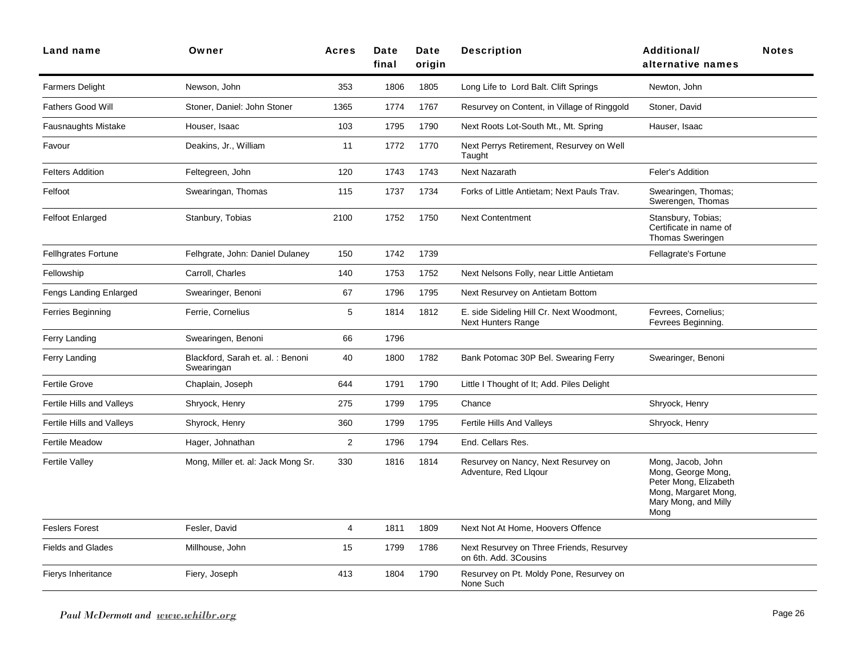| Land name                  | Owner                                           | <b>Acres</b>   | Date<br>final | Date<br>origin | <b>Description</b>                                                    | <b>Additional/</b><br>alternative names                                                                                  | <b>Notes</b> |
|----------------------------|-------------------------------------------------|----------------|---------------|----------------|-----------------------------------------------------------------------|--------------------------------------------------------------------------------------------------------------------------|--------------|
| <b>Farmers Delight</b>     | Newson, John                                    | 353            | 1806          | 1805           | Long Life to Lord Balt. Clift Springs                                 | Newton, John                                                                                                             |              |
| <b>Fathers Good Will</b>   | Stoner, Daniel: John Stoner                     | 1365           | 1774          | 1767           | Resurvey on Content, in Village of Ringgold                           | Stoner, David                                                                                                            |              |
| <b>Fausnaughts Mistake</b> | Houser, Isaac                                   | 103            | 1795          | 1790           | Next Roots Lot-South Mt., Mt. Spring                                  | Hauser, Isaac                                                                                                            |              |
| Favour                     | Deakins, Jr., William                           | 11             | 1772          | 1770           | Next Perrys Retirement, Resurvey on Well<br>Taught                    |                                                                                                                          |              |
| <b>Felters Addition</b>    | Feltegreen, John                                | 120            | 1743          | 1743           | <b>Next Nazarath</b>                                                  | Feler's Addition                                                                                                         |              |
| Felfoot                    | Swearingan, Thomas                              | 115            | 1737          | 1734           | Forks of Little Antietam; Next Pauls Trav.                            | Swearingen, Thomas;<br>Swerengen, Thomas                                                                                 |              |
| <b>Felfoot Enlarged</b>    | Stanbury, Tobias                                | 2100           | 1752          | 1750           | <b>Next Contentment</b>                                               | Stansbury, Tobias;<br>Certificate in name of<br><b>Thomas Sweringen</b>                                                  |              |
| <b>Fellhgrates Fortune</b> | Felhgrate, John: Daniel Dulaney                 | 150            | 1742          | 1739           |                                                                       | Fellagrate's Fortune                                                                                                     |              |
| Fellowship                 | Carroll, Charles                                | 140            | 1753          | 1752           | Next Nelsons Folly, near Little Antietam                              |                                                                                                                          |              |
| Fengs Landing Enlarged     | Swearinger, Benoni                              | 67             | 1796          | 1795           | Next Resurvey on Antietam Bottom                                      |                                                                                                                          |              |
| Ferries Beginning          | Ferrie, Cornelius                               | 5              | 1814          | 1812           | E. side Sideling Hill Cr. Next Woodmont,<br><b>Next Hunters Range</b> | Fevrees, Cornelius;<br>Fevrees Beginning.                                                                                |              |
| Ferry Landing              | Swearingen, Benoni                              | 66             | 1796          |                |                                                                       |                                                                                                                          |              |
| Ferry Landing              | Blackford, Sarah et. al. : Benoni<br>Swearingan | 40             | 1800          | 1782           | Bank Potomac 30P Bel. Swearing Ferry                                  | Swearinger, Benoni                                                                                                       |              |
| <b>Fertile Grove</b>       | Chaplain, Joseph                                | 644            | 1791          | 1790           | Little I Thought of It; Add. Piles Delight                            |                                                                                                                          |              |
| Fertile Hills and Valleys  | Shryock, Henry                                  | 275            | 1799          | 1795           | Chance                                                                | Shryock, Henry                                                                                                           |              |
| Fertile Hills and Valleys  | Shyrock, Henry                                  | 360            | 1799          | 1795           | Fertile Hills And Valleys                                             | Shryock, Henry                                                                                                           |              |
| <b>Fertile Meadow</b>      | Hager, Johnathan                                | $\overline{2}$ | 1796          | 1794           | End. Cellars Res.                                                     |                                                                                                                          |              |
| <b>Fertile Valley</b>      | Mong, Miller et. al: Jack Mong Sr.              | 330            | 1816          | 1814           | Resurvey on Nancy, Next Resurvey on<br>Adventure, Red Llgour          | Mong, Jacob, John<br>Mong, George Mong,<br>Peter Mong, Elizabeth<br>Mong, Margaret Mong,<br>Mary Mong, and Milly<br>Mong |              |
| <b>Feslers Forest</b>      | Fesler, David                                   | 4              | 1811          | 1809           | Next Not At Home, Hoovers Offence                                     |                                                                                                                          |              |
| <b>Fields and Glades</b>   | Millhouse, John                                 | 15             | 1799          | 1786           | Next Resurvey on Three Friends, Resurvey<br>on 6th. Add. 3Cousins     |                                                                                                                          |              |
| Fierys Inheritance         | Fiery, Joseph                                   | 413            | 1804          | 1790           | Resurvey on Pt. Moldy Pone, Resurvey on<br>None Such                  |                                                                                                                          |              |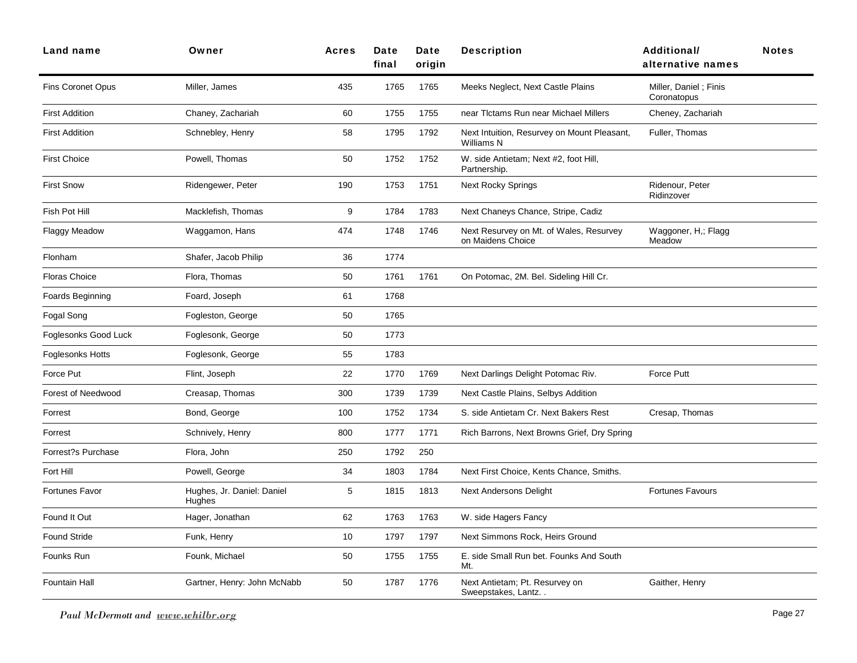| Land name                | Owner                                | <b>Acres</b> | Date<br>final | Date<br>origin | <b>Description</b>                                               | <b>Additional/</b><br>alternative names | <b>Notes</b> |
|--------------------------|--------------------------------------|--------------|---------------|----------------|------------------------------------------------------------------|-----------------------------------------|--------------|
| <b>Fins Coronet Opus</b> | Miller, James                        | 435          | 1765          | 1765           | Meeks Neglect, Next Castle Plains                                | Miller, Daniel; Finis<br>Coronatopus    |              |
| <b>First Addition</b>    | Chaney, Zachariah                    | 60           | 1755          | 1755           | near Tictams Run near Michael Millers                            | Cheney, Zachariah                       |              |
| <b>First Addition</b>    | Schnebley, Henry                     | 58           | 1795          | 1792           | Next Intuition, Resurvey on Mount Pleasant,<br><b>Williams N</b> | Fuller, Thomas                          |              |
| <b>First Choice</b>      | Powell, Thomas                       | 50           | 1752          | 1752           | W. side Antietam; Next #2, foot Hill,<br>Partnership.            |                                         |              |
| <b>First Snow</b>        | Ridengewer, Peter                    | 190          | 1753          | 1751           | <b>Next Rocky Springs</b>                                        | Ridenour, Peter<br>Ridinzover           |              |
| Fish Pot Hill            | Macklefish, Thomas                   | 9            | 1784          | 1783           | Next Chaneys Chance, Stripe, Cadiz                               |                                         |              |
| Flaggy Meadow            | Waggamon, Hans                       | 474          | 1748          | 1746           | Next Resurvey on Mt. of Wales, Resurvey<br>on Maidens Choice     | Waggoner, H,; Flagg<br>Meadow           |              |
| Flonham                  | Shafer, Jacob Philip                 | 36           | 1774          |                |                                                                  |                                         |              |
| <b>Floras Choice</b>     | Flora, Thomas                        | 50           | 1761          | 1761           | On Potomac, 2M. Bel. Sideling Hill Cr.                           |                                         |              |
| Foards Beginning         | Foard, Joseph                        | 61           | 1768          |                |                                                                  |                                         |              |
| Fogal Song               | Fogleston, George                    | 50           | 1765          |                |                                                                  |                                         |              |
| Foglesonks Good Luck     | Foglesonk, George                    | 50           | 1773          |                |                                                                  |                                         |              |
| Foglesonks Hotts         | Foglesonk, George                    | 55           | 1783          |                |                                                                  |                                         |              |
| Force Put                | Flint, Joseph                        | 22           | 1770          | 1769           | Next Darlings Delight Potomac Riv.                               | Force Putt                              |              |
| Forest of Needwood       | Creasap, Thomas                      | 300          | 1739          | 1739           | Next Castle Plains, Selbys Addition                              |                                         |              |
| Forrest                  | Bond, George                         | 100          | 1752          | 1734           | S. side Antietam Cr. Next Bakers Rest                            | Cresap, Thomas                          |              |
| Forrest                  | Schnively, Henry                     | 800          | 1777          | 1771           | Rich Barrons, Next Browns Grief, Dry Spring                      |                                         |              |
| Forrest?s Purchase       | Flora, John                          | 250          | 1792          | 250            |                                                                  |                                         |              |
| Fort Hill                | Powell, George                       | 34           | 1803          | 1784           | Next First Choice, Kents Chance, Smiths.                         |                                         |              |
| Fortunes Favor           | Hughes, Jr. Daniel: Daniel<br>Hughes | 5            | 1815          | 1813           | <b>Next Andersons Delight</b>                                    | <b>Fortunes Favours</b>                 |              |
| Found It Out             | Hager, Jonathan                      | 62           | 1763          | 1763           | W. side Hagers Fancy                                             |                                         |              |
| <b>Found Stride</b>      | Funk, Henry                          | 10           | 1797          | 1797           | Next Simmons Rock, Heirs Ground                                  |                                         |              |
| Founks Run               | Founk, Michael                       | 50           | 1755          | 1755           | E. side Small Run bet. Founks And South<br>Mt.                   |                                         |              |
| Fountain Hall            | Gartner, Henry: John McNabb          | 50           | 1787          | 1776           | Next Antietam; Pt. Resurvey on<br>Sweepstakes, Lantz             | Gaither, Henry                          |              |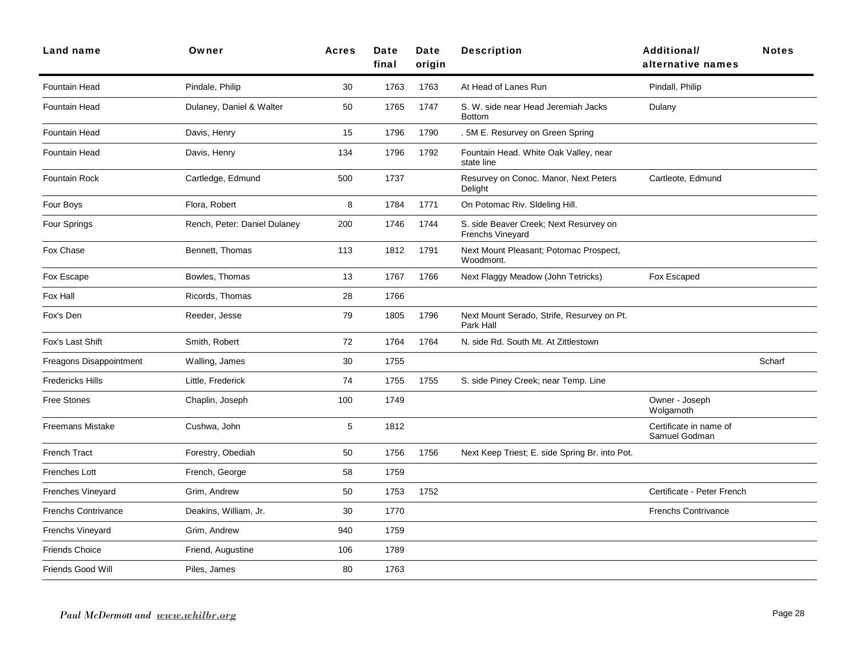| Land name                  | Owner                        | <b>Acres</b> | Date<br>final | Date<br>origin | <b>Description</b>                                                | <b>Additional/</b><br>alternative names | <b>Notes</b> |
|----------------------------|------------------------------|--------------|---------------|----------------|-------------------------------------------------------------------|-----------------------------------------|--------------|
| Fountain Head              | Pindale, Philip              | 30           | 1763          | 1763           | At Head of Lanes Run                                              | Pindall, Philip                         |              |
| <b>Fountain Head</b>       | Dulaney, Daniel & Walter     | 50           | 1765          | 1747           | S. W. side near Head Jeremiah Jacks<br><b>Bottom</b>              | Dulany                                  |              |
| <b>Fountain Head</b>       | Davis, Henry                 | 15           | 1796          | 1790           | . 5M E. Resurvey on Green Spring                                  |                                         |              |
| <b>Fountain Head</b>       | Davis, Henry                 | 134          | 1796          | 1792           | Fountain Head. White Oak Valley, near<br>state line               |                                         |              |
| <b>Fountain Rock</b>       | Cartledge, Edmund            | 500          | 1737          |                | Resurvey on Conoc. Manor, Next Peters<br>Delight                  | Cartleote, Edmund                       |              |
| Four Boys                  | Flora, Robert                | 8            | 1784          | 1771           | On Potomac Riv. Sldeling Hill.                                    |                                         |              |
| Four Springs               | Rench, Peter: Daniel Dulaney | 200          | 1746          | 1744           | S. side Beaver Creek; Next Resurvey on<br><b>Frenchs Vinevard</b> |                                         |              |
| Fox Chase                  | Bennett, Thomas              | 113          | 1812          | 1791           | Next Mount Pleasant; Potomac Prospect,<br>Woodmont.               |                                         |              |
| Fox Escape                 | Bowles, Thomas               | 13           | 1767          | 1766           | Next Flaggy Meadow (John Tetricks)                                | Fox Escaped                             |              |
| Fox Hall                   | Ricords, Thomas              | 28           | 1766          |                |                                                                   |                                         |              |
| Fox's Den                  | Reeder, Jesse                | 79           | 1805          | 1796           | Next Mount Serado, Strife, Resurvey on Pt.<br>Park Hall           |                                         |              |
| Fox's Last Shift           | Smith, Robert                | 72           | 1764          | 1764           | N. side Rd. South Mt. At Zittlestown                              |                                         |              |
| Freagons Disappointment    | Walling, James               | $30\,$       | 1755          |                |                                                                   |                                         | Scharf       |
| <b>Fredericks Hills</b>    | Little, Frederick            | 74           | 1755          | 1755           | S. side Piney Creek; near Temp. Line                              |                                         |              |
| <b>Free Stones</b>         | Chaplin, Joseph              | 100          | 1749          |                |                                                                   | Owner - Joseph<br>Wolgamoth             |              |
| <b>Freemans Mistake</b>    | Cushwa, John                 | 5            | 1812          |                |                                                                   | Certificate in name of<br>Samuel Godman |              |
| <b>French Tract</b>        | Forestry, Obediah            | 50           | 1756          | 1756           | Next Keep Triest; E. side Spring Br. into Pot.                    |                                         |              |
| <b>Frenches Lott</b>       | French, George               | 58           | 1759          |                |                                                                   |                                         |              |
| <b>Frenches Vineyard</b>   | Grim, Andrew                 | 50           | 1753          | 1752           |                                                                   | Certificate - Peter French              |              |
| <b>Frenchs Contrivance</b> | Deakins, William, Jr.        | 30           | 1770          |                |                                                                   | <b>Frenchs Contrivance</b>              |              |
| <b>Frenchs Vineyard</b>    | Grim, Andrew                 | 940          | 1759          |                |                                                                   |                                         |              |
| <b>Friends Choice</b>      | Friend, Augustine            | 106          | 1789          |                |                                                                   |                                         |              |
| Friends Good Will          | Piles, James                 | 80           | 1763          |                |                                                                   |                                         |              |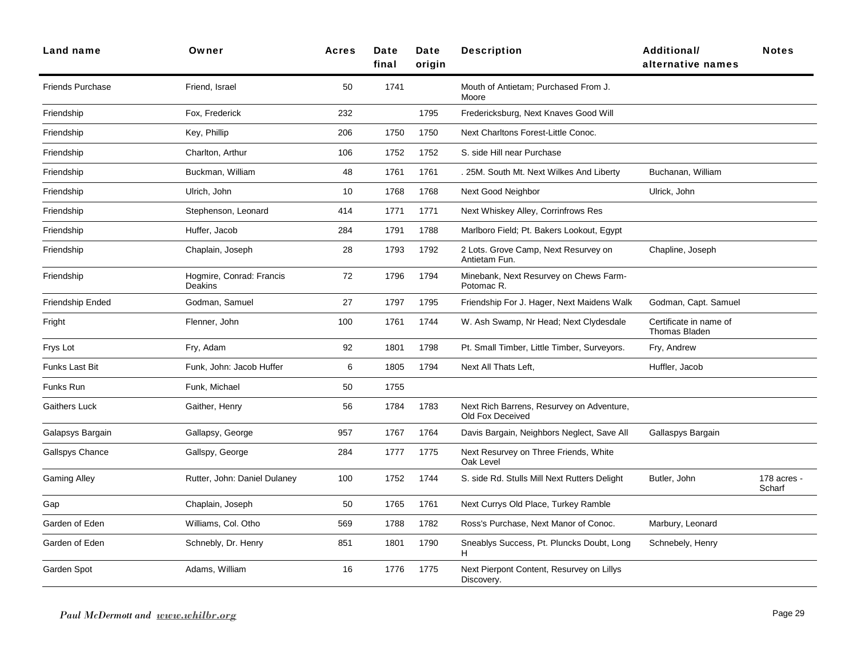| Land name               | Owner                               | <b>Acres</b> | Date<br>final | Date<br>origin | <b>Description</b>                                            | <b>Additional/</b><br>alternative names        | <b>Notes</b>          |
|-------------------------|-------------------------------------|--------------|---------------|----------------|---------------------------------------------------------------|------------------------------------------------|-----------------------|
| <b>Friends Purchase</b> | Friend, Israel                      | 50           | 1741          |                | Mouth of Antietam; Purchased From J.<br>Moore                 |                                                |                       |
| Friendship              | Fox, Frederick                      | 232          |               | 1795           | Fredericksburg, Next Knaves Good Will                         |                                                |                       |
| Friendship              | Key, Phillip                        | 206          | 1750          | 1750           | Next Charltons Forest-Little Conoc.                           |                                                |                       |
| Friendship              | Charlton, Arthur                    | 106          | 1752          | 1752           | S. side Hill near Purchase                                    |                                                |                       |
| Friendship              | Buckman, William                    | 48           | 1761          | 1761           | . 25M. South Mt. Next Wilkes And Liberty                      | Buchanan, William                              |                       |
| Friendship              | Ulrich, John                        | 10           | 1768          | 1768           | Next Good Neighbor                                            | Ulrick, John                                   |                       |
| Friendship              | Stephenson, Leonard                 | 414          | 1771          | 1771           | Next Whiskey Alley, Corrinfrows Res                           |                                                |                       |
| Friendship              | Huffer, Jacob                       | 284          | 1791          | 1788           | Marlboro Field; Pt. Bakers Lookout, Egypt                     |                                                |                       |
| Friendship              | Chaplain, Joseph                    | 28           | 1793          | 1792           | 2 Lots. Grove Camp, Next Resurvey on<br>Antietam Fun.         | Chapline, Joseph                               |                       |
| Friendship              | Hogmire, Conrad: Francis<br>Deakins | 72           | 1796          | 1794           | Minebank, Next Resurvey on Chews Farm-<br>Potomac R.          |                                                |                       |
| Friendship Ended        | Godman, Samuel                      | 27           | 1797          | 1795           | Friendship For J. Hager, Next Maidens Walk                    | Godman, Capt. Samuel                           |                       |
| Fright                  | Flenner, John                       | 100          | 1761          | 1744           | W. Ash Swamp, Nr Head; Next Clydesdale                        | Certificate in name of<br><b>Thomas Bladen</b> |                       |
| Frys Lot                | Fry, Adam                           | 92           | 1801          | 1798           | Pt. Small Timber, Little Timber, Surveyors.                   | Fry, Andrew                                    |                       |
| Funks Last Bit          | Funk, John: Jacob Huffer            | 6            | 1805          | 1794           | Next All Thats Left,                                          | Huffler, Jacob                                 |                       |
| Funks Run               | Funk, Michael                       | 50           | 1755          |                |                                                               |                                                |                       |
| <b>Gaithers Luck</b>    | Gaither, Henry                      | 56           | 1784          | 1783           | Next Rich Barrens, Resurvey on Adventure,<br>Old Fox Deceived |                                                |                       |
| Galapsys Bargain        | Gallapsy, George                    | 957          | 1767          | 1764           | Davis Bargain, Neighbors Neglect, Save All                    | Gallaspys Bargain                              |                       |
| Gallspys Chance         | Gallspy, George                     | 284          | 1777          | 1775           | Next Resurvey on Three Friends, White<br>Oak Level            |                                                |                       |
| <b>Gaming Alley</b>     | Rutter, John: Daniel Dulaney        | 100          | 1752          | 1744           | S. side Rd. Stulls Mill Next Rutters Delight                  | Butler, John                                   | 178 acres -<br>Scharf |
| Gap                     | Chaplain, Joseph                    | 50           | 1765          | 1761           | Next Currys Old Place, Turkey Ramble                          |                                                |                       |
| Garden of Eden          | Williams, Col. Otho                 | 569          | 1788          | 1782           | Ross's Purchase, Next Manor of Conoc.                         | Marbury, Leonard                               |                       |
| Garden of Eden          | Schnebly, Dr. Henry                 | 851          | 1801          | 1790           | Sneablys Success, Pt. Pluncks Doubt, Long<br>H                | Schnebely, Henry                               |                       |
| Garden Spot             | Adams, William                      | 16           | 1776          | 1775           | Next Pierpont Content, Resurvey on Lillys<br>Discovery.       |                                                |                       |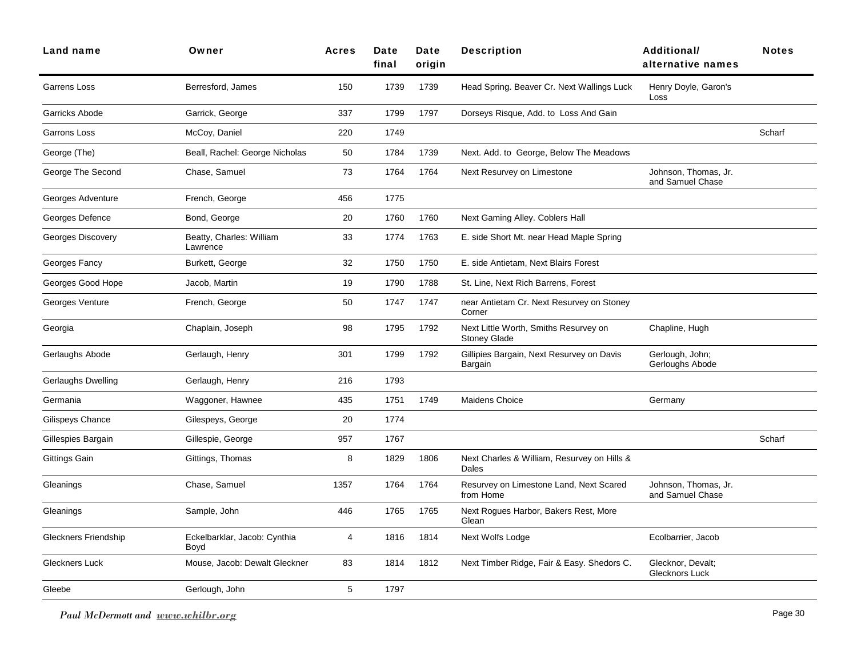| Owner                                | <b>Acres</b> | Date<br>final | Date<br>origin | <b>Description</b>                                           | <b>Additional/</b><br>alternative names  | <b>Notes</b> |
|--------------------------------------|--------------|---------------|----------------|--------------------------------------------------------------|------------------------------------------|--------------|
| Berresford, James                    | 150          | 1739          | 1739           | Head Spring. Beaver Cr. Next Wallings Luck                   | Henry Doyle, Garon's<br>Loss             |              |
| Garrick, George                      | 337          | 1799          | 1797           | Dorseys Risque, Add. to Loss And Gain                        |                                          |              |
| McCoy, Daniel                        | 220          | 1749          |                |                                                              |                                          | Scharf       |
| Beall, Rachel: George Nicholas       | 50           | 1784          | 1739           | Next. Add. to George, Below The Meadows                      |                                          |              |
| Chase, Samuel                        | 73           | 1764          | 1764           | Next Resurvey on Limestone                                   | Johnson, Thomas, Jr.<br>and Samuel Chase |              |
| French, George                       | 456          | 1775          |                |                                                              |                                          |              |
| Bond, George                         | 20           | 1760          | 1760           | Next Gaming Alley. Coblers Hall                              |                                          |              |
| Beatty, Charles: William<br>Lawrence | 33           | 1774          | 1763           | E. side Short Mt. near Head Maple Spring                     |                                          |              |
| Burkett, George                      | 32           | 1750          | 1750           | E. side Antietam, Next Blairs Forest                         |                                          |              |
| Jacob, Martin                        | 19           | 1790          | 1788           | St. Line, Next Rich Barrens, Forest                          |                                          |              |
| French, George                       | 50           | 1747          | 1747           | near Antietam Cr. Next Resurvey on Stoney<br>Corner          |                                          |              |
| Chaplain, Joseph                     | 98           | 1795          | 1792           | Next Little Worth, Smiths Resurvey on<br><b>Stoney Glade</b> | Chapline, Hugh                           |              |
| Gerlaugh, Henry                      | 301          | 1799          | 1792           | Gillipies Bargain, Next Resurvey on Davis<br>Bargain         | Gerlough, John;<br>Gerloughs Abode       |              |
| Gerlaugh, Henry                      | 216          | 1793          |                |                                                              |                                          |              |
| Waggoner, Hawnee                     | 435          | 1751          | 1749           | Maidens Choice                                               | Germany                                  |              |
| Gilespeys, George                    | 20           | 1774          |                |                                                              |                                          |              |
| Gillespie, George                    | 957          | 1767          |                |                                                              |                                          | Scharf       |
| Gittings, Thomas                     | 8            | 1829          | 1806           | Next Charles & William, Resurvey on Hills &<br>Dales         |                                          |              |
| Chase, Samuel                        | 1357         | 1764          | 1764           | Resurvey on Limestone Land, Next Scared<br>from Home         | Johnson, Thomas, Jr.<br>and Samuel Chase |              |
| Sample, John                         | 446          | 1765          | 1765           | Next Rogues Harbor, Bakers Rest, More<br>Glean               |                                          |              |
| Eckelbarklar, Jacob: Cynthia<br>Boyd | 4            | 1816          | 1814           | Next Wolfs Lodge                                             | Ecolbarrier, Jacob                       |              |
| Mouse, Jacob: Dewalt Gleckner        | 83           | 1814          | 1812           | Next Timber Ridge, Fair & Easy. Shedors C.                   | Glecknor, Devalt;<br>Glecknors Luck      |              |
| Gerlough, John                       | 5            | 1797          |                |                                                              |                                          |              |
|                                      |              |               |                |                                                              |                                          |              |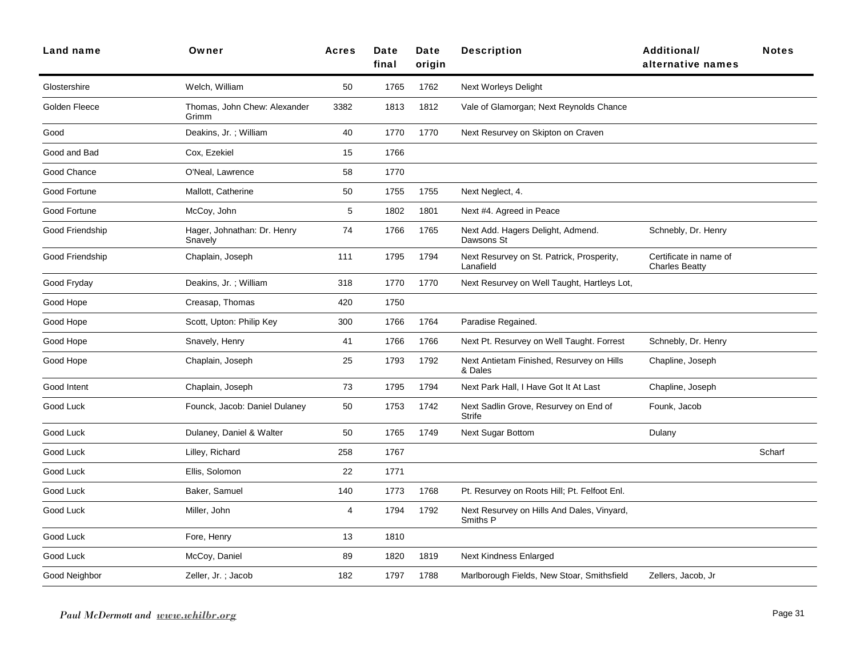| Land name       | Owner                                  | <b>Acres</b> | Date<br>final | Date<br>origin | <b>Description</b>                                     | <b>Additional/</b><br>alternative names         | <b>Notes</b> |
|-----------------|----------------------------------------|--------------|---------------|----------------|--------------------------------------------------------|-------------------------------------------------|--------------|
| Glostershire    | Welch, William                         | 50           | 1765          | 1762           | <b>Next Worleys Delight</b>                            |                                                 |              |
| Golden Fleece   | Thomas, John Chew: Alexander<br>Grimm  | 3382         | 1813          | 1812           | Vale of Glamorgan; Next Reynolds Chance                |                                                 |              |
| Good            | Deakins, Jr.; William                  | 40           | 1770          | 1770           | Next Resurvey on Skipton on Craven                     |                                                 |              |
| Good and Bad    | Cox, Ezekiel                           | 15           | 1766          |                |                                                        |                                                 |              |
| Good Chance     | O'Neal, Lawrence                       | 58           | 1770          |                |                                                        |                                                 |              |
| Good Fortune    | Mallott, Catherine                     | 50           | 1755          | 1755           | Next Neglect, 4.                                       |                                                 |              |
| Good Fortune    | McCoy, John                            | 5            | 1802          | 1801           | Next #4. Agreed in Peace                               |                                                 |              |
| Good Friendship | Hager, Johnathan: Dr. Henry<br>Snavely | 74           | 1766          | 1765           | Next Add. Hagers Delight, Admend.<br>Dawsons St        | Schnebly, Dr. Henry                             |              |
| Good Friendship | Chaplain, Joseph                       | 111          | 1795          | 1794           | Next Resurvey on St. Patrick, Prosperity,<br>Lanafield | Certificate in name of<br><b>Charles Beatty</b> |              |
| Good Fryday     | Deakins, Jr.; William                  | 318          | 1770          | 1770           | Next Resurvey on Well Taught, Hartleys Lot,            |                                                 |              |
| Good Hope       | Creasap, Thomas                        | 420          | 1750          |                |                                                        |                                                 |              |
| Good Hope       | Scott, Upton: Philip Key               | 300          | 1766          | 1764           | Paradise Regained.                                     |                                                 |              |
| Good Hope       | Snavely, Henry                         | 41           | 1766          | 1766           | Next Pt. Resurvey on Well Taught. Forrest              | Schnebly, Dr. Henry                             |              |
| Good Hope       | Chaplain, Joseph                       | 25           | 1793          | 1792           | Next Antietam Finished, Resurvey on Hills<br>& Dales   | Chapline, Joseph                                |              |
| Good Intent     | Chaplain, Joseph                       | 73           | 1795          | 1794           | Next Park Hall, I Have Got It At Last                  | Chapline, Joseph                                |              |
| Good Luck       | Founck, Jacob: Daniel Dulaney          | 50           | 1753          | 1742           | Next Sadlin Grove, Resurvey on End of<br>Strife        | Founk, Jacob                                    |              |
| Good Luck       | Dulaney, Daniel & Walter               | 50           | 1765          | 1749           | <b>Next Sugar Bottom</b>                               | Dulany                                          |              |
| Good Luck       | Lilley, Richard                        | 258          | 1767          |                |                                                        |                                                 | Scharf       |
| Good Luck       | Ellis, Solomon                         | 22           | 1771          |                |                                                        |                                                 |              |
| Good Luck       | Baker, Samuel                          | 140          | 1773          | 1768           | Pt. Resurvey on Roots Hill; Pt. Felfoot Enl.           |                                                 |              |
| Good Luck       | Miller, John                           | 4            | 1794          | 1792           | Next Resurvey on Hills And Dales, Vinyard,<br>Smiths P |                                                 |              |
| Good Luck       | Fore, Henry                            | 13           | 1810          |                |                                                        |                                                 |              |
| Good Luck       | McCoy, Daniel                          | 89           | 1820          | 1819           | <b>Next Kindness Enlarged</b>                          |                                                 |              |
| Good Neighbor   | Zeller, Jr.; Jacob                     | 182          | 1797          | 1788           | Marlborough Fields, New Stoar, Smithsfield             | Zellers, Jacob, Jr                              |              |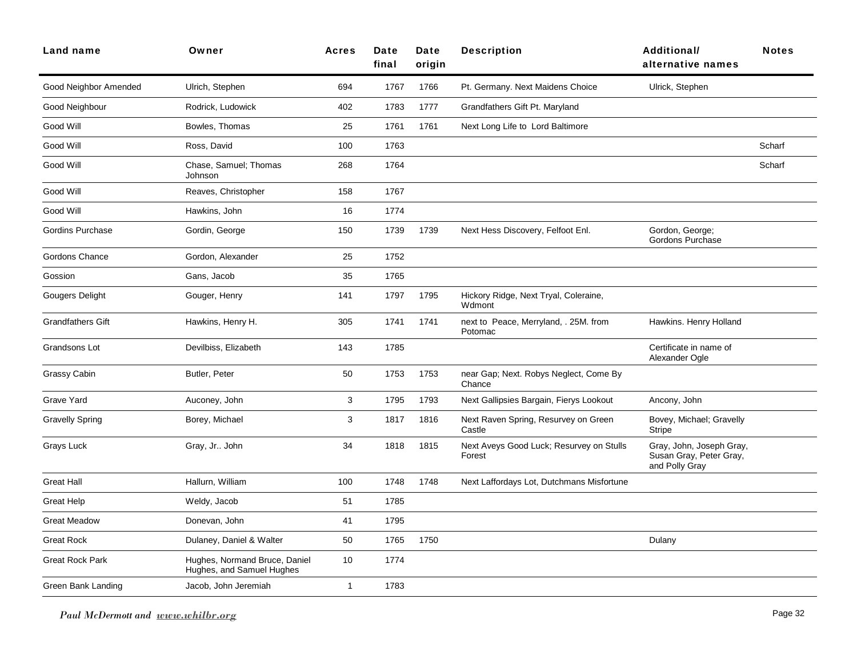| Land name                | Owner                                                      | <b>Acres</b> | Date<br>final | Date<br>origin | <b>Description</b>                                 | <b>Additional/</b><br>alternative names                               | <b>Notes</b> |
|--------------------------|------------------------------------------------------------|--------------|---------------|----------------|----------------------------------------------------|-----------------------------------------------------------------------|--------------|
| Good Neighbor Amended    | Ulrich, Stephen                                            | 694          | 1767          | 1766           | Pt. Germany. Next Maidens Choice                   | Ulrick, Stephen                                                       |              |
| Good Neighbour           | Rodrick, Ludowick                                          | 402          | 1783          | 1777           | Grandfathers Gift Pt. Maryland                     |                                                                       |              |
| Good Will                | Bowles, Thomas                                             | 25           | 1761          | 1761           | Next Long Life to Lord Baltimore                   |                                                                       |              |
| Good Will                | Ross, David                                                | 100          | 1763          |                |                                                    |                                                                       | Scharf       |
| Good Will                | Chase, Samuel; Thomas<br>Johnson                           | 268          | 1764          |                |                                                    |                                                                       | Scharf       |
| Good Will                | Reaves, Christopher                                        | 158          | 1767          |                |                                                    |                                                                       |              |
| Good Will                | Hawkins, John                                              | 16           | 1774          |                |                                                    |                                                                       |              |
| Gordins Purchase         | Gordin, George                                             | 150          | 1739          | 1739           | Next Hess Discovery, Felfoot Enl.                  | Gordon, George;<br>Gordons Purchase                                   |              |
| Gordons Chance           | Gordon, Alexander                                          | 25           | 1752          |                |                                                    |                                                                       |              |
| Gossion                  | Gans, Jacob                                                | 35           | 1765          |                |                                                    |                                                                       |              |
| Gougers Delight          | Gouger, Henry                                              | 141          | 1797          | 1795           | Hickory Ridge, Next Tryal, Coleraine,<br>Wdmont    |                                                                       |              |
| <b>Grandfathers Gift</b> | Hawkins, Henry H.                                          | 305          | 1741          | 1741           | next to Peace, Merryland, . 25M. from<br>Potomac   | Hawkins. Henry Holland                                                |              |
| Grandsons Lot            | Devilbiss, Elizabeth                                       | 143          | 1785          |                |                                                    | Certificate in name of<br>Alexander Ogle                              |              |
| <b>Grassy Cabin</b>      | Butler, Peter                                              | 50           | 1753          | 1753           | near Gap; Next. Robys Neglect, Come By<br>Chance   |                                                                       |              |
| Grave Yard               | Auconey, John                                              | 3            | 1795          | 1793           | Next Gallipsies Bargain, Fierys Lookout            | Ancony, John                                                          |              |
| <b>Gravelly Spring</b>   | Borey, Michael                                             | 3            | 1817          | 1816           | Next Raven Spring, Resurvey on Green<br>Castle     | Bovey, Michael; Gravelly<br><b>Stripe</b>                             |              |
| Grays Luck               | Gray, Jr John                                              | 34           | 1818          | 1815           | Next Aveys Good Luck; Resurvey on Stulls<br>Forest | Gray, John, Joseph Gray,<br>Susan Gray, Peter Gray,<br>and Polly Gray |              |
| <b>Great Hall</b>        | Hallurn, William                                           | 100          | 1748          | 1748           | Next Laffordays Lot, Dutchmans Misfortune          |                                                                       |              |
| <b>Great Help</b>        | Weldy, Jacob                                               | 51           | 1785          |                |                                                    |                                                                       |              |
| <b>Great Meadow</b>      | Donevan, John                                              | 41           | 1795          |                |                                                    |                                                                       |              |
| <b>Great Rock</b>        | Dulaney, Daniel & Walter                                   | 50           | 1765          | 1750           |                                                    | Dulany                                                                |              |
| <b>Great Rock Park</b>   | Hughes, Normand Bruce, Daniel<br>Hughes, and Samuel Hughes | 10           | 1774          |                |                                                    |                                                                       |              |
| Green Bank Landing       | Jacob, John Jeremiah                                       | $\mathbf{1}$ | 1783          |                |                                                    |                                                                       |              |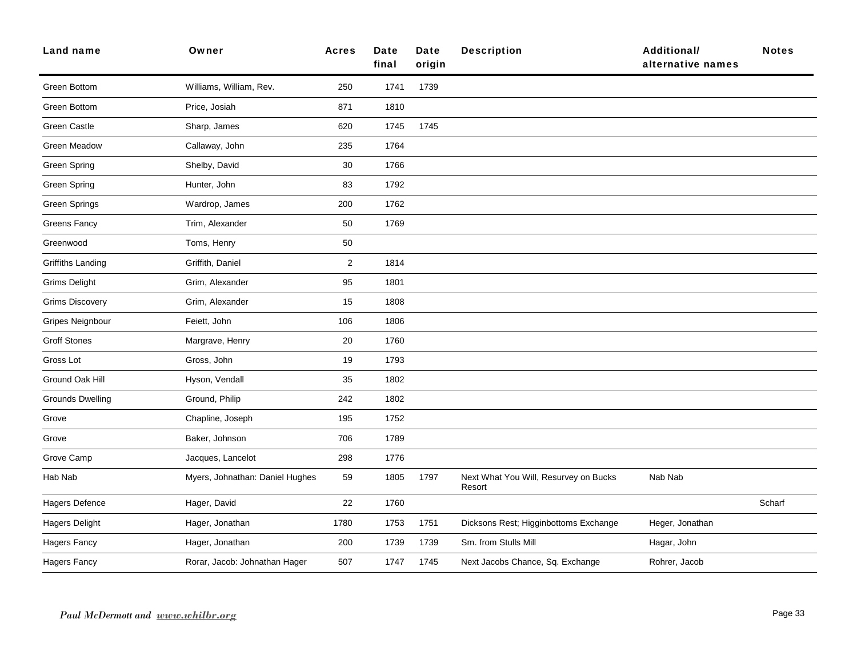| Land name                | Owner                           | <b>Acres</b>   | <b>Date</b><br>final | <b>Date</b><br>origin | <b>Description</b>                              | <b>Additional/</b><br>alternative names | <b>Notes</b> |
|--------------------------|---------------------------------|----------------|----------------------|-----------------------|-------------------------------------------------|-----------------------------------------|--------------|
| Green Bottom             | Williams, William, Rev.         | 250            | 1741                 | 1739                  |                                                 |                                         |              |
| Green Bottom             | Price, Josiah                   | 871            | 1810                 |                       |                                                 |                                         |              |
| Green Castle             | Sharp, James                    | 620            | 1745                 | 1745                  |                                                 |                                         |              |
| Green Meadow             | Callaway, John                  | 235            | 1764                 |                       |                                                 |                                         |              |
| Green Spring             | Shelby, David                   | 30             | 1766                 |                       |                                                 |                                         |              |
| Green Spring             | Hunter, John                    | 83             | 1792                 |                       |                                                 |                                         |              |
| <b>Green Springs</b>     | Wardrop, James                  | 200            | 1762                 |                       |                                                 |                                         |              |
| <b>Greens Fancy</b>      | Trim, Alexander                 | 50             | 1769                 |                       |                                                 |                                         |              |
| Greenwood                | Toms, Henry                     | 50             |                      |                       |                                                 |                                         |              |
| <b>Griffiths Landing</b> | Griffith, Daniel                | $\overline{2}$ | 1814                 |                       |                                                 |                                         |              |
| <b>Grims Delight</b>     | Grim, Alexander                 | 95             | 1801                 |                       |                                                 |                                         |              |
| <b>Grims Discovery</b>   | Grim, Alexander                 | 15             | 1808                 |                       |                                                 |                                         |              |
| Gripes Neignbour         | Feiett, John                    | 106            | 1806                 |                       |                                                 |                                         |              |
| <b>Groff Stones</b>      | Margrave, Henry                 | 20             | 1760                 |                       |                                                 |                                         |              |
| Gross Lot                | Gross, John                     | 19             | 1793                 |                       |                                                 |                                         |              |
| Ground Oak Hill          | Hyson, Vendall                  | 35             | 1802                 |                       |                                                 |                                         |              |
| <b>Grounds Dwelling</b>  | Ground, Philip                  | 242            | 1802                 |                       |                                                 |                                         |              |
| Grove                    | Chapline, Joseph                | 195            | 1752                 |                       |                                                 |                                         |              |
| Grove                    | Baker, Johnson                  | 706            | 1789                 |                       |                                                 |                                         |              |
| Grove Camp               | Jacques, Lancelot               | 298            | 1776                 |                       |                                                 |                                         |              |
| Hab Nab                  | Myers, Johnathan: Daniel Hughes | 59             | 1805                 | 1797                  | Next What You Will, Resurvey on Bucks<br>Resort | Nab Nab                                 |              |
| Hagers Defence           | Hager, David                    | 22             | 1760                 |                       |                                                 |                                         | Scharf       |
| <b>Hagers Delight</b>    | Hager, Jonathan                 | 1780           | 1753                 | 1751                  | Dicksons Rest; Higginbottoms Exchange           | Heger, Jonathan                         |              |
| <b>Hagers Fancy</b>      | Hager, Jonathan                 | 200            | 1739                 | 1739                  | Sm. from Stulls Mill                            | Hagar, John                             |              |
| <b>Hagers Fancy</b>      | Rorar, Jacob: Johnathan Hager   | 507            | 1747                 | 1745                  | Next Jacobs Chance, Sq. Exchange                | Rohrer, Jacob                           |              |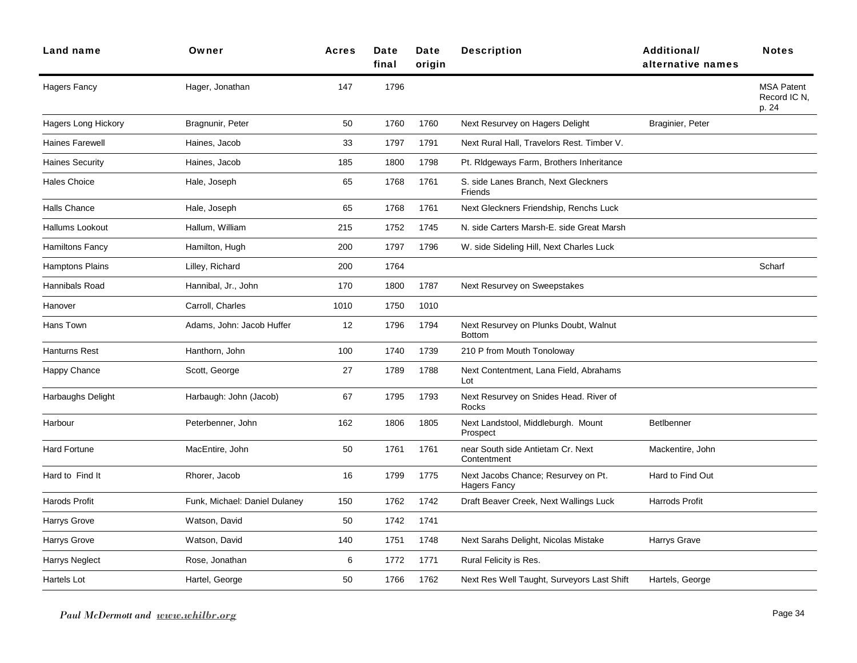| <b>Land name</b>           | Owner                         | <b>Acres</b> | Date<br>final | <b>Date</b><br>origin | <b>Description</b>                                         | Additional/<br>alternative names | <b>Notes</b>                               |
|----------------------------|-------------------------------|--------------|---------------|-----------------------|------------------------------------------------------------|----------------------------------|--------------------------------------------|
| <b>Hagers Fancy</b>        | Hager, Jonathan               | 147          | 1796          |                       |                                                            |                                  | <b>MSA Patent</b><br>Record IC N,<br>p. 24 |
| <b>Hagers Long Hickory</b> | Bragnunir, Peter              | 50           | 1760          | 1760                  | Next Resurvey on Hagers Delight                            | Braginier, Peter                 |                                            |
| <b>Haines Farewell</b>     | Haines, Jacob                 | 33           | 1797          | 1791                  | Next Rural Hall, Travelors Rest. Timber V.                 |                                  |                                            |
| <b>Haines Security</b>     | Haines, Jacob                 | 185          | 1800          | 1798                  | Pt. Ridgeways Farm, Brothers Inheritance                   |                                  |                                            |
| <b>Hales Choice</b>        | Hale, Joseph                  | 65           | 1768          | 1761                  | S. side Lanes Branch, Next Gleckners<br>Friends            |                                  |                                            |
| <b>Halls Chance</b>        | Hale, Joseph                  | 65           | 1768          | 1761                  | Next Gleckners Friendship, Renchs Luck                     |                                  |                                            |
| Hallums Lookout            | Hallum, William               | 215          | 1752          | 1745                  | N. side Carters Marsh-E. side Great Marsh                  |                                  |                                            |
| <b>Hamiltons Fancy</b>     | Hamilton, Hugh                | 200          | 1797          | 1796                  | W. side Sideling Hill, Next Charles Luck                   |                                  |                                            |
| <b>Hamptons Plains</b>     | Lilley, Richard               | 200          | 1764          |                       |                                                            |                                  | Scharf                                     |
| Hannibals Road             | Hannibal, Jr., John           | 170          | 1800          | 1787                  | Next Resurvey on Sweepstakes                               |                                  |                                            |
| Hanover                    | Carroll, Charles              | 1010         | 1750          | 1010                  |                                                            |                                  |                                            |
| Hans Town                  | Adams, John: Jacob Huffer     | 12           | 1796          | 1794                  | Next Resurvey on Plunks Doubt, Walnut<br><b>Bottom</b>     |                                  |                                            |
| Hanturns Rest              | Hanthorn, John                | 100          | 1740          | 1739                  | 210 P from Mouth Tonoloway                                 |                                  |                                            |
| Happy Chance               | Scott, George                 | 27           | 1789          | 1788                  | Next Contentment, Lana Field, Abrahams<br>Lot              |                                  |                                            |
| Harbaughs Delight          | Harbaugh: John (Jacob)        | 67           | 1795          | 1793                  | Next Resurvey on Snides Head. River of<br>Rocks            |                                  |                                            |
| Harbour                    | Peterbenner, John             | 162          | 1806          | 1805                  | Next Landstool, Middleburgh. Mount<br>Prospect             | BetIbenner                       |                                            |
| <b>Hard Fortune</b>        | MacEntire, John               | 50           | 1761          | 1761                  | near South side Antietam Cr. Next<br>Contentment           | Mackentire, John                 |                                            |
| Hard to Find It            | Rhorer, Jacob                 | 16           | 1799          | 1775                  | Next Jacobs Chance; Resurvey on Pt.<br><b>Hagers Fancy</b> | Hard to Find Out                 |                                            |
| <b>Harods Profit</b>       | Funk, Michael: Daniel Dulaney | 150          | 1762          | 1742                  | Draft Beaver Creek, Next Wallings Luck                     | Harrods Profit                   |                                            |
| Harrys Grove               | Watson, David                 | 50           | 1742          | 1741                  |                                                            |                                  |                                            |
| Harrys Grove               | Watson, David                 | 140          | 1751          | 1748                  | Next Sarahs Delight, Nicolas Mistake                       | Harrys Grave                     |                                            |
| Harrys Neglect             | Rose, Jonathan                | 6            | 1772          | 1771                  | Rural Felicity is Res.                                     |                                  |                                            |
| Hartels Lot                | Hartel, George                | 50           | 1766          | 1762                  | Next Res Well Taught, Surveyors Last Shift                 | Hartels, George                  |                                            |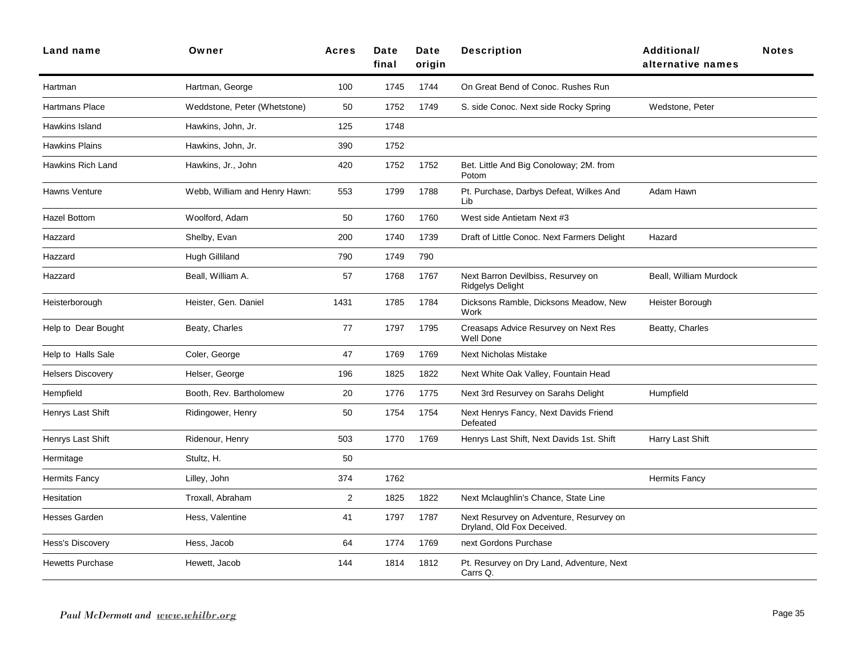| <b>Land name</b>         | Owner                         | <b>Acres</b> | Date<br>final | Date<br>origin | <b>Description</b>                                                    | Additional/<br>alternative names | <b>Notes</b> |
|--------------------------|-------------------------------|--------------|---------------|----------------|-----------------------------------------------------------------------|----------------------------------|--------------|
| Hartman                  | Hartman, George               | 100          | 1745          | 1744           | On Great Bend of Conoc. Rushes Run                                    |                                  |              |
| Hartmans Place           | Weddstone, Peter (Whetstone)  | 50           | 1752          | 1749           | S. side Conoc. Next side Rocky Spring                                 | Wedstone, Peter                  |              |
| Hawkins Island           | Hawkins, John, Jr.            | 125          | 1748          |                |                                                                       |                                  |              |
| <b>Hawkins Plains</b>    | Hawkins, John, Jr.            | 390          | 1752          |                |                                                                       |                                  |              |
| <b>Hawkins Rich Land</b> | Hawkins, Jr., John            | 420          | 1752          | 1752           | Bet. Little And Big Conoloway; 2M. from<br>Potom                      |                                  |              |
| Hawns Venture            | Webb, William and Henry Hawn: | 553          | 1799          | 1788           | Pt. Purchase, Darbys Defeat, Wilkes And<br>Lib                        | Adam Hawn                        |              |
| <b>Hazel Bottom</b>      | Woolford, Adam                | 50           | 1760          | 1760           | West side Antietam Next #3                                            |                                  |              |
| Hazzard                  | Shelby, Evan                  | 200          | 1740          | 1739           | Draft of Little Conoc. Next Farmers Delight                           | Hazard                           |              |
| Hazzard                  | <b>Hugh Gilliland</b>         | 790          | 1749          | 790            |                                                                       |                                  |              |
| Hazzard                  | Beall, William A.             | 57           | 1768          | 1767           | Next Barron Devilbiss, Resurvey on<br><b>Ridgelys Delight</b>         | Beall, William Murdock           |              |
| Heisterborough           | Heister, Gen. Daniel          | 1431         | 1785          | 1784           | Dicksons Ramble, Dicksons Meadow, New<br>Work                         | Heister Borough                  |              |
| Help to Dear Bought      | Beaty, Charles                | 77           | 1797          | 1795           | Creasaps Advice Resurvey on Next Res<br><b>Well Done</b>              | Beatty, Charles                  |              |
| Help to Halls Sale       | Coler, George                 | 47           | 1769          | 1769           | <b>Next Nicholas Mistake</b>                                          |                                  |              |
| <b>Helsers Discovery</b> | Helser, George                | 196          | 1825          | 1822           | Next White Oak Valley, Fountain Head                                  |                                  |              |
| Hempfield                | Booth, Rev. Bartholomew       | 20           | 1776          | 1775           | Next 3rd Resurvey on Sarahs Delight                                   | Humpfield                        |              |
| Henrys Last Shift        | Ridingower, Henry             | 50           | 1754          | 1754           | Next Henrys Fancy, Next Davids Friend<br>Defeated                     |                                  |              |
| Henrys Last Shift        | Ridenour, Henry               | 503          | 1770          | 1769           | Henrys Last Shift, Next Davids 1st. Shift                             | Harry Last Shift                 |              |
| Hermitage                | Stultz, H.                    | 50           |               |                |                                                                       |                                  |              |
| Hermits Fancy            | Lilley, John                  | 374          | 1762          |                |                                                                       | <b>Hermits Fancy</b>             |              |
| Hesitation               | Troxall, Abraham              | 2            | 1825          | 1822           | Next Mclaughlin's Chance, State Line                                  |                                  |              |
| <b>Hesses Garden</b>     | Hess, Valentine               | 41           | 1797          | 1787           | Next Resurvey on Adventure, Resurvey on<br>Dryland, Old Fox Deceived. |                                  |              |
| Hess's Discovery         | Hess, Jacob                   | 64           | 1774          | 1769           | next Gordons Purchase                                                 |                                  |              |
| <b>Hewetts Purchase</b>  | Hewett, Jacob                 | 144          | 1814          | 1812           | Pt. Resurvey on Dry Land, Adventure, Next<br>Carrs Q.                 |                                  |              |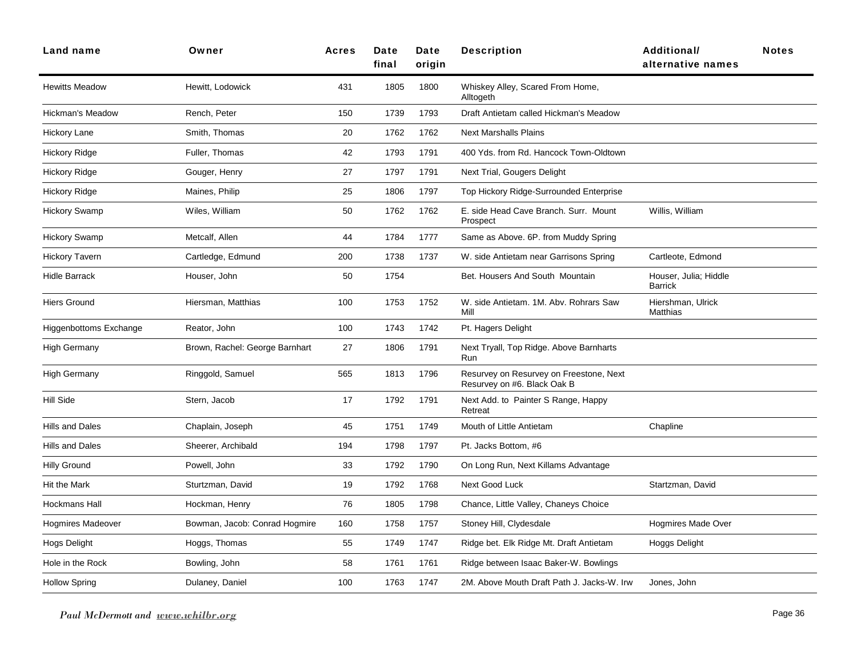| <b>Land name</b>              | Owner                          | <b>Acres</b> | Date<br>final | Date<br>origin | <b>Description</b>                                                     | <b>Additional/</b><br>alternative names | <b>Notes</b> |
|-------------------------------|--------------------------------|--------------|---------------|----------------|------------------------------------------------------------------------|-----------------------------------------|--------------|
| <b>Hewitts Meadow</b>         | Hewitt, Lodowick               | 431          | 1805          | 1800           | Whiskey Alley, Scared From Home,<br>Alltogeth                          |                                         |              |
| <b>Hickman's Meadow</b>       | Rench, Peter                   | 150          | 1739          | 1793           | Draft Antietam called Hickman's Meadow                                 |                                         |              |
| Hickory Lane                  | Smith, Thomas                  | 20           | 1762          | 1762           | <b>Next Marshalls Plains</b>                                           |                                         |              |
| Hickory Ridge                 | Fuller, Thomas                 | 42           | 1793          | 1791           | 400 Yds. from Rd. Hancock Town-Oldtown                                 |                                         |              |
| <b>Hickory Ridge</b>          | Gouger, Henry                  | 27           | 1797          | 1791           | Next Trial, Gougers Delight                                            |                                         |              |
| <b>Hickory Ridge</b>          | Maines, Philip                 | 25           | 1806          | 1797           | Top Hickory Ridge-Surrounded Enterprise                                |                                         |              |
| <b>Hickory Swamp</b>          | Wiles, William                 | 50           | 1762          | 1762           | E. side Head Cave Branch. Surr. Mount<br>Prospect                      | Willis, William                         |              |
| <b>Hickory Swamp</b>          | Metcalf, Allen                 | 44           | 1784          | 1777           | Same as Above. 6P. from Muddy Spring                                   |                                         |              |
| <b>Hickory Tavern</b>         | Cartledge, Edmund              | 200          | 1738          | 1737           | W. side Antietam near Garrisons Spring                                 | Cartleote, Edmond                       |              |
| <b>Hidle Barrack</b>          | Houser, John                   | 50           | 1754          |                | Bet. Housers And South Mountain                                        | Houser, Julia; Hiddle<br>Barrick        |              |
| <b>Hiers Ground</b>           | Hiersman, Matthias             | 100          | 1753          | 1752           | W. side Antietam. 1M. Abv. Rohrars Saw<br>Mill                         | Hiershman, Ulrick<br><b>Matthias</b>    |              |
| <b>Higgenbottoms Exchange</b> | Reator, John                   | 100          | 1743          | 1742           | Pt. Hagers Delight                                                     |                                         |              |
| <b>High Germany</b>           | Brown, Rachel: George Barnhart | 27           | 1806          | 1791           | Next Tryall, Top Ridge. Above Barnharts<br>Run                         |                                         |              |
| <b>High Germany</b>           | Ringgold, Samuel               | 565          | 1813          | 1796           | Resurvey on Resurvey on Freestone, Next<br>Resurvey on #6. Black Oak B |                                         |              |
| <b>Hill Side</b>              | Stern, Jacob                   | 17           | 1792          | 1791           | Next Add. to Painter S Range, Happy<br>Retreat                         |                                         |              |
| Hills and Dales               | Chaplain, Joseph               | 45           | 1751          | 1749           | Mouth of Little Antietam                                               | Chapline                                |              |
| <b>Hills and Dales</b>        | Sheerer, Archibald             | 194          | 1798          | 1797           | Pt. Jacks Bottom, #6                                                   |                                         |              |
| <b>Hilly Ground</b>           | Powell, John                   | 33           | 1792          | 1790           | On Long Run, Next Killams Advantage                                    |                                         |              |
| Hit the Mark                  | Sturtzman, David               | 19           | 1792          | 1768           | Next Good Luck                                                         | Startzman, David                        |              |
| <b>Hockmans Hall</b>          | Hockman, Henry                 | 76           | 1805          | 1798           | Chance, Little Valley, Chaneys Choice                                  |                                         |              |
| <b>Hogmires Madeover</b>      | Bowman, Jacob: Conrad Hogmire  | 160          | 1758          | 1757           | Stoney Hill, Clydesdale                                                | <b>Hogmires Made Over</b>               |              |
| Hogs Delight                  | Hoggs, Thomas                  | 55           | 1749          | 1747           | Ridge bet. Elk Ridge Mt. Draft Antietam                                | Hoggs Delight                           |              |
| Hole in the Rock              | Bowling, John                  | 58           | 1761          | 1761           | Ridge between Isaac Baker-W. Bowlings                                  |                                         |              |
| <b>Hollow Spring</b>          | Dulaney, Daniel                | 100          | 1763          | 1747           | 2M. Above Mouth Draft Path J. Jacks-W. Irw                             | Jones, John                             |              |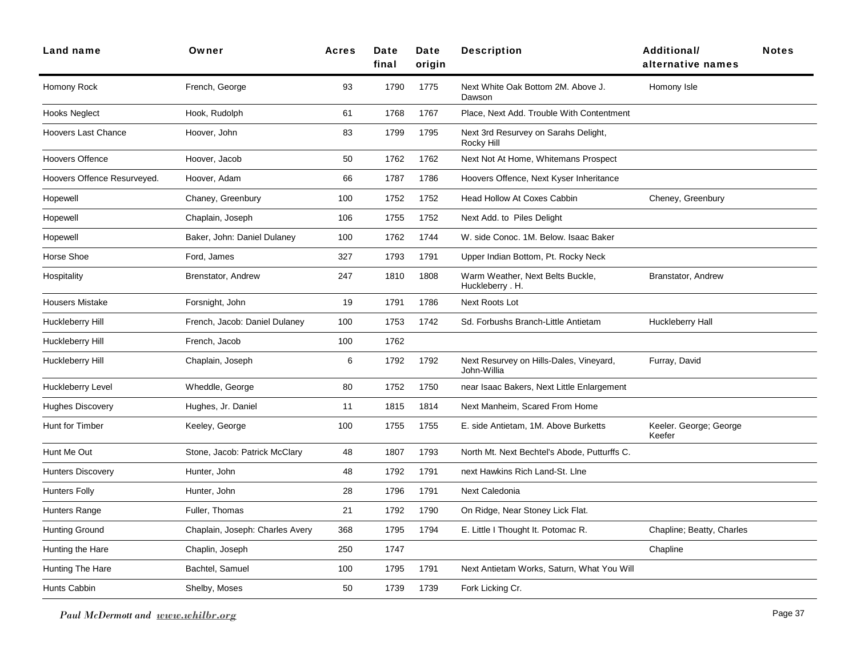| Land name                   | Owner                           | <b>Acres</b> | Date<br>final | Date<br>origin | <b>Description</b>                                     | Additional/<br>alternative names | <b>Notes</b> |
|-----------------------------|---------------------------------|--------------|---------------|----------------|--------------------------------------------------------|----------------------------------|--------------|
| Homony Rock                 | French, George                  | 93           | 1790          | 1775           | Next White Oak Bottom 2M. Above J.<br>Dawson           | Homony Isle                      |              |
| <b>Hooks Neglect</b>        | Hook, Rudolph                   | 61           | 1768          | 1767           | Place, Next Add. Trouble With Contentment              |                                  |              |
| <b>Hoovers Last Chance</b>  | Hoover, John                    | 83           | 1799          | 1795           | Next 3rd Resurvey on Sarahs Delight,<br>Rocky Hill     |                                  |              |
| <b>Hoovers Offence</b>      | Hoover, Jacob                   | 50           | 1762          | 1762           | Next Not At Home, Whitemans Prospect                   |                                  |              |
| Hoovers Offence Resurveyed. | Hoover, Adam                    | 66           | 1787          | 1786           | Hoovers Offence, Next Kyser Inheritance                |                                  |              |
| Hopewell                    | Chaney, Greenbury               | 100          | 1752          | 1752           | Head Hollow At Coxes Cabbin                            | Cheney, Greenbury                |              |
| Hopewell                    | Chaplain, Joseph                | 106          | 1755          | 1752           | Next Add. to Piles Delight                             |                                  |              |
| Hopewell                    | Baker, John: Daniel Dulaney     | 100          | 1762          | 1744           | W. side Conoc. 1M. Below. Isaac Baker                  |                                  |              |
| Horse Shoe                  | Ford, James                     | 327          | 1793          | 1791           | Upper Indian Bottom, Pt. Rocky Neck                    |                                  |              |
| Hospitality                 | Brenstator, Andrew              | 247          | 1810          | 1808           | Warm Weather, Next Belts Buckle,<br>Huckleberry . H.   | Branstator, Andrew               |              |
| <b>Housers Mistake</b>      | Forsnight, John                 | 19           | 1791          | 1786           | Next Roots Lot                                         |                                  |              |
| Huckleberry Hill            | French, Jacob: Daniel Dulaney   | 100          | 1753          | 1742           | Sd. Forbushs Branch-Little Antietam                    | Huckleberry Hall                 |              |
| Huckleberry Hill            | French, Jacob                   | 100          | 1762          |                |                                                        |                                  |              |
| Huckleberry Hill            | Chaplain, Joseph                | 6            | 1792          | 1792           | Next Resurvey on Hills-Dales, Vineyard,<br>John-Willia | Furray, David                    |              |
| Huckleberry Level           | Wheddle, George                 | 80           | 1752          | 1750           | near Isaac Bakers, Next Little Enlargement             |                                  |              |
| <b>Hughes Discovery</b>     | Hughes, Jr. Daniel              | 11           | 1815          | 1814           | Next Manheim, Scared From Home                         |                                  |              |
| Hunt for Timber             | Keeley, George                  | 100          | 1755          | 1755           | E. side Antietam, 1M. Above Burketts                   | Keeler. George; George<br>Keefer |              |
| Hunt Me Out                 | Stone, Jacob: Patrick McClary   | 48           | 1807          | 1793           | North Mt. Next Bechtel's Abode, Putturffs C.           |                                  |              |
| <b>Hunters Discovery</b>    | Hunter, John                    | 48           | 1792          | 1791           | next Hawkins Rich Land-St. Line                        |                                  |              |
| <b>Hunters Folly</b>        | Hunter, John                    | 28           | 1796          | 1791           | Next Caledonia                                         |                                  |              |
| Hunters Range               | Fuller, Thomas                  | 21           | 1792          | 1790           | On Ridge, Near Stoney Lick Flat.                       |                                  |              |
| Hunting Ground              | Chaplain, Joseph: Charles Avery | 368          | 1795          | 1794           | E. Little I Thought It. Potomac R.                     | Chapline; Beatty, Charles        |              |
| Hunting the Hare            | Chaplin, Joseph                 | 250          | 1747          |                |                                                        | Chapline                         |              |
| <b>Hunting The Hare</b>     | Bachtel, Samuel                 | 100          | 1795          | 1791           | Next Antietam Works, Saturn, What You Will             |                                  |              |
| Hunts Cabbin                | Shelby, Moses                   | 50           | 1739          | 1739           | Fork Licking Cr.                                       |                                  |              |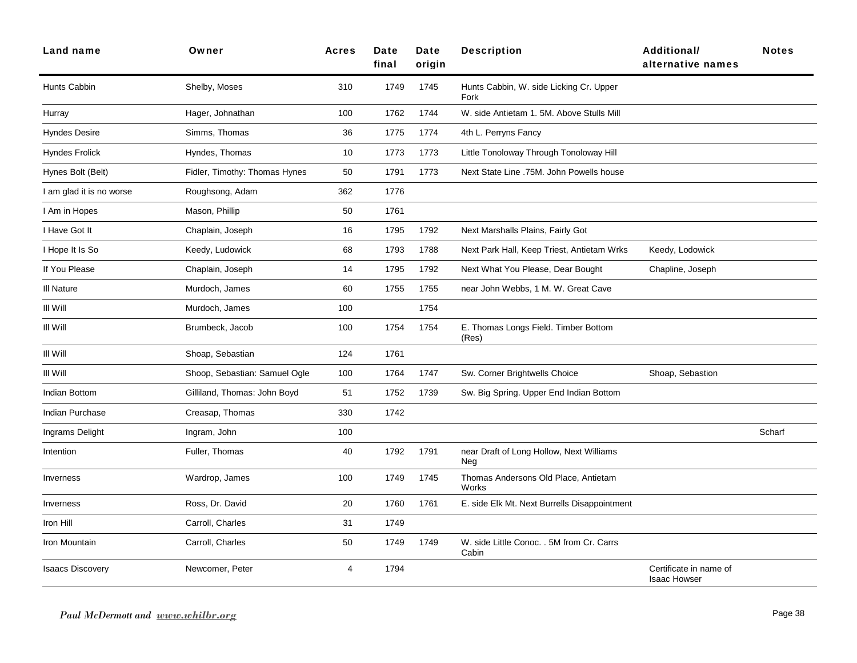| Land name                | Owner                         | <b>Acres</b>   | Date<br>final | Date<br>origin | <b>Description</b>                                 | <b>Additional/</b><br>alternative names       | <b>Notes</b> |
|--------------------------|-------------------------------|----------------|---------------|----------------|----------------------------------------------------|-----------------------------------------------|--------------|
| Hunts Cabbin             | Shelby, Moses                 | 310            | 1749          | 1745           | Hunts Cabbin, W. side Licking Cr. Upper<br>Fork    |                                               |              |
| Hurray                   | Hager, Johnathan              | 100            | 1762          | 1744           | W. side Antietam 1. 5M. Above Stulls Mill          |                                               |              |
| <b>Hyndes Desire</b>     | Simms, Thomas                 | 36             | 1775          | 1774           | 4th L. Perryns Fancy                               |                                               |              |
| <b>Hyndes Frolick</b>    | Hyndes, Thomas                | 10             | 1773          | 1773           | Little Tonoloway Through Tonoloway Hill            |                                               |              |
| Hynes Bolt (Belt)        | Fidler, Timothy: Thomas Hynes | 50             | 1791          | 1773           | Next State Line .75M. John Powells house           |                                               |              |
| I am glad it is no worse | Roughsong, Adam               | 362            | 1776          |                |                                                    |                                               |              |
| I Am in Hopes            | Mason, Phillip                | 50             | 1761          |                |                                                    |                                               |              |
| I Have Got It            | Chaplain, Joseph              | 16             | 1795          | 1792           | Next Marshalls Plains, Fairly Got                  |                                               |              |
| I Hope It Is So          | Keedy, Ludowick               | 68             | 1793          | 1788           | Next Park Hall, Keep Triest, Antietam Wrks         | Keedy, Lodowick                               |              |
| If You Please            | Chaplain, Joseph              | 14             | 1795          | 1792           | Next What You Please, Dear Bought                  | Chapline, Joseph                              |              |
| III Nature               | Murdoch, James                | 60             | 1755          | 1755           | near John Webbs, 1 M. W. Great Cave                |                                               |              |
| III Will                 | Murdoch, James                | 100            |               | 1754           |                                                    |                                               |              |
| III Will                 | Brumbeck, Jacob               | 100            | 1754          | 1754           | E. Thomas Longs Field. Timber Bottom<br>(Res)      |                                               |              |
| III Will                 | Shoap, Sebastian              | 124            | 1761          |                |                                                    |                                               |              |
| III Will                 | Shoop, Sebastian: Samuel Ogle | 100            | 1764          | 1747           | Sw. Corner Brightwells Choice                      | Shoap, Sebastion                              |              |
| Indian Bottom            | Gilliland, Thomas: John Boyd  | 51             | 1752          | 1739           | Sw. Big Spring. Upper End Indian Bottom            |                                               |              |
| Indian Purchase          | Creasap, Thomas               | 330            | 1742          |                |                                                    |                                               |              |
| Ingrams Delight          | Ingram, John                  | 100            |               |                |                                                    |                                               | Scharf       |
| Intention                | Fuller, Thomas                | 40             | 1792          | 1791           | near Draft of Long Hollow, Next Williams<br>Neg    |                                               |              |
| Inverness                | Wardrop, James                | 100            | 1749          | 1745           | Thomas Andersons Old Place, Antietam<br>Works      |                                               |              |
| Inverness                | Ross, Dr. David               | 20             | 1760          | 1761           | E. side Elk Mt. Next Burrells Disappointment       |                                               |              |
| Iron Hill                | Carroll, Charles              | 31             | 1749          |                |                                                    |                                               |              |
| Iron Mountain            | Carroll, Charles              | 50             | 1749          | 1749           | W. side Little Conoc. . 5M from Cr. Carrs<br>Cabin |                                               |              |
| <b>Isaacs Discovery</b>  | Newcomer, Peter               | $\overline{4}$ | 1794          |                |                                                    | Certificate in name of<br><b>Isaac Howser</b> |              |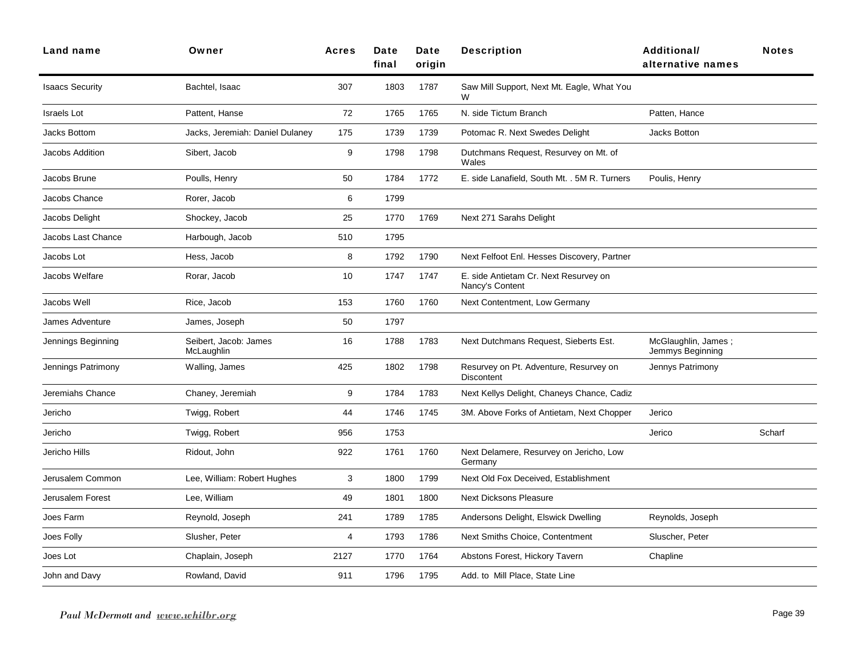| Land name              | Owner                               | <b>Acres</b> | Date<br>final | Date<br>origin | <b>Description</b>                                          | Additional/<br>alternative names        | <b>Notes</b> |
|------------------------|-------------------------------------|--------------|---------------|----------------|-------------------------------------------------------------|-----------------------------------------|--------------|
| <b>Isaacs Security</b> | Bachtel, Isaac                      | 307          | 1803          | 1787           | Saw Mill Support, Next Mt. Eagle, What You                  |                                         |              |
| <b>Israels Lot</b>     | Pattent, Hanse                      | 72           | 1765          | 1765           | N. side Tictum Branch                                       | Patten, Hance                           |              |
| <b>Jacks Bottom</b>    | Jacks, Jeremiah: Daniel Dulaney     | 175          | 1739          | 1739           | Potomac R. Next Swedes Delight                              | Jacks Botton                            |              |
| <b>Jacobs Addition</b> | Sibert, Jacob                       | 9            | 1798          | 1798           | Dutchmans Request, Resurvey on Mt. of<br>Wales              |                                         |              |
| Jacobs Brune           | Poulls, Henry                       | 50           | 1784          | 1772           | E. side Lanafield, South Mt. . 5M R. Turners                | Poulis, Henry                           |              |
| Jacobs Chance          | Rorer, Jacob                        | 6            | 1799          |                |                                                             |                                         |              |
| Jacobs Delight         | Shockey, Jacob                      | 25           | 1770          | 1769           | Next 271 Sarahs Delight                                     |                                         |              |
| Jacobs Last Chance     | Harbough, Jacob                     | 510          | 1795          |                |                                                             |                                         |              |
| Jacobs Lot             | Hess, Jacob                         | 8            | 1792          | 1790           | Next Felfoot Enl. Hesses Discovery, Partner                 |                                         |              |
| Jacobs Welfare         | Rorar, Jacob                        | 10           | 1747          | 1747           | E. side Antietam Cr. Next Resurvey on<br>Nancy's Content    |                                         |              |
| Jacobs Well            | Rice, Jacob                         | 153          | 1760          | 1760           | Next Contentment, Low Germany                               |                                         |              |
| James Adventure        | James, Joseph                       | 50           | 1797          |                |                                                             |                                         |              |
| Jennings Beginning     | Seibert, Jacob: James<br>McLaughlin | 16           | 1788          | 1783           | Next Dutchmans Request, Sieberts Est.                       | McGlaughlin, James;<br>Jemmys Beginning |              |
| Jennings Patrimony     | Walling, James                      | 425          | 1802          | 1798           | Resurvey on Pt. Adventure, Resurvey on<br><b>Discontent</b> | Jennys Patrimony                        |              |
| Jeremiahs Chance       | Chaney, Jeremiah                    | 9            | 1784          | 1783           | Next Kellys Delight, Chaneys Chance, Cadiz                  |                                         |              |
| Jericho                | Twigg, Robert                       | 44           | 1746          | 1745           | 3M. Above Forks of Antietam, Next Chopper                   | Jerico                                  |              |
| Jericho                | Twigg, Robert                       | 956          | 1753          |                |                                                             | Jerico                                  | Scharf       |
| Jericho Hills          | Ridout, John                        | 922          | 1761          | 1760           | Next Delamere, Resurvey on Jericho, Low<br>Germany          |                                         |              |
| Jerusalem Common       | Lee, William: Robert Hughes         | 3            | 1800          | 1799           | Next Old Fox Deceived, Establishment                        |                                         |              |
| Jerusalem Forest       | Lee, William                        | 49           | 1801          | 1800           | <b>Next Dicksons Pleasure</b>                               |                                         |              |
| Joes Farm              | Reynold, Joseph                     | 241          | 1789          | 1785           | Andersons Delight, Elswick Dwelling                         | Reynolds, Joseph                        |              |
| Joes Folly             | Slusher, Peter                      | 4            | 1793          | 1786           | Next Smiths Choice, Contentment                             | Sluscher, Peter                         |              |
| Joes Lot               | Chaplain, Joseph                    | 2127         | 1770          | 1764           | Abstons Forest, Hickory Tavern                              | Chapline                                |              |
| John and Davy          | Rowland, David                      | 911          | 1796          | 1795           | Add. to Mill Place, State Line                              |                                         |              |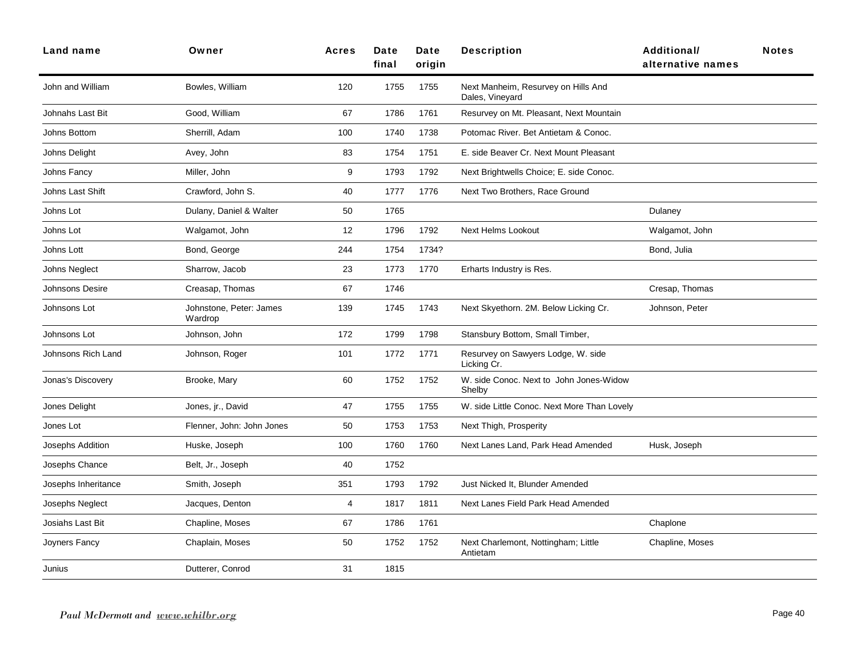| <b>Land name</b>    | Owner                              | <b>Acres</b> | Date<br>final | Date<br>origin | <b>Description</b>                                     | <b>Additional/</b><br>alternative names | <b>Notes</b> |
|---------------------|------------------------------------|--------------|---------------|----------------|--------------------------------------------------------|-----------------------------------------|--------------|
| John and William    | Bowles, William                    | 120          | 1755          | 1755           | Next Manheim, Resurvey on Hills And<br>Dales, Vineyard |                                         |              |
| Johnahs Last Bit    | Good, William                      | 67           | 1786          | 1761           | Resurvey on Mt. Pleasant, Next Mountain                |                                         |              |
| Johns Bottom        | Sherrill, Adam                     | 100          | 1740          | 1738           | Potomac River. Bet Antietam & Conoc.                   |                                         |              |
| Johns Delight       | Avey, John                         | 83           | 1754          | 1751           | E. side Beaver Cr. Next Mount Pleasant                 |                                         |              |
| Johns Fancy         | Miller, John                       | 9            | 1793          | 1792           | Next Brightwells Choice; E. side Conoc.                |                                         |              |
| Johns Last Shift    | Crawford, John S.                  | 40           | 1777          | 1776           | Next Two Brothers, Race Ground                         |                                         |              |
| Johns Lot           | Dulany, Daniel & Walter            | 50           | 1765          |                |                                                        | Dulaney                                 |              |
| Johns Lot           | Walgamot, John                     | 12           | 1796          | 1792           | <b>Next Helms Lookout</b>                              | Walgamot, John                          |              |
| Johns Lott          | Bond, George                       | 244          | 1754          | 1734?          |                                                        | Bond, Julia                             |              |
| Johns Neglect       | Sharrow, Jacob                     | 23           | 1773          | 1770           | Erharts Industry is Res.                               |                                         |              |
| Johnsons Desire     | Creasap, Thomas                    | 67           | 1746          |                |                                                        | Cresap, Thomas                          |              |
| Johnsons Lot        | Johnstone, Peter: James<br>Wardrop | 139          | 1745          | 1743           | Next Skyethorn. 2M. Below Licking Cr.                  | Johnson, Peter                          |              |
| Johnsons Lot        | Johnson, John                      | 172          | 1799          | 1798           | Stansbury Bottom, Small Timber,                        |                                         |              |
| Johnsons Rich Land  | Johnson, Roger                     | 101          | 1772          | 1771           | Resurvey on Sawyers Lodge, W. side<br>Licking Cr.      |                                         |              |
| Jonas's Discovery   | Brooke, Mary                       | 60           | 1752          | 1752           | W. side Conoc. Next to John Jones-Widow<br>Shelby      |                                         |              |
| Jones Delight       | Jones, jr., David                  | 47           | 1755          | 1755           | W. side Little Conoc. Next More Than Lovely            |                                         |              |
| Jones Lot           | Flenner, John: John Jones          | 50           | 1753          | 1753           | Next Thigh, Prosperity                                 |                                         |              |
| Josephs Addition    | Huske, Joseph                      | 100          | 1760          | 1760           | Next Lanes Land, Park Head Amended                     | Husk, Joseph                            |              |
| Josephs Chance      | Belt, Jr., Joseph                  | 40           | 1752          |                |                                                        |                                         |              |
| Josephs Inheritance | Smith, Joseph                      | 351          | 1793          | 1792           | Just Nicked It, Blunder Amended                        |                                         |              |
| Josephs Neglect     | Jacques, Denton                    | 4            | 1817          | 1811           | Next Lanes Field Park Head Amended                     |                                         |              |
| Josiahs Last Bit    | Chapline, Moses                    | 67           | 1786          | 1761           |                                                        | Chaplone                                |              |
| Joyners Fancy       | Chaplain, Moses                    | 50           | 1752          | 1752           | Next Charlemont, Nottingham; Little<br>Antietam        | Chapline, Moses                         |              |
| Junius              | Dutterer, Conrod                   | 31           | 1815          |                |                                                        |                                         |              |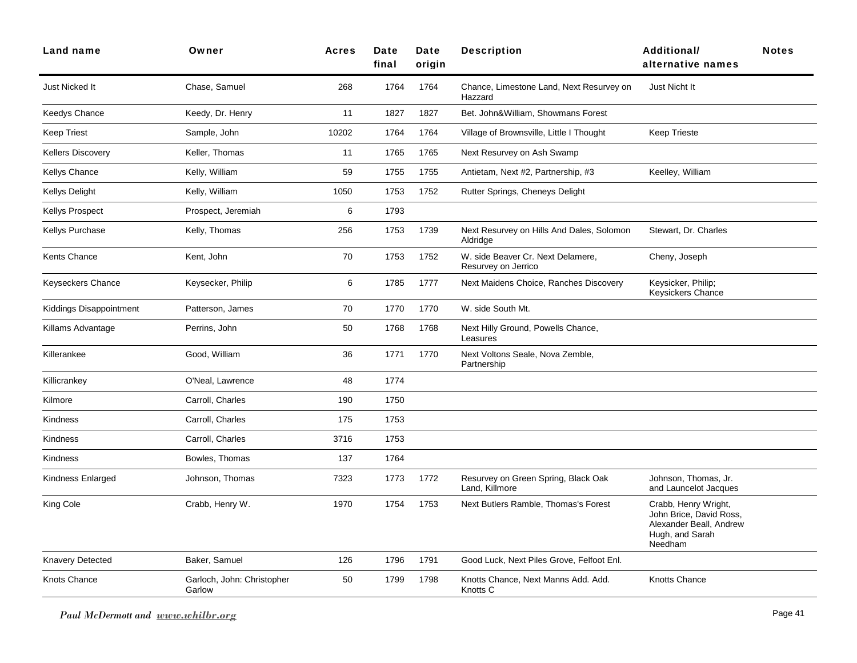| Land name                      | Owner                                | <b>Acres</b> | Date<br>final | Date<br>origin | <b>Description</b>                                       | Additional/<br>alternative names                                                                         | <b>Notes</b> |
|--------------------------------|--------------------------------------|--------------|---------------|----------------|----------------------------------------------------------|----------------------------------------------------------------------------------------------------------|--------------|
| Just Nicked It                 | Chase, Samuel                        | 268          | 1764          | 1764           | Chance, Limestone Land, Next Resurvey on<br>Hazzard      | Just Nicht It                                                                                            |              |
| Keedys Chance                  | Keedy, Dr. Henry                     | 11           | 1827          | 1827           | Bet. John&William, Showmans Forest                       |                                                                                                          |              |
| <b>Keep Triest</b>             | Sample, John                         | 10202        | 1764          | 1764           | Village of Brownsville, Little I Thought                 | <b>Keep Trieste</b>                                                                                      |              |
| <b>Kellers Discovery</b>       | Keller, Thomas                       | 11           | 1765          | 1765           | Next Resurvey on Ash Swamp                               |                                                                                                          |              |
| Kellys Chance                  | Kelly, William                       | 59           | 1755          | 1755           | Antietam, Next #2, Partnership, #3                       | Keelley, William                                                                                         |              |
| Kellys Delight                 | Kelly, William                       | 1050         | 1753          | 1752           | Rutter Springs, Cheneys Delight                          |                                                                                                          |              |
| <b>Kellys Prospect</b>         | Prospect, Jeremiah                   | 6            | 1793          |                |                                                          |                                                                                                          |              |
| Kellys Purchase                | Kelly, Thomas                        | 256          | 1753          | 1739           | Next Resurvey on Hills And Dales, Solomon<br>Aldridge    | Stewart, Dr. Charles                                                                                     |              |
| Kents Chance                   | Kent, John                           | 70           | 1753          | 1752           | W. side Beaver Cr. Next Delamere,<br>Resurvey on Jerrico | Cheny, Joseph                                                                                            |              |
| <b>Keyseckers Chance</b>       | Keysecker, Philip                    | 6            | 1785          | 1777           | Next Maidens Choice, Ranches Discovery                   | Keysicker, Philip;<br>Keysickers Chance                                                                  |              |
| <b>Kiddings Disappointment</b> | Patterson, James                     | 70           | 1770          | 1770           | W. side South Mt.                                        |                                                                                                          |              |
| Killams Advantage              | Perrins, John                        | 50           | 1768          | 1768           | Next Hilly Ground, Powells Chance,<br>Leasures           |                                                                                                          |              |
| Killerankee                    | Good, William                        | 36           | 1771          | 1770           | Next Voltons Seale, Nova Zemble,<br>Partnership          |                                                                                                          |              |
| Killicrankey                   | O'Neal, Lawrence                     | 48           | 1774          |                |                                                          |                                                                                                          |              |
| Kilmore                        | Carroll, Charles                     | 190          | 1750          |                |                                                          |                                                                                                          |              |
| Kindness                       | Carroll, Charles                     | 175          | 1753          |                |                                                          |                                                                                                          |              |
| <b>Kindness</b>                | Carroll, Charles                     | 3716         | 1753          |                |                                                          |                                                                                                          |              |
| <b>Kindness</b>                | Bowles, Thomas                       | 137          | 1764          |                |                                                          |                                                                                                          |              |
| Kindness Enlarged              | Johnson, Thomas                      | 7323         | 1773          | 1772           | Resurvey on Green Spring, Black Oak<br>Land, Killmore    | Johnson, Thomas, Jr.<br>and Launcelot Jacques                                                            |              |
| King Cole                      | Crabb, Henry W.                      | 1970         | 1754          | 1753           | Next Butlers Ramble, Thomas's Forest                     | Crabb, Henry Wright,<br>John Brice, David Ross,<br>Alexander Beall, Andrew<br>Hugh, and Sarah<br>Needham |              |
| Knavery Detected               | Baker, Samuel                        | 126          | 1796          | 1791           | Good Luck, Next Piles Grove, Felfoot Enl.                |                                                                                                          |              |
| Knots Chance                   | Garloch, John: Christopher<br>Garlow | 50           | 1799          | 1798           | Knotts Chance, Next Manns Add. Add.<br>Knotts C          | Knotts Chance                                                                                            |              |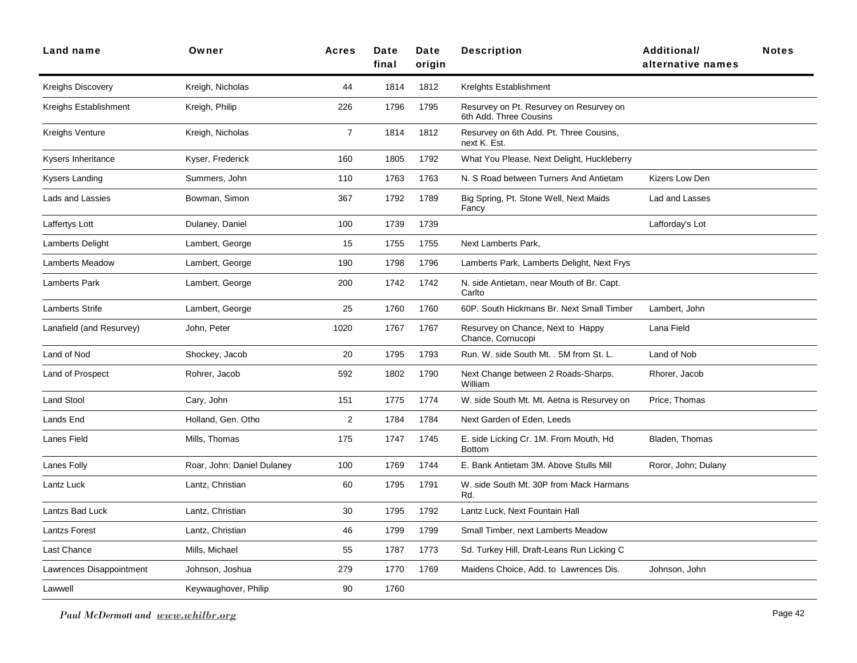| <b>Land name</b>         | Owner                      | <b>Acres</b>   | Date<br>final | Date<br>origin | <b>Description</b>                                                | <b>Additional/</b><br>alternative names | <b>Notes</b> |
|--------------------------|----------------------------|----------------|---------------|----------------|-------------------------------------------------------------------|-----------------------------------------|--------------|
| <b>Kreighs Discovery</b> | Kreigh, Nicholas           | 44             | 1814          | 1812           | Krelghts Establishment                                            |                                         |              |
| Kreighs Establishment    | Kreigh, Philip             | 226            | 1796          | 1795           | Resurvey on Pt. Resurvey on Resurvey on<br>6th Add. Three Cousins |                                         |              |
| Kreighs Venture          | Kreigh, Nicholas           | $\overline{7}$ | 1814          | 1812           | Resurvey on 6th Add. Pt. Three Cousins,<br>next K. Est.           |                                         |              |
| Kysers Inheritance       | Kyser, Frederick           | 160            | 1805          | 1792           | What You Please, Next Delight, Huckleberry                        |                                         |              |
| Kysers Landing           | Summers, John              | 110            | 1763          | 1763           | N. S Road between Turners And Antietam                            | Kizers Low Den                          |              |
| Lads and Lassies         | Bowman, Simon              | 367            | 1792          | 1789           | Big Spring, Pt. Stone Well, Next Maids<br>Fancy                   | Lad and Lasses                          |              |
| Laffertys Lott           | Dulaney, Daniel            | 100            | 1739          | 1739           |                                                                   | Lafforday's Lot                         |              |
| Lamberts Delight         | Lambert, George            | 15             | 1755          | 1755           | Next Lamberts Park,                                               |                                         |              |
| <b>Lamberts Meadow</b>   | Lambert, George            | 190            | 1798          | 1796           | Lamberts Park, Lamberts Delight, Next Frys                        |                                         |              |
| <b>Lamberts Park</b>     | Lambert, George            | 200            | 1742          | 1742           | N. side Antietam, near Mouth of Br. Capt.<br>Carlto               |                                         |              |
| Lamberts Strife          | Lambert, George            | 25             | 1760          | 1760           | 60P. South Hickmans Br. Next Small Timber                         | Lambert, John                           |              |
| Lanafield (and Resurvey) | John, Peter                | 1020           | 1767          | 1767           | Resurvey on Chance, Next to Happy<br>Chance, Cornucopi            | Lana Field                              |              |
| Land of Nod              | Shockey, Jacob             | 20             | 1795          | 1793           | Run. W. side South Mt. . 5M from St. L.                           | Land of Nob                             |              |
| Land of Prospect         | Rohrer, Jacob              | 592            | 1802          | 1790           | Next Change between 2 Roads-Sharps.<br>William                    | Rhorer, Jacob                           |              |
| Land Stool               | Cary, John                 | 151            | 1775          | 1774           | W. side South Mt. Mt. Aetna is Resurvey on                        | Price, Thomas                           |              |
| Lands End                | Holland, Gen. Otho         | 2              | 1784          | 1784           | Next Garden of Eden. Leeds                                        |                                         |              |
| Lanes Field              | Mills, Thomas              | 175            | 1747          | 1745           | E. side Licking Cr. 1M. From Mouth, Hd<br><b>Bottom</b>           | Bladen, Thomas                          |              |
| Lanes Folly              | Roar, John: Daniel Dulaney | 100            | 1769          | 1744           | E. Bank Antietam 3M. Above Stulls Mill                            | Roror, John; Dulany                     |              |
| Lantz Luck               | Lantz, Christian           | 60             | 1795          | 1791           | W. side South Mt. 30P from Mack Harmans<br>Rd.                    |                                         |              |
| Lantzs Bad Luck          | Lantz, Christian           | 30             | 1795          | 1792           | Lantz Luck, Next Fountain Hall                                    |                                         |              |
| <b>Lantzs Forest</b>     | Lantz, Christian           | 46             | 1799          | 1799           | Small Timber, next Lamberts Meadow                                |                                         |              |
| Last Chance              | Mills, Michael             | 55             | 1787          | 1773           | Sd. Turkey Hill, Draft-Leans Run Licking C                        |                                         |              |
| Lawrences Disappointment | Johnson, Joshua            | 279            | 1770          | 1769           | Maidens Choice, Add. to Lawrences Dis.                            | Johnson, John                           |              |
| Lawwell                  | Keywaughover, Philip       | 90             | 1760          |                |                                                                   |                                         |              |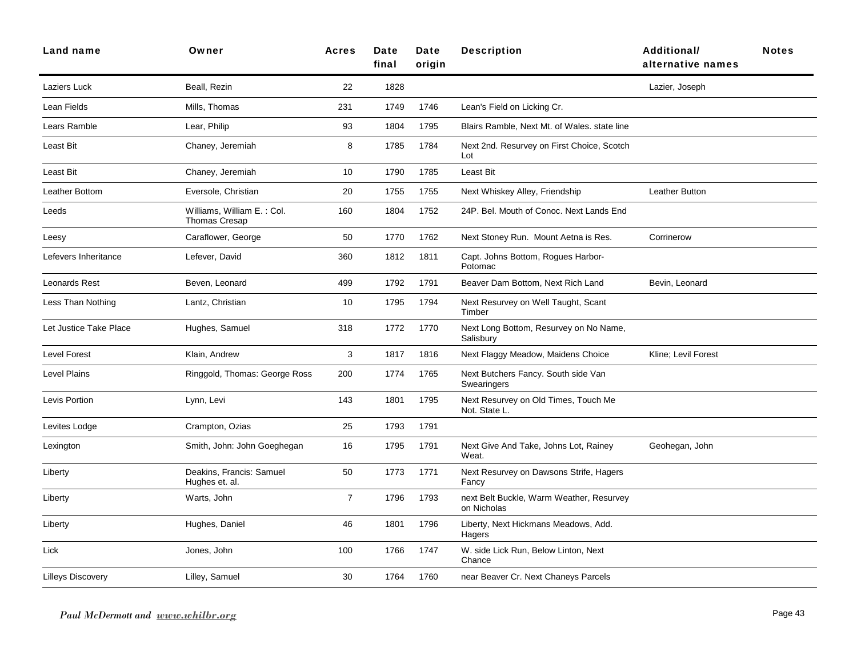| Land name              | Owner                                              | <b>Acres</b>   | Date<br>final | Date<br>origin | <b>Description</b>                                      | <b>Additional/</b><br>alternative names | <b>Notes</b> |
|------------------------|----------------------------------------------------|----------------|---------------|----------------|---------------------------------------------------------|-----------------------------------------|--------------|
| Laziers Luck           | Beall, Rezin                                       | 22             | 1828          |                |                                                         | Lazier, Joseph                          |              |
| Lean Fields            | Mills, Thomas                                      | 231            | 1749          | 1746           | Lean's Field on Licking Cr.                             |                                         |              |
| Lears Ramble           | Lear, Philip                                       | 93             | 1804          | 1795           | Blairs Ramble, Next Mt. of Wales. state line            |                                         |              |
| Least Bit              | Chaney, Jeremiah                                   | 8              | 1785          | 1784           | Next 2nd. Resurvey on First Choice, Scotch<br>Lot       |                                         |              |
| Least Bit              | Chaney, Jeremiah                                   | 10             | 1790          | 1785           | Least Bit                                               |                                         |              |
| Leather Bottom         | Eversole, Christian                                | 20             | 1755          | 1755           | Next Whiskey Alley, Friendship                          | Leather Button                          |              |
| Leeds                  | Williams, William E.: Col.<br><b>Thomas Cresap</b> | 160            | 1804          | 1752           | 24P. Bel. Mouth of Conoc. Next Lands End                |                                         |              |
| Leesy                  | Caraflower, George                                 | 50             | 1770          | 1762           | Next Stoney Run. Mount Aetna is Res.                    | Corrinerow                              |              |
| Lefevers Inheritance   | Lefever, David                                     | 360            | 1812          | 1811           | Capt. Johns Bottom, Rogues Harbor-<br>Potomac           |                                         |              |
| Leonards Rest          | Beven, Leonard                                     | 499            | 1792          | 1791           | Beaver Dam Bottom, Next Rich Land                       | Bevin, Leonard                          |              |
| Less Than Nothing      | Lantz, Christian                                   | 10             | 1795          | 1794           | Next Resurvey on Well Taught, Scant<br>Timber           |                                         |              |
| Let Justice Take Place | Hughes, Samuel                                     | 318            | 1772          | 1770           | Next Long Bottom, Resurvey on No Name,<br>Salisbury     |                                         |              |
| <b>Level Forest</b>    | Klain, Andrew                                      | 3              | 1817          | 1816           | Next Flaggy Meadow, Maidens Choice                      | Kline; Levil Forest                     |              |
| <b>Level Plains</b>    | Ringgold, Thomas: George Ross                      | 200            | 1774          | 1765           | Next Butchers Fancy. South side Van<br>Swearingers      |                                         |              |
| Levis Portion          | Lynn, Levi                                         | 143            | 1801          | 1795           | Next Resurvey on Old Times, Touch Me<br>Not. State L.   |                                         |              |
| Levites Lodge          | Crampton, Ozias                                    | 25             | 1793          | 1791           |                                                         |                                         |              |
| Lexington              | Smith, John: John Goeghegan                        | 16             | 1795          | 1791           | Next Give And Take, Johns Lot, Rainey<br>Weat.          | Geohegan, John                          |              |
| Liberty                | Deakins, Francis: Samuel<br>Hughes et. al.         | 50             | 1773          | 1771           | Next Resurvey on Dawsons Strife, Hagers<br>Fancy        |                                         |              |
| Liberty                | Warts, John                                        | $\overline{7}$ | 1796          | 1793           | next Belt Buckle, Warm Weather, Resurvey<br>on Nicholas |                                         |              |
| Liberty                | Hughes, Daniel                                     | 46             | 1801          | 1796           | Liberty, Next Hickmans Meadows, Add.<br>Hagers          |                                         |              |
| Lick                   | Jones, John                                        | 100            | 1766          | 1747           | W. side Lick Run, Below Linton, Next<br>Chance          |                                         |              |
| Lilleys Discovery      | Lilley, Samuel                                     | 30             | 1764          | 1760           | near Beaver Cr. Next Chaneys Parcels                    |                                         |              |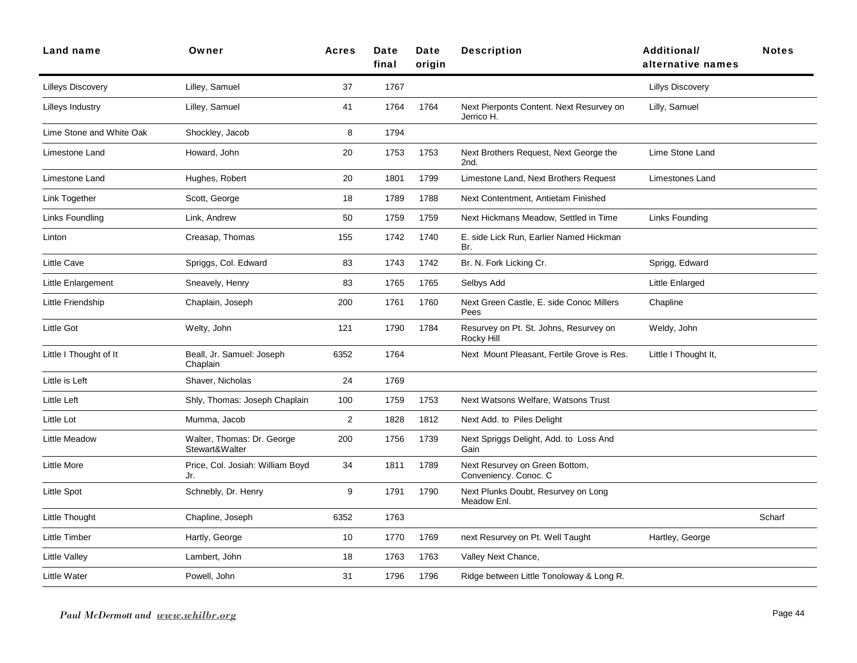| <b>Land name</b>          | Owner                                        | <b>Acres</b>   | Date<br>final | Date<br>origin | <b>Description</b>                                      | Additional/<br>alternative names | <b>Notes</b> |
|---------------------------|----------------------------------------------|----------------|---------------|----------------|---------------------------------------------------------|----------------------------------|--------------|
| <b>Lilleys Discovery</b>  | Lilley, Samuel                               | 37             | 1767          |                |                                                         | <b>Lillys Discovery</b>          |              |
| Lilleys Industry          | Lilley, Samuel                               | 41             | 1764          | 1764           | Next Pierponts Content. Next Resurvey on<br>Jerrico H.  | Lilly, Samuel                    |              |
| Lime Stone and White Oak  | Shockley, Jacob                              | 8              | 1794          |                |                                                         |                                  |              |
| Limestone Land            | Howard, John                                 | 20             | 1753          | 1753           | Next Brothers Request, Next George the<br>2nd.          | Lime Stone Land                  |              |
| Limestone Land            | Hughes, Robert                               | 20             | 1801          | 1799           | Limestone Land, Next Brothers Request                   | Limestones Land                  |              |
| Link Together             | Scott, George                                | 18             | 1789          | 1788           | Next Contentment, Antietam Finished                     |                                  |              |
| Links Foundling           | Link, Andrew                                 | 50             | 1759          | 1759           | Next Hickmans Meadow, Settled in Time                   | <b>Links Founding</b>            |              |
| Linton                    | Creasap, Thomas                              | 155            | 1742          | 1740           | E. side Lick Run, Earlier Named Hickman<br>Br.          |                                  |              |
| Little Cave               | Spriggs, Col. Edward                         | 83             | 1743          | 1742           | Br. N. Fork Licking Cr.                                 | Sprigg, Edward                   |              |
| <b>Little Enlargement</b> | Sneavely, Henry                              | 83             | 1765          | 1765           | Selbys Add                                              | <b>Little Enlarged</b>           |              |
| Little Friendship         | Chaplain, Joseph                             | 200            | 1761          | 1760           | Next Green Castle, E. side Conoc Millers<br>Pees        | Chapline                         |              |
| Little Got                | Welty, John                                  | 121            | 1790          | 1784           | Resurvey on Pt. St. Johns, Resurvey on<br>Rocky Hill    | Weldy, John                      |              |
| Little I Thought of It    | Beall, Jr. Samuel: Joseph<br>Chaplain        | 6352           | 1764          |                | Next Mount Pleasant, Fertile Grove is Res.              | Little I Thought It,             |              |
| Little is Left            | Shaver, Nicholas                             | 24             | 1769          |                |                                                         |                                  |              |
| Little Left               | Shly, Thomas: Joseph Chaplain                | 100            | 1759          | 1753           | Next Watsons Welfare, Watsons Trust                     |                                  |              |
| Little Lot                | Mumma, Jacob                                 | $\overline{2}$ | 1828          | 1812           | Next Add. to Piles Delight                              |                                  |              |
| Little Meadow             | Walter, Thomas: Dr. George<br>Stewart&Walter | 200            | 1756          | 1739           | Next Spriggs Delight, Add. to Loss And<br>Gain          |                                  |              |
| <b>Little More</b>        | Price, Col. Josiah: William Boyd<br>Jr.      | 34             | 1811          | 1789           | Next Resurvey on Green Bottom,<br>Conveniency. Conoc. C |                                  |              |
| Little Spot               | Schnebly, Dr. Henry                          | 9              | 1791          | 1790           | Next Plunks Doubt, Resurvey on Long<br>Meadow Enl.      |                                  |              |
| Little Thought            | Chapline, Joseph                             | 6352           | 1763          |                |                                                         |                                  | Scharf       |
| <b>Little Timber</b>      | Hartly, George                               | 10             | 1770          | 1769           | next Resurvey on Pt. Well Taught                        | Hartley, George                  |              |
| <b>Little Valley</b>      | Lambert, John                                | 18             | 1763          | 1763           | Valley Next Chance,                                     |                                  |              |
| Little Water              | Powell, John                                 | 31             | 1796          | 1796           | Ridge between Little Tonoloway & Long R.                |                                  |              |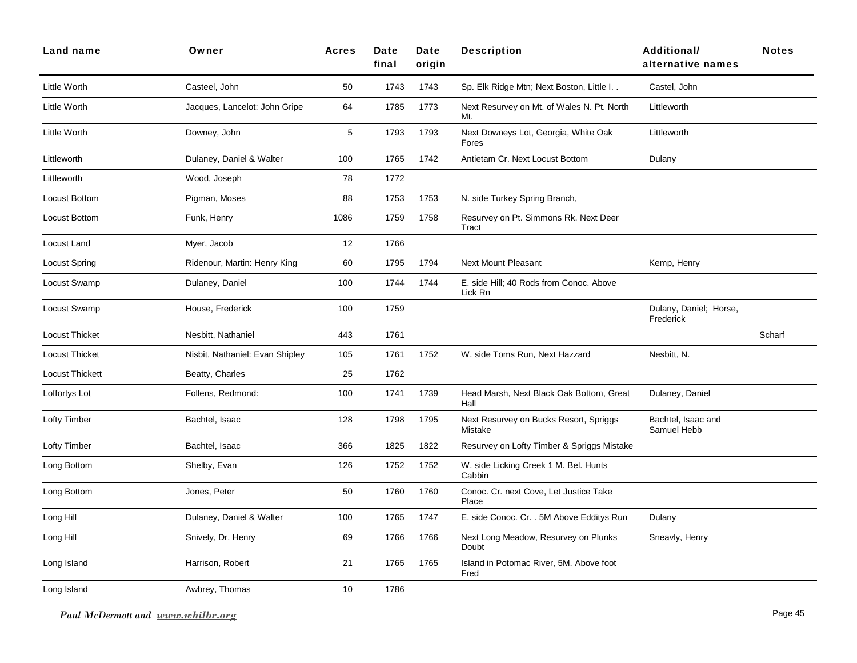| Land name             | Owner                           | <b>Acres</b> | Date<br>final | Date<br>origin | <b>Description</b>                                 | <b>Additional/</b><br>alternative names | <b>Notes</b> |
|-----------------------|---------------------------------|--------------|---------------|----------------|----------------------------------------------------|-----------------------------------------|--------------|
| Little Worth          | Casteel, John                   | 50           | 1743          | 1743           | Sp. Elk Ridge Mtn; Next Boston, Little I           | Castel, John                            |              |
| Little Worth          | Jacques, Lancelot: John Gripe   | 64           | 1785          | 1773           | Next Resurvey on Mt. of Wales N. Pt. North<br>Mt.  | Littleworth                             |              |
| Little Worth          | Downey, John                    | 5            | 1793          | 1793           | Next Downeys Lot, Georgia, White Oak<br>Fores      | Littleworth                             |              |
| Littleworth           | Dulaney, Daniel & Walter        | 100          | 1765          | 1742           | Antietam Cr. Next Locust Bottom                    | Dulany                                  |              |
| Littleworth           | Wood, Joseph                    | 78           | 1772          |                |                                                    |                                         |              |
| Locust Bottom         | Pigman, Moses                   | 88           | 1753          | 1753           | N. side Turkey Spring Branch,                      |                                         |              |
| Locust Bottom         | Funk, Henry                     | 1086         | 1759          | 1758           | Resurvey on Pt. Simmons Rk. Next Deer<br>Tract     |                                         |              |
| Locust Land           | Myer, Jacob                     | 12           | 1766          |                |                                                    |                                         |              |
| <b>Locust Spring</b>  | Ridenour, Martin: Henry King    | 60           | 1795          | 1794           | <b>Next Mount Pleasant</b>                         | Kemp, Henry                             |              |
| Locust Swamp          | Dulaney, Daniel                 | 100          | 1744          | 1744           | E. side Hill; 40 Rods from Conoc. Above<br>Lick Rn |                                         |              |
| Locust Swamp          | House, Frederick                | 100          | 1759          |                |                                                    | Dulany, Daniel; Horse,<br>Frederick     |              |
| <b>Locust Thicket</b> | Nesbitt, Nathaniel              | 443          | 1761          |                |                                                    |                                         | Scharf       |
| <b>Locust Thicket</b> | Nisbit, Nathaniel: Evan Shipley | 105          | 1761          | 1752           | W. side Toms Run, Next Hazzard                     | Nesbitt, N.                             |              |
| Locust Thickett       | Beatty, Charles                 | 25           | 1762          |                |                                                    |                                         |              |
| Loffortys Lot         | Follens, Redmond:               | 100          | 1741          | 1739           | Head Marsh, Next Black Oak Bottom, Great<br>Hall   | Dulaney, Daniel                         |              |
| Lofty Timber          | Bachtel, Isaac                  | 128          | 1798          | 1795           | Next Resurvey on Bucks Resort, Spriggs<br>Mistake  | Bachtel, Isaac and<br>Samuel Hebb       |              |
| Lofty Timber          | Bachtel, Isaac                  | 366          | 1825          | 1822           | Resurvey on Lofty Timber & Spriggs Mistake         |                                         |              |
| Long Bottom           | Shelby, Evan                    | 126          | 1752          | 1752           | W. side Licking Creek 1 M. Bel. Hunts<br>Cabbin    |                                         |              |
| Long Bottom           | Jones, Peter                    | 50           | 1760          | 1760           | Conoc. Cr. next Cove, Let Justice Take<br>Place    |                                         |              |
| Long Hill             | Dulaney, Daniel & Walter        | 100          | 1765          | 1747           | E. side Conoc. Cr. . 5M Above Edditys Run          | Dulany                                  |              |
| Long Hill             | Snively, Dr. Henry              | 69           | 1766          | 1766           | Next Long Meadow, Resurvey on Plunks<br>Doubt      | Sneavly, Henry                          |              |
| Long Island           | Harrison, Robert                | 21           | 1765          | 1765           | Island in Potomac River, 5M. Above foot<br>Fred    |                                         |              |
| Long Island           | Awbrey, Thomas                  | 10           | 1786          |                |                                                    |                                         |              |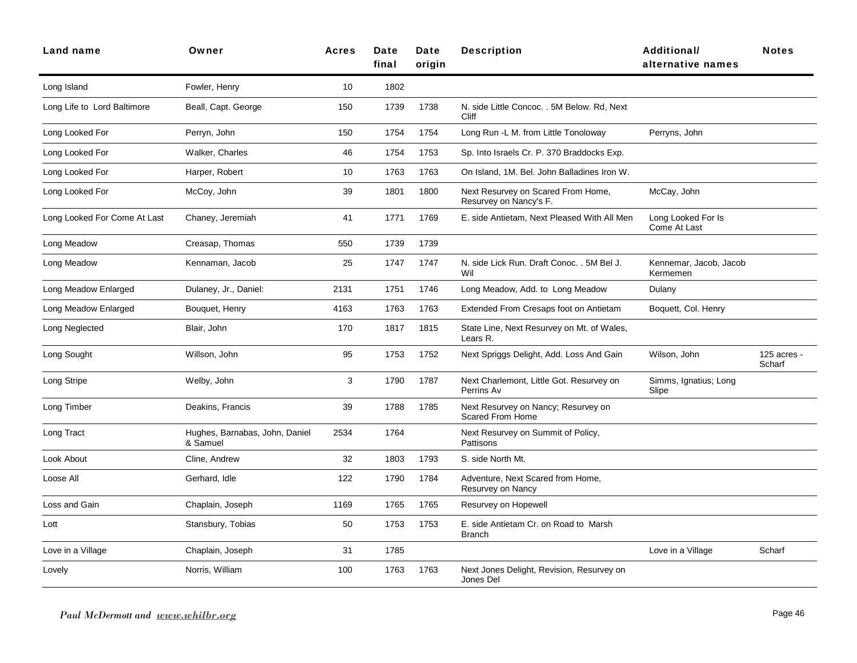| Land name                    | Owner                                      | <b>Acres</b> | Date<br>final | Date<br>origin | <b>Description</b>                                             | <b>Additional/</b><br>alternative names | <b>Notes</b>          |
|------------------------------|--------------------------------------------|--------------|---------------|----------------|----------------------------------------------------------------|-----------------------------------------|-----------------------|
| Long Island                  | Fowler, Henry                              | 10           | 1802          |                |                                                                |                                         |                       |
| Long Life to Lord Baltimore  | Beall, Capt. George                        | 150          | 1739          | 1738           | N. side Little Concoc. . 5M Below. Rd, Next<br>Cliff           |                                         |                       |
| Long Looked For              | Perryn, John                               | 150          | 1754          | 1754           | Long Run -L M. from Little Tonoloway                           | Perryns, John                           |                       |
| Long Looked For              | Walker, Charles                            | 46           | 1754          | 1753           | Sp. Into Israels Cr. P. 370 Braddocks Exp.                     |                                         |                       |
| Long Looked For              | Harper, Robert                             | 10           | 1763          | 1763           | On Island, 1M. Bel. John Balladines Iron W.                    |                                         |                       |
| Long Looked For              | McCoy, John                                | 39           | 1801          | 1800           | Next Resurvey on Scared From Home,<br>Resurvey on Nancy's F.   | McCay, John                             |                       |
| Long Looked For Come At Last | Chaney, Jeremiah                           | 41           | 1771          | 1769           | E. side Antietam, Next Pleased With All Men                    | Long Looked For Is<br>Come At Last      |                       |
| Long Meadow                  | Creasap, Thomas                            | 550          | 1739          | 1739           |                                                                |                                         |                       |
| Long Meadow                  | Kennaman, Jacob                            | 25           | 1747          | 1747           | N. side Lick Run. Draft Conoc. . 5M Bel J.<br>Wil              | Kennemar, Jacob, Jacob<br>Kermemen      |                       |
| Long Meadow Enlarged         | Dulaney, Jr., Daniel:                      | 2131         | 1751          | 1746           | Long Meadow, Add. to Long Meadow                               | Dulany                                  |                       |
| Long Meadow Enlarged         | Bouquet, Henry                             | 4163         | 1763          | 1763           | Extended From Cresaps foot on Antietam                         | Boquett, Col. Henry                     |                       |
| Long Neglected               | Blair, John                                | 170          | 1817          | 1815           | State Line, Next Resurvey on Mt. of Wales,<br>Lears R.         |                                         |                       |
| Long Sought                  | Willson, John                              | 95           | 1753          | 1752           | Next Spriggs Delight, Add. Loss And Gain                       | Wilson, John                            | 125 acres -<br>Scharf |
| Long Stripe                  | Welby, John                                | 3            | 1790          | 1787           | Next Charlemont, Little Got. Resurvey on<br>Perrins Av         | Simms, Ignatius; Long<br>Slipe          |                       |
| Long Timber                  | Deakins, Francis                           | 39           | 1788          | 1785           | Next Resurvey on Nancy; Resurvey on<br><b>Scared From Home</b> |                                         |                       |
| Long Tract                   | Hughes, Barnabas, John, Daniel<br>& Samuel | 2534         | 1764          |                | Next Resurvey on Summit of Policy,<br>Pattisons                |                                         |                       |
| Look About                   | Cline, Andrew                              | 32           | 1803          | 1793           | S. side North Mt.                                              |                                         |                       |
| Loose All                    | Gerhard, Idle                              | 122          | 1790          | 1784           | Adventure, Next Scared from Home,<br>Resurvey on Nancy         |                                         |                       |
| Loss and Gain                | Chaplain, Joseph                           | 1169         | 1765          | 1765           | Resurvey on Hopewell                                           |                                         |                       |
| Lott                         | Stansbury, Tobias                          | 50           | 1753          | 1753           | E. side Antietam Cr. on Road to Marsh<br><b>Branch</b>         |                                         |                       |
| Love in a Village            | Chaplain, Joseph                           | 31           | 1785          |                |                                                                | Love in a Village                       | Scharf                |
| Lovely                       | Norris, William                            | 100          | 1763          | 1763           | Next Jones Delight, Revision, Resurvey on<br>Jones Del         |                                         |                       |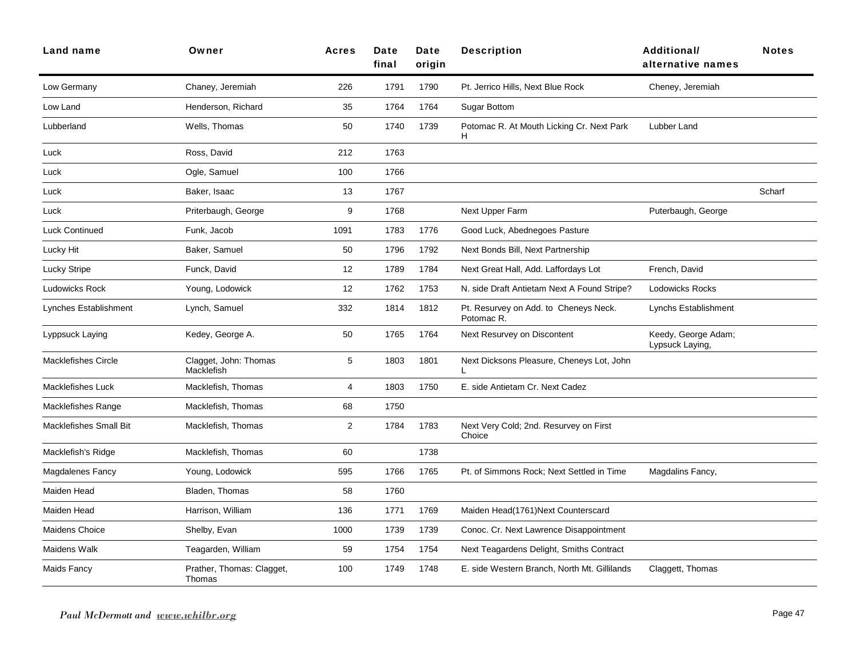| <b>Land name</b>              | Owner                               | <b>Acres</b> | Date<br>final | Date<br>origin | <b>Description</b>                                  | <b>Additional/</b><br>alternative names | <b>Notes</b> |
|-------------------------------|-------------------------------------|--------------|---------------|----------------|-----------------------------------------------------|-----------------------------------------|--------------|
| Low Germany                   | Chaney, Jeremiah                    | 226          | 1791          | 1790           | Pt. Jerrico Hills, Next Blue Rock                   | Cheney, Jeremiah                        |              |
| Low Land                      | Henderson, Richard                  | 35           | 1764          | 1764           | <b>Sugar Bottom</b>                                 |                                         |              |
| Lubberland                    | Wells, Thomas                       | 50           | 1740          | 1739           | Potomac R. At Mouth Licking Cr. Next Park<br>H.     | Lubber Land                             |              |
| Luck                          | Ross, David                         | 212          | 1763          |                |                                                     |                                         |              |
| Luck                          | Ogle, Samuel                        | 100          | 1766          |                |                                                     |                                         |              |
| Luck                          | Baker, Isaac                        | 13           | 1767          |                |                                                     |                                         | Scharf       |
| Luck                          | Priterbaugh, George                 | 9            | 1768          |                | Next Upper Farm                                     | Puterbaugh, George                      |              |
| <b>Luck Continued</b>         | Funk, Jacob                         | 1091         | 1783          | 1776           | Good Luck, Abednegoes Pasture                       |                                         |              |
| Lucky Hit                     | Baker, Samuel                       | 50           | 1796          | 1792           | Next Bonds Bill, Next Partnership                   |                                         |              |
| Lucky Stripe                  | Funck, David                        | 12           | 1789          | 1784           | Next Great Hall, Add. Laffordays Lot                | French, David                           |              |
| Ludowicks Rock                | Young, Lodowick                     | 12           | 1762          | 1753           | N. side Draft Antietam Next A Found Stripe?         | <b>Lodowicks Rocks</b>                  |              |
| Lynches Establishment         | Lynch, Samuel                       | 332          | 1814          | 1812           | Pt. Resurvey on Add. to Cheneys Neck.<br>Potomac R. | Lynchs Establishment                    |              |
| Lyppsuck Laying               | Kedey, George A.                    | 50           | 1765          | 1764           | Next Resurvey on Discontent                         | Keedy, George Adam;<br>Lypsuck Laying,  |              |
| <b>Macklefishes Circle</b>    | Clagget, John: Thomas<br>Macklefish | 5            | 1803          | 1801           | Next Dicksons Pleasure, Cheneys Lot, John           |                                         |              |
| <b>Macklefishes Luck</b>      | Macklefish, Thomas                  | 4            | 1803          | 1750           | E. side Antietam Cr. Next Cadez                     |                                         |              |
| <b>Macklefishes Range</b>     | Macklefish, Thomas                  | 68           | 1750          |                |                                                     |                                         |              |
| <b>Macklefishes Small Bit</b> | Macklefish, Thomas                  | 2            | 1784          | 1783           | Next Very Cold; 2nd. Resurvey on First<br>Choice    |                                         |              |
| Macklefish's Ridge            | Macklefish, Thomas                  | 60           |               | 1738           |                                                     |                                         |              |
| <b>Magdalenes Fancy</b>       | Young, Lodowick                     | 595          | 1766          | 1765           | Pt. of Simmons Rock; Next Settled in Time           | Magdalins Fancy,                        |              |
| Maiden Head                   | Bladen, Thomas                      | 58           | 1760          |                |                                                     |                                         |              |
| Maiden Head                   | Harrison, William                   | 136          | 1771          | 1769           | Maiden Head(1761)Next Counterscard                  |                                         |              |
| Maidens Choice                | Shelby, Evan                        | 1000         | 1739          | 1739           | Conoc. Cr. Next Lawrence Disappointment             |                                         |              |
| Maidens Walk                  | Teagarden, William                  | 59           | 1754          | 1754           | Next Teagardens Delight, Smiths Contract            |                                         |              |
| Maids Fancy                   | Prather, Thomas: Clagget,<br>Thomas | 100          | 1749          | 1748           | E. side Western Branch, North Mt. Gillilands        | Claggett, Thomas                        |              |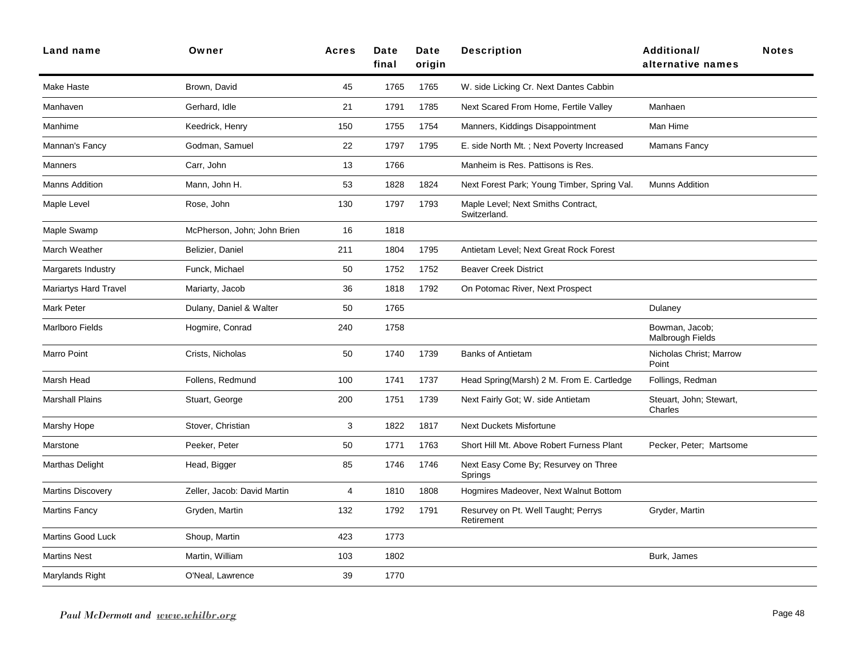| <b>Land name</b>             | Owner                       | <b>Acres</b> | Date<br>final | Date<br>origin | <b>Description</b>                                 | <b>Additional/</b><br><b>Notes</b><br>alternative names |
|------------------------------|-----------------------------|--------------|---------------|----------------|----------------------------------------------------|---------------------------------------------------------|
| Make Haste                   | Brown, David                | 45           | 1765          | 1765           | W. side Licking Cr. Next Dantes Cabbin             |                                                         |
| Manhaven                     | Gerhard, Idle               | 21           | 1791          | 1785           | Next Scared From Home, Fertile Valley              | Manhaen                                                 |
| Manhime                      | Keedrick, Henry             | 150          | 1755          | 1754           | Manners, Kiddings Disappointment                   | Man Hime                                                |
| Mannan's Fancy               | Godman, Samuel              | 22           | 1797          | 1795           | E. side North Mt.; Next Poverty Increased          | Mamans Fancy                                            |
| Manners                      | Carr, John                  | 13           | 1766          |                | Manheim is Res. Pattisons is Res.                  |                                                         |
| <b>Manns Addition</b>        | Mann, John H.               | 53           | 1828          | 1824           | Next Forest Park; Young Timber, Spring Val.        | <b>Munns Addition</b>                                   |
| Maple Level                  | Rose, John                  | 130          | 1797          | 1793           | Maple Level; Next Smiths Contract,<br>Switzerland. |                                                         |
| Maple Swamp                  | McPherson, John; John Brien | 16           | 1818          |                |                                                    |                                                         |
| March Weather                | Belizier, Daniel            | 211          | 1804          | 1795           | Antietam Level: Next Great Rock Forest             |                                                         |
| Margarets Industry           | Funck, Michael              | 50           | 1752          | 1752           | <b>Beaver Creek District</b>                       |                                                         |
| <b>Mariartys Hard Travel</b> | Mariarty, Jacob             | 36           | 1818          | 1792           | On Potomac River, Next Prospect                    |                                                         |
| Mark Peter                   | Dulany, Daniel & Walter     | 50           | 1765          |                |                                                    | Dulaney                                                 |
| <b>Marlboro Fields</b>       | Hogmire, Conrad             | 240          | 1758          |                |                                                    | Bowman, Jacob;<br>Malbrough Fields                      |
| <b>Marro Point</b>           | Crists, Nicholas            | 50           | 1740          | 1739           | <b>Banks of Antietam</b>                           | Nicholas Christ; Marrow<br>Point                        |
| Marsh Head                   | Follens, Redmund            | 100          | 1741          | 1737           | Head Spring(Marsh) 2 M. From E. Cartledge          | Follings, Redman                                        |
| <b>Marshall Plains</b>       | Stuart, George              | 200          | 1751          | 1739           | Next Fairly Got; W. side Antietam                  | Steuart, John; Stewart,<br>Charles                      |
| Marshy Hope                  | Stover, Christian           | 3            | 1822          | 1817           | <b>Next Duckets Misfortune</b>                     |                                                         |
| Marstone                     | Peeker, Peter               | 50           | 1771          | 1763           | Short Hill Mt. Above Robert Furness Plant          | Pecker, Peter; Martsome                                 |
| Marthas Delight              | Head, Bigger                | 85           | 1746          | 1746           | Next Easy Come By; Resurvey on Three<br>Springs    |                                                         |
| <b>Martins Discovery</b>     | Zeller, Jacob: David Martin | 4            | 1810          | 1808           | Hogmires Madeover, Next Walnut Bottom              |                                                         |
| <b>Martins Fancy</b>         | Gryden, Martin              | 132          | 1792          | 1791           | Resurvey on Pt. Well Taught; Perrys<br>Retirement  | Gryder, Martin                                          |
| <b>Martins Good Luck</b>     | Shoup, Martin               | 423          | 1773          |                |                                                    |                                                         |
| <b>Martins Nest</b>          | Martin, William             | 103          | 1802          |                |                                                    | Burk, James                                             |
| Marylands Right              | O'Neal, Lawrence            | 39           | 1770          |                |                                                    |                                                         |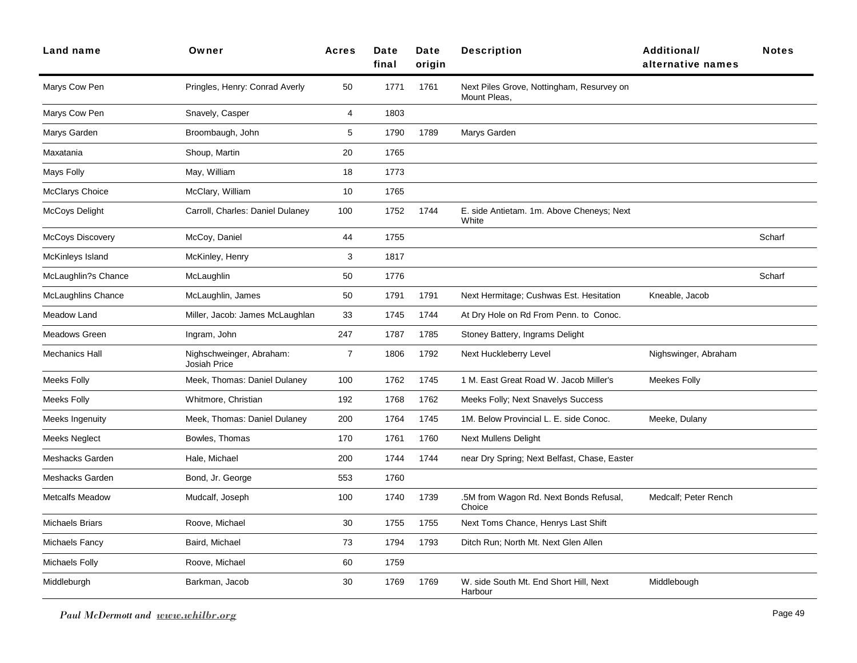| Land name               | Owner                                    | <b>Acres</b>   | Date<br>final | Date<br>origin | <b>Description</b>                                        | <b>Additional/</b><br>alternative names | <b>Notes</b> |
|-------------------------|------------------------------------------|----------------|---------------|----------------|-----------------------------------------------------------|-----------------------------------------|--------------|
| Marys Cow Pen           | Pringles, Henry: Conrad Averly           | 50             | 1771          | 1761           | Next Piles Grove, Nottingham, Resurvey on<br>Mount Pleas, |                                         |              |
| Marys Cow Pen           | Snavely, Casper                          | 4              | 1803          |                |                                                           |                                         |              |
| Marys Garden            | Broombaugh, John                         | 5              | 1790          | 1789           | Marys Garden                                              |                                         |              |
| Maxatania               | Shoup, Martin                            | 20             | 1765          |                |                                                           |                                         |              |
| Mays Folly              | May, William                             | 18             | 1773          |                |                                                           |                                         |              |
| <b>McClarys Choice</b>  | McClary, William                         | 10             | 1765          |                |                                                           |                                         |              |
| McCoys Delight          | Carroll, Charles: Daniel Dulaney         | 100            | 1752          | 1744           | E. side Antietam. 1m. Above Cheneys; Next<br>White        |                                         |              |
| <b>McCoys Discovery</b> | McCoy, Daniel                            | 44             | 1755          |                |                                                           |                                         | Scharf       |
| McKinleys Island        | McKinley, Henry                          | 3              | 1817          |                |                                                           |                                         |              |
| McLaughlin?s Chance     | McLaughlin                               | 50             | 1776          |                |                                                           |                                         | Scharf       |
| McLaughlins Chance      | McLaughlin, James                        | 50             | 1791          | 1791           | Next Hermitage; Cushwas Est. Hesitation                   | Kneable, Jacob                          |              |
| Meadow Land             | Miller, Jacob: James McLaughlan          | 33             | 1745          | 1744           | At Dry Hole on Rd From Penn. to Conoc.                    |                                         |              |
| <b>Meadows Green</b>    | Ingram, John                             | 247            | 1787          | 1785           | Stoney Battery, Ingrams Delight                           |                                         |              |
| Mechanics Hall          | Nighschweinger, Abraham:<br>Josiah Price | $\overline{7}$ | 1806          | 1792           | Next Huckleberry Level                                    | Nighswinger, Abraham                    |              |
| <b>Meeks Folly</b>      | Meek, Thomas: Daniel Dulaney             | 100            | 1762          | 1745           | 1 M. East Great Road W. Jacob Miller's                    | <b>Meekes Folly</b>                     |              |
| Meeks Folly             | Whitmore, Christian                      | 192            | 1768          | 1762           | Meeks Folly; Next Snavelys Success                        |                                         |              |
| Meeks Ingenuity         | Meek, Thomas: Daniel Dulaney             | 200            | 1764          | 1745           | 1M. Below Provincial L. E. side Conoc.                    | Meeke, Dulany                           |              |
| Meeks Neglect           | Bowles, Thomas                           | 170            | 1761          | 1760           | <b>Next Mullens Delight</b>                               |                                         |              |
| Meshacks Garden         | Hale, Michael                            | 200            | 1744          | 1744           | near Dry Spring; Next Belfast, Chase, Easter              |                                         |              |
| Meshacks Garden         | Bond, Jr. George                         | 553            | 1760          |                |                                                           |                                         |              |
| <b>Metcalfs Meadow</b>  | Mudcalf, Joseph                          | 100            | 1740          | 1739           | .5M from Wagon Rd. Next Bonds Refusal,<br>Choice          | Medcalf; Peter Rench                    |              |
| <b>Michaels Briars</b>  | Roove, Michael                           | 30             | 1755          | 1755           | Next Toms Chance, Henrys Last Shift                       |                                         |              |
| Michaels Fancy          | Baird, Michael                           | 73             | 1794          | 1793           | Ditch Run; North Mt. Next Glen Allen                      |                                         |              |
| Michaels Folly          | Roove, Michael                           | 60             | 1759          |                |                                                           |                                         |              |
| Middleburgh             | Barkman, Jacob                           | 30             | 1769          | 1769           | W. side South Mt. End Short Hill, Next<br>Harbour         | Middlebough                             |              |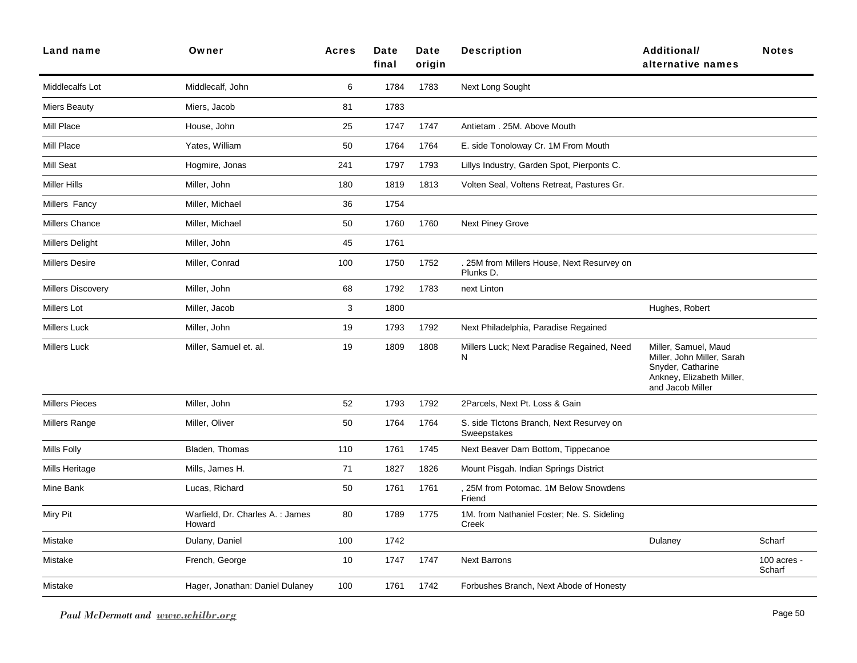| Land name                | Owner                                      | <b>Acres</b> | Date<br>final | Date<br>origin | <b>Description</b>                                      | <b>Additional/</b><br>alternative names                                                                                  | <b>Notes</b>            |
|--------------------------|--------------------------------------------|--------------|---------------|----------------|---------------------------------------------------------|--------------------------------------------------------------------------------------------------------------------------|-------------------------|
| Middlecalfs Lot          | Middlecalf, John                           | 6            | 1784          | 1783           | Next Long Sought                                        |                                                                                                                          |                         |
| <b>Miers Beauty</b>      | Miers, Jacob                               | 81           | 1783          |                |                                                         |                                                                                                                          |                         |
| Mill Place               | House, John                                | 25           | 1747          | 1747           | Antietam . 25M. Above Mouth                             |                                                                                                                          |                         |
| Mill Place               | Yates, William                             | 50           | 1764          | 1764           | E. side Tonoloway Cr. 1M From Mouth                     |                                                                                                                          |                         |
| Mill Seat                | Hogmire, Jonas                             | 241          | 1797          | 1793           | Lillys Industry, Garden Spot, Pierponts C.              |                                                                                                                          |                         |
| <b>Miller Hills</b>      | Miller, John                               | 180          | 1819          | 1813           | Volten Seal, Voltens Retreat, Pastures Gr.              |                                                                                                                          |                         |
| Millers Fancy            | Miller, Michael                            | 36           | 1754          |                |                                                         |                                                                                                                          |                         |
| <b>Millers Chance</b>    | Miller, Michael                            | 50           | 1760          | 1760           | <b>Next Piney Grove</b>                                 |                                                                                                                          |                         |
| Millers Delight          | Miller, John                               | 45           | 1761          |                |                                                         |                                                                                                                          |                         |
| <b>Millers Desire</b>    | Miller, Conrad                             | 100          | 1750          | 1752           | 25M from Millers House, Next Resurvey on<br>Plunks D.   |                                                                                                                          |                         |
| <b>Millers Discovery</b> | Miller, John                               | 68           | 1792          | 1783           | next Linton                                             |                                                                                                                          |                         |
| <b>Millers Lot</b>       | Miller, Jacob                              | 3            | 1800          |                |                                                         | Hughes, Robert                                                                                                           |                         |
| <b>Millers Luck</b>      | Miller, John                               | 19           | 1793          | 1792           | Next Philadelphia, Paradise Regained                    |                                                                                                                          |                         |
| <b>Millers Luck</b>      | Miller, Samuel et. al.                     | 19           | 1809          | 1808           | Millers Luck; Next Paradise Regained, Need<br>N         | Miller, Samuel, Maud<br>Miller, John Miller, Sarah<br>Snyder, Catharine<br>Ankney, Elizabeth Miller,<br>and Jacob Miller |                         |
| <b>Millers Pieces</b>    | Miller, John                               | 52           | 1793          | 1792           | 2Parcels, Next Pt. Loss & Gain                          |                                                                                                                          |                         |
| Millers Range            | Miller, Oliver                             | 50           | 1764          | 1764           | S. side Tlctons Branch, Next Resurvey on<br>Sweepstakes |                                                                                                                          |                         |
| Mills Folly              | Bladen, Thomas                             | 110          | 1761          | 1745           | Next Beaver Dam Bottom, Tippecanoe                      |                                                                                                                          |                         |
| Mills Heritage           | Mills, James H.                            | 71           | 1827          | 1826           | Mount Pisgah. Indian Springs District                   |                                                                                                                          |                         |
| Mine Bank                | Lucas, Richard                             | 50           | 1761          | 1761           | , 25M from Potomac. 1M Below Snowdens<br>Friend         |                                                                                                                          |                         |
| Miry Pit                 | Warfield, Dr. Charles A. : James<br>Howard | 80           | 1789          | 1775           | 1M. from Nathaniel Foster; Ne. S. Sideling<br>Creek     |                                                                                                                          |                         |
| Mistake                  | Dulany, Daniel                             | 100          | 1742          |                |                                                         | Dulaney                                                                                                                  | Scharf                  |
| Mistake                  | French, George                             | 10           | 1747          | 1747           | <b>Next Barrons</b>                                     |                                                                                                                          | $100$ acres -<br>Scharf |
| Mistake                  | Hager, Jonathan: Daniel Dulaney            | 100          | 1761          | 1742           | Forbushes Branch, Next Abode of Honesty                 |                                                                                                                          |                         |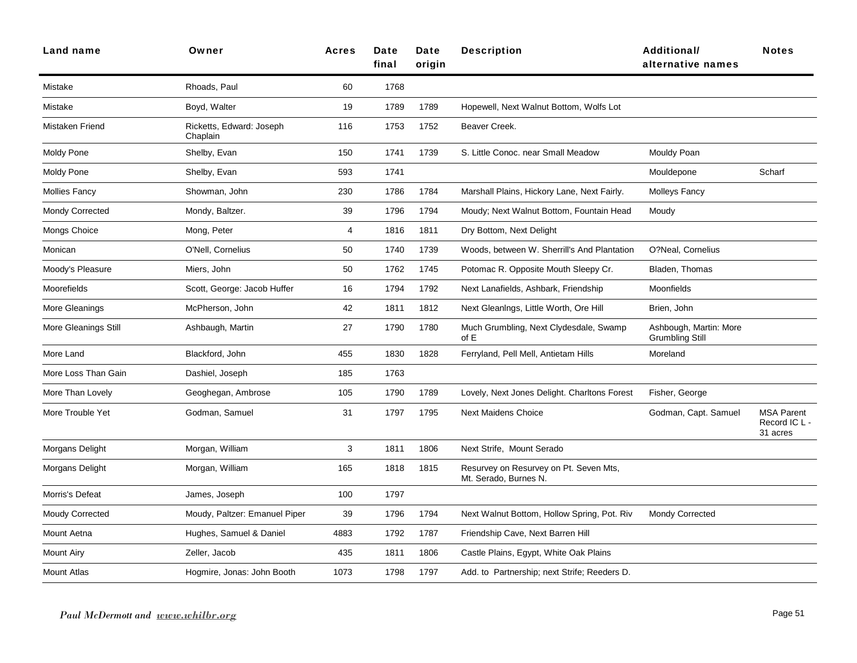| Land name              | Owner                                | <b>Acres</b> | Date<br>final | <b>Date</b><br>origin | <b>Description</b>                                              | Additional/<br>alternative names                 | <b>Notes</b>                                   |
|------------------------|--------------------------------------|--------------|---------------|-----------------------|-----------------------------------------------------------------|--------------------------------------------------|------------------------------------------------|
| Mistake                | Rhoads, Paul                         | 60           | 1768          |                       |                                                                 |                                                  |                                                |
| Mistake                | Boyd, Walter                         | 19           | 1789          | 1789                  | Hopewell, Next Walnut Bottom, Wolfs Lot                         |                                                  |                                                |
| Mistaken Friend        | Ricketts, Edward: Joseph<br>Chaplain | 116          | 1753          | 1752                  | Beaver Creek.                                                   |                                                  |                                                |
| Moldy Pone             | Shelby, Evan                         | 150          | 1741          | 1739                  | S. Little Conoc. near Small Meadow                              | Mouldy Poan                                      |                                                |
| Moldy Pone             | Shelby, Evan                         | 593          | 1741          |                       |                                                                 | Mouldepone                                       | Scharf                                         |
| <b>Mollies Fancy</b>   | Showman, John                        | 230          | 1786          | 1784                  | Marshall Plains, Hickory Lane, Next Fairly.                     | <b>Molleys Fancy</b>                             |                                                |
| <b>Mondy Corrected</b> | Mondy, Baltzer.                      | 39           | 1796          | 1794                  | Moudy; Next Walnut Bottom, Fountain Head                        | Moudy                                            |                                                |
| Mongs Choice           | Mong, Peter                          | 4            | 1816          | 1811                  | Dry Bottom, Next Delight                                        |                                                  |                                                |
| Monican                | O'Nell, Cornelius                    | 50           | 1740          | 1739                  | Woods, between W. Sherrill's And Plantation                     | O?Neal, Cornelius                                |                                                |
| Moody's Pleasure       | Miers, John                          | 50           | 1762          | 1745                  | Potomac R. Opposite Mouth Sleepy Cr.                            | Bladen, Thomas                                   |                                                |
| Moorefields            | Scott, George: Jacob Huffer          | 16           | 1794          | 1792                  | Next Lanafields, Ashbark, Friendship                            | Moonfields                                       |                                                |
| More Gleanings         | McPherson, John                      | 42           | 1811          | 1812                  | Next Gleanings, Little Worth, Ore Hill                          | Brien, John                                      |                                                |
| More Gleanings Still   | Ashbaugh, Martin                     | 27           | 1790          | 1780                  | Much Grumbling, Next Clydesdale, Swamp<br>of E                  | Ashbough, Martin: More<br><b>Grumbling Still</b> |                                                |
| More Land              | Blackford, John                      | 455          | 1830          | 1828                  | Ferryland, Pell Mell, Antietam Hills                            | Moreland                                         |                                                |
| More Loss Than Gain    | Dashiel, Joseph                      | 185          | 1763          |                       |                                                                 |                                                  |                                                |
| More Than Lovely       | Geoghegan, Ambrose                   | 105          | 1790          | 1789                  | Lovely, Next Jones Delight. Charltons Forest                    | Fisher, George                                   |                                                |
| More Trouble Yet       | Godman, Samuel                       | 31           | 1797          | 1795                  | <b>Next Maidens Choice</b>                                      | Godman, Capt. Samuel                             | <b>MSA Parent</b><br>Record IC L -<br>31 acres |
| Morgans Delight        | Morgan, William                      | 3            | 1811          | 1806                  | Next Strife, Mount Serado                                       |                                                  |                                                |
| Morgans Delight        | Morgan, William                      | 165          | 1818          | 1815                  | Resurvey on Resurvey on Pt. Seven Mts,<br>Mt. Serado, Burnes N. |                                                  |                                                |
| Morris's Defeat        | James, Joseph                        | 100          | 1797          |                       |                                                                 |                                                  |                                                |
| <b>Moudy Corrected</b> | Moudy, Paltzer: Emanuel Piper        | 39           | 1796          | 1794                  | Next Walnut Bottom, Hollow Spring, Pot. Riv                     | Mondy Corrected                                  |                                                |
| Mount Aetna            | Hughes, Samuel & Daniel              | 4883         | 1792          | 1787                  | Friendship Cave, Next Barren Hill                               |                                                  |                                                |
| Mount Airy             | Zeller, Jacob                        | 435          | 1811          | 1806                  | Castle Plains, Egypt, White Oak Plains                          |                                                  |                                                |
| <b>Mount Atlas</b>     | Hogmire, Jonas: John Booth           | 1073         | 1798          | 1797                  | Add. to Partnership; next Strife; Reeders D.                    |                                                  |                                                |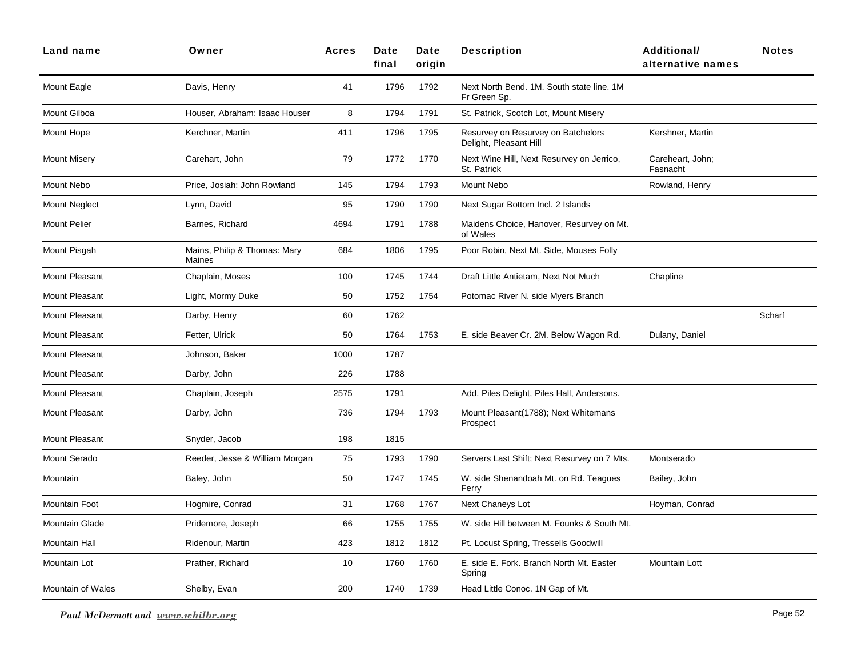| Land name             | Owner                                  | <b>Acres</b> | Date<br>final | Date<br>origin | <b>Description</b>                                           | <b>Additional/</b><br>alternative names | <b>Notes</b> |
|-----------------------|----------------------------------------|--------------|---------------|----------------|--------------------------------------------------------------|-----------------------------------------|--------------|
| Mount Eagle           | Davis, Henry                           | 41           | 1796          | 1792           | Next North Bend. 1M. South state line. 1M<br>Fr Green Sp.    |                                         |              |
| Mount Gilboa          | Houser, Abraham: Isaac Houser          | 8            | 1794          | 1791           | St. Patrick, Scotch Lot, Mount Misery                        |                                         |              |
| Mount Hope            | Kerchner, Martin                       | 411          | 1796          | 1795           | Resurvey on Resurvey on Batchelors<br>Delight, Pleasant Hill | Kershner, Martin                        |              |
| <b>Mount Misery</b>   | Carehart, John                         | 79           | 1772          | 1770           | Next Wine Hill, Next Resurvey on Jerrico,<br>St. Patrick     | Careheart, John;<br>Fasnacht            |              |
| Mount Nebo            | Price, Josiah: John Rowland            | 145          | 1794          | 1793           | Mount Nebo                                                   | Rowland, Henry                          |              |
| <b>Mount Neglect</b>  | Lynn, David                            | 95           | 1790          | 1790           | Next Sugar Bottom Incl. 2 Islands                            |                                         |              |
| <b>Mount Pelier</b>   | Barnes, Richard                        | 4694         | 1791          | 1788           | Maidens Choice, Hanover, Resurvey on Mt.<br>of Wales         |                                         |              |
| Mount Pisgah          | Mains, Philip & Thomas: Mary<br>Maines | 684          | 1806          | 1795           | Poor Robin, Next Mt. Side, Mouses Folly                      |                                         |              |
| Mount Pleasant        | Chaplain, Moses                        | 100          | 1745          | 1744           | Draft Little Antietam, Next Not Much                         | Chapline                                |              |
| Mount Pleasant        | Light, Mormy Duke                      | 50           | 1752          | 1754           | Potomac River N. side Myers Branch                           |                                         |              |
| Mount Pleasant        | Darby, Henry                           | 60           | 1762          |                |                                                              |                                         | Scharf       |
| Mount Pleasant        | Fetter, Ulrick                         | 50           | 1764          | 1753           | E. side Beaver Cr. 2M. Below Wagon Rd.                       | Dulany, Daniel                          |              |
| <b>Mount Pleasant</b> | Johnson, Baker                         | 1000         | 1787          |                |                                                              |                                         |              |
| <b>Mount Pleasant</b> | Darby, John                            | 226          | 1788          |                |                                                              |                                         |              |
| Mount Pleasant        | Chaplain, Joseph                       | 2575         | 1791          |                | Add. Piles Delight, Piles Hall, Andersons.                   |                                         |              |
| Mount Pleasant        | Darby, John                            | 736          | 1794          | 1793           | Mount Pleasant(1788); Next Whitemans<br>Prospect             |                                         |              |
| <b>Mount Pleasant</b> | Snyder, Jacob                          | 198          | 1815          |                |                                                              |                                         |              |
| Mount Serado          | Reeder, Jesse & William Morgan         | 75           | 1793          | 1790           | Servers Last Shift; Next Resurvey on 7 Mts.                  | Montserado                              |              |
| Mountain              | Baley, John                            | 50           | 1747          | 1745           | W. side Shenandoah Mt. on Rd. Teagues<br>Ferry               | Bailey, John                            |              |
| Mountain Foot         | Hogmire, Conrad                        | 31           | 1768          | 1767           | Next Chaneys Lot                                             | Hoyman, Conrad                          |              |
| <b>Mountain Glade</b> | Pridemore, Joseph                      | 66           | 1755          | 1755           | W. side Hill between M. Founks & South Mt.                   |                                         |              |
| Mountain Hall         | Ridenour, Martin                       | 423          | 1812          | 1812           | Pt. Locust Spring, Tressells Goodwill                        |                                         |              |
| Mountain Lot          | Prather, Richard                       | 10           | 1760          | 1760           | E. side E. Fork. Branch North Mt. Easter<br>Spring           | Mountain Lott                           |              |
| Mountain of Wales     | Shelby, Evan                           | 200          | 1740          | 1739           | Head Little Conoc. 1N Gap of Mt.                             |                                         |              |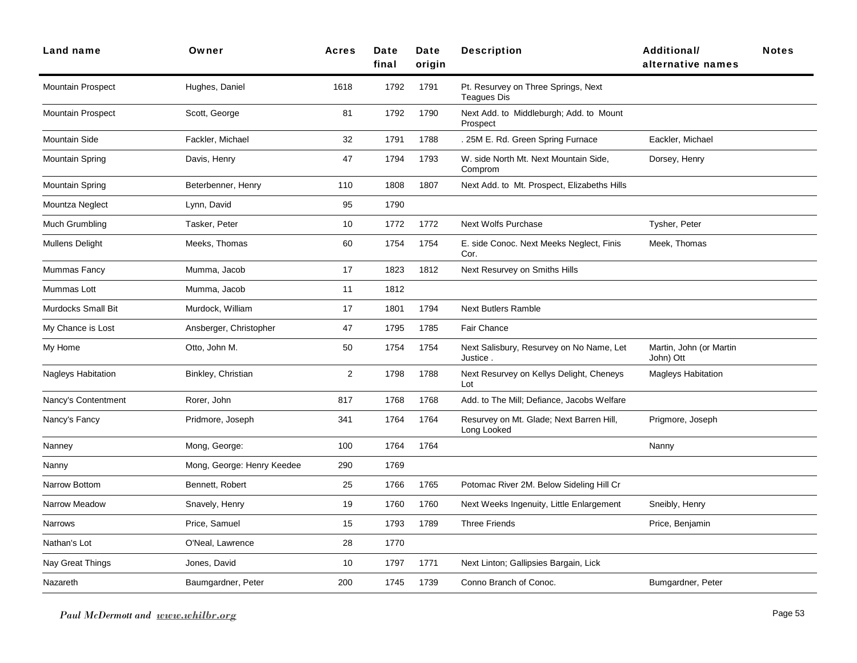| <b>Land name</b>          | Owner                      | <b>Acres</b>   | Date<br>final | Date<br>origin | <b>Description</b>                                        | Additional/<br>alternative names     | <b>Notes</b> |
|---------------------------|----------------------------|----------------|---------------|----------------|-----------------------------------------------------------|--------------------------------------|--------------|
| <b>Mountain Prospect</b>  | Hughes, Daniel             | 1618           | 1792          | 1791           | Pt. Resurvey on Three Springs, Next<br><b>Teagues Dis</b> |                                      |              |
| <b>Mountain Prospect</b>  | Scott, George              | 81             | 1792          | 1790           | Next Add. to Middleburgh; Add. to Mount<br>Prospect       |                                      |              |
| Mountain Side             | Fackler, Michael           | 32             | 1791          | 1788           | . 25M E. Rd. Green Spring Furnace                         | Eackler, Michael                     |              |
| Mountain Spring           | Davis, Henry               | 47             | 1794          | 1793           | W. side North Mt. Next Mountain Side,<br>Comprom          | Dorsey, Henry                        |              |
| Mountain Spring           | Beterbenner, Henry         | 110            | 1808          | 1807           | Next Add. to Mt. Prospect, Elizabeths Hills               |                                      |              |
| Mountza Neglect           | Lynn, David                | 95             | 1790          |                |                                                           |                                      |              |
| Much Grumbling            | Tasker, Peter              | 10             | 1772          | 1772           | <b>Next Wolfs Purchase</b>                                | Tysher, Peter                        |              |
| <b>Mullens Delight</b>    | Meeks, Thomas              | 60             | 1754          | 1754           | E. side Conoc. Next Meeks Neglect, Finis<br>Cor.          | Meek, Thomas                         |              |
| Mummas Fancy              | Mumma, Jacob               | 17             | 1823          | 1812           | Next Resurvey on Smiths Hills                             |                                      |              |
| Mummas Lott               | Mumma, Jacob               | 11             | 1812          |                |                                                           |                                      |              |
| <b>Murdocks Small Bit</b> | Murdock, William           | 17             | 1801          | 1794           | <b>Next Butlers Ramble</b>                                |                                      |              |
| My Chance is Lost         | Ansberger, Christopher     | 47             | 1795          | 1785           | Fair Chance                                               |                                      |              |
| My Home                   | Otto, John M.              | 50             | 1754          | 1754           | Next Salisbury, Resurvey on No Name, Let<br>Justice       | Martin, John (or Martin<br>John) Ott |              |
| Nagleys Habitation        | Binkley, Christian         | $\overline{2}$ | 1798          | 1788           | Next Resurvey on Kellys Delight, Cheneys<br>Lot           | <b>Magleys Habitation</b>            |              |
| Nancy's Contentment       | Rorer, John                | 817            | 1768          | 1768           | Add. to The Mill; Defiance, Jacobs Welfare                |                                      |              |
| Nancy's Fancy             | Pridmore, Joseph           | 341            | 1764          | 1764           | Resurvey on Mt. Glade; Next Barren Hill,<br>Long Looked   | Prigmore, Joseph                     |              |
| Nanney                    | Mong, George:              | 100            | 1764          | 1764           |                                                           | Nanny                                |              |
| Nanny                     | Mong, George: Henry Keedee | 290            | 1769          |                |                                                           |                                      |              |
| Narrow Bottom             | Bennett, Robert            | 25             | 1766          | 1765           | Potomac River 2M. Below Sideling Hill Cr                  |                                      |              |
| Narrow Meadow             | Snavely, Henry             | 19             | 1760          | 1760           | Next Weeks Ingenuity, Little Enlargement                  | Sneibly, Henry                       |              |
| Narrows                   | Price, Samuel              | 15             | 1793          | 1789           | <b>Three Friends</b>                                      | Price, Benjamin                      |              |
| Nathan's Lot              | O'Neal, Lawrence           | 28             | 1770          |                |                                                           |                                      |              |
| Nay Great Things          | Jones, David               | 10             | 1797          | 1771           | Next Linton; Gallipsies Bargain, Lick                     |                                      |              |
| Nazareth                  | Baumgardner, Peter         | 200            | 1745          | 1739           | Conno Branch of Conoc.                                    | Bumgardner, Peter                    |              |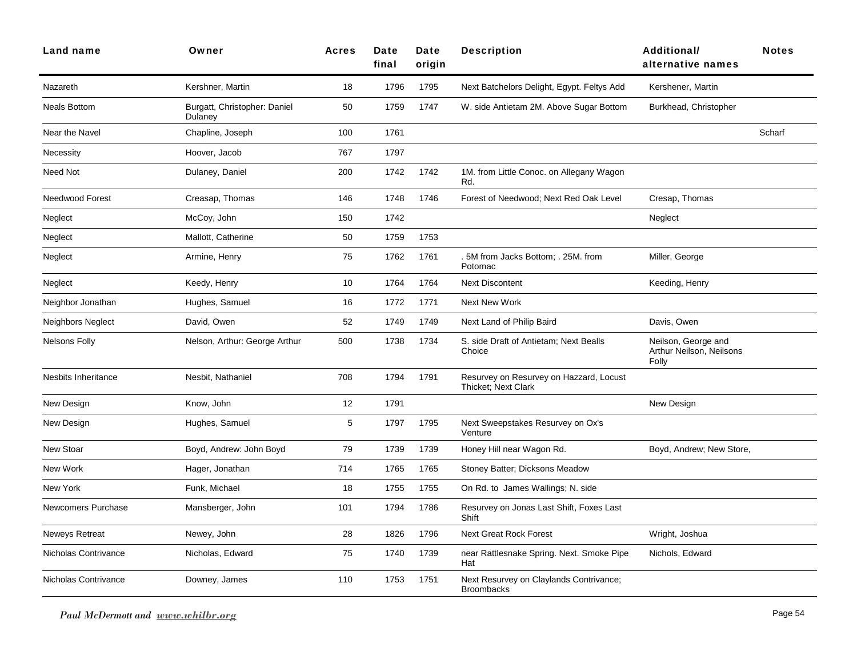| <b>Land name</b>          | Owner                                   | <b>Acres</b> | Date<br>final | Date<br>origin | <b>Description</b>                                                    | Additional/<br>alternative names                         | <b>Notes</b> |
|---------------------------|-----------------------------------------|--------------|---------------|----------------|-----------------------------------------------------------------------|----------------------------------------------------------|--------------|
| Nazareth                  | Kershner, Martin                        | 18           | 1796          | 1795           | Next Batchelors Delight, Egypt. Feltys Add                            | Kershener, Martin                                        |              |
| <b>Neals Bottom</b>       | Burgatt, Christopher: Daniel<br>Dulaney | 50           | 1759          | 1747           | W. side Antietam 2M. Above Sugar Bottom                               | Burkhead, Christopher                                    |              |
| Near the Navel            | Chapline, Joseph                        | 100          | 1761          |                |                                                                       |                                                          | Scharf       |
| Necessity                 | Hoover, Jacob                           | 767          | 1797          |                |                                                                       |                                                          |              |
| Need Not                  | Dulaney, Daniel                         | 200          | 1742          | 1742           | 1M. from Little Conoc. on Allegany Wagon<br>Rd.                       |                                                          |              |
| Needwood Forest           | Creasap, Thomas                         | 146          | 1748          | 1746           | Forest of Needwood; Next Red Oak Level                                | Cresap, Thomas                                           |              |
| Neglect                   | McCoy, John                             | 150          | 1742          |                |                                                                       | Neglect                                                  |              |
| Neglect                   | Mallott, Catherine                      | 50           | 1759          | 1753           |                                                                       |                                                          |              |
| Neglect                   | Armine, Henry                           | 75           | 1762          | 1761           | 5M from Jacks Bottom; . 25M. from<br>Potomac                          | Miller, George                                           |              |
| Neglect                   | Keedy, Henry                            | 10           | 1764          | 1764           | <b>Next Discontent</b>                                                | Keeding, Henry                                           |              |
| Neighbor Jonathan         | Hughes, Samuel                          | 16           | 1772          | 1771           | <b>Next New Work</b>                                                  |                                                          |              |
| Neighbors Neglect         | David, Owen                             | 52           | 1749          | 1749           | Next Land of Philip Baird                                             | Davis, Owen                                              |              |
| <b>Nelsons Folly</b>      | Nelson, Arthur: George Arthur           | 500          | 1738          | 1734           | S. side Draft of Antietam; Next Bealls<br>Choice                      | Neilson, George and<br>Arthur Neilson, Neilsons<br>Folly |              |
| Nesbits Inheritance       | Nesbit, Nathaniel                       | 708          | 1794          | 1791           | Resurvey on Resurvey on Hazzard, Locust<br><b>Thicket: Next Clark</b> |                                                          |              |
| New Design                | Know, John                              | 12           | 1791          |                |                                                                       | New Design                                               |              |
| New Design                | Hughes, Samuel                          | 5            | 1797          | 1795           | Next Sweepstakes Resurvey on Ox's<br>Venture                          |                                                          |              |
| New Stoar                 | Boyd, Andrew: John Boyd                 | 79           | 1739          | 1739           | Honey Hill near Wagon Rd.                                             | Boyd, Andrew; New Store,                                 |              |
| New Work                  | Hager, Jonathan                         | 714          | 1765          | 1765           | Stoney Batter; Dicksons Meadow                                        |                                                          |              |
| New York                  | Funk, Michael                           | 18           | 1755          | 1755           | On Rd. to James Wallings; N. side                                     |                                                          |              |
| <b>Newcomers Purchase</b> | Mansberger, John                        | 101          | 1794          | 1786           | Resurvey on Jonas Last Shift, Foxes Last<br>Shift                     |                                                          |              |
| Neweys Retreat            | Newey, John                             | 28           | 1826          | 1796           | <b>Next Great Rock Forest</b>                                         | Wright, Joshua                                           |              |
| Nicholas Contrivance      | Nicholas, Edward                        | 75           | 1740          | 1739           | near Rattlesnake Spring. Next. Smoke Pipe<br>Hat                      | Nichols, Edward                                          |              |
| Nicholas Contrivance      | Downey, James                           | 110          | 1753          | 1751           | Next Resurvey on Claylands Contrivance;<br><b>Broombacks</b>          |                                                          |              |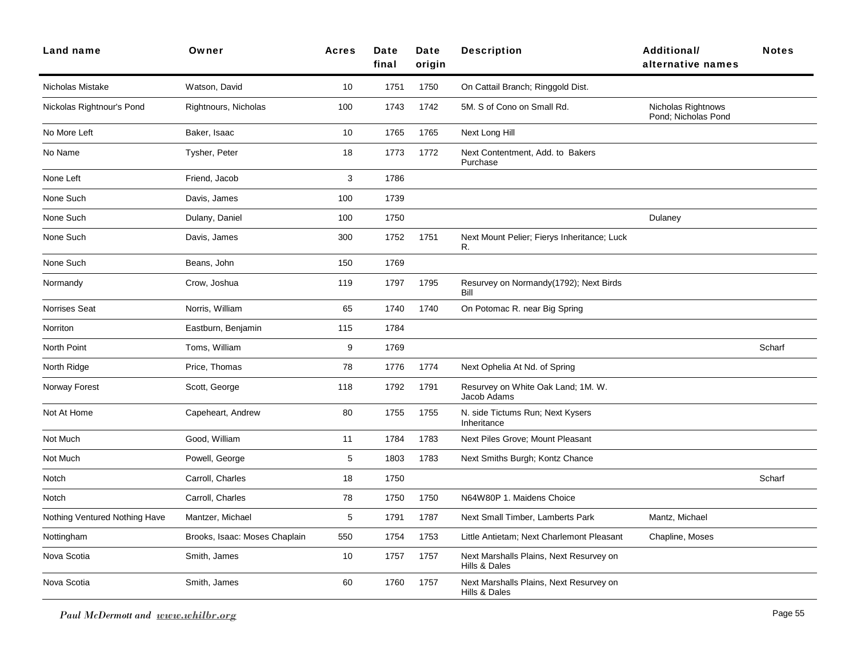| Land name                     | Owner                         | <b>Acres</b> | Date<br>final | Date<br>origin | <b>Description</b>                                       | <b>Additional/</b><br>alternative names   | <b>Notes</b> |
|-------------------------------|-------------------------------|--------------|---------------|----------------|----------------------------------------------------------|-------------------------------------------|--------------|
| Nicholas Mistake              | Watson, David                 | 10           | 1751          | 1750           | On Cattail Branch; Ringgold Dist.                        |                                           |              |
| Nickolas Rightnour's Pond     | Rightnours, Nicholas          | 100          | 1743          | 1742           | 5M. S of Cono on Small Rd.                               | Nicholas Rightnows<br>Pond: Nicholas Pond |              |
| No More Left                  | Baker, Isaac                  | 10           | 1765          | 1765           | Next Long Hill                                           |                                           |              |
| No Name                       | Tysher, Peter                 | 18           | 1773          | 1772           | Next Contentment, Add. to Bakers<br>Purchase             |                                           |              |
| None Left                     | Friend, Jacob                 | 3            | 1786          |                |                                                          |                                           |              |
| None Such                     | Davis, James                  | 100          | 1739          |                |                                                          |                                           |              |
| None Such                     | Dulany, Daniel                | 100          | 1750          |                |                                                          | Dulaney                                   |              |
| None Such                     | Davis, James                  | 300          | 1752          | 1751           | Next Mount Pelier; Fierys Inheritance; Luck<br>R.        |                                           |              |
| None Such                     | Beans, John                   | 150          | 1769          |                |                                                          |                                           |              |
| Normandy                      | Crow, Joshua                  | 119          | 1797          | 1795           | Resurvey on Normandy(1792); Next Birds<br>Bill           |                                           |              |
| Norrises Seat                 | Norris, William               | 65           | 1740          | 1740           | On Potomac R. near Big Spring                            |                                           |              |
| Norriton                      | Eastburn, Benjamin            | 115          | 1784          |                |                                                          |                                           |              |
| North Point                   | Toms, William                 | 9            | 1769          |                |                                                          |                                           | Scharf       |
| North Ridge                   | Price, Thomas                 | 78           | 1776          | 1774           | Next Ophelia At Nd. of Spring                            |                                           |              |
| Norway Forest                 | Scott, George                 | 118          | 1792          | 1791           | Resurvey on White Oak Land; 1M. W.<br>Jacob Adams        |                                           |              |
| Not At Home                   | Capeheart, Andrew             | 80           | 1755          | 1755           | N. side Tictums Run; Next Kysers<br>Inheritance          |                                           |              |
| Not Much                      | Good, William                 | 11           | 1784          | 1783           | Next Piles Grove; Mount Pleasant                         |                                           |              |
| Not Much                      | Powell, George                | 5            | 1803          | 1783           | Next Smiths Burgh; Kontz Chance                          |                                           |              |
| Notch                         | Carroll, Charles              | 18           | 1750          |                |                                                          |                                           | Scharf       |
| Notch                         | Carroll, Charles              | 78           | 1750          | 1750           | N64W80P 1. Maidens Choice                                |                                           |              |
| Nothing Ventured Nothing Have | Mantzer, Michael              | 5            | 1791          | 1787           | Next Small Timber, Lamberts Park                         | Mantz, Michael                            |              |
| Nottingham                    | Brooks, Isaac: Moses Chaplain | 550          | 1754          | 1753           | Little Antietam; Next Charlemont Pleasant                | Chapline, Moses                           |              |
| Nova Scotia                   | Smith, James                  | 10           | 1757          | 1757           | Next Marshalls Plains, Next Resurvey on<br>Hills & Dales |                                           |              |
| Nova Scotia                   | Smith, James                  | 60           | 1760          | 1757           | Next Marshalls Plains, Next Resurvey on<br>Hills & Dales |                                           |              |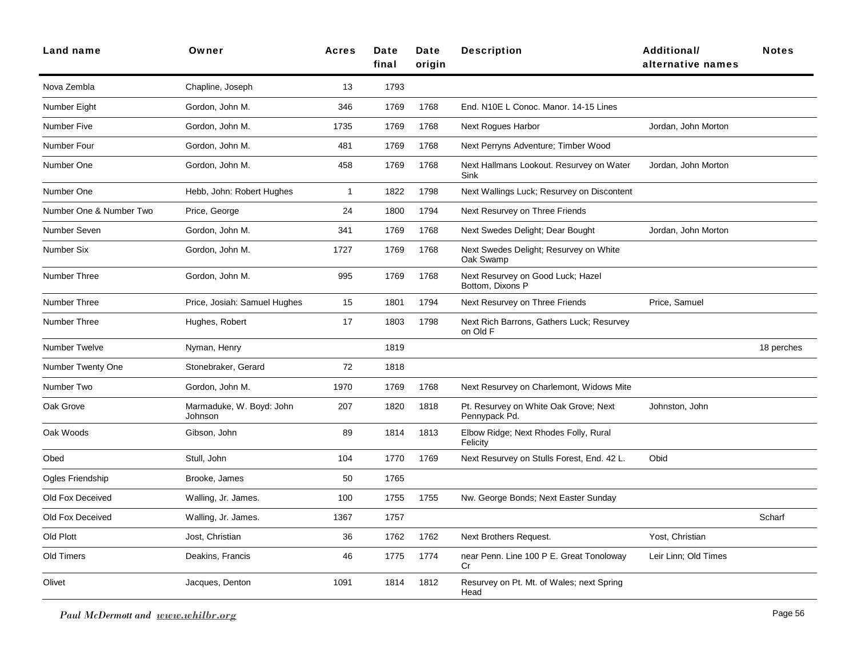| Land name               | Owner                               | <b>Acres</b> | Date<br>final | Date<br>origin | <b>Description</b>                                     | <b>Additional/</b><br>alternative names | <b>Notes</b> |
|-------------------------|-------------------------------------|--------------|---------------|----------------|--------------------------------------------------------|-----------------------------------------|--------------|
| Nova Zembla             | Chapline, Joseph                    | 13           | 1793          |                |                                                        |                                         |              |
| Number Eight            | Gordon, John M.                     | 346          | 1769          | 1768           | End. N10E L Conoc. Manor. 14-15 Lines                  |                                         |              |
| <b>Number Five</b>      | Gordon, John M.                     | 1735         | 1769          | 1768           | <b>Next Rogues Harbor</b>                              | Jordan, John Morton                     |              |
| Number Four             | Gordon, John M.                     | 481          | 1769          | 1768           | Next Perryns Adventure; Timber Wood                    |                                         |              |
| Number One              | Gordon, John M.                     | 458          | 1769          | 1768           | Next Hallmans Lookout. Resurvey on Water<br>Sink       | Jordan, John Morton                     |              |
| Number One              | Hebb, John: Robert Hughes           | $\mathbf{1}$ | 1822          | 1798           | Next Wallings Luck; Resurvey on Discontent             |                                         |              |
| Number One & Number Two | Price, George                       | 24           | 1800          | 1794           | Next Resurvey on Three Friends                         |                                         |              |
| Number Seven            | Gordon, John M.                     | 341          | 1769          | 1768           | Next Swedes Delight; Dear Bought                       | Jordan, John Morton                     |              |
| Number Six              | Gordon, John M.                     | 1727         | 1769          | 1768           | Next Swedes Delight; Resurvey on White<br>Oak Swamp    |                                         |              |
| Number Three            | Gordon, John M.                     | 995          | 1769          | 1768           | Next Resurvey on Good Luck; Hazel<br>Bottom, Dixons P  |                                         |              |
| Number Three            | Price, Josiah: Samuel Hughes        | 15           | 1801          | 1794           | Next Resurvey on Three Friends                         | Price, Samuel                           |              |
| Number Three            | Hughes, Robert                      | 17           | 1803          | 1798           | Next Rich Barrons, Gathers Luck; Resurvey<br>on Old F  |                                         |              |
| <b>Number Twelve</b>    | Nyman, Henry                        |              | 1819          |                |                                                        |                                         | 18 perches   |
| Number Twenty One       | Stonebraker, Gerard                 | 72           | 1818          |                |                                                        |                                         |              |
| Number Two              | Gordon, John M.                     | 1970         | 1769          | 1768           | Next Resurvey on Charlemont, Widows Mite               |                                         |              |
| Oak Grove               | Marmaduke, W. Boyd: John<br>Johnson | 207          | 1820          | 1818           | Pt. Resurvey on White Oak Grove; Next<br>Pennypack Pd. | Johnston, John                          |              |
| Oak Woods               | Gibson, John                        | 89           | 1814          | 1813           | Elbow Ridge; Next Rhodes Folly, Rural<br>Felicity      |                                         |              |
| Obed                    | Stull, John                         | 104          | 1770          | 1769           | Next Resurvey on Stulls Forest, End. 42 L.             | Obid                                    |              |
| Ogles Friendship        | Brooke, James                       | 50           | 1765          |                |                                                        |                                         |              |
| Old Fox Deceived        | Walling, Jr. James.                 | 100          | 1755          | 1755           | Nw. George Bonds; Next Easter Sunday                   |                                         |              |
| Old Fox Deceived        | Walling, Jr. James.                 | 1367         | 1757          |                |                                                        |                                         | Scharf       |
| Old Plott               | Jost, Christian                     | 36           | 1762          | 1762           | Next Brothers Request.                                 | Yost, Christian                         |              |
| Old Timers              | Deakins, Francis                    | 46           | 1775          | 1774           | near Penn. Line 100 P E. Great Tonoloway<br>Cr         | Leir Linn; Old Times                    |              |
| Olivet                  | Jacques, Denton                     | 1091         | 1814          | 1812           | Resurvey on Pt. Mt. of Wales; next Spring<br>Head      |                                         |              |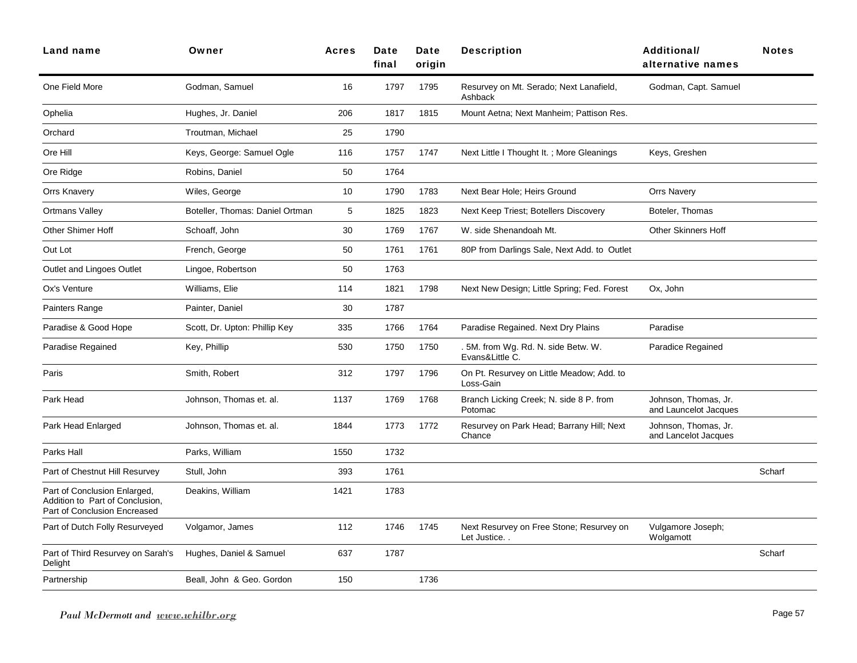| Land name                                                                                       | Owner                           | <b>Acres</b> | Date<br>final | Date<br>origin | <b>Description</b>                                      | Additional/<br>alternative names              | <b>Notes</b> |
|-------------------------------------------------------------------------------------------------|---------------------------------|--------------|---------------|----------------|---------------------------------------------------------|-----------------------------------------------|--------------|
| One Field More                                                                                  | Godman, Samuel                  | 16           | 1797          | 1795           | Resurvey on Mt. Serado; Next Lanafield,<br>Ashback      | Godman, Capt. Samuel                          |              |
| Ophelia                                                                                         | Hughes, Jr. Daniel              | 206          | 1817          | 1815           | Mount Aetna; Next Manheim; Pattison Res.                |                                               |              |
| Orchard                                                                                         | Troutman, Michael               | 25           | 1790          |                |                                                         |                                               |              |
| Ore Hill                                                                                        | Keys, George: Samuel Ogle       | 116          | 1757          | 1747           | Next Little I Thought It.; More Gleanings               | Keys, Greshen                                 |              |
| Ore Ridge                                                                                       | Robins, Daniel                  | 50           | 1764          |                |                                                         |                                               |              |
| <b>Orrs Knavery</b>                                                                             | Wiles, George                   | 10           | 1790          | 1783           | Next Bear Hole; Heirs Ground                            | <b>Orrs Navery</b>                            |              |
| Ortmans Valley                                                                                  | Boteller, Thomas: Daniel Ortman | 5            | 1825          | 1823           | Next Keep Triest; Botellers Discovery                   | Boteler, Thomas                               |              |
| <b>Other Shimer Hoff</b>                                                                        | Schoaff, John                   | 30           | 1769          | 1767           | W. side Shenandoah Mt.                                  | <b>Other Skinners Hoff</b>                    |              |
| Out Lot                                                                                         | French, George                  | 50           | 1761          | 1761           | 80P from Darlings Sale, Next Add. to Outlet             |                                               |              |
| Outlet and Lingoes Outlet                                                                       | Lingoe, Robertson               | 50           | 1763          |                |                                                         |                                               |              |
| Ox's Venture                                                                                    | Williams, Elie                  | 114          | 1821          | 1798           | Next New Design; Little Spring; Fed. Forest             | Ox, John                                      |              |
| Painters Range                                                                                  | Painter, Daniel                 | 30           | 1787          |                |                                                         |                                               |              |
| Paradise & Good Hope                                                                            | Scott, Dr. Upton: Phillip Key   | 335          | 1766          | 1764           | Paradise Regained. Next Dry Plains                      | Paradise                                      |              |
| Paradise Regained                                                                               | Key, Phillip                    | 530          | 1750          | 1750           | . 5M. from Wg. Rd. N. side Betw. W.<br>Evans&Little C.  | Paradice Regained                             |              |
| Paris                                                                                           | Smith, Robert                   | 312          | 1797          | 1796           | On Pt. Resurvey on Little Meadow; Add. to<br>Loss-Gain  |                                               |              |
| Park Head                                                                                       | Johnson, Thomas et. al.         | 1137         | 1769          | 1768           | Branch Licking Creek; N. side 8 P. from<br>Potomac      | Johnson, Thomas, Jr.<br>and Launcelot Jacques |              |
| Park Head Enlarged                                                                              | Johnson, Thomas et. al.         | 1844         | 1773          | 1772           | Resurvey on Park Head; Barrany Hill; Next<br>Chance     | Johnson, Thomas, Jr.<br>and Lancelot Jacques  |              |
| Parks Hall                                                                                      | Parks, William                  | 1550         | 1732          |                |                                                         |                                               |              |
| Part of Chestnut Hill Resurvey                                                                  | Stull, John                     | 393          | 1761          |                |                                                         |                                               | Scharf       |
| Part of Conclusion Enlarged,<br>Addition to Part of Conclusion,<br>Part of Conclusion Encreased | Deakins, William                | 1421         | 1783          |                |                                                         |                                               |              |
| Part of Dutch Folly Resurveyed                                                                  | Volgamor, James                 | 112          | 1746          | 1745           | Next Resurvey on Free Stone; Resurvey on<br>Let Justice | Vulgamore Joseph;<br>Wolgamott                |              |
| Part of Third Resurvey on Sarah's<br>Delight                                                    | Hughes, Daniel & Samuel         | 637          | 1787          |                |                                                         |                                               | Scharf       |
| Partnership                                                                                     | Beall, John & Geo. Gordon       | 150          |               | 1736           |                                                         |                                               |              |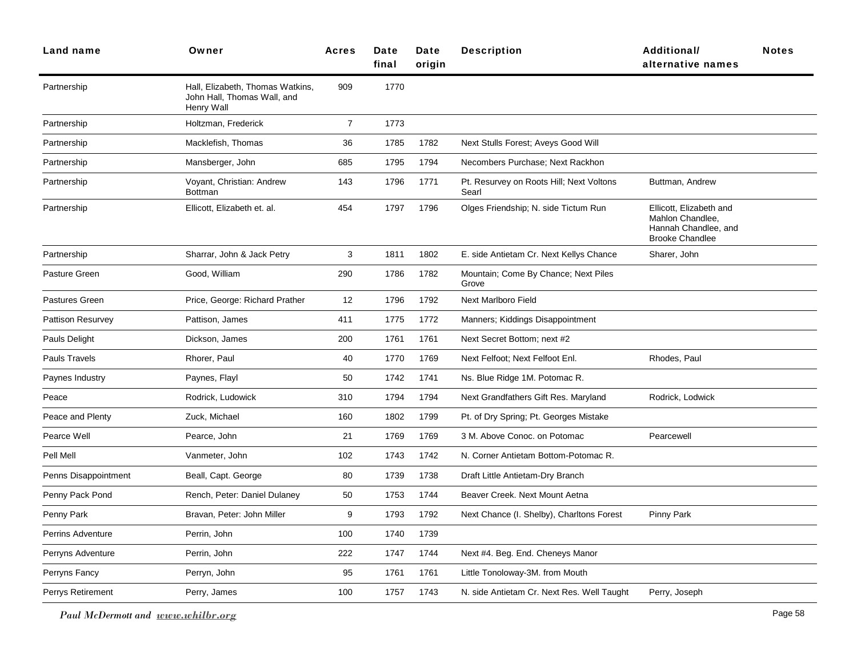| Land name                | Owner                                                                         | <b>Acres</b>   | Date<br>final | Date<br>origin | <b>Description</b>                                | Additional/<br>alternative names                                                              | <b>Notes</b> |
|--------------------------|-------------------------------------------------------------------------------|----------------|---------------|----------------|---------------------------------------------------|-----------------------------------------------------------------------------------------------|--------------|
| Partnership              | Hall, Elizabeth, Thomas Watkins,<br>John Hall, Thomas Wall, and<br>Henry Wall | 909            | 1770          |                |                                                   |                                                                                               |              |
| Partnership              | Holtzman, Frederick                                                           | $\overline{7}$ | 1773          |                |                                                   |                                                                                               |              |
| Partnership              | Macklefish, Thomas                                                            | 36             | 1785          | 1782           | Next Stulls Forest; Aveys Good Will               |                                                                                               |              |
| Partnership              | Mansberger, John                                                              | 685            | 1795          | 1794           | Necombers Purchase; Next Rackhon                  |                                                                                               |              |
| Partnership              | Voyant, Christian: Andrew<br><b>Bottman</b>                                   | 143            | 1796          | 1771           | Pt. Resurvey on Roots Hill; Next Voltons<br>Searl | Buttman, Andrew                                                                               |              |
| Partnership              | Ellicott, Elizabeth et. al.                                                   | 454            | 1797          | 1796           | Olges Friendship; N. side Tictum Run              | Ellicott, Elizabeth and<br>Mahlon Chandlee,<br>Hannah Chandlee, and<br><b>Brooke Chandlee</b> |              |
| Partnership              | Sharrar, John & Jack Petry                                                    | 3              | 1811          | 1802           | E. side Antietam Cr. Next Kellys Chance           | Sharer, John                                                                                  |              |
| Pasture Green            | Good, William                                                                 | 290            | 1786          | 1782           | Mountain; Come By Chance; Next Piles<br>Grove     |                                                                                               |              |
| Pastures Green           | Price, George: Richard Prather                                                | 12             | 1796          | 1792           | Next Marlboro Field                               |                                                                                               |              |
| <b>Pattison Resurvey</b> | Pattison, James                                                               | 411            | 1775          | 1772           | Manners; Kiddings Disappointment                  |                                                                                               |              |
| Pauls Delight            | Dickson, James                                                                | 200            | 1761          | 1761           | Next Secret Bottom; next #2                       |                                                                                               |              |
| Pauls Travels            | Rhorer, Paul                                                                  | 40             | 1770          | 1769           | Next Felfoot; Next Felfoot Enl.                   | Rhodes, Paul                                                                                  |              |
| Paynes Industry          | Paynes, Flayl                                                                 | 50             | 1742          | 1741           | Ns. Blue Ridge 1M. Potomac R.                     |                                                                                               |              |
| Peace                    | Rodrick, Ludowick                                                             | 310            | 1794          | 1794           | Next Grandfathers Gift Res. Maryland              | Rodrick, Lodwick                                                                              |              |
| Peace and Plenty         | Zuck, Michael                                                                 | 160            | 1802          | 1799           | Pt. of Dry Spring; Pt. Georges Mistake            |                                                                                               |              |
| Pearce Well              | Pearce, John                                                                  | 21             | 1769          | 1769           | 3 M. Above Conoc. on Potomac                      | Pearcewell                                                                                    |              |
| Pell Mell                | Vanmeter, John                                                                | 102            | 1743          | 1742           | N. Corner Antietam Bottom-Potomac R.              |                                                                                               |              |
| Penns Disappointment     | Beall, Capt. George                                                           | 80             | 1739          | 1738           | Draft Little Antietam-Dry Branch                  |                                                                                               |              |
| Penny Pack Pond          | Rench, Peter: Daniel Dulaney                                                  | 50             | 1753          | 1744           | Beaver Creek. Next Mount Aetna                    |                                                                                               |              |
| Penny Park               | Bravan, Peter: John Miller                                                    | 9              | 1793          | 1792           | Next Chance (I. Shelby), Charltons Forest         | Pinny Park                                                                                    |              |
| <b>Perrins Adventure</b> | Perrin, John                                                                  | 100            | 1740          | 1739           |                                                   |                                                                                               |              |
| Perryns Adventure        | Perrin, John                                                                  | 222            | 1747          | 1744           | Next #4. Beg. End. Cheneys Manor                  |                                                                                               |              |
| Perryns Fancy            | Perryn, John                                                                  | 95             | 1761          | 1761           | Little Tonoloway-3M. from Mouth                   |                                                                                               |              |
| Perrys Retirement        | Perry, James                                                                  | 100            | 1757          | 1743           | N. side Antietam Cr. Next Res. Well Taught        | Perry, Joseph                                                                                 |              |
|                          |                                                                               |                |               |                |                                                   |                                                                                               |              |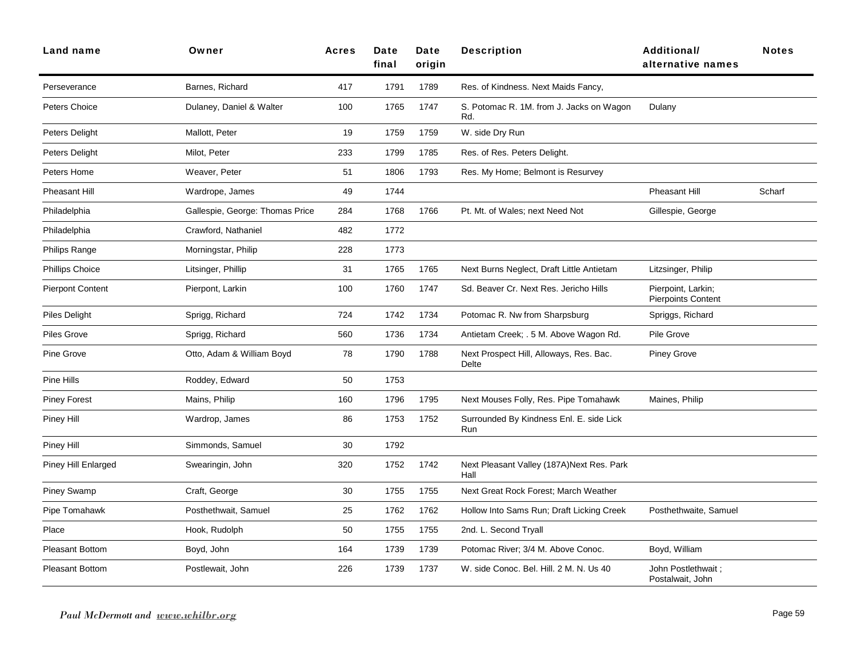| <b>Land name</b>        | Owner                           | <b>Acres</b> | Date<br>final | Date<br>origin | <b>Description</b>                                 | <b>Additional/</b><br>alternative names         | <b>Notes</b> |
|-------------------------|---------------------------------|--------------|---------------|----------------|----------------------------------------------------|-------------------------------------------------|--------------|
| Perseverance            | Barnes, Richard                 | 417          | 1791          | 1789           | Res. of Kindness. Next Maids Fancy,                |                                                 |              |
| Peters Choice           | Dulaney, Daniel & Walter        | 100          | 1765          | 1747           | S. Potomac R. 1M. from J. Jacks on Wagon<br>Rd.    | Dulany                                          |              |
| Peters Delight          | Mallott, Peter                  | 19           | 1759          | 1759           | W. side Dry Run                                    |                                                 |              |
| Peters Delight          | Milot, Peter                    | 233          | 1799          | 1785           | Res. of Res. Peters Delight.                       |                                                 |              |
| Peters Home             | Weaver, Peter                   | 51           | 1806          | 1793           | Res. My Home; Belmont is Resurvey                  |                                                 |              |
| Pheasant Hill           | Wardrope, James                 | 49           | 1744          |                |                                                    | Pheasant Hill                                   | Scharf       |
| Philadelphia            | Gallespie, George: Thomas Price | 284          | 1768          | 1766           | Pt. Mt. of Wales; next Need Not                    | Gillespie, George                               |              |
| Philadelphia            | Crawford, Nathaniel             | 482          | 1772          |                |                                                    |                                                 |              |
| Philips Range           | Morningstar, Philip             | 228          | 1773          |                |                                                    |                                                 |              |
| <b>Phillips Choice</b>  | Litsinger, Phillip              | 31           | 1765          | 1765           | Next Burns Neglect, Draft Little Antietam          | Litzsinger, Philip                              |              |
| <b>Pierpont Content</b> | Pierpont, Larkin                | 100          | 1760          | 1747           | Sd. Beaver Cr. Next Res. Jericho Hills             | Pierpoint, Larkin;<br><b>Pierpoints Content</b> |              |
| Piles Delight           | Sprigg, Richard                 | 724          | 1742          | 1734           | Potomac R. Nw from Sharpsburg                      | Spriggs, Richard                                |              |
| Piles Grove             | Sprigg, Richard                 | 560          | 1736          | 1734           | Antietam Creek; . 5 M. Above Wagon Rd.             | Pile Grove                                      |              |
| Pine Grove              | Otto, Adam & William Boyd       | 78           | 1790          | 1788           | Next Prospect Hill, Alloways, Res. Bac.<br>Delte   | <b>Piney Grove</b>                              |              |
| Pine Hills              | Roddey, Edward                  | 50           | 1753          |                |                                                    |                                                 |              |
| <b>Piney Forest</b>     | Mains, Philip                   | 160          | 1796          | 1795           | Next Mouses Folly, Res. Pipe Tomahawk              | Maines, Philip                                  |              |
| Piney Hill              | Wardrop, James                  | 86           | 1753          | 1752           | Surrounded By Kindness Enl. E. side Lick<br>Run    |                                                 |              |
| Piney Hill              | Simmonds, Samuel                | 30           | 1792          |                |                                                    |                                                 |              |
| Piney Hill Enlarged     | Swearingin, John                | 320          | 1752          | 1742           | Next Pleasant Valley (187A) Next Res. Park<br>Hall |                                                 |              |
| <b>Piney Swamp</b>      | Craft, George                   | 30           | 1755          | 1755           | Next Great Rock Forest: March Weather              |                                                 |              |
| Pipe Tomahawk           | Posthethwait, Samuel            | 25           | 1762          | 1762           | Hollow Into Sams Run; Draft Licking Creek          | Posthethwaite, Samuel                           |              |
| Place                   | Hook, Rudolph                   | 50           | 1755          | 1755           | 2nd. L. Second Tryall                              |                                                 |              |
| <b>Pleasant Bottom</b>  | Boyd, John                      | 164          | 1739          | 1739           | Potomac River; 3/4 M. Above Conoc.                 | Boyd, William                                   |              |
| <b>Pleasant Bottom</b>  | Postlewait, John                | 226          | 1739          | 1737           | W. side Conoc. Bel. Hill. 2 M. N. Us 40            | John Postlethwait;<br>Postalwait, John          |              |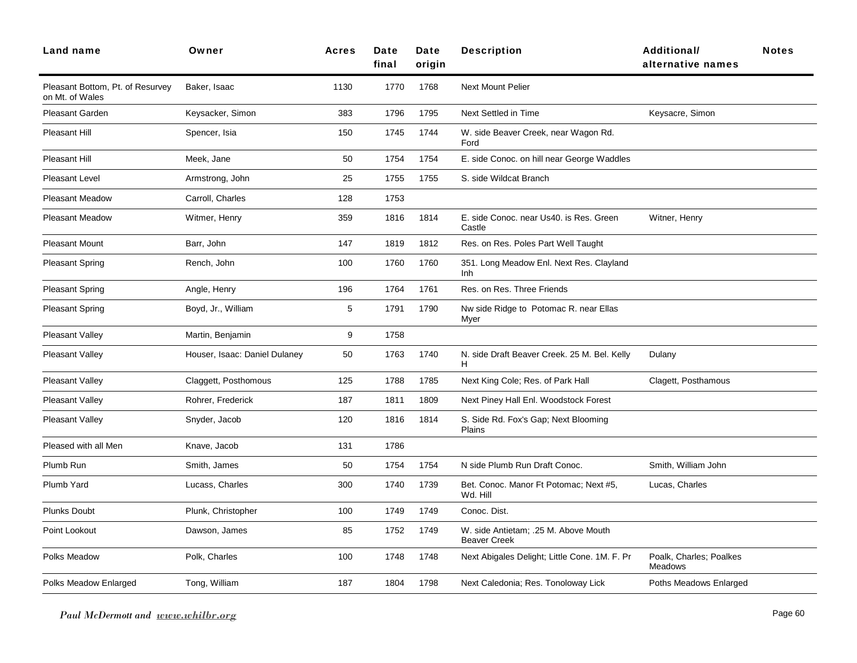| Land name                                           | Owner                         | <b>Acres</b> | Date<br>final | Date<br>origin | <b>Description</b>                                          | <b>Additional/</b><br>alternative names   | <b>Notes</b> |
|-----------------------------------------------------|-------------------------------|--------------|---------------|----------------|-------------------------------------------------------------|-------------------------------------------|--------------|
| Pleasant Bottom, Pt. of Resurvey<br>on Mt. of Wales | Baker, Isaac                  | 1130         | 1770          | 1768           | <b>Next Mount Pelier</b>                                    |                                           |              |
| Pleasant Garden                                     | Keysacker, Simon              | 383          | 1796          | 1795           | Next Settled in Time                                        | Keysacre, Simon                           |              |
| Pleasant Hill                                       | Spencer, Isia                 | 150          | 1745          | 1744           | W. side Beaver Creek, near Wagon Rd.<br>Ford                |                                           |              |
| Pleasant Hill                                       | Meek, Jane                    | 50           | 1754          | 1754           | E. side Conoc. on hill near George Waddles                  |                                           |              |
| Pleasant Level                                      | Armstrong, John               | 25           | 1755          | 1755           | S. side Wildcat Branch                                      |                                           |              |
| <b>Pleasant Meadow</b>                              | Carroll, Charles              | 128          | 1753          |                |                                                             |                                           |              |
| <b>Pleasant Meadow</b>                              | Witmer, Henry                 | 359          | 1816          | 1814           | E. side Conoc. near Us40. is Res. Green<br>Castle           | Witner, Henry                             |              |
| <b>Pleasant Mount</b>                               | Barr, John                    | 147          | 1819          | 1812           | Res. on Res. Poles Part Well Taught                         |                                           |              |
| <b>Pleasant Spring</b>                              | Rench, John                   | 100          | 1760          | 1760           | 351. Long Meadow Enl. Next Res. Clayland<br>Inh             |                                           |              |
| <b>Pleasant Spring</b>                              | Angle, Henry                  | 196          | 1764          | 1761           | Res. on Res. Three Friends                                  |                                           |              |
| <b>Pleasant Spring</b>                              | Boyd, Jr., William            | 5            | 1791          | 1790           | Nw side Ridge to Potomac R. near Ellas<br>Myer              |                                           |              |
| Pleasant Valley                                     | Martin, Benjamin              | 9            | 1758          |                |                                                             |                                           |              |
| Pleasant Valley                                     | Houser, Isaac: Daniel Dulaney | 50           | 1763          | 1740           | N. side Draft Beaver Creek. 25 M. Bel. Kelly<br>H           | Dulany                                    |              |
| Pleasant Valley                                     | Claggett, Posthomous          | 125          | 1788          | 1785           | Next King Cole; Res. of Park Hall                           | Clagett, Posthamous                       |              |
| Pleasant Valley                                     | Rohrer, Frederick             | 187          | 1811          | 1809           | Next Piney Hall Enl. Woodstock Forest                       |                                           |              |
| Pleasant Valley                                     | Snyder, Jacob                 | 120          | 1816          | 1814           | S. Side Rd. Fox's Gap; Next Blooming<br>Plains              |                                           |              |
| Pleased with all Men                                | Knave, Jacob                  | 131          | 1786          |                |                                                             |                                           |              |
| Plumb Run                                           | Smith, James                  | 50           | 1754          | 1754           | N side Plumb Run Draft Conoc.                               | Smith, William John                       |              |
| Plumb Yard                                          | Lucass, Charles               | 300          | 1740          | 1739           | Bet. Conoc. Manor Ft Potomac; Next #5,<br>Wd. Hill          | Lucas, Charles                            |              |
| <b>Plunks Doubt</b>                                 | Plunk, Christopher            | 100          | 1749          | 1749           | Conoc. Dist.                                                |                                           |              |
| Point Lookout                                       | Dawson, James                 | 85           | 1752          | 1749           | W. side Antietam; .25 M. Above Mouth<br><b>Beaver Creek</b> |                                           |              |
| Polks Meadow                                        | Polk, Charles                 | 100          | 1748          | 1748           | Next Abigales Delight; Little Cone. 1M. F. Pr               | Poalk, Charles; Poalkes<br><b>Meadows</b> |              |
| Polks Meadow Enlarged                               | Tong, William                 | 187          | 1804          | 1798           | Next Caledonia; Res. Tonoloway Lick                         | Poths Meadows Enlarged                    |              |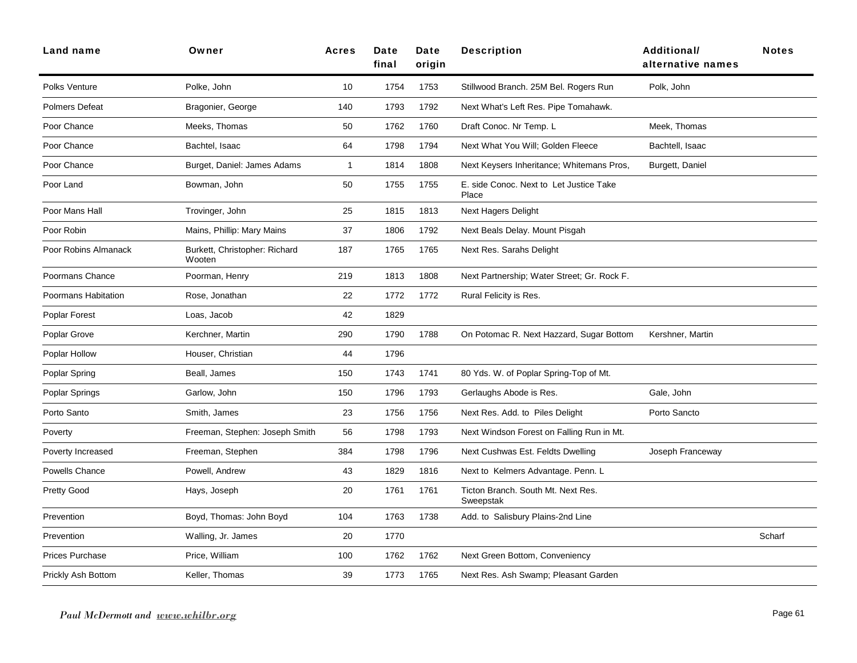| Land name              | Owner                                   | <b>Acres</b>   | Date<br>final | Date<br>origin | <b>Description</b>                               | <b>Additional/</b><br>alternative names | <b>Notes</b> |
|------------------------|-----------------------------------------|----------------|---------------|----------------|--------------------------------------------------|-----------------------------------------|--------------|
| Polks Venture          | Polke, John                             | 10             | 1754          | 1753           | Stillwood Branch. 25M Bel. Rogers Run            | Polk, John                              |              |
| Polmers Defeat         | Bragonier, George                       | 140            | 1793          | 1792           | Next What's Left Res. Pipe Tomahawk.             |                                         |              |
| Poor Chance            | Meeks, Thomas                           | 50             | 1762          | 1760           | Draft Conoc. Nr Temp. L                          | Meek, Thomas                            |              |
| Poor Chance            | Bachtel, Isaac                          | 64             | 1798          | 1794           | Next What You Will; Golden Fleece                | Bachtell, Isaac                         |              |
| Poor Chance            | Burget, Daniel: James Adams             | $\overline{1}$ | 1814          | 1808           | Next Keysers Inheritance; Whitemans Pros,        | Burgett, Daniel                         |              |
| Poor Land              | Bowman, John                            | 50             | 1755          | 1755           | E. side Conoc. Next to Let Justice Take<br>Place |                                         |              |
| Poor Mans Hall         | Trovinger, John                         | 25             | 1815          | 1813           | <b>Next Hagers Delight</b>                       |                                         |              |
| Poor Robin             | Mains, Phillip: Mary Mains              | 37             | 1806          | 1792           | Next Beals Delay. Mount Pisgah                   |                                         |              |
| Poor Robins Almanack   | Burkett, Christopher: Richard<br>Wooten | 187            | 1765          | 1765           | Next Res. Sarahs Delight                         |                                         |              |
| Poormans Chance        | Poorman, Henry                          | 219            | 1813          | 1808           | Next Partnership; Water Street; Gr. Rock F.      |                                         |              |
| Poormans Habitation    | Rose, Jonathan                          | 22             | 1772          | 1772           | Rural Felicity is Res.                           |                                         |              |
| Poplar Forest          | Loas, Jacob                             | 42             | 1829          |                |                                                  |                                         |              |
| Poplar Grove           | Kerchner, Martin                        | 290            | 1790          | 1788           | On Potomac R. Next Hazzard, Sugar Bottom         | Kershner, Martin                        |              |
| Poplar Hollow          | Houser, Christian                       | 44             | 1796          |                |                                                  |                                         |              |
| Poplar Spring          | Beall, James                            | 150            | 1743          | 1741           | 80 Yds. W. of Poplar Spring-Top of Mt.           |                                         |              |
| Poplar Springs         | Garlow, John                            | 150            | 1796          | 1793           | Gerlaughs Abode is Res.                          | Gale, John                              |              |
| Porto Santo            | Smith, James                            | 23             | 1756          | 1756           | Next Res. Add. to Piles Delight                  | Porto Sancto                            |              |
| Poverty                | Freeman, Stephen: Joseph Smith          | 56             | 1798          | 1793           | Next Windson Forest on Falling Run in Mt.        |                                         |              |
| Poverty Increased      | Freeman, Stephen                        | 384            | 1798          | 1796           | Next Cushwas Est. Feldts Dwelling                | Joseph Franceway                        |              |
| Powells Chance         | Powell, Andrew                          | 43             | 1829          | 1816           | Next to Kelmers Advantage. Penn. L               |                                         |              |
| Pretty Good            | Hays, Joseph                            | 20             | 1761          | 1761           | Ticton Branch. South Mt. Next Res.<br>Sweepstak  |                                         |              |
| Prevention             | Boyd, Thomas: John Boyd                 | 104            | 1763          | 1738           | Add. to Salisbury Plains-2nd Line                |                                         |              |
| Prevention             | Walling, Jr. James                      | 20             | 1770          |                |                                                  |                                         | Scharf       |
| <b>Prices Purchase</b> | Price, William                          | 100            | 1762          | 1762           | Next Green Bottom, Conveniency                   |                                         |              |
| Prickly Ash Bottom     | Keller, Thomas                          | 39             | 1773          | 1765           | Next Res. Ash Swamp; Pleasant Garden             |                                         |              |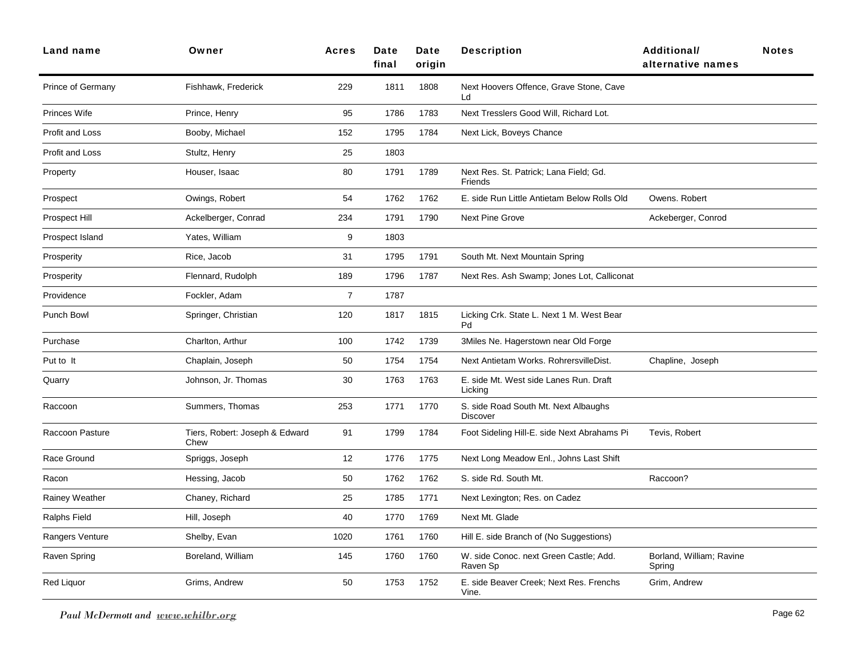| Land name         | Owner                                  | <b>Acres</b>   | Date<br>final | Date<br>origin | <b>Description</b>                                      | <b>Additional/</b><br>alternative names | <b>Notes</b> |
|-------------------|----------------------------------------|----------------|---------------|----------------|---------------------------------------------------------|-----------------------------------------|--------------|
| Prince of Germany | Fishhawk, Frederick                    | 229            | 1811          | 1808           | Next Hoovers Offence, Grave Stone, Cave<br>Ld           |                                         |              |
| Princes Wife      | Prince, Henry                          | 95             | 1786          | 1783           | Next Tresslers Good Will, Richard Lot.                  |                                         |              |
| Profit and Loss   | Booby, Michael                         | 152            | 1795          | 1784           | Next Lick, Boveys Chance                                |                                         |              |
| Profit and Loss   | Stultz, Henry                          | 25             | 1803          |                |                                                         |                                         |              |
| Property          | Houser, Isaac                          | 80             | 1791          | 1789           | Next Res. St. Patrick; Lana Field; Gd.<br>Friends       |                                         |              |
| Prospect          | Owings, Robert                         | 54             | 1762          | 1762           | E. side Run Little Antietam Below Rolls Old             | Owens. Robert                           |              |
| Prospect Hill     | Ackelberger, Conrad                    | 234            | 1791          | 1790           | <b>Next Pine Grove</b>                                  | Ackeberger, Conrod                      |              |
| Prospect Island   | Yates, William                         | 9              | 1803          |                |                                                         |                                         |              |
| Prosperity        | Rice, Jacob                            | 31             | 1795          | 1791           | South Mt. Next Mountain Spring                          |                                         |              |
| Prosperity        | Flennard, Rudolph                      | 189            | 1796          | 1787           | Next Res. Ash Swamp; Jones Lot, Calliconat              |                                         |              |
| Providence        | Fockler, Adam                          | $\overline{7}$ | 1787          |                |                                                         |                                         |              |
| Punch Bowl        | Springer, Christian                    | 120            | 1817          | 1815           | Licking Crk. State L. Next 1 M. West Bear<br>Pd         |                                         |              |
| Purchase          | Charlton, Arthur                       | 100            | 1742          | 1739           | 3Miles Ne. Hagerstown near Old Forge                    |                                         |              |
| Put to It         | Chaplain, Joseph                       | 50             | 1754          | 1754           | Next Antietam Works. RohrersvilleDist.                  | Chapline, Joseph                        |              |
| Quarry            | Johnson, Jr. Thomas                    | 30             | 1763          | 1763           | E. side Mt. West side Lanes Run. Draft<br>Licking       |                                         |              |
| Raccoon           | Summers, Thomas                        | 253            | 1771          | 1770           | S. side Road South Mt. Next Albaughs<br><b>Discover</b> |                                         |              |
| Raccoon Pasture   | Tiers, Robert: Joseph & Edward<br>Chew | 91             | 1799          | 1784           | Foot Sideling Hill-E. side Next Abrahams Pi             | Tevis, Robert                           |              |
| Race Ground       | Spriggs, Joseph                        | 12             | 1776          | 1775           | Next Long Meadow Enl., Johns Last Shift                 |                                         |              |
| Racon             | Hessing, Jacob                         | 50             | 1762          | 1762           | S. side Rd. South Mt.                                   | Raccoon?                                |              |
| Rainey Weather    | Chaney, Richard                        | 25             | 1785          | 1771           | Next Lexington; Res. on Cadez                           |                                         |              |
| Ralphs Field      | Hill, Joseph                           | 40             | 1770          | 1769           | Next Mt. Glade                                          |                                         |              |
| Rangers Venture   | Shelby, Evan                           | 1020           | 1761          | 1760           | Hill E. side Branch of (No Suggestions)                 |                                         |              |
| Raven Spring      | Boreland, William                      | 145            | 1760          | 1760           | W. side Conoc. next Green Castle; Add.<br>Raven Sp      | Borland, William; Ravine<br>Spring      |              |
| <b>Red Liquor</b> | Grims, Andrew                          | 50             | 1753          | 1752           | E. side Beaver Creek; Next Res. Frenchs<br>Vine.        | Grim, Andrew                            |              |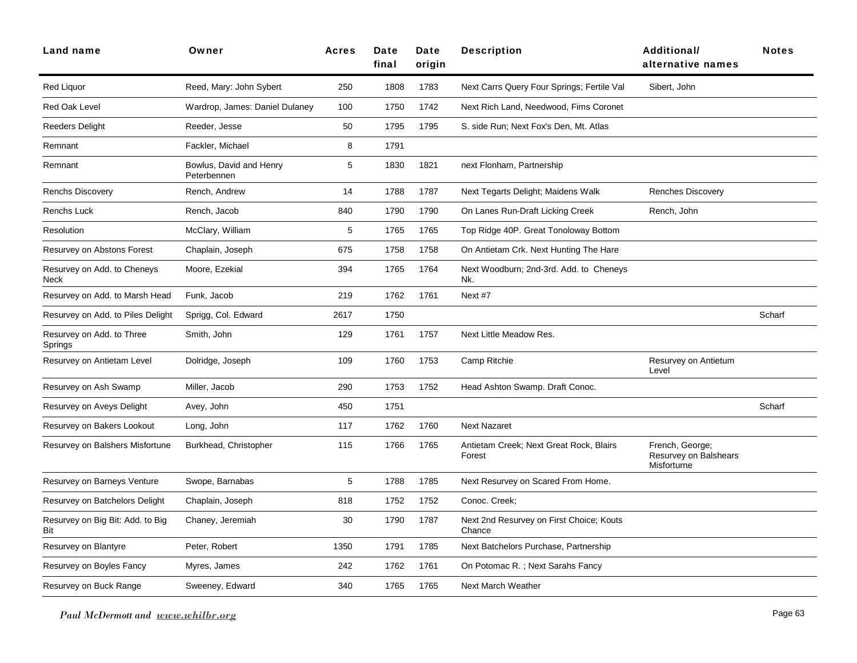| Land name                               | Owner                                  | <b>Acres</b> | Date<br>final | <b>Date</b><br>origin | <b>Description</b>                                 | Additional/<br>alternative names                        | <b>Notes</b> |
|-----------------------------------------|----------------------------------------|--------------|---------------|-----------------------|----------------------------------------------------|---------------------------------------------------------|--------------|
| <b>Red Liquor</b>                       | Reed, Mary: John Sybert                | 250          | 1808          | 1783                  | Next Carrs Query Four Springs; Fertile Val         | Sibert, John                                            |              |
| Red Oak Level                           | Wardrop, James: Daniel Dulaney         | 100          | 1750          | 1742                  | Next Rich Land, Needwood, Fims Coronet             |                                                         |              |
| Reeders Delight                         | Reeder, Jesse                          | 50           | 1795          | 1795                  | S. side Run; Next Fox's Den, Mt. Atlas             |                                                         |              |
| Remnant                                 | Fackler, Michael                       | 8            | 1791          |                       |                                                    |                                                         |              |
| Remnant                                 | Bowlus, David and Henry<br>Peterbennen | 5            | 1830          | 1821                  | next Flonham, Partnership                          |                                                         |              |
| <b>Renchs Discovery</b>                 | Rench, Andrew                          | 14           | 1788          | 1787                  | Next Tegarts Delight; Maidens Walk                 | <b>Renches Discovery</b>                                |              |
| Renchs Luck                             | Rench, Jacob                           | 840          | 1790          | 1790                  | On Lanes Run-Draft Licking Creek                   | Rench, John                                             |              |
| Resolution                              | McClary, William                       | 5            | 1765          | 1765                  | Top Ridge 40P. Great Tonoloway Bottom              |                                                         |              |
| Resurvey on Abstons Forest              | Chaplain, Joseph                       | 675          | 1758          | 1758                  | On Antietam Crk. Next Hunting The Hare             |                                                         |              |
| Resurvey on Add. to Cheneys<br>Neck     | Moore, Ezekial                         | 394          | 1765          | 1764                  | Next Woodburn; 2nd-3rd. Add. to Cheneys<br>Nk.     |                                                         |              |
| Resurvey on Add. to Marsh Head          | Funk, Jacob                            | 219          | 1762          | 1761                  | Next #7                                            |                                                         |              |
| Resurvey on Add. to Piles Delight       | Sprigg, Col. Edward                    | 2617         | 1750          |                       |                                                    |                                                         | Scharf       |
| Resurvey on Add. to Three<br>Springs    | Smith, John                            | 129          | 1761          | 1757                  | Next Little Meadow Res.                            |                                                         |              |
| Resurvey on Antietam Level              | Dolridge, Joseph                       | 109          | 1760          | 1753                  | Camp Ritchie                                       | Resurvey on Antietum<br>Level                           |              |
| Resurvey on Ash Swamp                   | Miller, Jacob                          | 290          | 1753          | 1752                  | Head Ashton Swamp. Draft Conoc.                    |                                                         |              |
| Resurvey on Aveys Delight               | Avey, John                             | 450          | 1751          |                       |                                                    |                                                         | Scharf       |
| Resurvey on Bakers Lookout              | Long, John                             | 117          | 1762          | 1760                  | <b>Next Nazaret</b>                                |                                                         |              |
| Resurvey on Balshers Misfortune         | Burkhead, Christopher                  | 115          | 1766          | 1765                  | Antietam Creek; Next Great Rock, Blairs<br>Forest  | French, George;<br>Resurvey on Balshears<br>Misforturne |              |
| Resurvey on Barneys Venture             | Swope, Barnabas                        | 5            | 1788          | 1785                  | Next Resurvey on Scared From Home.                 |                                                         |              |
| Resurvey on Batchelors Delight          | Chaplain, Joseph                       | 818          | 1752          | 1752                  | Conoc. Creek;                                      |                                                         |              |
| Resurvey on Big Bit: Add. to Big<br>Bit | Chaney, Jeremiah                       | 30           | 1790          | 1787                  | Next 2nd Resurvey on First Choice; Kouts<br>Chance |                                                         |              |
| Resurvey on Blantyre                    | Peter, Robert                          | 1350         | 1791          | 1785                  | Next Batchelors Purchase, Partnership              |                                                         |              |
| Resurvey on Boyles Fancy                | Myres, James                           | 242          | 1762          | 1761                  | On Potomac R.; Next Sarahs Fancy                   |                                                         |              |
| Resurvey on Buck Range                  | Sweeney, Edward                        | 340          | 1765          | 1765                  | Next March Weather                                 |                                                         |              |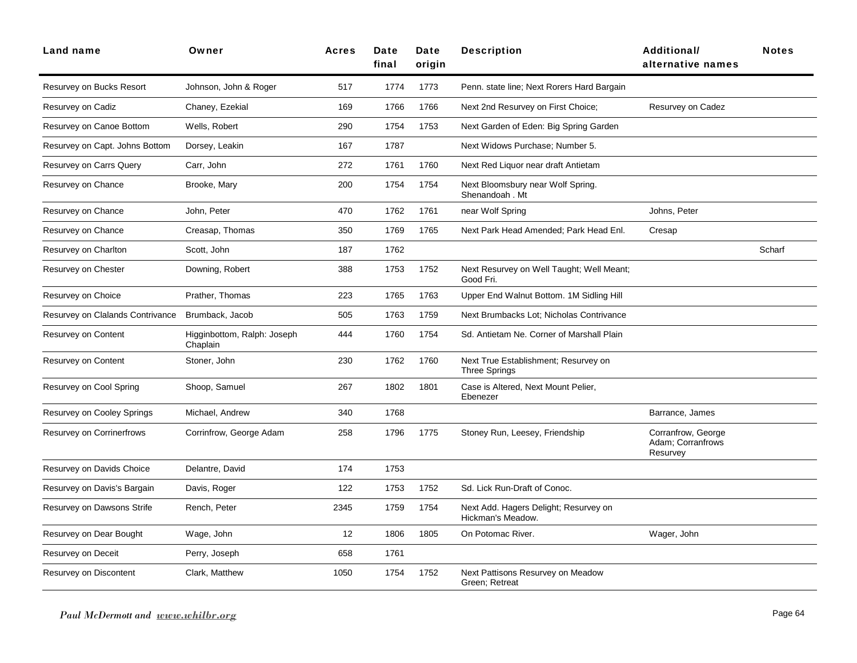| Land name                        | Owner                                   | <b>Acres</b> | Date<br>final | Date<br>origin | <b>Description</b>                                           | Additional/<br>alternative names                    | <b>Notes</b> |
|----------------------------------|-----------------------------------------|--------------|---------------|----------------|--------------------------------------------------------------|-----------------------------------------------------|--------------|
| Resurvey on Bucks Resort         | Johnson, John & Roger                   | 517          | 1774          | 1773           | Penn. state line; Next Rorers Hard Bargain                   |                                                     |              |
| Resurvey on Cadiz                | Chaney, Ezekial                         | 169          | 1766          | 1766           | Next 2nd Resurvey on First Choice;                           | Resurvey on Cadez                                   |              |
| Resurvey on Canoe Bottom         | Wells, Robert                           | 290          | 1754          | 1753           | Next Garden of Eden: Big Spring Garden                       |                                                     |              |
| Resurvey on Capt. Johns Bottom   | Dorsey, Leakin                          | 167          | 1787          |                | Next Widows Purchase; Number 5.                              |                                                     |              |
| Resurvey on Carrs Query          | Carr, John                              | 272          | 1761          | 1760           | Next Red Liquor near draft Antietam                          |                                                     |              |
| Resurvey on Chance               | Brooke, Mary                            | 200          | 1754          | 1754           | Next Bloomsbury near Wolf Spring.<br>Shenandoah . Mt         |                                                     |              |
| Resurvey on Chance               | John, Peter                             | 470          | 1762          | 1761           | near Wolf Spring                                             | Johns, Peter                                        |              |
| Resurvey on Chance               | Creasap, Thomas                         | 350          | 1769          | 1765           | Next Park Head Amended; Park Head Enl.                       | Cresap                                              |              |
| Resurvey on Charlton             | Scott, John                             | 187          | 1762          |                |                                                              |                                                     | Scharf       |
| Resurvey on Chester              | Downing, Robert                         | 388          | 1753          | 1752           | Next Resurvey on Well Taught; Well Meant;<br>Good Fri.       |                                                     |              |
| Resurvey on Choice               | Prather, Thomas                         | 223          | 1765          | 1763           | Upper End Walnut Bottom. 1M Sidling Hill                     |                                                     |              |
| Resurvey on Clalands Contrivance | Brumback, Jacob                         | 505          | 1763          | 1759           | Next Brumbacks Lot; Nicholas Contrivance                     |                                                     |              |
| Resurvey on Content              | Higginbottom, Ralph: Joseph<br>Chaplain | 444          | 1760          | 1754           | Sd. Antietam Ne. Corner of Marshall Plain                    |                                                     |              |
| Resurvey on Content              | Stoner, John                            | 230          | 1762          | 1760           | Next True Establishment; Resurvey on<br><b>Three Springs</b> |                                                     |              |
| Resurvey on Cool Spring          | Shoop, Samuel                           | 267          | 1802          | 1801           | Case is Altered, Next Mount Pelier,<br>Ebenezer              |                                                     |              |
| Resurvey on Cooley Springs       | Michael, Andrew                         | 340          | 1768          |                |                                                              | Barrance, James                                     |              |
| <b>Resurvey on Corrinerfrows</b> | Corrinfrow, George Adam                 | 258          | 1796          | 1775           | Stoney Run, Leesey, Friendship                               | Corranfrow, George<br>Adam; Corranfrows<br>Resurvey |              |
| Resurvey on Davids Choice        | Delantre, David                         | 174          | 1753          |                |                                                              |                                                     |              |
| Resurvey on Davis's Bargain      | Davis, Roger                            | 122          | 1753          | 1752           | Sd. Lick Run-Draft of Conoc.                                 |                                                     |              |
| Resurvey on Dawsons Strife       | Rench, Peter                            | 2345         | 1759          | 1754           | Next Add. Hagers Delight; Resurvey on<br>Hickman's Meadow.   |                                                     |              |
| Resurvey on Dear Bought          | Wage, John                              | 12           | 1806          | 1805           | On Potomac River.                                            | Wager, John                                         |              |
| Resurvey on Deceit               | Perry, Joseph                           | 658          | 1761          |                |                                                              |                                                     |              |
| Resurvey on Discontent           | Clark, Matthew                          | 1050         | 1754          | 1752           | Next Pattisons Resurvey on Meadow<br>Green; Retreat          |                                                     |              |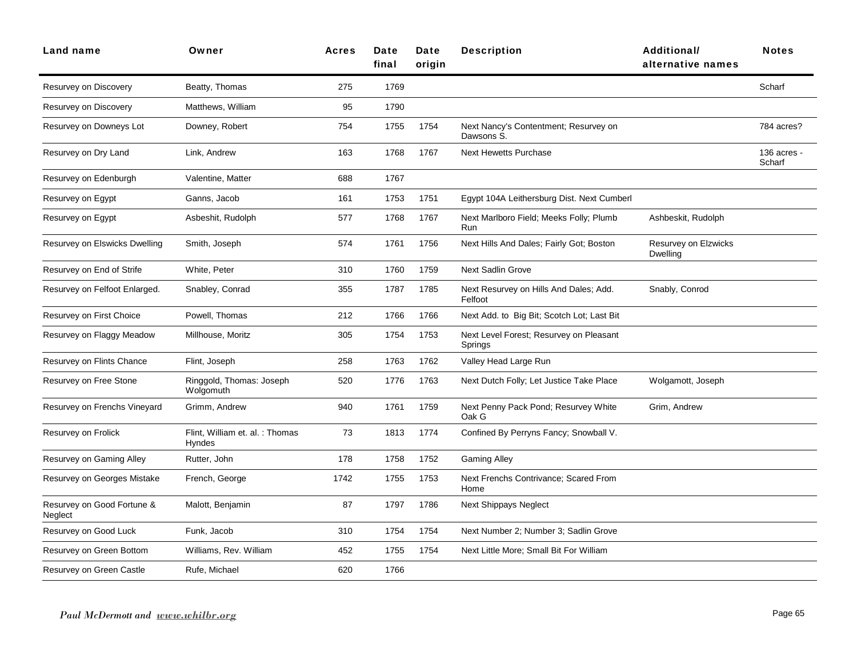| Land name                             | Owner                                     | <b>Acres</b> | Date<br>final | Date<br>origin | <b>Description</b>                                  | <b>Additional/</b><br>alternative names | <b>Notes</b>          |
|---------------------------------------|-------------------------------------------|--------------|---------------|----------------|-----------------------------------------------------|-----------------------------------------|-----------------------|
| Resurvey on Discovery                 | Beatty, Thomas                            | 275          | 1769          |                |                                                     |                                         | Scharf                |
| Resurvey on Discovery                 | Matthews, William                         | 95           | 1790          |                |                                                     |                                         |                       |
| Resurvey on Downeys Lot               | Downey, Robert                            | 754          | 1755          | 1754           | Next Nancy's Contentment; Resurvey on<br>Dawsons S. |                                         | 784 acres?            |
| Resurvey on Dry Land                  | Link, Andrew                              | 163          | 1768          | 1767           | <b>Next Hewetts Purchase</b>                        |                                         | 136 acres -<br>Scharf |
| Resurvey on Edenburgh                 | Valentine, Matter                         | 688          | 1767          |                |                                                     |                                         |                       |
| Resurvey on Egypt                     | Ganns, Jacob                              | 161          | 1753          | 1751           | Egypt 104A Leithersburg Dist. Next Cumberl          |                                         |                       |
| Resurvey on Egypt                     | Asbeshit, Rudolph                         | 577          | 1768          | 1767           | Next Marlboro Field; Meeks Folly; Plumb<br>Run      | Ashbeskit, Rudolph                      |                       |
| Resurvey on Elswicks Dwelling         | Smith, Joseph                             | 574          | 1761          | 1756           | Next Hills And Dales; Fairly Got; Boston            | Resurvey on Elzwicks<br><b>Dwelling</b> |                       |
| Resurvey on End of Strife             | White, Peter                              | 310          | 1760          | 1759           | <b>Next Sadlin Grove</b>                            |                                         |                       |
| Resurvey on Felfoot Enlarged.         | Snabley, Conrad                           | 355          | 1787          | 1785           | Next Resurvey on Hills And Dales; Add.<br>Felfoot   | Snably, Conrod                          |                       |
| Resurvey on First Choice              | Powell, Thomas                            | 212          | 1766          | 1766           | Next Add. to Big Bit; Scotch Lot; Last Bit          |                                         |                       |
| Resurvey on Flaggy Meadow             | Millhouse, Moritz                         | 305          | 1754          | 1753           | Next Level Forest; Resurvey on Pleasant<br>Springs  |                                         |                       |
| Resurvey on Flints Chance             | Flint, Joseph                             | 258          | 1763          | 1762           | Valley Head Large Run                               |                                         |                       |
| Resurvey on Free Stone                | Ringgold, Thomas: Joseph<br>Wolgomuth     | 520          | 1776          | 1763           | Next Dutch Folly; Let Justice Take Place            | Wolgamott, Joseph                       |                       |
| Resurvey on Frenchs Vineyard          | Grimm, Andrew                             | 940          | 1761          | 1759           | Next Penny Pack Pond; Resurvey White<br>Oak G       | Grim, Andrew                            |                       |
| Resurvey on Frolick                   | Flint, William et. al. : Thomas<br>Hyndes | 73           | 1813          | 1774           | Confined By Perryns Fancy; Snowball V.              |                                         |                       |
| Resurvey on Gaming Alley              | Rutter, John                              | 178          | 1758          | 1752           | <b>Gaming Alley</b>                                 |                                         |                       |
| Resurvey on Georges Mistake           | French, George                            | 1742         | 1755          | 1753           | Next Frenchs Contrivance; Scared From<br>Home       |                                         |                       |
| Resurvey on Good Fortune &<br>Neglect | Malott, Benjamin                          | 87           | 1797          | 1786           | <b>Next Shippays Neglect</b>                        |                                         |                       |
| Resurvey on Good Luck                 | Funk, Jacob                               | 310          | 1754          | 1754           | Next Number 2; Number 3; Sadlin Grove               |                                         |                       |
| Resurvey on Green Bottom              | Williams, Rev. William                    | 452          | 1755          | 1754           | Next Little More; Small Bit For William             |                                         |                       |
| Resurvey on Green Castle              | Rufe, Michael                             | 620          | 1766          |                |                                                     |                                         |                       |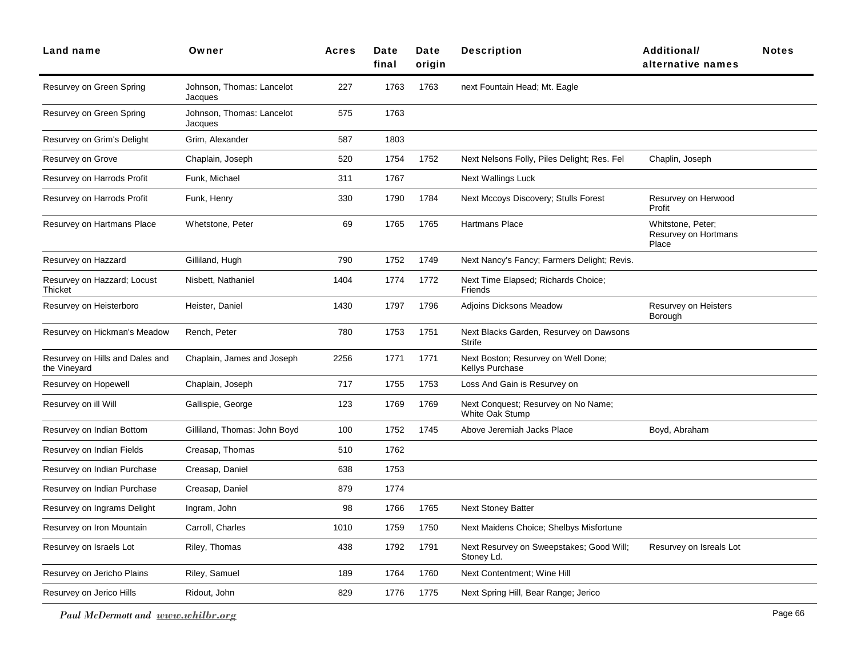| <b>Land name</b>                                | Owner                                | <b>Acres</b> | Date<br>final | Date<br>origin | <b>Description</b>                                     | Additional/<br>alternative names                   | <b>Notes</b> |
|-------------------------------------------------|--------------------------------------|--------------|---------------|----------------|--------------------------------------------------------|----------------------------------------------------|--------------|
| Resurvey on Green Spring                        | Johnson, Thomas: Lancelot<br>Jacques | 227          | 1763          | 1763           | next Fountain Head; Mt. Eagle                          |                                                    |              |
| Resurvey on Green Spring                        | Johnson, Thomas: Lancelot<br>Jacques | 575          | 1763          |                |                                                        |                                                    |              |
| Resurvey on Grim's Delight                      | Grim, Alexander                      | 587          | 1803          |                |                                                        |                                                    |              |
| Resurvey on Grove                               | Chaplain, Joseph                     | 520          | 1754          | 1752           | Next Nelsons Folly, Piles Delight; Res. Fel            | Chaplin, Joseph                                    |              |
| Resurvey on Harrods Profit                      | Funk, Michael                        | 311          | 1767          |                | Next Wallings Luck                                     |                                                    |              |
| Resurvey on Harrods Profit                      | Funk, Henry                          | 330          | 1790          | 1784           | Next Mccoys Discovery; Stulls Forest                   | Resurvey on Herwood<br>Profit                      |              |
| Resurvey on Hartmans Place                      | Whetstone, Peter                     | 69           | 1765          | 1765           | Hartmans Place                                         | Whitstone, Peter;<br>Resurvey on Hortmans<br>Place |              |
| Resurvey on Hazzard                             | Gilliland, Hugh                      | 790          | 1752          | 1749           | Next Nancy's Fancy; Farmers Delight; Revis.            |                                                    |              |
| Resurvey on Hazzard; Locust<br>Thicket          | Nisbett, Nathaniel                   | 1404         | 1774          | 1772           | Next Time Elapsed; Richards Choice;<br>Friends         |                                                    |              |
| Resurvey on Heisterboro                         | Heister, Daniel                      | 1430         | 1797          | 1796           | <b>Adjoins Dicksons Meadow</b>                         | Resurvey on Heisters<br>Borough                    |              |
| Resurvey on Hickman's Meadow                    | Rench, Peter                         | 780          | 1753          | 1751           | Next Blacks Garden, Resurvey on Dawsons<br>Strife      |                                                    |              |
| Resurvey on Hills and Dales and<br>the Vineyard | Chaplain, James and Joseph           | 2256         | 1771          | 1771           | Next Boston; Resurvey on Well Done;<br>Kellys Purchase |                                                    |              |
| Resurvey on Hopewell                            | Chaplain, Joseph                     | 717          | 1755          | 1753           | Loss And Gain is Resurvey on                           |                                                    |              |
| Resurvey on ill Will                            | Gallispie, George                    | 123          | 1769          | 1769           | Next Conquest; Resurvey on No Name;<br>White Oak Stump |                                                    |              |
| Resurvey on Indian Bottom                       | Gilliland, Thomas: John Boyd         | 100          | 1752          | 1745           | Above Jeremiah Jacks Place                             | Boyd, Abraham                                      |              |
| Resurvey on Indian Fields                       | Creasap, Thomas                      | 510          | 1762          |                |                                                        |                                                    |              |
| Resurvey on Indian Purchase                     | Creasap, Daniel                      | 638          | 1753          |                |                                                        |                                                    |              |
| Resurvey on Indian Purchase                     | Creasap, Daniel                      | 879          | 1774          |                |                                                        |                                                    |              |
| Resurvey on Ingrams Delight                     | Ingram, John                         | 98           | 1766          | 1765           | <b>Next Stoney Batter</b>                              |                                                    |              |
| Resurvey on Iron Mountain                       | Carroll, Charles                     | 1010         | 1759          | 1750           | Next Maidens Choice; Shelbys Misfortune                |                                                    |              |
| Resurvey on Israels Lot                         | Riley, Thomas                        | 438          | 1792          | 1791           | Next Resurvey on Sweepstakes; Good Will;<br>Stoney Ld. | Resurvey on Isreals Lot                            |              |
| Resurvey on Jericho Plains                      | Riley, Samuel                        | 189          | 1764          | 1760           | Next Contentment: Wine Hill                            |                                                    |              |
| Resurvey on Jerico Hills                        | Ridout, John                         | 829          | 1776          | 1775           | Next Spring Hill, Bear Range; Jerico                   |                                                    |              |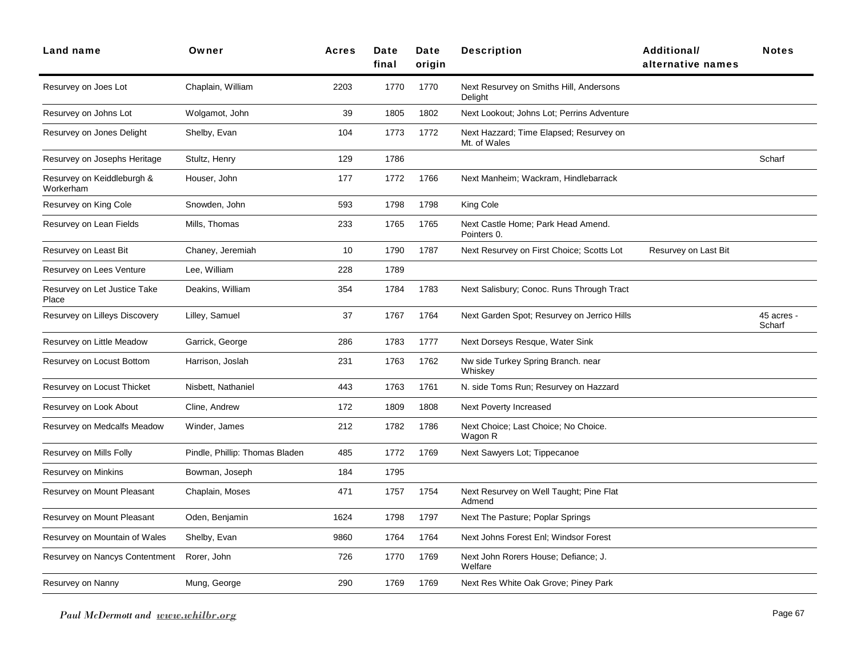| <b>Land name</b>                        | Owner                          | <b>Acres</b> | Date<br>final | Date<br>oriain | <b>Description</b>                                      | <b>Additional/</b><br>alternative names | <b>Notes</b>         |
|-----------------------------------------|--------------------------------|--------------|---------------|----------------|---------------------------------------------------------|-----------------------------------------|----------------------|
| Resurvey on Joes Lot                    | Chaplain, William              | 2203         | 1770          | 1770           | Next Resurvey on Smiths Hill, Andersons<br>Delight      |                                         |                      |
| Resurvey on Johns Lot                   | Wolgamot, John                 | 39           | 1805          | 1802           | Next Lookout; Johns Lot; Perrins Adventure              |                                         |                      |
| Resurvey on Jones Delight               | Shelby, Evan                   | 104          | 1773          | 1772           | Next Hazzard; Time Elapsed; Resurvey on<br>Mt. of Wales |                                         |                      |
| Resurvey on Josephs Heritage            | Stultz, Henry                  | 129          | 1786          |                |                                                         |                                         | Scharf               |
| Resurvey on Keiddleburgh &<br>Workerham | Houser, John                   | 177          | 1772          | 1766           | Next Manheim; Wackram, Hindlebarrack                    |                                         |                      |
| Resurvey on King Cole                   | Snowden, John                  | 593          | 1798          | 1798           | King Cole                                               |                                         |                      |
| Resurvey on Lean Fields                 | Mills, Thomas                  | 233          | 1765          | 1765           | Next Castle Home; Park Head Amend.<br>Pointers 0.       |                                         |                      |
| Resurvey on Least Bit                   | Chaney, Jeremiah               | 10           | 1790          | 1787           | Next Resurvey on First Choice; Scotts Lot               | Resurvey on Last Bit                    |                      |
| Resurvey on Lees Venture                | Lee, William                   | 228          | 1789          |                |                                                         |                                         |                      |
| Resurvey on Let Justice Take<br>Place   | Deakins, William               | 354          | 1784          | 1783           | Next Salisbury; Conoc. Runs Through Tract               |                                         |                      |
| Resurvey on Lilleys Discovery           | Lilley, Samuel                 | 37           | 1767          | 1764           | Next Garden Spot; Resurvey on Jerrico Hills             |                                         | 45 acres -<br>Scharf |
| Resurvey on Little Meadow               | Garrick, George                | 286          | 1783          | 1777           | Next Dorseys Resque, Water Sink                         |                                         |                      |
| Resurvey on Locust Bottom               | Harrison, Joslah               | 231          | 1763          | 1762           | Nw side Turkey Spring Branch. near<br>Whiskey           |                                         |                      |
| Resurvey on Locust Thicket              | Nisbett, Nathaniel             | 443          | 1763          | 1761           | N. side Toms Run; Resurvey on Hazzard                   |                                         |                      |
| Resurvey on Look About                  | Cline, Andrew                  | 172          | 1809          | 1808           | <b>Next Poverty Increased</b>                           |                                         |                      |
| Resurvey on Medcalfs Meadow             | Winder, James                  | 212          | 1782          | 1786           | Next Choice; Last Choice; No Choice.<br>Wagon R         |                                         |                      |
| Resurvey on Mills Folly                 | Pindle, Phillip: Thomas Bladen | 485          | 1772          | 1769           | Next Sawyers Lot; Tippecanoe                            |                                         |                      |
| Resurvey on Minkins                     | Bowman, Joseph                 | 184          | 1795          |                |                                                         |                                         |                      |
| Resurvey on Mount Pleasant              | Chaplain, Moses                | 471          | 1757          | 1754           | Next Resurvey on Well Taught; Pine Flat<br>Admend       |                                         |                      |
| Resurvey on Mount Pleasant              | Oden, Benjamin                 | 1624         | 1798          | 1797           | Next The Pasture; Poplar Springs                        |                                         |                      |
| Resurvey on Mountain of Wales           | Shelby, Evan                   | 9860         | 1764          | 1764           | Next Johns Forest Enl; Windsor Forest                   |                                         |                      |
| Resurvey on Nancys Contentment          | Rorer, John                    | 726          | 1770          | 1769           | Next John Rorers House; Defiance; J.<br>Welfare         |                                         |                      |
| Resurvey on Nanny                       | Mung, George                   | 290          | 1769          | 1769           | Next Res White Oak Grove; Piney Park                    |                                         |                      |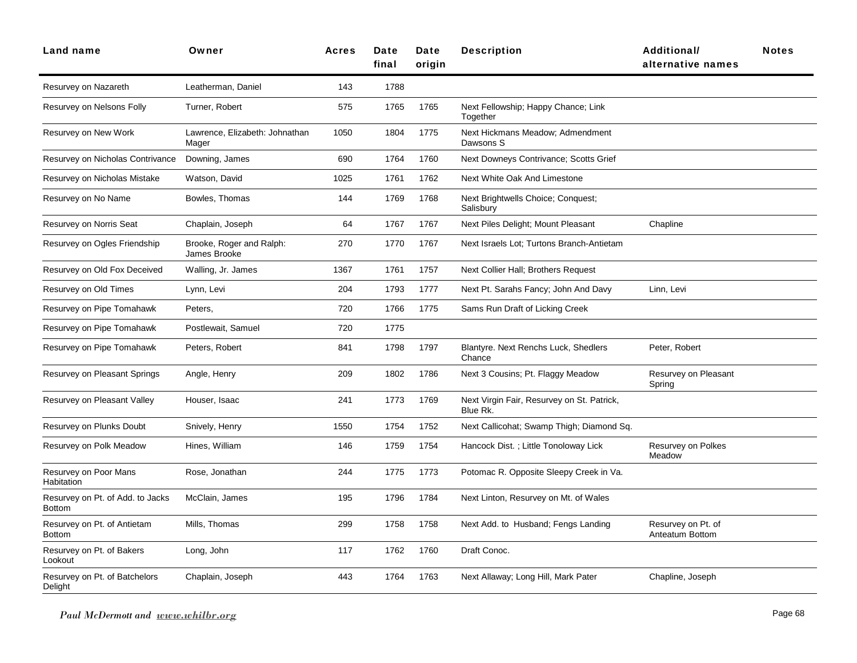| <b>Land name</b>                                  | Owner                                    | <b>Acres</b> | Date<br>final | Date<br>oriain | <b>Description</b>                                     | Additional/<br>alternative names      | <b>Notes</b> |
|---------------------------------------------------|------------------------------------------|--------------|---------------|----------------|--------------------------------------------------------|---------------------------------------|--------------|
| Resurvey on Nazareth                              | Leatherman, Daniel                       | 143          | 1788          |                |                                                        |                                       |              |
| Resurvey on Nelsons Folly                         | Turner, Robert                           | 575          | 1765          | 1765           | Next Fellowship; Happy Chance; Link<br>Together        |                                       |              |
| Resurvey on New Work                              | Lawrence, Elizabeth: Johnathan<br>Mager  | 1050         | 1804          | 1775           | Next Hickmans Meadow; Admendment<br>Dawsons S          |                                       |              |
| Resurvey on Nicholas Contrivance                  | Downing, James                           | 690          | 1764          | 1760           | Next Downeys Contrivance; Scotts Grief                 |                                       |              |
| Resurvey on Nicholas Mistake                      | Watson, David                            | 1025         | 1761          | 1762           | Next White Oak And Limestone                           |                                       |              |
| Resurvey on No Name                               | Bowles, Thomas                           | 144          | 1769          | 1768           | Next Brightwells Choice; Conquest;<br>Salisbury        |                                       |              |
| Resurvey on Norris Seat                           | Chaplain, Joseph                         | 64           | 1767          | 1767           | Next Piles Delight; Mount Pleasant                     | Chapline                              |              |
| Resurvey on Ogles Friendship                      | Brooke, Roger and Ralph:<br>James Brooke | 270          | 1770          | 1767           | Next Israels Lot; Turtons Branch-Antietam              |                                       |              |
| Resurvey on Old Fox Deceived                      | Walling, Jr. James                       | 1367         | 1761          | 1757           | Next Collier Hall; Brothers Request                    |                                       |              |
| Resurvey on Old Times                             | Lynn, Levi                               | 204          | 1793          | 1777           | Next Pt. Sarahs Fancy; John And Davy                   | Linn, Levi                            |              |
| Resurvey on Pipe Tomahawk                         | Peters,                                  | 720          | 1766          | 1775           | Sams Run Draft of Licking Creek                        |                                       |              |
| Resurvey on Pipe Tomahawk                         | Postlewait, Samuel                       | 720          | 1775          |                |                                                        |                                       |              |
| Resurvey on Pipe Tomahawk                         | Peters, Robert                           | 841          | 1798          | 1797           | Blantyre. Next Renchs Luck, Shedlers<br>Chance         | Peter, Robert                         |              |
| Resurvey on Pleasant Springs                      | Angle, Henry                             | 209          | 1802          | 1786           | Next 3 Cousins; Pt. Flaggy Meadow                      | Resurvey on Pleasant<br>Spring        |              |
| Resurvey on Pleasant Valley                       | Houser, Isaac                            | 241          | 1773          | 1769           | Next Virgin Fair, Resurvey on St. Patrick,<br>Blue Rk. |                                       |              |
| Resurvey on Plunks Doubt                          | Snively, Henry                           | 1550         | 1754          | 1752           | Next Callicohat; Swamp Thigh; Diamond Sq.              |                                       |              |
| Resurvey on Polk Meadow                           | Hines, William                           | 146          | 1759          | 1754           | Hancock Dist.; Little Tonoloway Lick                   | Resurvey on Polkes<br>Meadow          |              |
| Resurvey on Poor Mans<br>Habitation               | Rose, Jonathan                           | 244          | 1775          | 1773           | Potomac R. Opposite Sleepy Creek in Va.                |                                       |              |
| Resurvey on Pt. of Add. to Jacks<br><b>Bottom</b> | McClain, James                           | 195          | 1796          | 1784           | Next Linton, Resurvey on Mt. of Wales                  |                                       |              |
| Resurvey on Pt. of Antietam<br>Bottom             | Mills, Thomas                            | 299          | 1758          | 1758           | Next Add. to Husband; Fengs Landing                    | Resurvey on Pt. of<br>Anteatum Bottom |              |
| Resurvey on Pt. of Bakers<br>Lookout              | Long, John                               | 117          | 1762          | 1760           | Draft Conoc.                                           |                                       |              |
| Resurvey on Pt. of Batchelors<br>Delight          | Chaplain, Joseph                         | 443          | 1764          | 1763           | Next Allaway; Long Hill, Mark Pater                    | Chapline, Joseph                      |              |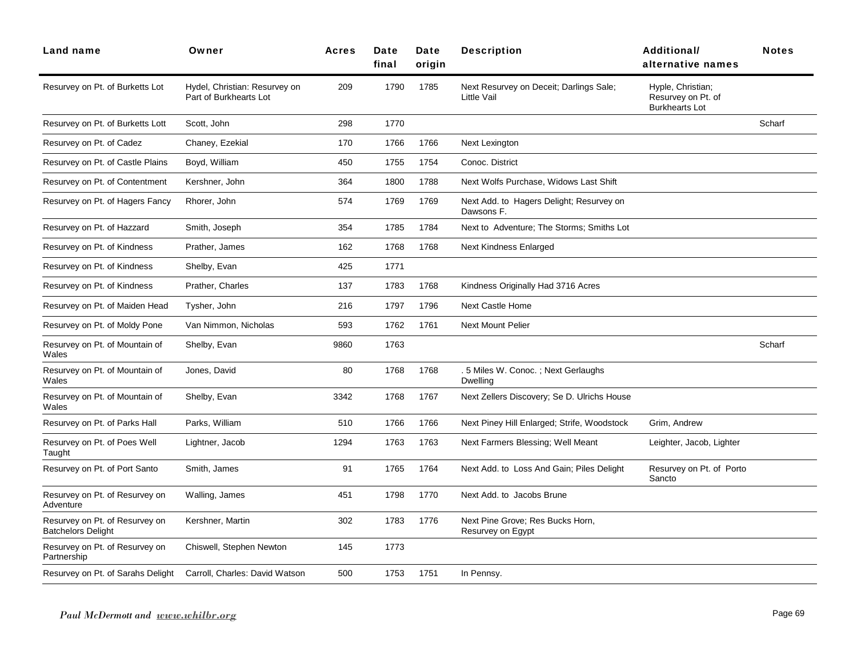| <b>Land name</b>                                            | Owner                                                   | <b>Acres</b> | Date<br>final | Date<br>origin | <b>Description</b>                                     | Additional/<br>alternative names                                 | <b>Notes</b> |
|-------------------------------------------------------------|---------------------------------------------------------|--------------|---------------|----------------|--------------------------------------------------------|------------------------------------------------------------------|--------------|
| Resurvey on Pt. of Burketts Lot                             | Hydel, Christian: Resurvey on<br>Part of Burkhearts Lot | 209          | 1790          | 1785           | Next Resurvey on Deceit; Darlings Sale;<br>Little Vail | Hyple, Christian;<br>Resurvey on Pt. of<br><b>Burkhearts Lot</b> |              |
| Resurvey on Pt. of Burketts Lott                            | Scott, John                                             | 298          | 1770          |                |                                                        |                                                                  | Scharf       |
| Resurvey on Pt. of Cadez                                    | Chaney, Ezekial                                         | 170          | 1766          | 1766           | Next Lexington                                         |                                                                  |              |
| Resurvey on Pt. of Castle Plains                            | Boyd, William                                           | 450          | 1755          | 1754           | Conoc. District                                        |                                                                  |              |
| Resurvey on Pt. of Contentment                              | Kershner, John                                          | 364          | 1800          | 1788           | Next Wolfs Purchase, Widows Last Shift                 |                                                                  |              |
| Resurvey on Pt. of Hagers Fancy                             | Rhorer, John                                            | 574          | 1769          | 1769           | Next Add. to Hagers Delight; Resurvey on<br>Dawsons F. |                                                                  |              |
| Resurvey on Pt. of Hazzard                                  | Smith, Joseph                                           | 354          | 1785          | 1784           | Next to Adventure; The Storms; Smiths Lot              |                                                                  |              |
| Resurvey on Pt. of Kindness                                 | Prather, James                                          | 162          | 1768          | 1768           | Next Kindness Enlarged                                 |                                                                  |              |
| Resurvey on Pt. of Kindness                                 | Shelby, Evan                                            | 425          | 1771          |                |                                                        |                                                                  |              |
| Resurvey on Pt. of Kindness                                 | Prather, Charles                                        | 137          | 1783          | 1768           | Kindness Originally Had 3716 Acres                     |                                                                  |              |
| Resurvey on Pt. of Maiden Head                              | Tysher, John                                            | 216          | 1797          | 1796           | <b>Next Castle Home</b>                                |                                                                  |              |
| Resurvey on Pt. of Moldy Pone                               | Van Nimmon, Nicholas                                    | 593          | 1762          | 1761           | <b>Next Mount Pelier</b>                               |                                                                  |              |
| Resurvey on Pt. of Mountain of<br>Wales                     | Shelby, Evan                                            | 9860         | 1763          |                |                                                        |                                                                  | Scharf       |
| Resurvey on Pt. of Mountain of<br>Wales                     | Jones, David                                            | 80           | 1768          | 1768           | . 5 Miles W. Conoc.; Next Gerlaughs<br>Dwelling        |                                                                  |              |
| Resurvey on Pt. of Mountain of<br>Wales                     | Shelby, Evan                                            | 3342         | 1768          | 1767           | Next Zellers Discovery; Se D. Ulrichs House            |                                                                  |              |
| Resurvey on Pt. of Parks Hall                               | Parks, William                                          | 510          | 1766          | 1766           | Next Piney Hill Enlarged; Strife, Woodstock            | Grim, Andrew                                                     |              |
| Resurvey on Pt. of Poes Well<br>Taught                      | Lightner, Jacob                                         | 1294         | 1763          | 1763           | Next Farmers Blessing; Well Meant                      | Leighter, Jacob, Lighter                                         |              |
| Resurvey on Pt. of Port Santo                               | Smith, James                                            | 91           | 1765          | 1764           | Next Add. to Loss And Gain; Piles Delight              | Resurvey on Pt. of Porto<br>Sancto                               |              |
| Resurvey on Pt. of Resurvey on<br>Adventure                 | Walling, James                                          | 451          | 1798          | 1770           | Next Add. to Jacobs Brune                              |                                                                  |              |
| Resurvey on Pt. of Resurvey on<br><b>Batchelors Delight</b> | Kershner, Martin                                        | 302          | 1783          | 1776           | Next Pine Grove; Res Bucks Horn,<br>Resurvey on Egypt  |                                                                  |              |
| Resurvey on Pt. of Resurvey on<br>Partnership               | Chiswell, Stephen Newton                                | 145          | 1773          |                |                                                        |                                                                  |              |
| Resurvey on Pt. of Sarahs Delight                           | Carroll, Charles: David Watson                          | 500          | 1753          | 1751           | In Pennsy.                                             |                                                                  |              |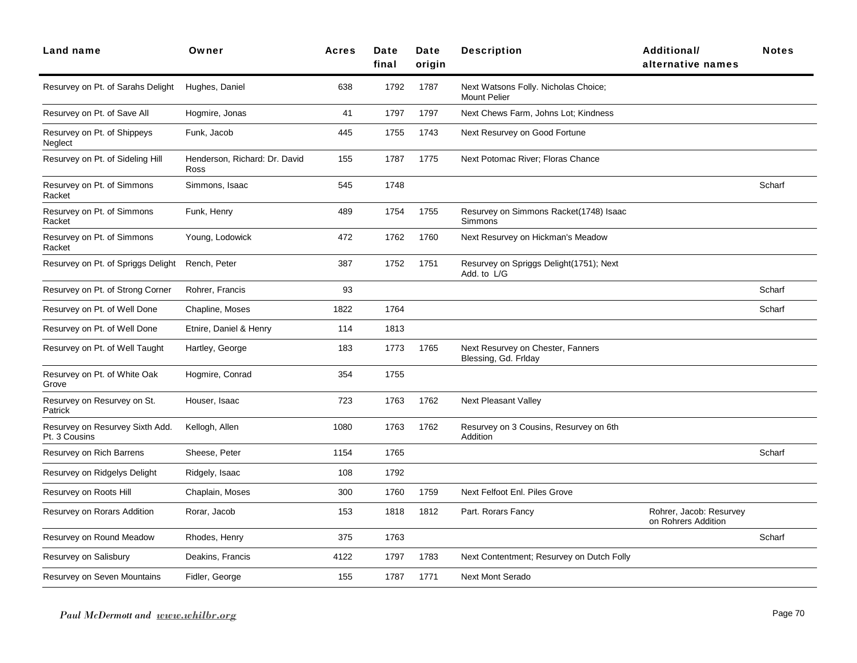| <b>Land name</b>                                 | Owner                                 | <b>Acres</b> | Date<br>final | Date<br>origin | <b>Description</b>                                          | Additional/<br>alternative names               | <b>Notes</b> |
|--------------------------------------------------|---------------------------------------|--------------|---------------|----------------|-------------------------------------------------------------|------------------------------------------------|--------------|
| Resurvey on Pt. of Sarahs Delight                | Hughes, Daniel                        | 638          | 1792          | 1787           | Next Watsons Folly. Nicholas Choice;<br><b>Mount Pelier</b> |                                                |              |
| Resurvey on Pt. of Save All                      | Hogmire, Jonas                        | 41           | 1797          | 1797           | Next Chews Farm, Johns Lot; Kindness                        |                                                |              |
| Resurvey on Pt. of Shippeys<br>Neglect           | Funk, Jacob                           | 445          | 1755          | 1743           | Next Resurvey on Good Fortune                               |                                                |              |
| Resurvey on Pt. of Sideling Hill                 | Henderson, Richard: Dr. David<br>Ross | 155          | 1787          | 1775           | Next Potomac River; Floras Chance                           |                                                |              |
| Resurvey on Pt. of Simmons<br>Racket             | Simmons, Isaac                        | 545          | 1748          |                |                                                             |                                                | Scharf       |
| Resurvey on Pt. of Simmons<br>Racket             | Funk, Henry                           | 489          | 1754          | 1755           | Resurvey on Simmons Racket(1748) Isaac<br>Simmons           |                                                |              |
| Resurvey on Pt. of Simmons<br>Racket             | Young, Lodowick                       | 472          | 1762          | 1760           | Next Resurvey on Hickman's Meadow                           |                                                |              |
| Resurvey on Pt. of Spriggs Delight               | Rench, Peter                          | 387          | 1752          | 1751           | Resurvey on Spriggs Delight(1751); Next<br>Add. to L/G      |                                                |              |
| Resurvey on Pt. of Strong Corner                 | Rohrer, Francis                       | 93           |               |                |                                                             |                                                | Scharf       |
| Resurvey on Pt. of Well Done                     | Chapline, Moses                       | 1822         | 1764          |                |                                                             |                                                | Scharf       |
| Resurvey on Pt. of Well Done                     | Etnire, Daniel & Henry                | 114          | 1813          |                |                                                             |                                                |              |
| Resurvey on Pt. of Well Taught                   | Hartley, George                       | 183          | 1773          | 1765           | Next Resurvey on Chester, Fanners<br>Blessing, Gd. Frlday   |                                                |              |
| Resurvey on Pt. of White Oak<br>Grove            | Hogmire, Conrad                       | 354          | 1755          |                |                                                             |                                                |              |
| Resurvey on Resurvey on St.<br>Patrick           | Houser, Isaac                         | 723          | 1763          | 1762           | <b>Next Pleasant Valley</b>                                 |                                                |              |
| Resurvey on Resurvey Sixth Add.<br>Pt. 3 Cousins | Kellogh, Allen                        | 1080         | 1763          | 1762           | Resurvey on 3 Cousins, Resurvey on 6th<br>Addition          |                                                |              |
| Resurvey on Rich Barrens                         | Sheese, Peter                         | 1154         | 1765          |                |                                                             |                                                | Scharf       |
| Resurvey on Ridgelys Delight                     | Ridgely, Isaac                        | 108          | 1792          |                |                                                             |                                                |              |
| Resurvey on Roots Hill                           | Chaplain, Moses                       | 300          | 1760          | 1759           | Next Felfoot Enl. Piles Grove                               |                                                |              |
| Resurvey on Rorars Addition                      | Rorar, Jacob                          | 153          | 1818          | 1812           | Part. Rorars Fancy                                          | Rohrer, Jacob: Resurvey<br>on Rohrers Addition |              |
| Resurvey on Round Meadow                         | Rhodes, Henry                         | 375          | 1763          |                |                                                             |                                                | Scharf       |
| Resurvey on Salisbury                            | Deakins, Francis                      | 4122         | 1797          | 1783           | Next Contentment; Resurvey on Dutch Folly                   |                                                |              |
| Resurvey on Seven Mountains                      | Fidler, George                        | 155          | 1787          | 1771           | <b>Next Mont Serado</b>                                     |                                                |              |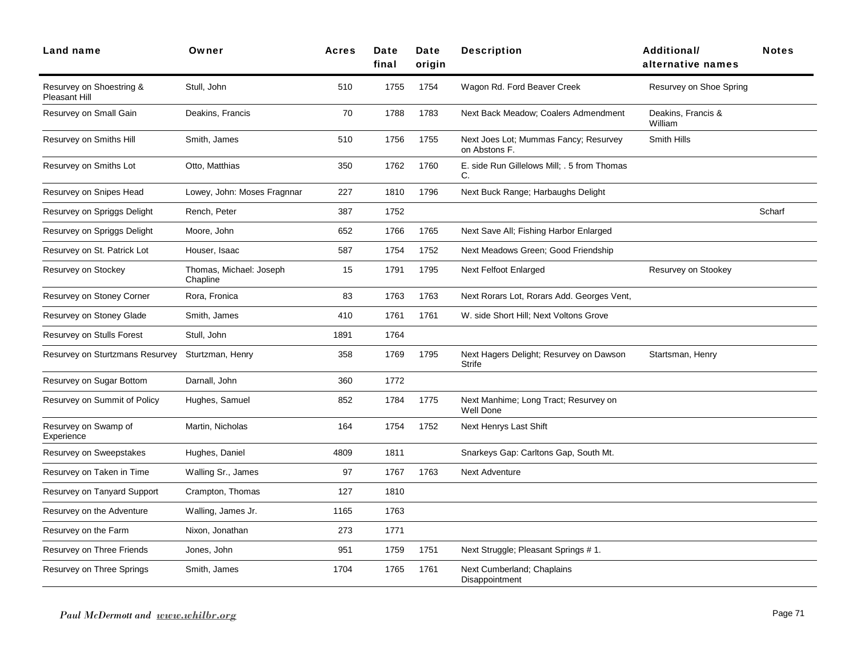| <b>Land name</b>                          | Owner                               | <b>Acres</b> | Date<br>final | Date<br>origin | <b>Description</b>                                        | <b>Additional/</b><br>alternative names | <b>Notes</b> |
|-------------------------------------------|-------------------------------------|--------------|---------------|----------------|-----------------------------------------------------------|-----------------------------------------|--------------|
| Resurvey on Shoestring &<br>Pleasant Hill | Stull, John                         | 510          | 1755          | 1754           | Wagon Rd. Ford Beaver Creek                               | Resurvey on Shoe Spring                 |              |
| Resurvey on Small Gain                    | Deakins, Francis                    | 70           | 1788          | 1783           | Next Back Meadow; Coalers Admendment                      | Deakins, Francis &<br>William           |              |
| Resurvey on Smiths Hill                   | Smith, James                        | 510          | 1756          | 1755           | Next Joes Lot; Mummas Fancy; Resurvey<br>on Abstons F.    | Smith Hills                             |              |
| Resurvey on Smiths Lot                    | Otto, Matthias                      | 350          | 1762          | 1760           | E. side Run Gillelows Mill; . 5 from Thomas<br>C.         |                                         |              |
| Resurvey on Snipes Head                   | Lowey, John: Moses Fragnnar         | 227          | 1810          | 1796           | Next Buck Range; Harbaughs Delight                        |                                         |              |
| Resurvey on Spriggs Delight               | Rench, Peter                        | 387          | 1752          |                |                                                           |                                         | Scharf       |
| Resurvey on Spriggs Delight               | Moore, John                         | 652          | 1766          | 1765           | Next Save All; Fishing Harbor Enlarged                    |                                         |              |
| Resurvey on St. Patrick Lot               | Houser, Isaac                       | 587          | 1754          | 1752           | Next Meadows Green; Good Friendship                       |                                         |              |
| Resurvey on Stockey                       | Thomas, Michael: Joseph<br>Chapline | 15           | 1791          | 1795           | Next Felfoot Enlarged                                     | Resurvey on Stookey                     |              |
| Resurvey on Stoney Corner                 | Rora, Fronica                       | 83           | 1763          | 1763           | Next Rorars Lot, Rorars Add. Georges Vent,                |                                         |              |
| Resurvey on Stoney Glade                  | Smith, James                        | 410          | 1761          | 1761           | W. side Short Hill; Next Voltons Grove                    |                                         |              |
| Resurvey on Stulls Forest                 | Stull, John                         | 1891         | 1764          |                |                                                           |                                         |              |
| Resurvey on Sturtzmans Resurvey           | Sturtzman, Henry                    | 358          | 1769          | 1795           | Next Hagers Delight; Resurvey on Dawson<br>Strife         | Startsman, Henry                        |              |
| Resurvey on Sugar Bottom                  | Darnall, John                       | 360          | 1772          |                |                                                           |                                         |              |
| Resurvey on Summit of Policy              | Hughes, Samuel                      | 852          | 1784          | 1775           | Next Manhime; Long Tract; Resurvey on<br><b>Well Done</b> |                                         |              |
| Resurvey on Swamp of<br>Experience        | Martin, Nicholas                    | 164          | 1754          | 1752           | Next Henrys Last Shift                                    |                                         |              |
| Resurvey on Sweepstakes                   | Hughes, Daniel                      | 4809         | 1811          |                | Snarkeys Gap: Carltons Gap, South Mt.                     |                                         |              |
| Resurvey on Taken in Time                 | Walling Sr., James                  | 97           | 1767          | 1763           | <b>Next Adventure</b>                                     |                                         |              |
| Resurvey on Tanyard Support               | Crampton, Thomas                    | 127          | 1810          |                |                                                           |                                         |              |
| Resurvey on the Adventure                 | Walling, James Jr.                  | 1165         | 1763          |                |                                                           |                                         |              |
| Resurvey on the Farm                      | Nixon, Jonathan                     | 273          | 1771          |                |                                                           |                                         |              |
| Resurvey on Three Friends                 | Jones, John                         | 951          | 1759          | 1751           | Next Struggle; Pleasant Springs # 1.                      |                                         |              |
| Resurvey on Three Springs                 | Smith, James                        | 1704         | 1765          | 1761           | Next Cumberland; Chaplains<br>Disappointment              |                                         |              |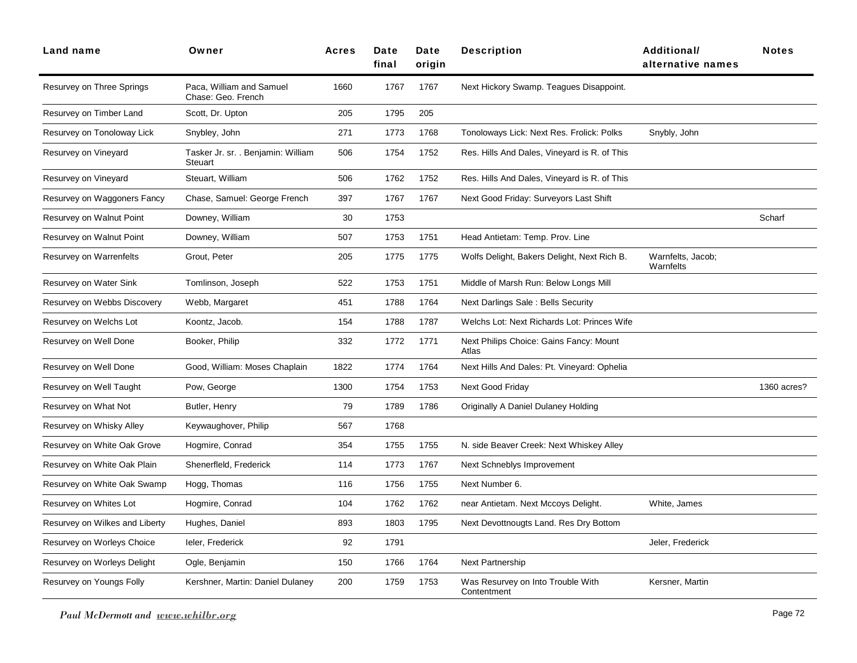| Land name                      | Owner                                          | <b>Acres</b> | Date<br>final | Date<br>origin | <b>Description</b>                               | Additional/<br>alternative names | <b>Notes</b> |
|--------------------------------|------------------------------------------------|--------------|---------------|----------------|--------------------------------------------------|----------------------------------|--------------|
| Resurvey on Three Springs      | Paca, William and Samuel<br>Chase: Geo. French | 1660         | 1767          | 1767           | Next Hickory Swamp. Teagues Disappoint.          |                                  |              |
| Resurvey on Timber Land        | Scott, Dr. Upton                               | 205          | 1795          | 205            |                                                  |                                  |              |
| Resurvey on Tonoloway Lick     | Snybley, John                                  | 271          | 1773          | 1768           | Tonoloways Lick: Next Res. Frolick: Polks        | Snybly, John                     |              |
| Resurvey on Vineyard           | Tasker Jr. sr. . Benjamin: William<br>Steuart  | 506          | 1754          | 1752           | Res. Hills And Dales, Vineyard is R. of This     |                                  |              |
| Resurvey on Vineyard           | Steuart, William                               | 506          | 1762          | 1752           | Res. Hills And Dales, Vineyard is R. of This     |                                  |              |
| Resurvey on Waggoners Fancy    | Chase, Samuel: George French                   | 397          | 1767          | 1767           | Next Good Friday: Surveyors Last Shift           |                                  |              |
| Resurvey on Walnut Point       | Downey, William                                | 30           | 1753          |                |                                                  |                                  | Scharf       |
| Resurvey on Walnut Point       | Downey, William                                | 507          | 1753          | 1751           | Head Antietam: Temp. Prov. Line                  |                                  |              |
| Resurvey on Warrenfelts        | Grout, Peter                                   | 205          | 1775          | 1775           | Wolfs Delight, Bakers Delight, Next Rich B.      | Warnfelts, Jacob;<br>Warnfelts   |              |
| Resurvey on Water Sink         | Tomlinson, Joseph                              | 522          | 1753          | 1751           | Middle of Marsh Run: Below Longs Mill            |                                  |              |
| Resurvey on Webbs Discovery    | Webb, Margaret                                 | 451          | 1788          | 1764           | Next Darlings Sale: Bells Security               |                                  |              |
| Resurvey on Welchs Lot         | Koontz, Jacob.                                 | 154          | 1788          | 1787           | Welchs Lot: Next Richards Lot: Princes Wife      |                                  |              |
| Resurvey on Well Done          | Booker, Philip                                 | 332          | 1772          | 1771           | Next Philips Choice: Gains Fancy: Mount<br>Atlas |                                  |              |
| Resurvey on Well Done          | Good, William: Moses Chaplain                  | 1822         | 1774          | 1764           | Next Hills And Dales: Pt. Vineyard: Ophelia      |                                  |              |
| Resurvey on Well Taught        | Pow, George                                    | 1300         | 1754          | 1753           | Next Good Friday                                 |                                  | 1360 acres?  |
| Resurvey on What Not           | Butler, Henry                                  | 79           | 1789          | 1786           | Originally A Daniel Dulaney Holding              |                                  |              |
| Resurvey on Whisky Alley       | Keywaughover, Philip                           | 567          | 1768          |                |                                                  |                                  |              |
| Resurvey on White Oak Grove    | Hogmire, Conrad                                | 354          | 1755          | 1755           | N. side Beaver Creek: Next Whiskey Alley         |                                  |              |
| Resurvey on White Oak Plain    | Shenerfleld, Frederick                         | 114          | 1773          | 1767           | Next Schneblys Improvement                       |                                  |              |
| Resurvey on White Oak Swamp    | Hogg, Thomas                                   | 116          | 1756          | 1755           | Next Number 6.                                   |                                  |              |
| Resurvey on Whites Lot         | Hogmire, Conrad                                | 104          | 1762          | 1762           | near Antietam. Next Mccoys Delight.              | White, James                     |              |
| Resurvey on Wilkes and Liberty | Hughes, Daniel                                 | 893          | 1803          | 1795           | Next Devottnougts Land. Res Dry Bottom           |                                  |              |
| Resurvey on Worleys Choice     | leler, Frederick                               | 92           | 1791          |                |                                                  | Jeler, Frederick                 |              |
| Resurvey on Worleys Delight    | Ogle, Benjamin                                 | 150          | 1766          | 1764           | <b>Next Partnership</b>                          |                                  |              |
| Resurvey on Youngs Folly       | Kershner, Martin: Daniel Dulaney               | 200          | 1759          | 1753           | Was Resurvey on Into Trouble With<br>Contentment | Kersner, Martin                  |              |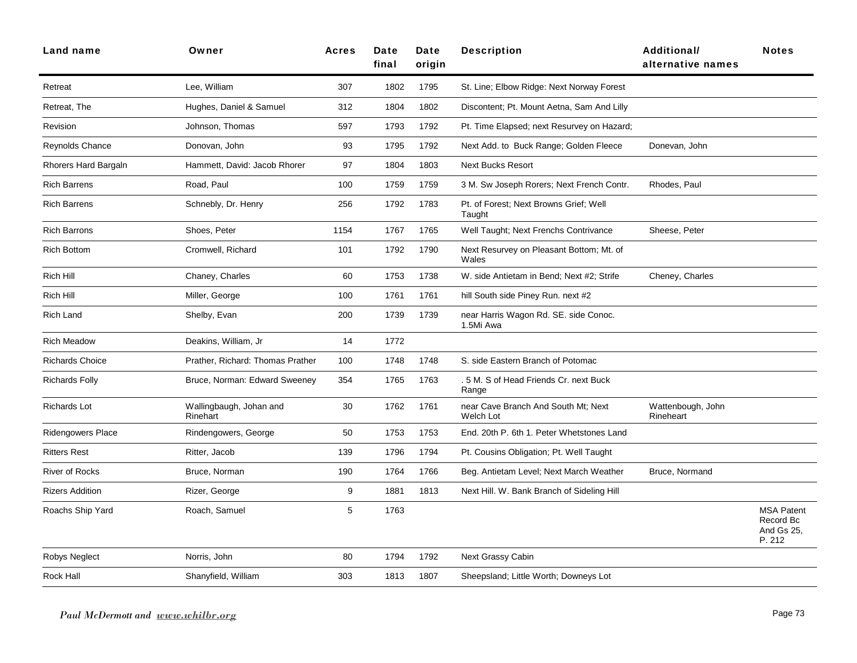| <b>Land name</b>         | Owner                               | <b>Acres</b> | Date<br>final | Date<br>origin | <b>Description</b>                                 | <b>Additional/</b><br>alternative names | <b>Notes</b>                                           |
|--------------------------|-------------------------------------|--------------|---------------|----------------|----------------------------------------------------|-----------------------------------------|--------------------------------------------------------|
| Retreat                  | Lee, William                        | 307          | 1802          | 1795           | St. Line: Elbow Ridge: Next Norway Forest          |                                         |                                                        |
| Retreat, The             | Hughes, Daniel & Samuel             | 312          | 1804          | 1802           | Discontent; Pt. Mount Aetna, Sam And Lilly         |                                         |                                                        |
| Revision                 | Johnson, Thomas                     | 597          | 1793          | 1792           | Pt. Time Elapsed; next Resurvey on Hazard;         |                                         |                                                        |
| Reynolds Chance          | Donovan, John                       | 93           | 1795          | 1792           | Next Add. to Buck Range; Golden Fleece             | Donevan, John                           |                                                        |
| Rhorers Hard Bargaln     | Hammett, David: Jacob Rhorer        | 97           | 1804          | 1803           | <b>Next Bucks Resort</b>                           |                                         |                                                        |
| <b>Rich Barrens</b>      | Road, Paul                          | 100          | 1759          | 1759           | 3 M. Sw Joseph Rorers; Next French Contr.          | Rhodes, Paul                            |                                                        |
| <b>Rich Barrens</b>      | Schnebly, Dr. Henry                 | 256          | 1792          | 1783           | Pt. of Forest; Next Browns Grief; Well<br>Taught   |                                         |                                                        |
| <b>Rich Barrons</b>      | Shoes, Peter                        | 1154         | 1767          | 1765           | Well Taught; Next Frenchs Contrivance              | Sheese, Peter                           |                                                        |
| <b>Rich Bottom</b>       | Cromwell, Richard                   | 101          | 1792          | 1790           | Next Resurvey on Pleasant Bottom; Mt. of<br>Wales  |                                         |                                                        |
| <b>Rich Hill</b>         | Chaney, Charles                     | 60           | 1753          | 1738           | W. side Antietam in Bend; Next #2; Strife          | Cheney, Charles                         |                                                        |
| Rich Hill                | Miller, George                      | 100          | 1761          | 1761           | hill South side Piney Run. next #2                 |                                         |                                                        |
| <b>Rich Land</b>         | Shelby, Evan                        | 200          | 1739          | 1739           | near Harris Wagon Rd. SE. side Conoc.<br>1.5Mi Awa |                                         |                                                        |
| <b>Rich Meadow</b>       | Deakins, William, Jr                | 14           | 1772          |                |                                                    |                                         |                                                        |
| <b>Richards Choice</b>   | Prather, Richard: Thomas Prather    | 100          | 1748          | 1748           | S. side Eastern Branch of Potomac                  |                                         |                                                        |
| <b>Richards Folly</b>    | Bruce, Norman: Edward Sweeney       | 354          | 1765          | 1763           | .5 M. S of Head Friends Cr. next Buck<br>Range     |                                         |                                                        |
| Richards Lot             | Wallingbaugh, Johan and<br>Rinehart | 30           | 1762          | 1761           | near Cave Branch And South Mt; Next<br>Welch Lot   | Wattenbough, John<br>Rineheart          |                                                        |
| <b>Ridengowers Place</b> | Rindengowers, George                | 50           | 1753          | 1753           | End. 20th P. 6th 1. Peter Whetstones Land          |                                         |                                                        |
| <b>Ritters Rest</b>      | Ritter, Jacob                       | 139          | 1796          | 1794           | Pt. Cousins Obligation; Pt. Well Taught            |                                         |                                                        |
| <b>River of Rocks</b>    | Bruce, Norman                       | 190          | 1764          | 1766           | Beg. Antietam Level; Next March Weather            | Bruce, Normand                          |                                                        |
| <b>Rizers Addition</b>   | Rizer, George                       | 9            | 1881          | 1813           | Next Hill. W. Bank Branch of Sideling Hill         |                                         |                                                        |
| Roachs Ship Yard         | Roach, Samuel                       | 5            | 1763          |                |                                                    |                                         | <b>MSA Patent</b><br>Record Bc<br>And Gs 25,<br>P. 212 |
| Robys Neglect            | Norris, John                        | 80           | 1794          | 1792           | <b>Next Grassy Cabin</b>                           |                                         |                                                        |
| Rock Hall                | Shanyfield, William                 | 303          | 1813          | 1807           | Sheepsland; Little Worth; Downeys Lot              |                                         |                                                        |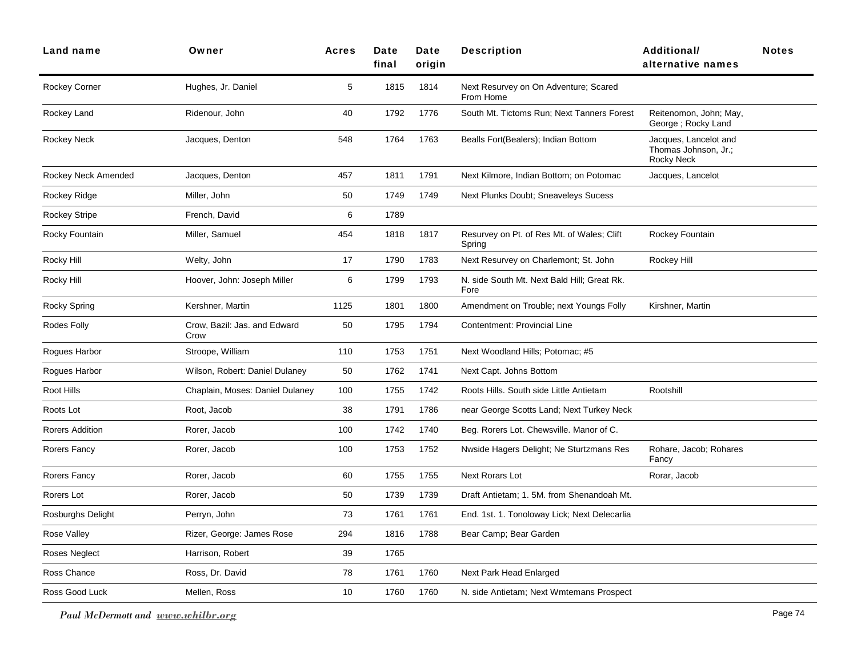| <b>Land name</b>     | Owner                                | <b>Acres</b> | Date<br>final | Date<br>origin | <b>Description</b>                                   | <b>Additional/</b><br>alternative names                            | <b>Notes</b> |
|----------------------|--------------------------------------|--------------|---------------|----------------|------------------------------------------------------|--------------------------------------------------------------------|--------------|
| Rockey Corner        | Hughes, Jr. Daniel                   | 5            | 1815          | 1814           | Next Resurvey on On Adventure; Scared<br>From Home   |                                                                    |              |
| Rockey Land          | Ridenour, John                       | 40           | 1792          | 1776           | South Mt. Tictoms Run; Next Tanners Forest           | Reitenomon, John; May,<br>George; Rocky Land                       |              |
| Rockey Neck          | Jacques, Denton                      | 548          | 1764          | 1763           | Bealls Fort(Bealers); Indian Bottom                  | Jacques, Lancelot and<br>Thomas Johnson, Jr.;<br><b>Rocky Neck</b> |              |
| Rockey Neck Amended  | Jacques, Denton                      | 457          | 1811          | 1791           | Next Kilmore, Indian Bottom; on Potomac              | Jacques, Lancelot                                                  |              |
| Rockey Ridge         | Miller, John                         | 50           | 1749          | 1749           | Next Plunks Doubt; Sneaveleys Sucess                 |                                                                    |              |
| <b>Rockey Stripe</b> | French, David                        | 6            | 1789          |                |                                                      |                                                                    |              |
| Rocky Fountain       | Miller, Samuel                       | 454          | 1818          | 1817           | Resurvey on Pt. of Res Mt. of Wales; Clift<br>Spring | Rockey Fountain                                                    |              |
| Rocky Hill           | Welty, John                          | 17           | 1790          | 1783           | Next Resurvey on Charlemont; St. John                | Rockey Hill                                                        |              |
| Rocky Hill           | Hoover, John: Joseph Miller          | 6            | 1799          | 1793           | N. side South Mt. Next Bald Hill; Great Rk.<br>Fore  |                                                                    |              |
| Rocky Spring         | Kershner, Martin                     | 1125         | 1801          | 1800           | Amendment on Trouble; next Youngs Folly              | Kirshner, Martin                                                   |              |
| Rodes Folly          | Crow, Bazil: Jas. and Edward<br>Crow | 50           | 1795          | 1794           | Contentment: Provincial Line                         |                                                                    |              |
| Rogues Harbor        | Stroope, William                     | 110          | 1753          | 1751           | Next Woodland Hills; Potomac; #5                     |                                                                    |              |
| Rogues Harbor        | Wilson, Robert: Daniel Dulaney       | 50           | 1762          | 1741           | Next Capt. Johns Bottom                              |                                                                    |              |
| Root Hills           | Chaplain, Moses: Daniel Dulaney      | 100          | 1755          | 1742           | Roots Hills. South side Little Antietam              | Rootshill                                                          |              |
| Roots Lot            | Root, Jacob                          | 38           | 1791          | 1786           | near George Scotts Land; Next Turkey Neck            |                                                                    |              |
| Rorers Addition      | Rorer, Jacob                         | 100          | 1742          | 1740           | Beg. Rorers Lot. Chewsville. Manor of C.             |                                                                    |              |
| Rorers Fancy         | Rorer, Jacob                         | 100          | 1753          | 1752           | Nwside Hagers Delight; Ne Sturtzmans Res             | Rohare, Jacob; Rohares<br>Fancy                                    |              |
| Rorers Fancy         | Rorer, Jacob                         | 60           | 1755          | 1755           | Next Rorars Lot                                      | Rorar, Jacob                                                       |              |
| Rorers Lot           | Rorer, Jacob                         | 50           | 1739          | 1739           | Draft Antietam; 1. 5M. from Shenandoah Mt.           |                                                                    |              |
| Rosburghs Delight    | Perryn, John                         | 73           | 1761          | 1761           | End. 1st. 1. Tonoloway Lick; Next Delecarlia         |                                                                    |              |
| Rose Valley          | Rizer, George: James Rose            | 294          | 1816          | 1788           | Bear Camp; Bear Garden                               |                                                                    |              |
| Roses Neglect        | Harrison, Robert                     | 39           | 1765          |                |                                                      |                                                                    |              |
| Ross Chance          | Ross, Dr. David                      | 78           | 1761          | 1760           | Next Park Head Enlarged                              |                                                                    |              |
| Ross Good Luck       | Mellen, Ross                         | 10           | 1760          | 1760           | N. side Antietam; Next Wmtemans Prospect             |                                                                    |              |

*Paul McDermott and www.whilbr.org* Page 74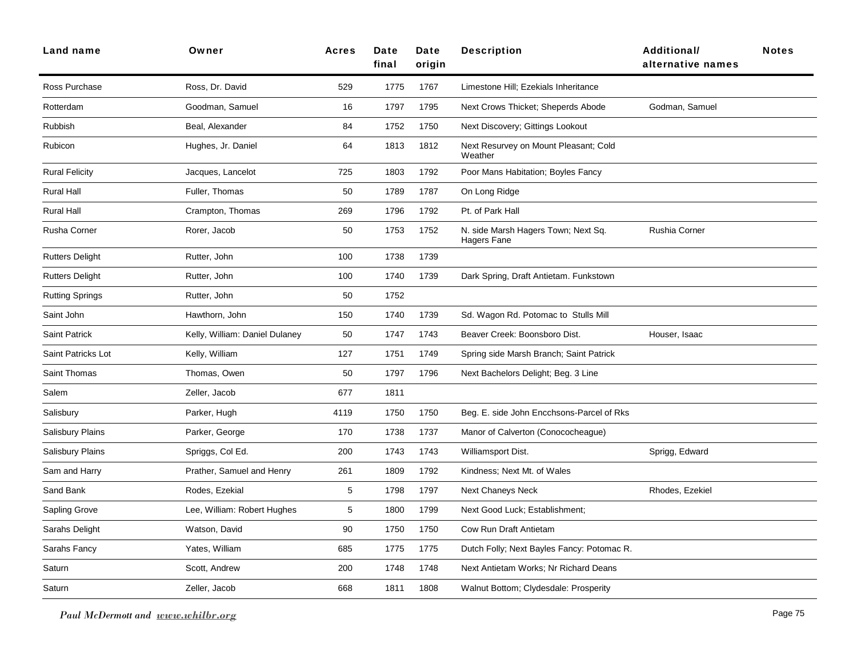| Land name               | Owner                          | <b>Acres</b> | Date<br>final | Date<br>origin | <b>Description</b>                                 | Additional/<br>alternative names | <b>Notes</b> |
|-------------------------|--------------------------------|--------------|---------------|----------------|----------------------------------------------------|----------------------------------|--------------|
| Ross Purchase           | Ross, Dr. David                | 529          | 1775          | 1767           | Limestone Hill; Ezekials Inheritance               |                                  |              |
| Rotterdam               | Goodman, Samuel                | 16           | 1797          | 1795           | Next Crows Thicket; Sheperds Abode                 | Godman, Samuel                   |              |
| Rubbish                 | Beal, Alexander                | 84           | 1752          | 1750           | Next Discovery; Gittings Lookout                   |                                  |              |
| Rubicon                 | Hughes, Jr. Daniel             | 64           | 1813          | 1812           | Next Resurvey on Mount Pleasant; Cold<br>Weather   |                                  |              |
| <b>Rural Felicity</b>   | Jacques, Lancelot              | 725          | 1803          | 1792           | Poor Mans Habitation; Boyles Fancy                 |                                  |              |
| <b>Rural Hall</b>       | Fuller, Thomas                 | 50           | 1789          | 1787           | On Long Ridge                                      |                                  |              |
| <b>Rural Hall</b>       | Crampton, Thomas               | 269          | 1796          | 1792           | Pt. of Park Hall                                   |                                  |              |
| <b>Rusha Corner</b>     | Rorer, Jacob                   | 50           | 1753          | 1752           | N. side Marsh Hagers Town; Next Sq.<br>Hagers Fane | Rushia Corner                    |              |
| <b>Rutters Delight</b>  | Rutter, John                   | 100          | 1738          | 1739           |                                                    |                                  |              |
| <b>Rutters Delight</b>  | Rutter, John                   | 100          | 1740          | 1739           | Dark Spring, Draft Antietam. Funkstown             |                                  |              |
| Rutting Springs         | Rutter, John                   | 50           | 1752          |                |                                                    |                                  |              |
| Saint John              | Hawthorn, John                 | 150          | 1740          | 1739           | Sd. Wagon Rd. Potomac to Stulls Mill               |                                  |              |
| <b>Saint Patrick</b>    | Kelly, William: Daniel Dulaney | 50           | 1747          | 1743           | Beaver Creek: Boonsboro Dist.                      | Houser, Isaac                    |              |
| Saint Patricks Lot      | Kelly, William                 | 127          | 1751          | 1749           | Spring side Marsh Branch; Saint Patrick            |                                  |              |
| <b>Saint Thomas</b>     | Thomas, Owen                   | 50           | 1797          | 1796           | Next Bachelors Delight; Beg. 3 Line                |                                  |              |
| Salem                   | Zeller, Jacob                  | 677          | 1811          |                |                                                    |                                  |              |
| Salisbury               | Parker, Hugh                   | 4119         | 1750          | 1750           | Beg. E. side John Encchsons-Parcel of Rks          |                                  |              |
| Salisbury Plains        | Parker, George                 | 170          | 1738          | 1737           | Manor of Calverton (Conococheague)                 |                                  |              |
| <b>Salisbury Plains</b> | Spriggs, Col Ed.               | 200          | 1743          | 1743           | Williamsport Dist.                                 | Sprigg, Edward                   |              |
| Sam and Harry           | Prather, Samuel and Henry      | 261          | 1809          | 1792           | Kindness; Next Mt. of Wales                        |                                  |              |
| Sand Bank               | Rodes, Ezekial                 | 5            | 1798          | 1797           | <b>Next Chaneys Neck</b>                           | Rhodes, Ezekiel                  |              |
| Sapling Grove           | Lee, William: Robert Hughes    | $\,$ 5 $\,$  | 1800          | 1799           | Next Good Luck; Establishment;                     |                                  |              |
| Sarahs Delight          | Watson, David                  | 90           | 1750          | 1750           | Cow Run Draft Antietam                             |                                  |              |
| Sarahs Fancy            | Yates, William                 | 685          | 1775          | 1775           | Dutch Folly; Next Bayles Fancy: Potomac R.         |                                  |              |
| Saturn                  | Scott, Andrew                  | 200          | 1748          | 1748           | Next Antietam Works; Nr Richard Deans              |                                  |              |
| Saturn                  | Zeller, Jacob                  | 668          | 1811          | 1808           | Walnut Bottom; Clydesdale: Prosperity              |                                  |              |

*Paul McDermott and www.whilbr.org* Page 75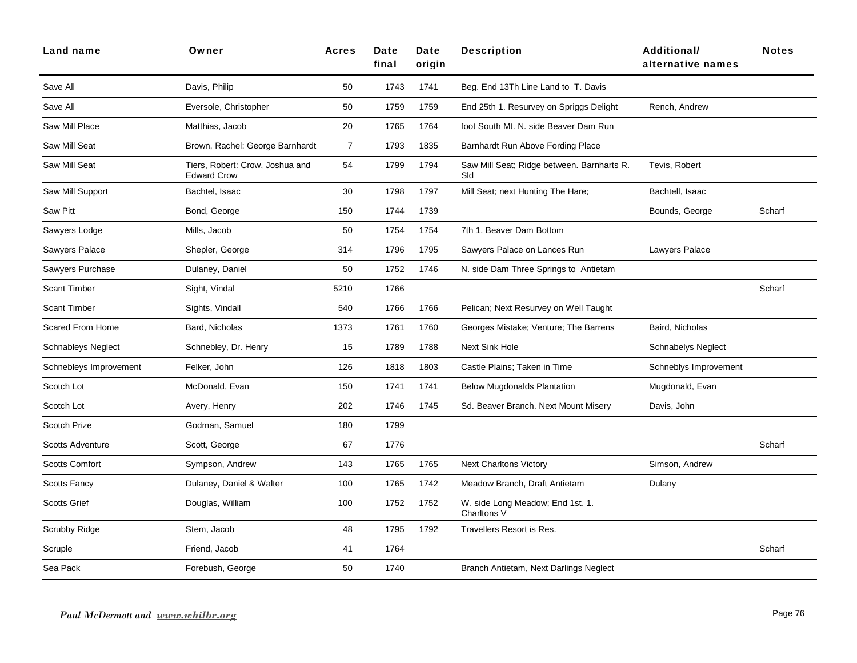| Land name                 | Owner                                                 | <b>Acres</b>   | Date<br>final | Date<br>origin | <b>Description</b>                                | Additional/<br>alternative names | <b>Notes</b> |
|---------------------------|-------------------------------------------------------|----------------|---------------|----------------|---------------------------------------------------|----------------------------------|--------------|
| Save All                  | Davis, Philip                                         | 50             | 1743          | 1741           | Beg. End 13Th Line Land to T. Davis               |                                  |              |
| Save All                  | Eversole, Christopher                                 | 50             | 1759          | 1759           | End 25th 1. Resurvey on Spriggs Delight           | Rench, Andrew                    |              |
| Saw Mill Place            | Matthias, Jacob                                       | 20             | 1765          | 1764           | foot South Mt. N. side Beaver Dam Run             |                                  |              |
| Saw Mill Seat             | Brown, Rachel: George Barnhardt                       | $\overline{7}$ | 1793          | 1835           | Barnhardt Run Above Fording Place                 |                                  |              |
| Saw Mill Seat             | Tiers, Robert: Crow, Joshua and<br><b>Edward Crow</b> | 54             | 1799          | 1794           | Saw Mill Seat; Ridge between. Barnharts R.<br>Sld | Tevis, Robert                    |              |
| Saw Mill Support          | Bachtel, Isaac                                        | 30             | 1798          | 1797           | Mill Seat; next Hunting The Hare;                 | Bachtell, Isaac                  |              |
| <b>Saw Pitt</b>           | Bond, George                                          | 150            | 1744          | 1739           |                                                   | Bounds, George                   | Scharf       |
| Sawyers Lodge             | Mills, Jacob                                          | 50             | 1754          | 1754           | 7th 1. Beaver Dam Bottom                          |                                  |              |
| Sawyers Palace            | Shepler, George                                       | 314            | 1796          | 1795           | Sawyers Palace on Lances Run                      | Lawyers Palace                   |              |
| Sawyers Purchase          | Dulaney, Daniel                                       | 50             | 1752          | 1746           | N. side Dam Three Springs to Antietam             |                                  |              |
| <b>Scant Timber</b>       | Sight, Vindal                                         | 5210           | 1766          |                |                                                   |                                  | Scharf       |
| <b>Scant Timber</b>       | Sights, Vindall                                       | 540            | 1766          | 1766           | Pelican; Next Resurvey on Well Taught             |                                  |              |
| <b>Scared From Home</b>   | Bard, Nicholas                                        | 1373           | 1761          | 1760           | Georges Mistake; Venture; The Barrens             | Baird, Nicholas                  |              |
| <b>Schnableys Neglect</b> | Schnebley, Dr. Henry                                  | 15             | 1789          | 1788           | <b>Next Sink Hole</b>                             | <b>Schnabelys Neglect</b>        |              |
| Schnebleys Improvement    | Felker, John                                          | 126            | 1818          | 1803           | Castle Plains; Taken in Time                      | Schneblys Improvement            |              |
| Scotch Lot                | McDonald, Evan                                        | 150            | 1741          | 1741           | <b>Below Mugdonalds Plantation</b>                | Mugdonald, Evan                  |              |
| Scotch Lot                | Avery, Henry                                          | 202            | 1746          | 1745           | Sd. Beaver Branch. Next Mount Misery              | Davis, John                      |              |
| Scotch Prize              | Godman, Samuel                                        | 180            | 1799          |                |                                                   |                                  |              |
| <b>Scotts Adventure</b>   | Scott, George                                         | 67             | 1776          |                |                                                   |                                  | Scharf       |
| <b>Scotts Comfort</b>     | Sympson, Andrew                                       | 143            | 1765          | 1765           | <b>Next Charltons Victory</b>                     | Simson, Andrew                   |              |
| <b>Scotts Fancy</b>       | Dulaney, Daniel & Walter                              | 100            | 1765          | 1742           | Meadow Branch, Draft Antietam                     | Dulany                           |              |
| <b>Scotts Grief</b>       | Douglas, William                                      | 100            | 1752          | 1752           | W. side Long Meadow; End 1st. 1.<br>Charltons V   |                                  |              |
| Scrubby Ridge             | Stem, Jacob                                           | 48             | 1795          | 1792           | Travellers Resort is Res.                         |                                  |              |
| Scruple                   | Friend, Jacob                                         | 41             | 1764          |                |                                                   |                                  | Scharf       |
| Sea Pack                  | Forebush, George                                      | 50             | 1740          |                | Branch Antietam, Next Darlings Neglect            |                                  |              |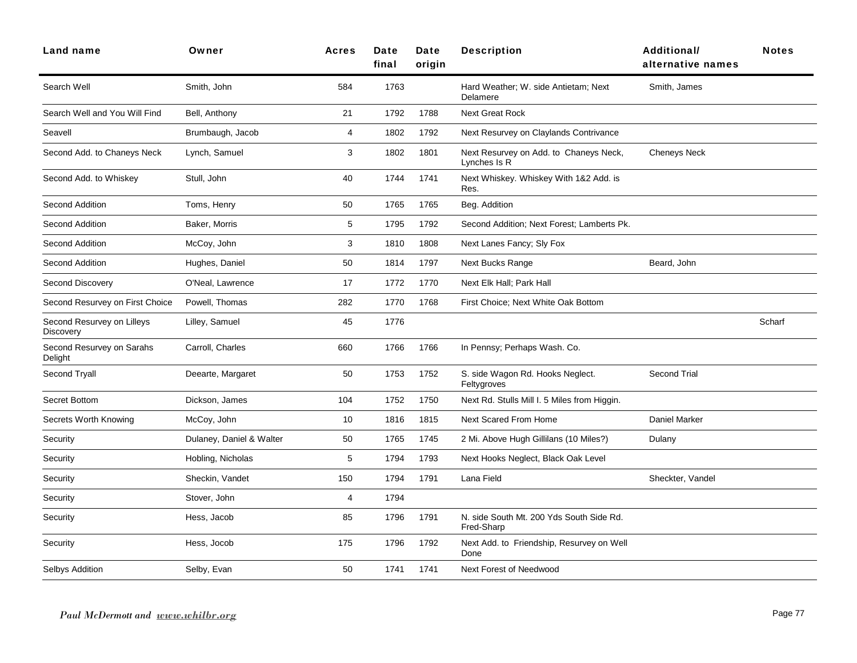| Land name                                      | Owner                    | <b>Acres</b>   | Date<br>final | Date<br>origin | <b>Description</b>                                     | <b>Additional/</b><br>alternative names | <b>Notes</b> |
|------------------------------------------------|--------------------------|----------------|---------------|----------------|--------------------------------------------------------|-----------------------------------------|--------------|
| Search Well                                    | Smith, John              | 584            | 1763          |                | Hard Weather; W. side Antietam; Next<br>Delamere       | Smith, James                            |              |
| Search Well and You Will Find                  | Bell, Anthony            | 21             | 1792          | 1788           | <b>Next Great Rock</b>                                 |                                         |              |
| Seavell                                        | Brumbaugh, Jacob         | 4              | 1802          | 1792           | Next Resurvey on Claylands Contrivance                 |                                         |              |
| Second Add. to Chaneys Neck                    | Lynch, Samuel            | 3              | 1802          | 1801           | Next Resurvey on Add. to Chaneys Neck,<br>Lynches Is R | <b>Cheneys Neck</b>                     |              |
| Second Add. to Whiskey                         | Stull, John              | 40             | 1744          | 1741           | Next Whiskey. Whiskey With 1&2 Add. is<br>Res.         |                                         |              |
| Second Addition                                | Toms, Henry              | 50             | 1765          | 1765           | Beg. Addition                                          |                                         |              |
| Second Addition                                | Baker, Morris            | 5              | 1795          | 1792           | Second Addition; Next Forest; Lamberts Pk.             |                                         |              |
| Second Addition                                | McCoy, John              | 3              | 1810          | 1808           | Next Lanes Fancy; Sly Fox                              |                                         |              |
| Second Addition                                | Hughes, Daniel           | 50             | 1814          | 1797           | <b>Next Bucks Range</b>                                | Beard, John                             |              |
| <b>Second Discovery</b>                        | O'Neal, Lawrence         | 17             | 1772          | 1770           | Next Elk Hall; Park Hall                               |                                         |              |
| Second Resurvey on First Choice                | Powell, Thomas           | 282            | 1770          | 1768           | First Choice; Next White Oak Bottom                    |                                         |              |
| Second Resurvey on Lilleys<br><b>Discovery</b> | Lilley, Samuel           | 45             | 1776          |                |                                                        |                                         | Scharf       |
| Second Resurvey on Sarahs<br>Delight           | Carroll, Charles         | 660            | 1766          | 1766           | In Pennsy; Perhaps Wash. Co.                           |                                         |              |
| Second Tryall                                  | Deearte, Margaret        | 50             | 1753          | 1752           | S. side Wagon Rd. Hooks Neglect.<br>Feltygroves        | <b>Second Trial</b>                     |              |
| Secret Bottom                                  | Dickson, James           | 104            | 1752          | 1750           | Next Rd. Stulls Mill I. 5 Miles from Higgin.           |                                         |              |
| Secrets Worth Knowing                          | McCoy, John              | 10             | 1816          | 1815           | Next Scared From Home                                  | Daniel Marker                           |              |
| Security                                       | Dulaney, Daniel & Walter | 50             | 1765          | 1745           | 2 Mi. Above Hugh Gillilans (10 Miles?)                 | Dulany                                  |              |
| Security                                       | Hobling, Nicholas        | 5              | 1794          | 1793           | Next Hooks Neglect, Black Oak Level                    |                                         |              |
| Security                                       | Sheckin, Vandet          | 150            | 1794          | 1791           | Lana Field                                             | Sheckter, Vandel                        |              |
| Security                                       | Stover, John             | $\overline{4}$ | 1794          |                |                                                        |                                         |              |
| Security                                       | Hess, Jacob              | 85             | 1796          | 1791           | N. side South Mt. 200 Yds South Side Rd.<br>Fred-Sharp |                                         |              |
| Security                                       | Hess, Jocob              | 175            | 1796          | 1792           | Next Add. to Friendship, Resurvey on Well<br>Done      |                                         |              |
| Selbys Addition                                | Selby, Evan              | 50             | 1741          | 1741           | Next Forest of Needwood                                |                                         |              |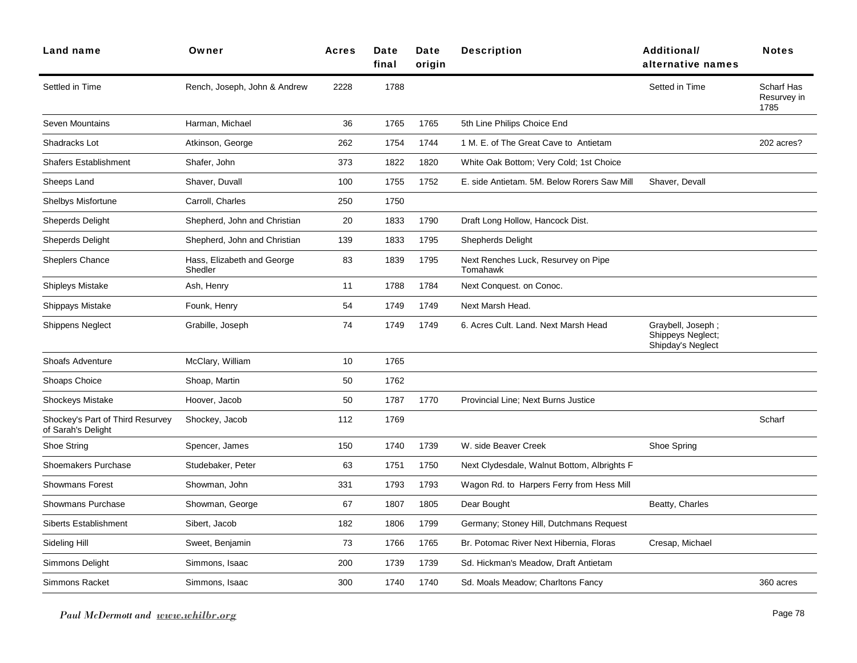| Land name                                              | Owner                                 | <b>Acres</b> | Date<br>final | Date<br>origin | <b>Description</b>                              | <b>Additional/</b><br>alternative names                     | <b>Notes</b>                      |
|--------------------------------------------------------|---------------------------------------|--------------|---------------|----------------|-------------------------------------------------|-------------------------------------------------------------|-----------------------------------|
| Settled in Time                                        | Rench, Joseph, John & Andrew          | 2228         | 1788          |                |                                                 | Setted in Time                                              | Scharf Has<br>Resurvey in<br>1785 |
| Seven Mountains                                        | Harman, Michael                       | 36           | 1765          | 1765           | 5th Line Philips Choice End                     |                                                             |                                   |
| Shadracks Lot                                          | Atkinson, George                      | 262          | 1754          | 1744           | 1 M. E. of The Great Cave to Antietam           |                                                             | 202 acres?                        |
| <b>Shafers Establishment</b>                           | Shafer, John                          | 373          | 1822          | 1820           | White Oak Bottom; Very Cold; 1st Choice         |                                                             |                                   |
| Sheeps Land                                            | Shaver, Duvall                        | 100          | 1755          | 1752           | E. side Antietam, 5M. Below Rorers Saw Mill     | Shaver, Devall                                              |                                   |
| <b>Shelbys Misfortune</b>                              | Carroll, Charles                      | 250          | 1750          |                |                                                 |                                                             |                                   |
| Sheperds Delight                                       | Shepherd, John and Christian          | 20           | 1833          | 1790           | Draft Long Hollow, Hancock Dist.                |                                                             |                                   |
| <b>Sheperds Delight</b>                                | Shepherd, John and Christian          | 139          | 1833          | 1795           | <b>Shepherds Delight</b>                        |                                                             |                                   |
| <b>Sheplers Chance</b>                                 | Hass, Elizabeth and George<br>Shedler | 83           | 1839          | 1795           | Next Renches Luck, Resurvey on Pipe<br>Tomahawk |                                                             |                                   |
| Shipleys Mistake                                       | Ash, Henry                            | 11           | 1788          | 1784           | Next Conquest. on Conoc.                        |                                                             |                                   |
| Shippays Mistake                                       | Founk, Henry                          | 54           | 1749          | 1749           | Next Marsh Head.                                |                                                             |                                   |
| <b>Shippens Neglect</b>                                | Grabille, Joseph                      | 74           | 1749          | 1749           | 6. Acres Cult. Land. Next Marsh Head            | Graybell, Joseph;<br>Shippeys Neglect;<br>Shipday's Neglect |                                   |
| <b>Shoafs Adventure</b>                                | McClary, William                      | 10           | 1765          |                |                                                 |                                                             |                                   |
| Shoaps Choice                                          | Shoap, Martin                         | 50           | 1762          |                |                                                 |                                                             |                                   |
| <b>Shockeys Mistake</b>                                | Hoover, Jacob                         | 50           | 1787          | 1770           | Provincial Line; Next Burns Justice             |                                                             |                                   |
| Shockey's Part of Third Resurvey<br>of Sarah's Delight | Shockey, Jacob                        | 112          | 1769          |                |                                                 |                                                             | Scharf                            |
| Shoe String                                            | Spencer, James                        | 150          | 1740          | 1739           | W. side Beaver Creek                            | Shoe Spring                                                 |                                   |
| Shoemakers Purchase                                    | Studebaker, Peter                     | 63           | 1751          | 1750           | Next Clydesdale, Walnut Bottom, Albrights F     |                                                             |                                   |
| <b>Showmans Forest</b>                                 | Showman, John                         | 331          | 1793          | 1793           | Wagon Rd. to Harpers Ferry from Hess Mill       |                                                             |                                   |
| <b>Showmans Purchase</b>                               | Showman, George                       | 67           | 1807          | 1805           | Dear Bought                                     | Beatty, Charles                                             |                                   |
| <b>Siberts Establishment</b>                           | Sibert, Jacob                         | 182          | 1806          | 1799           | Germany; Stoney Hill, Dutchmans Request         |                                                             |                                   |
| Sideling Hill                                          | Sweet, Benjamin                       | 73           | 1766          | 1765           | Br. Potomac River Next Hibernia, Floras         | Cresap, Michael                                             |                                   |
| Simmons Delight                                        | Simmons, Isaac                        | 200          | 1739          | 1739           | Sd. Hickman's Meadow, Draft Antietam            |                                                             |                                   |
| <b>Simmons Racket</b>                                  | Simmons, Isaac                        | 300          | 1740          | 1740           | Sd. Moals Meadow; Charltons Fancy               |                                                             | 360 acres                         |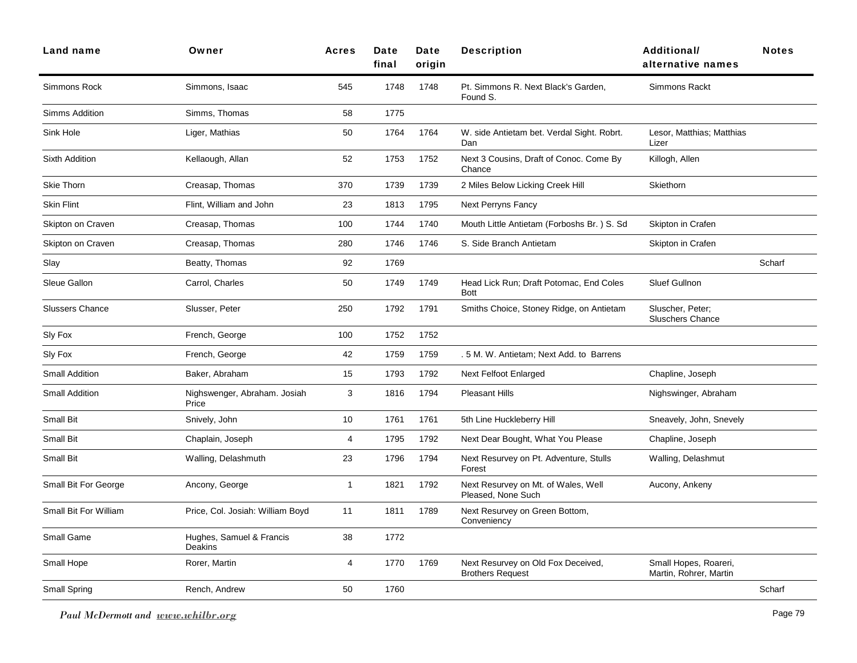| Land name              | Owner                                 | <b>Acres</b>   | Date<br>final | Date<br>origin | <b>Description</b>                                            | <b>Additional/</b><br>alternative names         | <b>Notes</b> |
|------------------------|---------------------------------------|----------------|---------------|----------------|---------------------------------------------------------------|-------------------------------------------------|--------------|
| Simmons Rock           | Simmons, Isaac                        | 545            | 1748          | 1748           | Pt. Simmons R. Next Black's Garden,<br>Found S.               | Simmons Rackt                                   |              |
| Simms Addition         | Simms, Thomas                         | 58             | 1775          |                |                                                               |                                                 |              |
| Sink Hole              | Liger, Mathias                        | 50             | 1764          | 1764           | W. side Antietam bet. Verdal Sight. Robrt.<br>Dan             | Lesor, Matthias; Matthias<br>Lizer              |              |
| <b>Sixth Addition</b>  | Kellaough, Allan                      | 52             | 1753          | 1752           | Next 3 Cousins, Draft of Conoc. Come By<br>Chance             | Killogh, Allen                                  |              |
| <b>Skie Thorn</b>      | Creasap, Thomas                       | 370            | 1739          | 1739           | 2 Miles Below Licking Creek Hill                              | Skiethorn                                       |              |
| <b>Skin Flint</b>      | Flint, William and John               | 23             | 1813          | 1795           | Next Perryns Fancy                                            |                                                 |              |
| Skipton on Craven      | Creasap, Thomas                       | 100            | 1744          | 1740           | Mouth Little Antietam (Forboshs Br.) S. Sd                    | Skipton in Crafen                               |              |
| Skipton on Craven      | Creasap, Thomas                       | 280            | 1746          | 1746           | S. Side Branch Antietam                                       | Skipton in Crafen                               |              |
| Slay                   | Beatty, Thomas                        | 92             | 1769          |                |                                                               |                                                 | Scharf       |
| Sleue Gallon           | Carrol, Charles                       | 50             | 1749          | 1749           | Head Lick Run; Draft Potomac, End Coles<br><b>Bott</b>        | Sluef Gullnon                                   |              |
| <b>Slussers Chance</b> | Slusser, Peter                        | 250            | 1792          | 1791           | Smiths Choice, Stoney Ridge, on Antietam                      | Sluscher, Peter;<br><b>Sluschers Chance</b>     |              |
| Sly Fox                | French, George                        | 100            | 1752          | 1752           |                                                               |                                                 |              |
| Sly Fox                | French, George                        | 42             | 1759          | 1759           | . 5 M. W. Antietam; Next Add. to Barrens                      |                                                 |              |
| <b>Small Addition</b>  | Baker, Abraham                        | 15             | 1793          | 1792           | <b>Next Felfoot Enlarged</b>                                  | Chapline, Joseph                                |              |
| <b>Small Addition</b>  | Nighswenger, Abraham. Josiah<br>Price | 3              | 1816          | 1794           | <b>Pleasant Hills</b>                                         | Nighswinger, Abraham                            |              |
| Small Bit              | Snively, John                         | 10             | 1761          | 1761           | 5th Line Huckleberry Hill                                     | Sneavely, John, Snevely                         |              |
| Small Bit              | Chaplain, Joseph                      | 4              | 1795          | 1792           | Next Dear Bought, What You Please                             | Chapline, Joseph                                |              |
| Small Bit              | Walling, Delashmuth                   | 23             | 1796          | 1794           | Next Resurvey on Pt. Adventure, Stulls<br>Forest              | Walling, Delashmut                              |              |
| Small Bit For George   | Ancony, George                        | $\overline{1}$ | 1821          | 1792           | Next Resurvey on Mt. of Wales, Well<br>Pleased, None Such     | Aucony, Ankeny                                  |              |
| Small Bit For William  | Price, Col. Josiah: William Boyd      | 11             | 1811          | 1789           | Next Resurvey on Green Bottom,<br>Conveniency                 |                                                 |              |
| Small Game             | Hughes, Samuel & Francis<br>Deakins   | 38             | 1772          |                |                                                               |                                                 |              |
| Small Hope             | Rorer, Martin                         | $\overline{4}$ | 1770          | 1769           | Next Resurvey on Old Fox Deceived,<br><b>Brothers Request</b> | Small Hopes, Roareri,<br>Martin, Rohrer, Martin |              |
| Small Spring           | Rench, Andrew                         | 50             | 1760          |                |                                                               |                                                 | Scharf       |
|                        |                                       |                |               |                |                                                               |                                                 |              |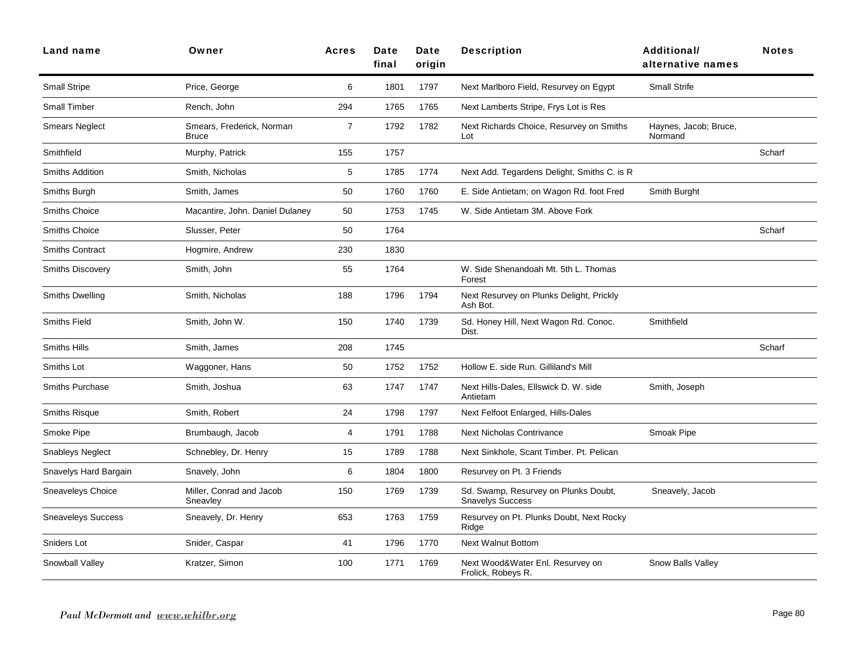| Land name                 | Owner                                | <b>Acres</b>   | Date<br>final | Date<br>origin | <b>Description</b>                                              | Additional/<br>alternative names | <b>Notes</b> |
|---------------------------|--------------------------------------|----------------|---------------|----------------|-----------------------------------------------------------------|----------------------------------|--------------|
| <b>Small Stripe</b>       | Price, George                        | 6              | 1801          | 1797           | Next Marlboro Field, Resurvey on Egypt                          | <b>Small Strife</b>              |              |
| <b>Small Timber</b>       | Rench, John                          | 294            | 1765          | 1765           | Next Lamberts Stripe, Frys Lot is Res                           |                                  |              |
| <b>Smears Neglect</b>     | Smears, Frederick, Norman<br>Bruce   | $\overline{7}$ | 1792          | 1782           | Next Richards Choice, Resurvey on Smiths<br>Lot                 | Haynes, Jacob; Bruce,<br>Normand |              |
| Smithfield                | Murphy, Patrick                      | 155            | 1757          |                |                                                                 |                                  | Scharf       |
| <b>Smiths Addition</b>    | Smith, Nicholas                      | 5              | 1785          | 1774           | Next Add. Tegardens Delight, Smiths C. is R.                    |                                  |              |
| Smiths Burgh              | Smith, James                         | 50             | 1760          | 1760           | E. Side Antietam; on Wagon Rd. foot Fred                        | Smith Burght                     |              |
| <b>Smiths Choice</b>      | Macantire, John. Daniel Dulaney      | 50             | 1753          | 1745           | W. Side Antietam 3M. Above Fork                                 |                                  |              |
| Smiths Choice             | Slusser, Peter                       | 50             | 1764          |                |                                                                 |                                  | Scharf       |
| <b>Smiths Contract</b>    | Hogmire, Andrew                      | 230            | 1830          |                |                                                                 |                                  |              |
| <b>Smiths Discovery</b>   | Smith, John                          | 55             | 1764          |                | W. Side Shenandoah Mt. 5th L. Thomas<br>Forest                  |                                  |              |
| <b>Smiths Dwelling</b>    | Smith, Nicholas                      | 188            | 1796          | 1794           | Next Resurvey on Plunks Delight, Prickly<br>Ash Bot.            |                                  |              |
| <b>Smiths Field</b>       | Smith, John W.                       | 150            | 1740          | 1739           | Sd. Honey Hill, Next Wagon Rd. Conoc.<br>Dist.                  | Smithfield                       |              |
| <b>Smiths Hills</b>       | Smith, James                         | 208            | 1745          |                |                                                                 |                                  | Scharf       |
| Smiths Lot                | Waggoner, Hans                       | 50             | 1752          | 1752           | Hollow E. side Run. Gilliland's Mill                            |                                  |              |
| <b>Smiths Purchase</b>    | Smith, Joshua                        | 63             | 1747          | 1747           | Next Hills-Dales, Ellswick D. W. side<br>Antietam               | Smith, Joseph                    |              |
| <b>Smiths Risque</b>      | Smith, Robert                        | 24             | 1798          | 1797           | Next Felfoot Enlarged, Hills-Dales                              |                                  |              |
| Smoke Pipe                | Brumbaugh, Jacob                     | 4              | 1791          | 1788           | <b>Next Nicholas Contrivance</b>                                | Smoak Pipe                       |              |
| <b>Snableys Neglect</b>   | Schnebley, Dr. Henry                 | 15             | 1789          | 1788           | Next Sinkhole, Scant Timber. Pt. Pelican                        |                                  |              |
| Snavelys Hard Bargain     | Snavely, John                        | 6              | 1804          | 1800           | Resurvey on Pt. 3 Friends                                       |                                  |              |
| Sneaveleys Choice         | Miller, Conrad and Jacob<br>Sneavley | 150            | 1769          | 1739           | Sd. Swamp, Resurvey on Plunks Doubt,<br><b>Snavelys Success</b> | Sneavely, Jacob                  |              |
| <b>Sneaveleys Success</b> | Sneavely, Dr. Henry                  | 653            | 1763          | 1759           | Resurvey on Pt. Plunks Doubt, Next Rocky<br>Ridge               |                                  |              |
| Sniders Lot               | Snider, Caspar                       | 41             | 1796          | 1770           | <b>Next Walnut Bottom</b>                                       |                                  |              |
| Snowball Valley           | Kratzer, Simon                       | 100            | 1771          | 1769           | Next Wood&Water Enl. Resurvey on<br>Frolick, Robeys R.          | Snow Balls Valley                |              |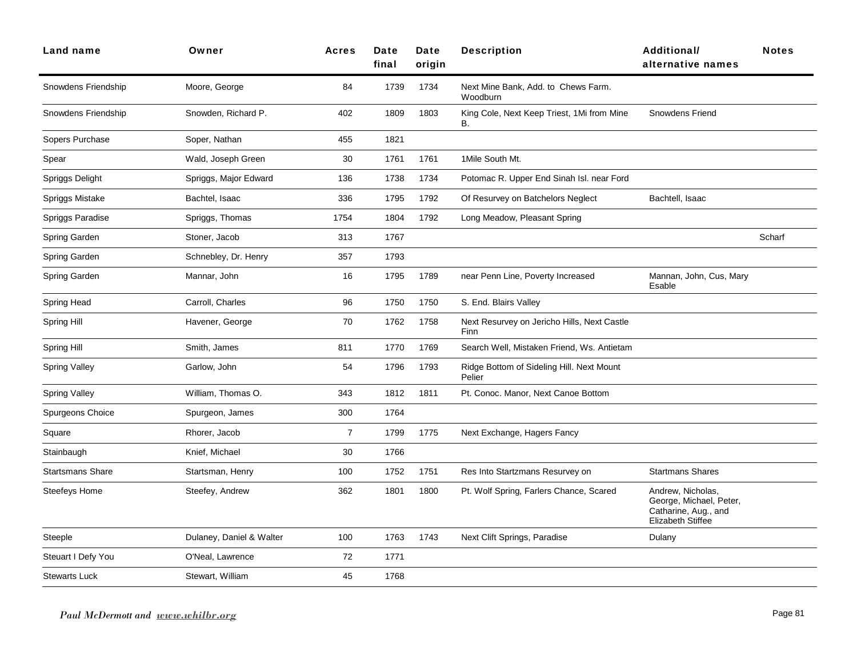| Land name               | Owner                    | <b>Acres</b>   | Date<br>final | Date<br>origin | <b>Description</b>                                  | Additional/<br>alternative names                                                                 | <b>Notes</b> |
|-------------------------|--------------------------|----------------|---------------|----------------|-----------------------------------------------------|--------------------------------------------------------------------------------------------------|--------------|
| Snowdens Friendship     | Moore, George            | 84             | 1739          | 1734           | Next Mine Bank, Add. to Chews Farm.<br>Woodburn     |                                                                                                  |              |
| Snowdens Friendship     | Snowden, Richard P.      | 402            | 1809          | 1803           | King Cole, Next Keep Triest, 1Mi from Mine<br>В.    | <b>Snowdens Friend</b>                                                                           |              |
| Sopers Purchase         | Soper, Nathan            | 455            | 1821          |                |                                                     |                                                                                                  |              |
| Spear                   | Wald, Joseph Green       | 30             | 1761          | 1761           | 1Mile South Mt.                                     |                                                                                                  |              |
| Spriggs Delight         | Spriggs, Major Edward    | 136            | 1738          | 1734           | Potomac R. Upper End Sinah Isl. near Ford           |                                                                                                  |              |
| Spriggs Mistake         | Bachtel, Isaac           | 336            | 1795          | 1792           | Of Resurvey on Batchelors Neglect                   | Bachtell, Isaac                                                                                  |              |
| Spriggs Paradise        | Spriggs, Thomas          | 1754           | 1804          | 1792           | Long Meadow, Pleasant Spring                        |                                                                                                  |              |
| Spring Garden           | Stoner, Jacob            | 313            | 1767          |                |                                                     |                                                                                                  | Scharf       |
| Spring Garden           | Schnebley, Dr. Henry     | 357            | 1793          |                |                                                     |                                                                                                  |              |
| Spring Garden           | Mannar, John             | 16             | 1795          | 1789           | near Penn Line, Poverty Increased                   | Mannan, John, Cus, Mary<br>Esable                                                                |              |
| Spring Head             | Carroll, Charles         | 96             | 1750          | 1750           | S. End. Blairs Valley                               |                                                                                                  |              |
| Spring Hill             | Havener, George          | 70             | 1762          | 1758           | Next Resurvey on Jericho Hills, Next Castle<br>Finn |                                                                                                  |              |
| Spring Hill             | Smith, James             | 811            | 1770          | 1769           | Search Well, Mistaken Friend, Ws. Antietam          |                                                                                                  |              |
| Spring Valley           | Garlow, John             | 54             | 1796          | 1793           | Ridge Bottom of Sideling Hill. Next Mount<br>Pelier |                                                                                                  |              |
| Spring Valley           | William, Thomas O.       | 343            | 1812          | 1811           | Pt. Conoc. Manor, Next Canoe Bottom                 |                                                                                                  |              |
| Spurgeons Choice        | Spurgeon, James          | 300            | 1764          |                |                                                     |                                                                                                  |              |
| Square                  | Rhorer, Jacob            | $\overline{7}$ | 1799          | 1775           | Next Exchange, Hagers Fancy                         |                                                                                                  |              |
| Stainbaugh              | Knief, Michael           | 30             | 1766          |                |                                                     |                                                                                                  |              |
| <b>Startsmans Share</b> | Startsman, Henry         | 100            | 1752          | 1751           | Res Into Startzmans Resurvey on                     | <b>Startmans Shares</b>                                                                          |              |
| Steefeys Home           | Steefey, Andrew          | 362            | 1801          | 1800           | Pt. Wolf Spring, Farlers Chance, Scared             | Andrew, Nicholas,<br>George, Michael, Peter,<br>Catharine, Aug., and<br><b>Elizabeth Stiffee</b> |              |
| Steeple                 | Dulaney, Daniel & Walter | 100            | 1763          | 1743           | Next Clift Springs, Paradise                        | Dulany                                                                                           |              |
| Steuart I Defy You      | O'Neal, Lawrence         | 72             | 1771          |                |                                                     |                                                                                                  |              |
| <b>Stewarts Luck</b>    | Stewart, William         | 45             | 1768          |                |                                                     |                                                                                                  |              |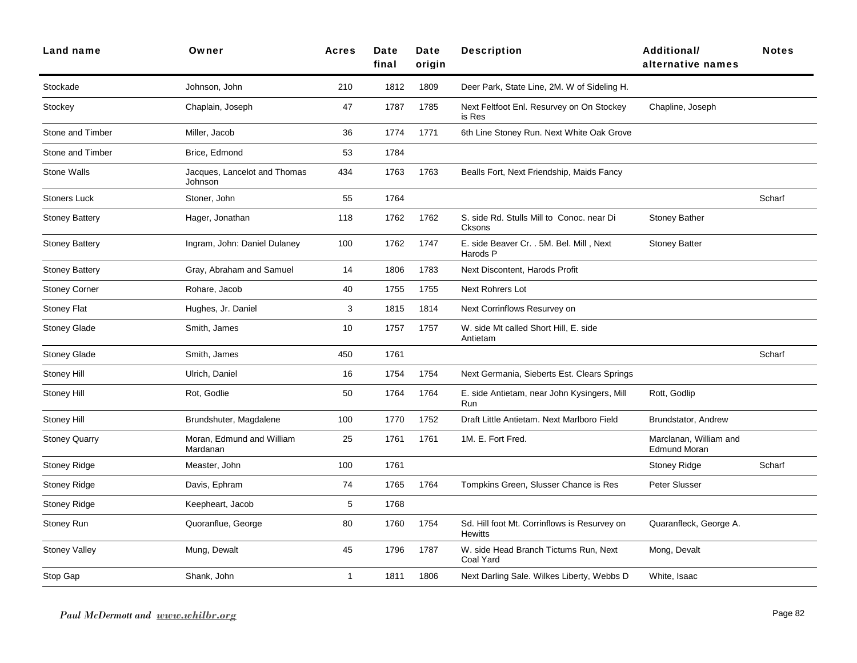| Land name               | Owner                                   | <b>Acres</b> | Date<br>final | <b>Date</b><br>origin | <b>Description</b>                                             | <b>Additional/</b><br>alternative names       | <b>Notes</b> |
|-------------------------|-----------------------------------------|--------------|---------------|-----------------------|----------------------------------------------------------------|-----------------------------------------------|--------------|
| Stockade                | Johnson, John                           | 210          | 1812          | 1809                  | Deer Park, State Line, 2M. W of Sideling H.                    |                                               |              |
| Stockey                 | Chaplain, Joseph                        | 47           | 1787          | 1785                  | Next Feltfoot Enl. Resurvey on On Stockey<br>is Res            | Chapline, Joseph                              |              |
| Stone and Timber        | Miller, Jacob                           | 36           | 1774          | 1771                  | 6th Line Stoney Run. Next White Oak Grove                      |                                               |              |
| <b>Stone and Timber</b> | Brice, Edmond                           | 53           | 1784          |                       |                                                                |                                               |              |
| Stone Walls             | Jacques, Lancelot and Thomas<br>Johnson | 434          | 1763          | 1763                  | Bealls Fort, Next Friendship, Maids Fancy                      |                                               |              |
| <b>Stoners Luck</b>     | Stoner, John                            | 55           | 1764          |                       |                                                                |                                               | Scharf       |
| <b>Stoney Battery</b>   | Hager, Jonathan                         | 118          | 1762          | 1762                  | S. side Rd. Stulls Mill to Conoc. near Di<br>Cksons            | <b>Stoney Bather</b>                          |              |
| <b>Stoney Battery</b>   | Ingram, John: Daniel Dulaney            | 100          | 1762          | 1747                  | E. side Beaver Cr. . 5M. Bel. Mill, Next<br>Harods P           | <b>Stoney Batter</b>                          |              |
| <b>Stoney Battery</b>   | Gray, Abraham and Samuel                | 14           | 1806          | 1783                  | Next Discontent, Harods Profit                                 |                                               |              |
| <b>Stoney Corner</b>    | Rohare, Jacob                           | 40           | 1755          | 1755                  | Next Rohrers Lot                                               |                                               |              |
| <b>Stoney Flat</b>      | Hughes, Jr. Daniel                      | 3            | 1815          | 1814                  | Next Corrinflows Resurvey on                                   |                                               |              |
| <b>Stoney Glade</b>     | Smith, James                            | 10           | 1757          | 1757                  | W. side Mt called Short Hill, E. side<br>Antietam              |                                               |              |
| <b>Stoney Glade</b>     | Smith, James                            | 450          | 1761          |                       |                                                                |                                               | Scharf       |
| Stoney Hill             | Ulrich, Daniel                          | 16           | 1754          | 1754                  | Next Germania, Sieberts Est. Clears Springs                    |                                               |              |
| Stoney Hill             | Rot, Godlie                             | 50           | 1764          | 1764                  | E. side Antietam, near John Kysingers, Mill<br>Run             | Rott, Godlip                                  |              |
| Stoney Hill             | Brundshuter, Magdalene                  | 100          | 1770          | 1752                  | Draft Little Antietam. Next Marlboro Field                     | Brundstator, Andrew                           |              |
| <b>Stoney Quarry</b>    | Moran, Edmund and William<br>Mardanan   | 25           | 1761          | 1761                  | 1M. E. Fort Fred.                                              | Marclanan, William and<br><b>Edmund Moran</b> |              |
| <b>Stoney Ridge</b>     | Measter, John                           | 100          | 1761          |                       |                                                                | <b>Stoney Ridge</b>                           | Scharf       |
| <b>Stoney Ridge</b>     | Davis, Ephram                           | 74           | 1765          | 1764                  | Tompkins Green, Slusser Chance is Res                          | Peter Slusser                                 |              |
| Stoney Ridge            | Keepheart, Jacob                        | 5            | 1768          |                       |                                                                |                                               |              |
| Stoney Run              | Quoranflue, George                      | 80           | 1760          | 1754                  | Sd. Hill foot Mt. Corrinflows is Resurvey on<br><b>Hewitts</b> | Quaranfleck, George A.                        |              |
| <b>Stoney Valley</b>    | Mung, Dewalt                            | 45           | 1796          | 1787                  | W. side Head Branch Tictums Run, Next<br>Coal Yard             | Mong, Devalt                                  |              |
| Stop Gap                | Shank, John                             | 1            | 1811          | 1806                  | Next Darling Sale. Wilkes Liberty, Webbs D                     | White, Isaac                                  |              |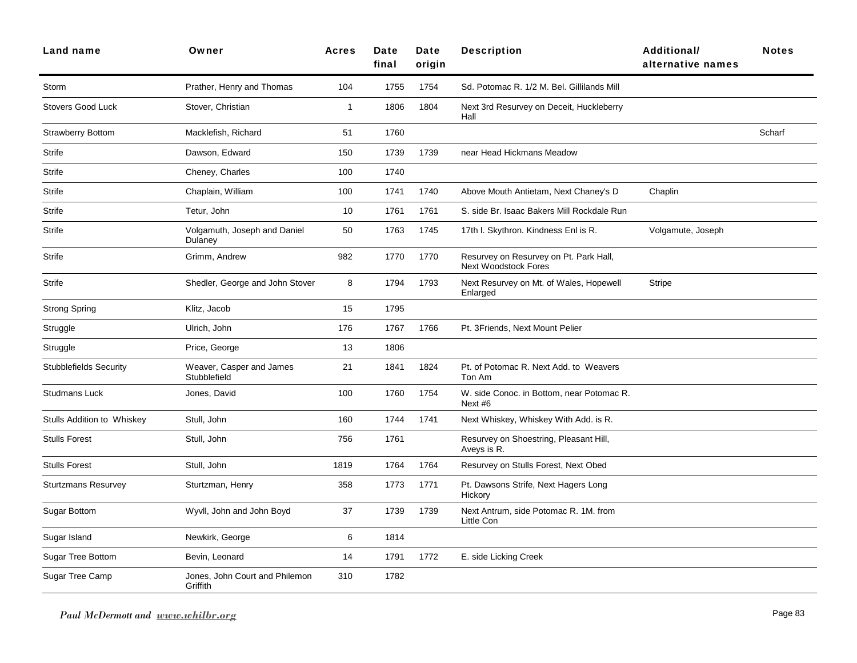| Land name                         | Owner                                      | <b>Acres</b>   | <b>Date</b><br>final | Date<br>origin | <b>Description</b>                                                    | <b>Additional/</b><br>alternative names | <b>Notes</b> |
|-----------------------------------|--------------------------------------------|----------------|----------------------|----------------|-----------------------------------------------------------------------|-----------------------------------------|--------------|
| Storm                             | Prather, Henry and Thomas                  | 104            | 1755                 | 1754           | Sd. Potomac R. 1/2 M. Bel. Gillilands Mill                            |                                         |              |
| <b>Stovers Good Luck</b>          | Stover, Christian                          | $\overline{1}$ | 1806                 | 1804           | Next 3rd Resurvey on Deceit, Huckleberry<br>Hall                      |                                         |              |
| <b>Strawberry Bottom</b>          | Macklefish, Richard                        | 51             | 1760                 |                |                                                                       |                                         | Scharf       |
| Strife                            | Dawson, Edward                             | 150            | 1739                 | 1739           | near Head Hickmans Meadow                                             |                                         |              |
| <b>Strife</b>                     | Cheney, Charles                            | 100            | 1740                 |                |                                                                       |                                         |              |
| Strife                            | Chaplain, William                          | 100            | 1741                 | 1740           | Above Mouth Antietam, Next Chaney's D                                 | Chaplin                                 |              |
| Strife                            | Tetur, John                                | 10             | 1761                 | 1761           | S. side Br. Isaac Bakers Mill Rockdale Run                            |                                         |              |
| <b>Strife</b>                     | Volgamuth, Joseph and Daniel<br>Dulaney    | 50             | 1763                 | 1745           | 17th I. Skythron. Kindness Enl is R.                                  | Volgamute, Joseph                       |              |
| <b>Strife</b>                     | Grimm, Andrew                              | 982            | 1770                 | 1770           | Resurvey on Resurvey on Pt. Park Hall,<br><b>Next Woodstock Fores</b> |                                         |              |
| Strife                            | Shedler, George and John Stover            | 8              | 1794                 | 1793           | Next Resurvey on Mt. of Wales, Hopewell<br>Enlarged                   | Stripe                                  |              |
| <b>Strong Spring</b>              | Klitz, Jacob                               | 15             | 1795                 |                |                                                                       |                                         |              |
| Struggle                          | Ulrich, John                               | 176            | 1767                 | 1766           | Pt. 3Friends, Next Mount Pelier                                       |                                         |              |
| Struggle                          | Price, George                              | 13             | 1806                 |                |                                                                       |                                         |              |
| <b>Stubblefields Security</b>     | Weaver, Casper and James<br>Stubblefield   | 21             | 1841                 | 1824           | Pt. of Potomac R. Next Add. to Weavers<br>Ton Am                      |                                         |              |
| <b>Studmans Luck</b>              | Jones, David                               | 100            | 1760                 | 1754           | W. side Conoc. in Bottom, near Potomac R.<br>Next #6                  |                                         |              |
| <b>Stulls Addition to Whiskey</b> | Stull, John                                | 160            | 1744                 | 1741           | Next Whiskey, Whiskey With Add. is R.                                 |                                         |              |
| <b>Stulls Forest</b>              | Stull, John                                | 756            | 1761                 |                | Resurvey on Shoestring, Pleasant Hill,<br>Aveys is R.                 |                                         |              |
| <b>Stulls Forest</b>              | Stull, John                                | 1819           | 1764                 | 1764           | Resurvey on Stulls Forest, Next Obed                                  |                                         |              |
| <b>Sturtzmans Resurvey</b>        | Sturtzman, Henry                           | 358            | 1773                 | 1771           | Pt. Dawsons Strife, Next Hagers Long<br>Hickory                       |                                         |              |
| <b>Sugar Bottom</b>               | Wyvll, John and John Boyd                  | 37             | 1739                 | 1739           | Next Antrum, side Potomac R. 1M. from<br>Little Con                   |                                         |              |
| Sugar Island                      | Newkirk, George                            | 6              | 1814                 |                |                                                                       |                                         |              |
| Sugar Tree Bottom                 | Bevin, Leonard                             | 14             | 1791                 | 1772           | E. side Licking Creek                                                 |                                         |              |
| Sugar Tree Camp                   | Jones, John Court and Philemon<br>Griffith | 310            | 1782                 |                |                                                                       |                                         |              |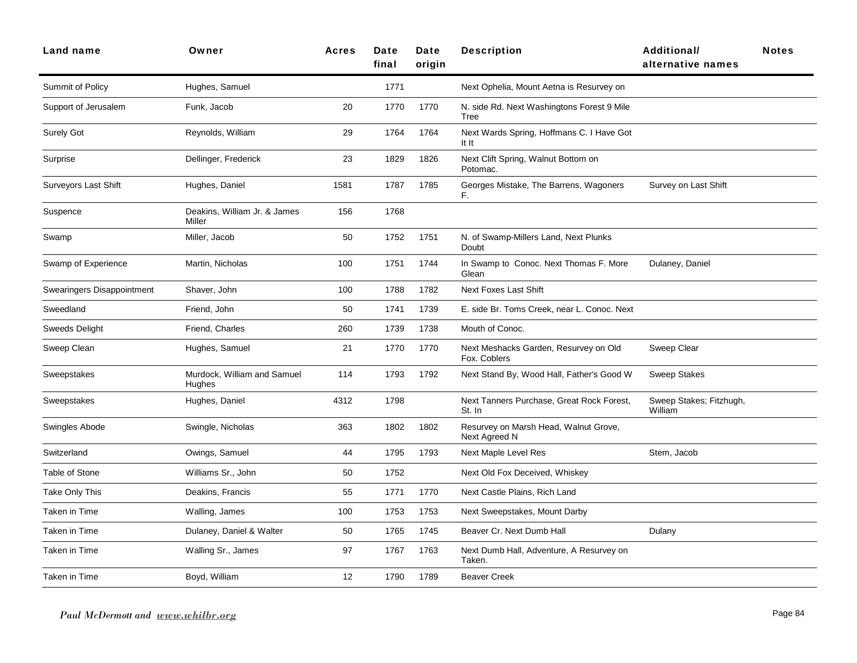| Land name                  | Owner                                  | <b>Acres</b> | Date<br>final | Date<br>origin | <b>Description</b>                                     | <b>Additional/</b><br>alternative names | <b>Notes</b> |
|----------------------------|----------------------------------------|--------------|---------------|----------------|--------------------------------------------------------|-----------------------------------------|--------------|
| Summit of Policy           | Hughes, Samuel                         |              | 1771          |                | Next Ophelia, Mount Aetna is Resurvey on               |                                         |              |
| Support of Jerusalem       | Funk, Jacob                            | 20           | 1770          | 1770           | N. side Rd. Next Washingtons Forest 9 Mile<br>Tree     |                                         |              |
| <b>Surely Got</b>          | Reynolds, William                      | 29           | 1764          | 1764           | Next Wards Spring, Hoffmans C. I Have Got<br>It It     |                                         |              |
| Surprise                   | Dellinger, Frederick                   | 23           | 1829          | 1826           | Next Clift Spring, Walnut Bottom on<br>Potomac.        |                                         |              |
| Surveyors Last Shift       | Hughes, Daniel                         | 1581         | 1787          | 1785           | Georges Mistake, The Barrens, Wagoners<br>F.           | Survey on Last Shift                    |              |
| Suspence                   | Deakins, William Jr. & James<br>Miller | 156          | 1768          |                |                                                        |                                         |              |
| Swamp                      | Miller, Jacob                          | 50           | 1752          | 1751           | N. of Swamp-Millers Land, Next Plunks<br>Doubt         |                                         |              |
| Swamp of Experience        | Martin, Nicholas                       | 100          | 1751          | 1744           | In Swamp to Conoc. Next Thomas F. More<br>Glean        | Dulaney, Daniel                         |              |
| Swearingers Disappointment | Shaver, John                           | 100          | 1788          | 1782           | <b>Next Foxes Last Shift</b>                           |                                         |              |
| Sweedland                  | Friend, John                           | 50           | 1741          | 1739           | E. side Br. Toms Creek, near L. Conoc. Next            |                                         |              |
| <b>Sweeds Delight</b>      | Friend, Charles                        | 260          | 1739          | 1738           | Mouth of Conoc.                                        |                                         |              |
| Sweep Clean                | Hughes, Samuel                         | 21           | 1770          | 1770           | Next Meshacks Garden, Resurvey on Old<br>Fox. Coblers  | Sweep Clear                             |              |
| Sweepstakes                | Murdock, William and Samuel<br>Hughes  | 114          | 1793          | 1792           | Next Stand By, Wood Hall, Father's Good W              | <b>Sweep Stakes</b>                     |              |
| Sweepstakes                | Hughes, Daniel                         | 4312         | 1798          |                | Next Tanners Purchase, Great Rock Forest,<br>St. In    | Sweep Stakes; Fitzhugh,<br>William      |              |
| Swingles Abode             | Swingle, Nicholas                      | 363          | 1802          | 1802           | Resurvey on Marsh Head, Walnut Grove,<br>Next Agreed N |                                         |              |
| Switzerland                | Owings, Samuel                         | 44           | 1795          | 1793           | Next Maple Level Res                                   | Stem, Jacob                             |              |
| Table of Stone             | Williams Sr., John                     | 50           | 1752          |                | Next Old Fox Deceived, Whiskey                         |                                         |              |
| Take Only This             | Deakins, Francis                       | 55           | 1771          | 1770           | Next Castle Plains, Rich Land                          |                                         |              |
| Taken in Time              | Walling, James                         | 100          | 1753          | 1753           | Next Sweepstakes, Mount Darby                          |                                         |              |
| Taken in Time              | Dulaney, Daniel & Walter               | 50           | 1765          | 1745           | Beaver Cr. Next Dumb Hall                              | Dulany                                  |              |
| Taken in Time              | Walling Sr., James                     | 97           | 1767          | 1763           | Next Dumb Hall, Adventure, A Resurvey on<br>Taken.     |                                         |              |
| Taken in Time              | Boyd, William                          | 12           | 1790          | 1789           | <b>Beaver Creek</b>                                    |                                         |              |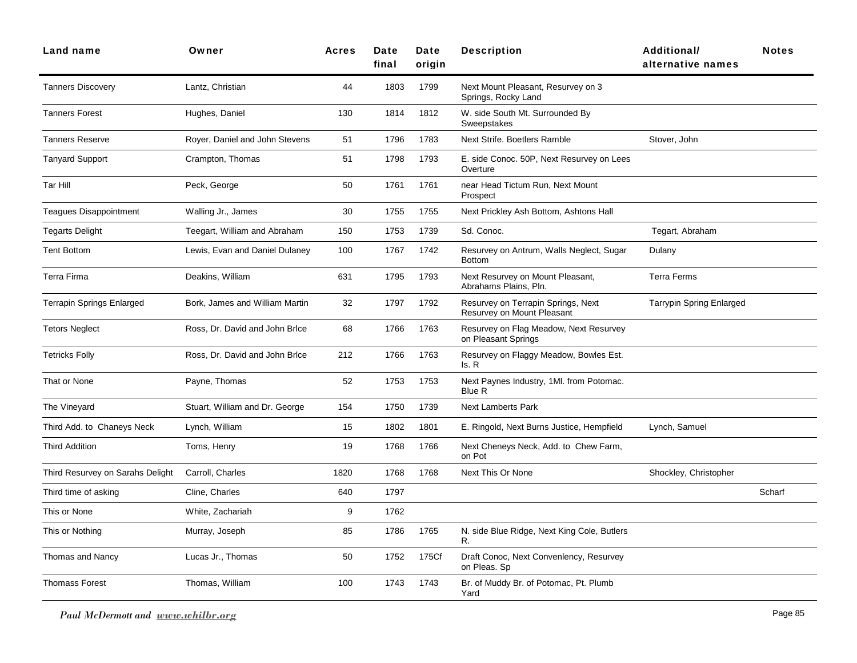| <b>Land name</b>                 | Owner                          | <b>Acres</b> | <b>Date</b><br>final | Date<br>origin | <b>Description</b>                                               | <b>Additional/</b><br>alternative names | <b>Notes</b> |
|----------------------------------|--------------------------------|--------------|----------------------|----------------|------------------------------------------------------------------|-----------------------------------------|--------------|
| <b>Tanners Discovery</b>         | Lantz, Christian               | 44           | 1803                 | 1799           | Next Mount Pleasant, Resurvey on 3<br>Springs, Rocky Land        |                                         |              |
| <b>Tanners Forest</b>            | Hughes, Daniel                 | 130          | 1814                 | 1812           | W. side South Mt. Surrounded By<br>Sweepstakes                   |                                         |              |
| <b>Tanners Reserve</b>           | Royer, Daniel and John Stevens | 51           | 1796                 | 1783           | Next Strife. Boetlers Ramble                                     | Stover, John                            |              |
| <b>Tanyard Support</b>           | Crampton, Thomas               | 51           | 1798                 | 1793           | E. side Conoc. 50P, Next Resurvey on Lees<br>Overture            |                                         |              |
| Tar Hill                         | Peck, George                   | 50           | 1761                 | 1761           | near Head Tictum Run, Next Mount<br>Prospect                     |                                         |              |
| Teagues Disappointment           | Walling Jr., James             | 30           | 1755                 | 1755           | Next Prickley Ash Bottom, Ashtons Hall                           |                                         |              |
| Tegarts Delight                  | Teegart, William and Abraham   | 150          | 1753                 | 1739           | Sd. Conoc.                                                       | Tegart, Abraham                         |              |
| <b>Tent Bottom</b>               | Lewis, Evan and Daniel Dulaney | 100          | 1767                 | 1742           | Resurvey on Antrum, Walls Neglect, Sugar<br><b>Bottom</b>        | Dulany                                  |              |
| <b>Terra Firma</b>               | Deakins, William               | 631          | 1795                 | 1793           | Next Resurvey on Mount Pleasant,<br>Abrahams Plains, Pln.        | <b>Terra Ferms</b>                      |              |
| Terrapin Springs Enlarged        | Bork, James and William Martin | 32           | 1797                 | 1792           | Resurvey on Terrapin Springs, Next<br>Resurvey on Mount Pleasant | <b>Tarrypin Spring Enlarged</b>         |              |
| <b>Tetors Neglect</b>            | Ross, Dr. David and John Brice | 68           | 1766                 | 1763           | Resurvey on Flag Meadow, Next Resurvey<br>on Pleasant Springs    |                                         |              |
| <b>Tetricks Folly</b>            | Ross, Dr. David and John Brice | 212          | 1766                 | 1763           | Resurvey on Flaggy Meadow, Bowles Est.<br>ls. R                  |                                         |              |
| That or None                     | Payne, Thomas                  | 52           | 1753                 | 1753           | Next Paynes Industry, 1MI. from Potomac.<br><b>Blue R</b>        |                                         |              |
| The Vineyard                     | Stuart, William and Dr. George | 154          | 1750                 | 1739           | <b>Next Lamberts Park</b>                                        |                                         |              |
| Third Add. to Chaneys Neck       | Lynch, William                 | 15           | 1802                 | 1801           | E. Ringold, Next Burns Justice, Hempfield                        | Lynch, Samuel                           |              |
| <b>Third Addition</b>            | Toms, Henry                    | 19           | 1768                 | 1766           | Next Cheneys Neck, Add. to Chew Farm,<br>on Pot                  |                                         |              |
| Third Resurvey on Sarahs Delight | Carroll, Charles               | 1820         | 1768                 | 1768           | Next This Or None                                                | Shockley, Christopher                   |              |
| Third time of asking             | Cline, Charles                 | 640          | 1797                 |                |                                                                  |                                         | Scharf       |
| This or None                     | White, Zachariah               | 9            | 1762                 |                |                                                                  |                                         |              |
| This or Nothing                  | Murray, Joseph                 | 85           | 1786                 | 1765           | N. side Blue Ridge, Next King Cole, Butlers<br>R.                |                                         |              |
| Thomas and Nancy                 | Lucas Jr., Thomas              | 50           | 1752                 | 175Cf          | Draft Conoc, Next Convenlency, Resurvey<br>on Pleas. Sp          |                                         |              |
| <b>Thomass Forest</b>            | Thomas, William                | 100          | 1743                 | 1743           | Br. of Muddy Br. of Potomac, Pt. Plumb<br>Yard                   |                                         |              |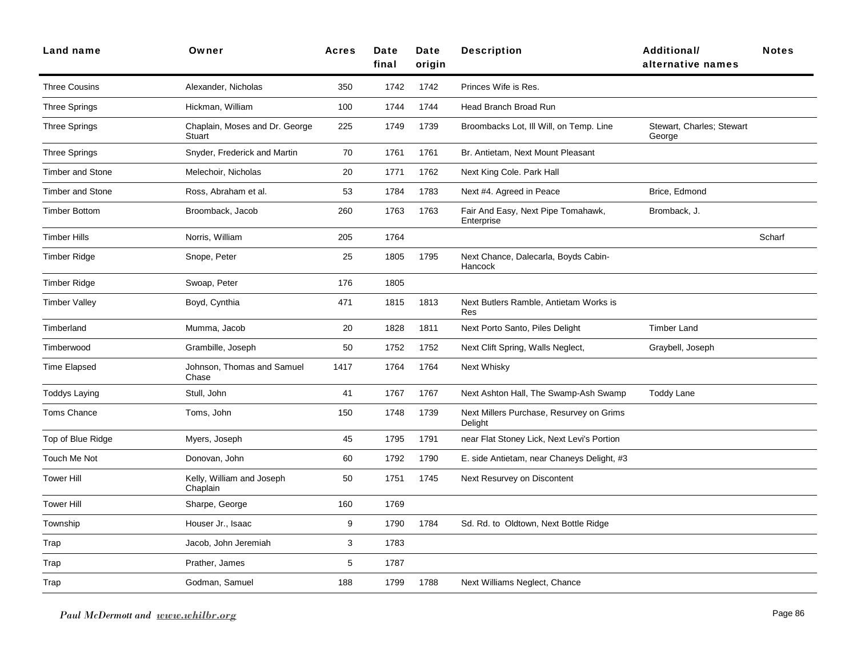| Land name               | Owner                                    | Acres | <b>Date</b><br>final | Date<br>oriain | <b>Description</b>                                  | Additional/<br>alternative names    | <b>Notes</b> |
|-------------------------|------------------------------------------|-------|----------------------|----------------|-----------------------------------------------------|-------------------------------------|--------------|
| <b>Three Cousins</b>    | Alexander, Nicholas                      | 350   | 1742                 | 1742           | Princes Wife is Res.                                |                                     |              |
| <b>Three Springs</b>    | Hickman, William                         | 100   | 1744                 | 1744           | <b>Head Branch Broad Run</b>                        |                                     |              |
| <b>Three Springs</b>    | Chaplain, Moses and Dr. George<br>Stuart | 225   | 1749                 | 1739           | Broombacks Lot, III Will, on Temp. Line             | Stewart, Charles; Stewart<br>George |              |
| <b>Three Springs</b>    | Snyder, Frederick and Martin             | 70    | 1761                 | 1761           | Br. Antietam, Next Mount Pleasant                   |                                     |              |
| <b>Timber and Stone</b> | Melechoir, Nicholas                      | 20    | 1771                 | 1762           | Next King Cole. Park Hall                           |                                     |              |
| <b>Timber and Stone</b> | Ross, Abraham et al.                     | 53    | 1784                 | 1783           | Next #4. Agreed in Peace                            | Brice, Edmond                       |              |
| <b>Timber Bottom</b>    | Broomback, Jacob                         | 260   | 1763                 | 1763           | Fair And Easy, Next Pipe Tomahawk,<br>Enterprise    | Bromback, J.                        |              |
| <b>Timber Hills</b>     | Norris, William                          | 205   | 1764                 |                |                                                     |                                     | Scharf       |
| <b>Timber Ridge</b>     | Snope, Peter                             | 25    | 1805                 | 1795           | Next Chance, Dalecarla, Boyds Cabin-<br>Hancock     |                                     |              |
| <b>Timber Ridge</b>     | Swoap, Peter                             | 176   | 1805                 |                |                                                     |                                     |              |
| <b>Timber Valley</b>    | Boyd, Cynthia                            | 471   | 1815                 | 1813           | Next Butlers Ramble, Antietam Works is<br>Res       |                                     |              |
| Timberland              | Mumma, Jacob                             | 20    | 1828                 | 1811           | Next Porto Santo, Piles Delight                     | <b>Timber Land</b>                  |              |
| Timberwood              | Grambille, Joseph                        | 50    | 1752                 | 1752           | Next Clift Spring, Walls Neglect,                   | Graybell, Joseph                    |              |
| <b>Time Elapsed</b>     | Johnson, Thomas and Samuel<br>Chase      | 1417  | 1764                 | 1764           | Next Whisky                                         |                                     |              |
| <b>Toddys Laying</b>    | Stull, John                              | 41    | 1767                 | 1767           | Next Ashton Hall, The Swamp-Ash Swamp               | <b>Toddy Lane</b>                   |              |
| <b>Toms Chance</b>      | Toms, John                               | 150   | 1748                 | 1739           | Next Millers Purchase, Resurvey on Grims<br>Delight |                                     |              |
| Top of Blue Ridge       | Myers, Joseph                            | 45    | 1795                 | 1791           | near Flat Stoney Lick, Next Levi's Portion          |                                     |              |
| Touch Me Not            | Donovan, John                            | 60    | 1792                 | 1790           | E. side Antietam, near Chaneys Delight, #3          |                                     |              |
| <b>Tower Hill</b>       | Kelly, William and Joseph<br>Chaplain    | 50    | 1751                 | 1745           | Next Resurvey on Discontent                         |                                     |              |
| <b>Tower Hill</b>       | Sharpe, George                           | 160   | 1769                 |                |                                                     |                                     |              |
| Township                | Houser Jr., Isaac                        | 9     | 1790                 | 1784           | Sd. Rd. to Oldtown, Next Bottle Ridge               |                                     |              |
| Trap                    | Jacob, John Jeremiah                     | 3     | 1783                 |                |                                                     |                                     |              |
| Trap                    | Prather, James                           | 5     | 1787                 |                |                                                     |                                     |              |
| Trap                    | Godman, Samuel                           | 188   | 1799                 | 1788           | Next Williams Neglect, Chance                       |                                     |              |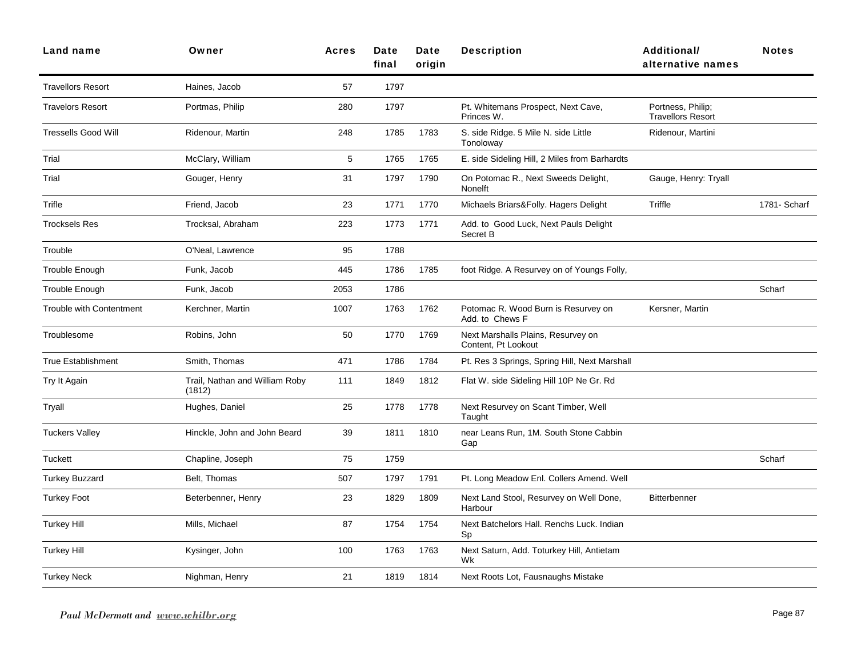| Land name                       | Owner                                    | <b>Acres</b> | Date<br>final | Date<br>origin | <b>Description</b>                                        | <b>Additional/</b><br>alternative names       | <b>Notes</b> |
|---------------------------------|------------------------------------------|--------------|---------------|----------------|-----------------------------------------------------------|-----------------------------------------------|--------------|
| <b>Travellors Resort</b>        | Haines, Jacob                            | 57           | 1797          |                |                                                           |                                               |              |
| <b>Travelors Resort</b>         | Portmas, Philip                          | 280          | 1797          |                | Pt. Whitemans Prospect, Next Cave,<br>Princes W.          | Portness, Philip;<br><b>Travellors Resort</b> |              |
| <b>Tressells Good Will</b>      | Ridenour, Martin                         | 248          | 1785          | 1783           | S. side Ridge. 5 Mile N. side Little<br>Tonoloway         | Ridenour, Martini                             |              |
| Trial                           | McClary, William                         | 5            | 1765          | 1765           | E. side Sideling Hill, 2 Miles from Barhardts             |                                               |              |
| Trial                           | Gouger, Henry                            | 31           | 1797          | 1790           | On Potomac R., Next Sweeds Delight,<br><b>Nonelft</b>     | Gauge, Henry: Tryall                          |              |
| Trifle                          | Friend, Jacob                            | 23           | 1771          | 1770           | Michaels Briars&Folly. Hagers Delight                     | Triffle                                       | 1781- Scharf |
| <b>Trocksels Res</b>            | Trocksal, Abraham                        | 223          | 1773          | 1771           | Add. to Good Luck, Next Pauls Delight<br>Secret B         |                                               |              |
| Trouble                         | O'Neal, Lawrence                         | 95           | 1788          |                |                                                           |                                               |              |
| Trouble Enough                  | Funk, Jacob                              | 445          | 1786          | 1785           | foot Ridge. A Resurvey on of Youngs Folly,                |                                               |              |
| Trouble Enough                  | Funk, Jacob                              | 2053         | 1786          |                |                                                           |                                               | Scharf       |
| <b>Trouble with Contentment</b> | Kerchner, Martin                         | 1007         | 1763          | 1762           | Potomac R. Wood Burn is Resurvey on<br>Add. to Chews F    | Kersner, Martin                               |              |
| Troublesome                     | Robins, John                             | 50           | 1770          | 1769           | Next Marshalls Plains, Resurvey on<br>Content, Pt Lookout |                                               |              |
| True Establishment              | Smith, Thomas                            | 471          | 1786          | 1784           | Pt. Res 3 Springs, Spring Hill, Next Marshall             |                                               |              |
| Try It Again                    | Trail, Nathan and William Roby<br>(1812) | 111          | 1849          | 1812           | Flat W. side Sideling Hill 10P Ne Gr. Rd                  |                                               |              |
| Tryall                          | Hughes, Daniel                           | 25           | 1778          | 1778           | Next Resurvey on Scant Timber, Well<br>Taught             |                                               |              |
| <b>Tuckers Valley</b>           | Hinckle, John and John Beard             | 39           | 1811          | 1810           | near Leans Run, 1M. South Stone Cabbin<br>Gap             |                                               |              |
| <b>Tuckett</b>                  | Chapline, Joseph                         | 75           | 1759          |                |                                                           |                                               | Scharf       |
| <b>Turkey Buzzard</b>           | Belt, Thomas                             | 507          | 1797          | 1791           | Pt. Long Meadow Enl. Collers Amend. Well                  |                                               |              |
| <b>Turkey Foot</b>              | Beterbenner, Henry                       | 23           | 1829          | 1809           | Next Land Stool, Resurvey on Well Done,<br>Harbour        | <b>Bitterbenner</b>                           |              |
| <b>Turkey Hill</b>              | Mills, Michael                           | 87           | 1754          | 1754           | Next Batchelors Hall. Renchs Luck. Indian<br>Sp           |                                               |              |
| <b>Turkey Hill</b>              | Kysinger, John                           | 100          | 1763          | 1763           | Next Saturn, Add. Toturkey Hill, Antietam<br>Wk           |                                               |              |
| Turkey Neck                     | Nighman, Henry                           | 21           | 1819          | 1814           | Next Roots Lot, Fausnaughs Mistake                        |                                               |              |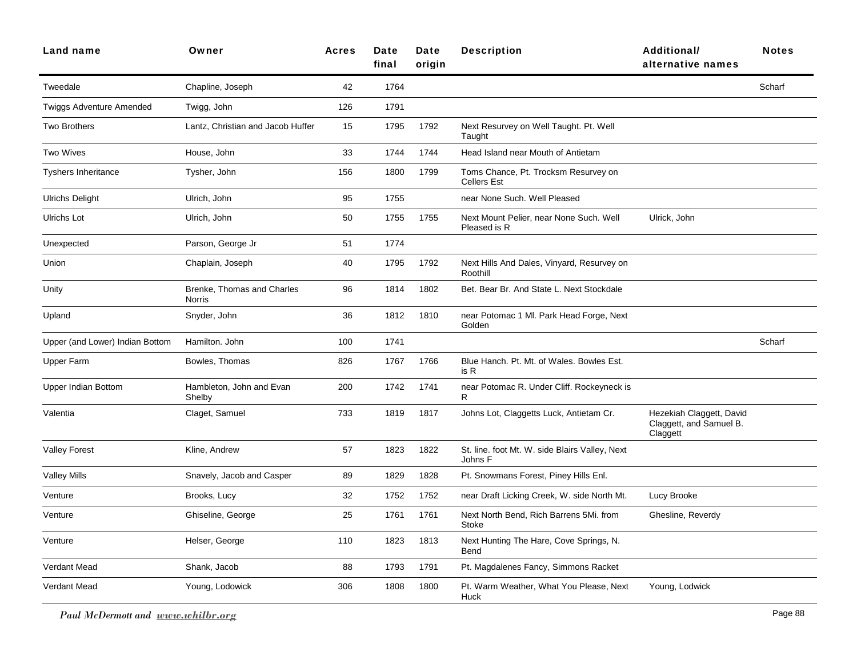| Owner                                | <b>Acres</b> | Date<br>final | Date<br>origin | <b>Description</b>                                         | <b>Additional/</b><br>alternative names                         | <b>Notes</b> |
|--------------------------------------|--------------|---------------|----------------|------------------------------------------------------------|-----------------------------------------------------------------|--------------|
| Chapline, Joseph                     | 42           | 1764          |                |                                                            |                                                                 | Scharf       |
| Twigg, John                          | 126          | 1791          |                |                                                            |                                                                 |              |
| Lantz, Christian and Jacob Huffer    | 15           | 1795          | 1792           | Next Resurvey on Well Taught. Pt. Well<br>Taught           |                                                                 |              |
| House, John                          | 33           | 1744          | 1744           | Head Island near Mouth of Antietam                         |                                                                 |              |
| Tysher, John                         | 156          | 1800          | 1799           | Toms Chance, Pt. Trocksm Resurvey on<br><b>Cellers Est</b> |                                                                 |              |
| Ulrich, John                         | 95           | 1755          |                | near None Such. Well Pleased                               |                                                                 |              |
| Ulrich, John                         | 50           | 1755          | 1755           | Next Mount Pelier, near None Such. Well<br>Pleased is R    | Ulrick, John                                                    |              |
| Parson, George Jr                    | 51           | 1774          |                |                                                            |                                                                 |              |
| Chaplain, Joseph                     | 40           | 1795          | 1792           | Next Hills And Dales, Vinyard, Resurvey on<br>Roothill     |                                                                 |              |
| Brenke, Thomas and Charles<br>Norris | 96           | 1814          | 1802           | Bet. Bear Br. And State L. Next Stockdale                  |                                                                 |              |
| Snyder, John                         | 36           | 1812          | 1810           | near Potomac 1 Ml. Park Head Forge, Next<br>Golden         |                                                                 |              |
| Hamilton, John                       | 100          | 1741          |                |                                                            |                                                                 | Scharf       |
| Bowles, Thomas                       | 826          | 1767          | 1766           | Blue Hanch. Pt. Mt. of Wales. Bowles Est.<br>is R          |                                                                 |              |
| Hambleton, John and Evan<br>Shelby   | 200          | 1742          | 1741           | near Potomac R. Under Cliff. Rockeyneck is<br>R.           |                                                                 |              |
| Claget, Samuel                       | 733          | 1819          | 1817           | Johns Lot, Claggetts Luck, Antietam Cr.                    | Hezekiah Claggett, David<br>Claggett, and Samuel B.<br>Claggett |              |
| Kline, Andrew                        | 57           | 1823          | 1822           | St. line. foot Mt. W. side Blairs Valley, Next<br>Johns F  |                                                                 |              |
| Snavely, Jacob and Casper            | 89           | 1829          | 1828           | Pt. Snowmans Forest, Piney Hills Enl.                      |                                                                 |              |
| Brooks, Lucy                         | 32           | 1752          | 1752           | near Draft Licking Creek, W. side North Mt.                | Lucy Brooke                                                     |              |
| Ghiseline, George                    | 25           | 1761          | 1761           | Next North Bend, Rich Barrens 5Mi. from<br>Stoke           | Ghesline, Reverdy                                               |              |
| Helser, George                       | 110          | 1823          | 1813           | Next Hunting The Hare, Cove Springs, N.<br>Bend            |                                                                 |              |
| Shank, Jacob                         | 88           | 1793          | 1791           | Pt. Magdalenes Fancy, Simmons Racket                       |                                                                 |              |
| Young, Lodowick                      | 306          | 1808          | 1800           | Pt. Warm Weather, What You Please, Next<br>Huck            | Young, Lodwick                                                  |              |
|                                      |              |               |                |                                                            |                                                                 |              |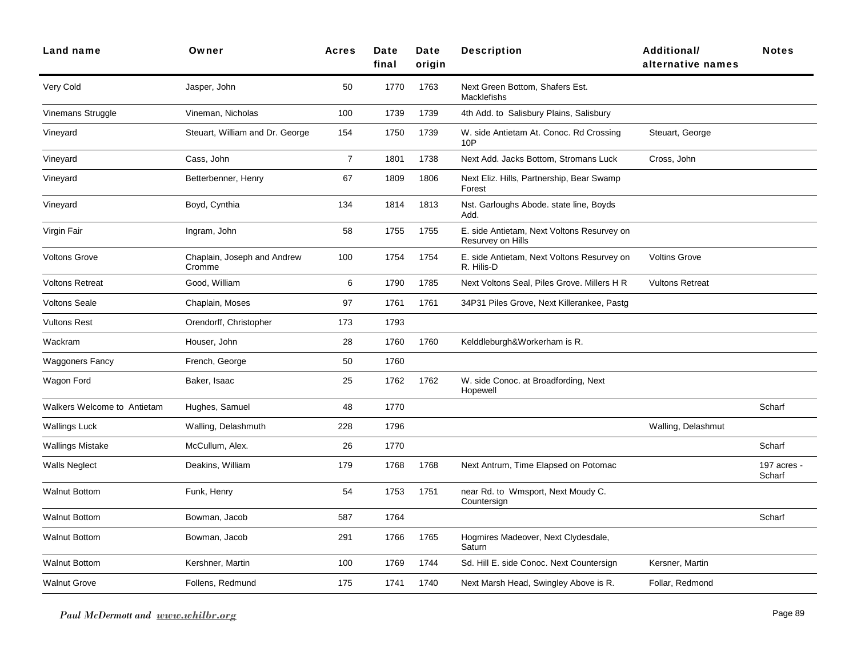| Land name                          | Owner                                 | <b>Acres</b>   | Date<br>final | Date<br>origin | <b>Description</b>                                              | <b>Additional/</b><br>alternative names | <b>Notes</b>          |
|------------------------------------|---------------------------------------|----------------|---------------|----------------|-----------------------------------------------------------------|-----------------------------------------|-----------------------|
| Very Cold                          | Jasper, John                          | 50             | 1770          | 1763           | Next Green Bottom, Shafers Est.<br><b>Macklefishs</b>           |                                         |                       |
| Vinemans Struggle                  | Vineman, Nicholas                     | 100            | 1739          | 1739           | 4th Add. to Salisbury Plains, Salisbury                         |                                         |                       |
| Vineyard                           | Steuart, William and Dr. George       | 154            | 1750          | 1739           | W. side Antietam At. Conoc. Rd Crossing<br>10P                  | Steuart, George                         |                       |
| Vineyard                           | Cass, John                            | $\overline{7}$ | 1801          | 1738           | Next Add. Jacks Bottom, Stromans Luck                           | Cross, John                             |                       |
| Vineyard                           | Betterbenner, Henry                   | 67             | 1809          | 1806           | Next Eliz. Hills, Partnership, Bear Swamp<br>Forest             |                                         |                       |
| Vineyard                           | Boyd, Cynthia                         | 134            | 1814          | 1813           | Nst. Garloughs Abode. state line, Boyds<br>Add.                 |                                         |                       |
| Virgin Fair                        | Ingram, John                          | 58             | 1755          | 1755           | E. side Antietam, Next Voltons Resurvey on<br>Resurvey on Hills |                                         |                       |
| <b>Voltons Grove</b>               | Chaplain, Joseph and Andrew<br>Cromme | 100            | 1754          | 1754           | E. side Antietam, Next Voltons Resurvey on<br>R. Hilis-D        | <b>Voltins Grove</b>                    |                       |
| <b>Voltons Retreat</b>             | Good, William                         | 6              | 1790          | 1785           | Next Voltons Seal, Piles Grove. Millers H R                     | <b>Vultons Retreat</b>                  |                       |
| <b>Voltons Seale</b>               | Chaplain, Moses                       | 97             | 1761          | 1761           | 34P31 Piles Grove, Next Killerankee, Pastg                      |                                         |                       |
| <b>Vultons Rest</b>                | Orendorff, Christopher                | 173            | 1793          |                |                                                                 |                                         |                       |
| Wackram                            | Houser, John                          | 28             | 1760          | 1760           | Kelddleburgh&Workerham is R.                                    |                                         |                       |
| Waggoners Fancy                    | French, George                        | 50             | 1760          |                |                                                                 |                                         |                       |
| Wagon Ford                         | Baker, Isaac                          | 25             | 1762          | 1762           | W. side Conoc. at Broadfording, Next<br>Hopewell                |                                         |                       |
| <b>Walkers Welcome to Antietam</b> | Hughes, Samuel                        | 48             | 1770          |                |                                                                 |                                         | Scharf                |
| <b>Wallings Luck</b>               | Walling, Delashmuth                   | 228            | 1796          |                |                                                                 | Walling, Delashmut                      |                       |
| Wallings Mistake                   | McCullum, Alex.                       | 26             | 1770          |                |                                                                 |                                         | Scharf                |
| <b>Walls Neglect</b>               | Deakins, William                      | 179            | 1768          | 1768           | Next Antrum, Time Elapsed on Potomac                            |                                         | 197 acres -<br>Scharf |
| <b>Walnut Bottom</b>               | Funk, Henry                           | 54             | 1753          | 1751           | near Rd. to Wmsport, Next Moudy C.<br>Countersign               |                                         |                       |
| <b>Walnut Bottom</b>               | Bowman, Jacob                         | 587            | 1764          |                |                                                                 |                                         | Scharf                |
| <b>Walnut Bottom</b>               | Bowman, Jacob                         | 291            | 1766          | 1765           | Hogmires Madeover, Next Clydesdale,<br>Saturn                   |                                         |                       |
| <b>Walnut Bottom</b>               | Kershner, Martin                      | 100            | 1769          | 1744           | Sd. Hill E. side Conoc. Next Countersign                        | Kersner, Martin                         |                       |
| <b>Walnut Grove</b>                | Follens, Redmund                      | 175            | 1741          | 1740           | Next Marsh Head, Swingley Above is R.                           | Follar, Redmond                         |                       |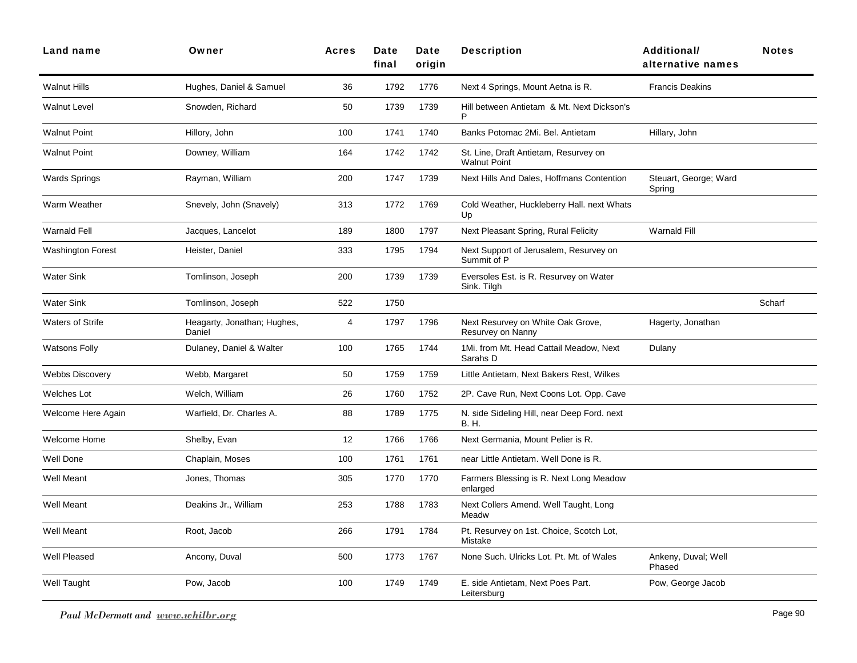| <b>Land name</b>         | Owner                                 | <b>Acres</b> | Date<br>final | Date<br>origin | <b>Description</b>                                           | Additional/<br>alternative names | <b>Notes</b> |
|--------------------------|---------------------------------------|--------------|---------------|----------------|--------------------------------------------------------------|----------------------------------|--------------|
| <b>Walnut Hills</b>      | Hughes, Daniel & Samuel               | 36           | 1792          | 1776           | Next 4 Springs, Mount Aetna is R.                            | <b>Francis Deakins</b>           |              |
| <b>Walnut Level</b>      | Snowden, Richard                      | 50           | 1739          | 1739           | Hill between Antietam & Mt. Next Dickson's<br>P              |                                  |              |
| <b>Walnut Point</b>      | Hillory, John                         | 100          | 1741          | 1740           | Banks Potomac 2Mi. Bel. Antietam                             | Hillary, John                    |              |
| <b>Walnut Point</b>      | Downey, William                       | 164          | 1742          | 1742           | St. Line, Draft Antietam, Resurvey on<br><b>Walnut Point</b> |                                  |              |
| <b>Wards Springs</b>     | Rayman, William                       | 200          | 1747          | 1739           | Next Hills And Dales, Hoffmans Contention                    | Steuart, George; Ward<br>Spring  |              |
| Warm Weather             | Snevely, John (Snavely)               | 313          | 1772          | 1769           | Cold Weather, Huckleberry Hall. next Whats<br>Up             |                                  |              |
| Warnald Fell             | Jacques, Lancelot                     | 189          | 1800          | 1797           | Next Pleasant Spring, Rural Felicity                         | <b>Warnald Fill</b>              |              |
| <b>Washington Forest</b> | Heister, Daniel                       | 333          | 1795          | 1794           | Next Support of Jerusalem, Resurvey on<br>Summit of P        |                                  |              |
| <b>Water Sink</b>        | Tomlinson, Joseph                     | 200          | 1739          | 1739           | Eversoles Est. is R. Resurvey on Water<br>Sink. Tilgh        |                                  |              |
| <b>Water Sink</b>        | Tomlinson, Joseph                     | 522          | 1750          |                |                                                              |                                  | Scharf       |
| <b>Waters of Strife</b>  | Heagarty, Jonathan; Hughes,<br>Daniel | 4            | 1797          | 1796           | Next Resurvey on White Oak Grove,<br>Resurvey on Nanny       | Hagerty, Jonathan                |              |
| <b>Watsons Folly</b>     | Dulaney, Daniel & Walter              | 100          | 1765          | 1744           | 1Mi. from Mt. Head Cattail Meadow, Next<br>Sarahs D          | Dulany                           |              |
| <b>Webbs Discovery</b>   | Webb, Margaret                        | 50           | 1759          | 1759           | Little Antietam, Next Bakers Rest, Wilkes                    |                                  |              |
| Welches Lot              | Welch, William                        | 26           | 1760          | 1752           | 2P. Cave Run, Next Coons Lot. Opp. Cave                      |                                  |              |
| Welcome Here Again       | Warfield, Dr. Charles A.              | 88           | 1789          | 1775           | N. side Sideling Hill, near Deep Ford. next<br>B. H.         |                                  |              |
| Welcome Home             | Shelby, Evan                          | 12           | 1766          | 1766           | Next Germania, Mount Pelier is R.                            |                                  |              |
| <b>Well Done</b>         | Chaplain, Moses                       | 100          | 1761          | 1761           | near Little Antietam. Well Done is R.                        |                                  |              |
| Well Meant               | Jones, Thomas                         | 305          | 1770          | 1770           | Farmers Blessing is R. Next Long Meadow<br>enlarged          |                                  |              |
| Well Meant               | Deakins Jr., William                  | 253          | 1788          | 1783           | Next Collers Amend. Well Taught, Long<br>Meadw               |                                  |              |
| <b>Well Meant</b>        | Root, Jacob                           | 266          | 1791          | 1784           | Pt. Resurvey on 1st. Choice, Scotch Lot,<br>Mistake          |                                  |              |
| Well Pleased             | Ancony, Duval                         | 500          | 1773          | 1767           | None Such. Ulricks Lot. Pt. Mt. of Wales                     | Ankeny, Duval; Well<br>Phased    |              |
| Well Taught              | Pow, Jacob                            | 100          | 1749          | 1749           | E. side Antietam, Next Poes Part.<br>Leitersburg             | Pow, George Jacob                |              |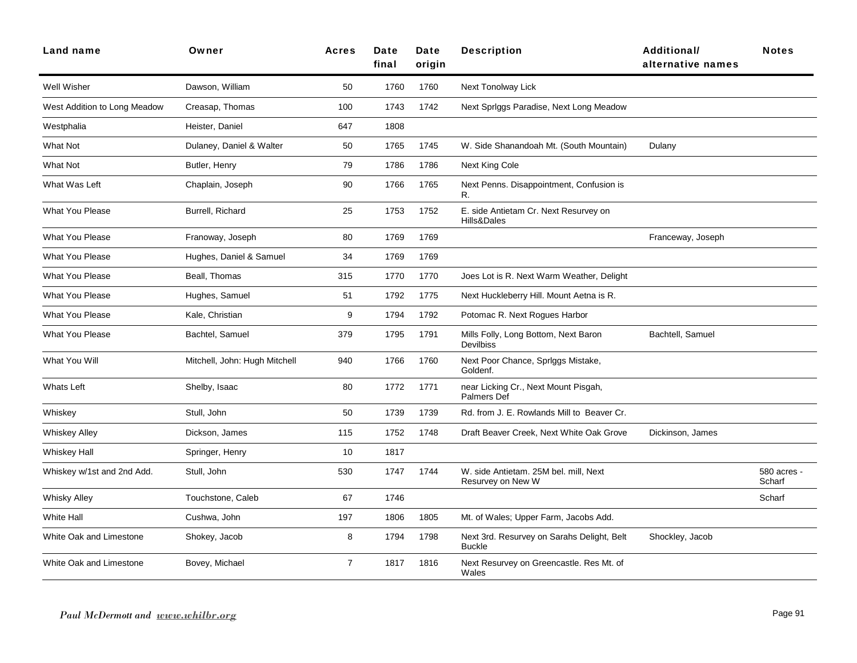| Land name                    | Owner                         | <b>Acres</b>   | Date<br>final | Date<br>origin | <b>Description</b>                                          | Additional/<br>alternative names | <b>Notes</b>          |
|------------------------------|-------------------------------|----------------|---------------|----------------|-------------------------------------------------------------|----------------------------------|-----------------------|
| Well Wisher                  | Dawson, William               | 50             | 1760          | 1760           | Next Tonolway Lick                                          |                                  |                       |
| West Addition to Long Meadow | Creasap, Thomas               | 100            | 1743          | 1742           | Next Spriggs Paradise, Next Long Meadow                     |                                  |                       |
| Westphalia                   | Heister, Daniel               | 647            | 1808          |                |                                                             |                                  |                       |
| <b>What Not</b>              | Dulaney, Daniel & Walter      | 50             | 1765          | 1745           | W. Side Shanandoah Mt. (South Mountain)                     | Dulany                           |                       |
| What Not                     | Butler, Henry                 | 79             | 1786          | 1786           | Next King Cole                                              |                                  |                       |
| What Was Left                | Chaplain, Joseph              | 90             | 1766          | 1765           | Next Penns. Disappointment, Confusion is<br>R.              |                                  |                       |
| <b>What You Please</b>       | Burrell, Richard              | 25             | 1753          | 1752           | E. side Antietam Cr. Next Resurvey on<br>Hills&Dales        |                                  |                       |
| <b>What You Please</b>       | Franoway, Joseph              | 80             | 1769          | 1769           |                                                             | Franceway, Joseph                |                       |
| <b>What You Please</b>       | Hughes, Daniel & Samuel       | 34             | 1769          | 1769           |                                                             |                                  |                       |
| <b>What You Please</b>       | Beall, Thomas                 | 315            | 1770          | 1770           | Joes Lot is R. Next Warm Weather, Delight                   |                                  |                       |
| <b>What You Please</b>       | Hughes, Samuel                | 51             | 1792          | 1775           | Next Huckleberry Hill. Mount Aetna is R.                    |                                  |                       |
| <b>What You Please</b>       | Kale, Christian               | 9              | 1794          | 1792           | Potomac R. Next Rogues Harbor                               |                                  |                       |
| <b>What You Please</b>       | Bachtel, Samuel               | 379            | 1795          | 1791           | Mills Folly, Long Bottom, Next Baron<br><b>Devilbiss</b>    | Bachtell, Samuel                 |                       |
| What You Will                | Mitchell, John: Hugh Mitchell | 940            | 1766          | 1760           | Next Poor Chance, Spriggs Mistake,<br>Goldenf.              |                                  |                       |
| <b>Whats Left</b>            | Shelby, Isaac                 | 80             | 1772          | 1771           | near Licking Cr., Next Mount Pisgah,<br><b>Palmers Def</b>  |                                  |                       |
| Whiskey                      | Stull, John                   | 50             | 1739          | 1739           | Rd. from J. E. Rowlands Mill to Beaver Cr.                  |                                  |                       |
| <b>Whiskey Alley</b>         | Dickson, James                | 115            | 1752          | 1748           | Draft Beaver Creek, Next White Oak Grove                    | Dickinson, James                 |                       |
| <b>Whiskey Hall</b>          | Springer, Henry               | 10             | 1817          |                |                                                             |                                  |                       |
| Whiskey w/1st and 2nd Add.   | Stull, John                   | 530            | 1747          | 1744           | W. side Antietam. 25M bel. mill, Next<br>Resurvey on New W  |                                  | 580 acres -<br>Scharf |
| <b>Whisky Alley</b>          | Touchstone, Caleb             | 67             | 1746          |                |                                                             |                                  | Scharf                |
| <b>White Hall</b>            | Cushwa, John                  | 197            | 1806          | 1805           | Mt. of Wales; Upper Farm, Jacobs Add.                       |                                  |                       |
| White Oak and Limestone      | Shokey, Jacob                 | 8              | 1794          | 1798           | Next 3rd. Resurvey on Sarahs Delight, Belt<br><b>Buckle</b> | Shockley, Jacob                  |                       |
| White Oak and Limestone      | Bovey, Michael                | $\overline{7}$ | 1817          | 1816           | Next Resurvey on Greencastle. Res Mt. of<br>Wales           |                                  |                       |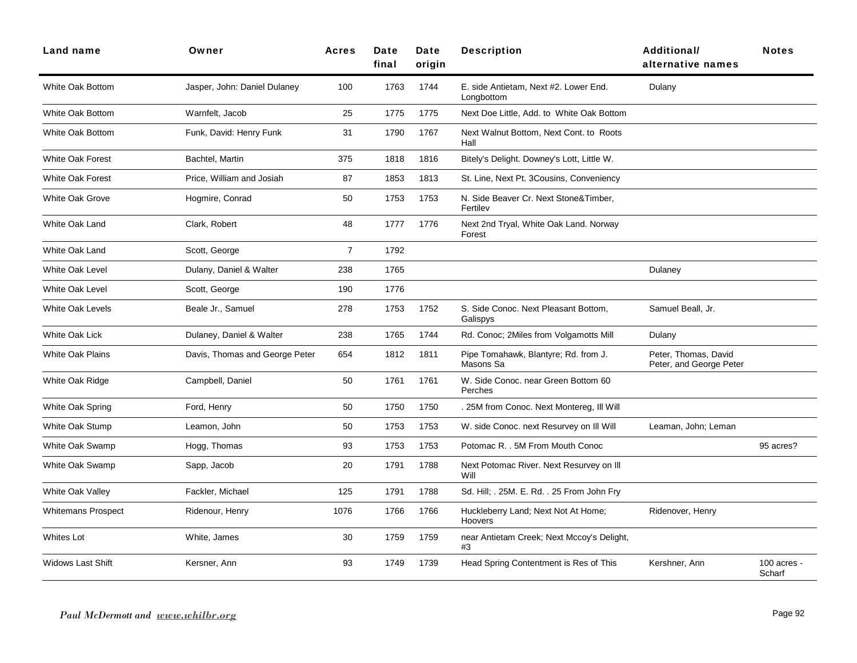| Land name                 | Owner                          | <b>Acres</b>   | Date<br>final | Date<br>origin | <b>Description</b>                                  | <b>Additional/</b><br>alternative names         | <b>Notes</b>          |
|---------------------------|--------------------------------|----------------|---------------|----------------|-----------------------------------------------------|-------------------------------------------------|-----------------------|
| <b>White Oak Bottom</b>   | Jasper, John: Daniel Dulaney   | 100            | 1763          | 1744           | E. side Antietam, Next #2. Lower End.<br>Longbottom | Dulany                                          |                       |
| <b>White Oak Bottom</b>   | Warnfelt, Jacob                | 25             | 1775          | 1775           | Next Doe Little, Add. to White Oak Bottom           |                                                 |                       |
| <b>White Oak Bottom</b>   | Funk, David: Henry Funk        | 31             | 1790          | 1767           | Next Walnut Bottom, Next Cont. to Roots<br>Hall     |                                                 |                       |
| <b>White Oak Forest</b>   | Bachtel, Martin                | 375            | 1818          | 1816           | Bitely's Delight. Downey's Lott, Little W.          |                                                 |                       |
| <b>White Oak Forest</b>   | Price, William and Josiah      | 87             | 1853          | 1813           | St. Line, Next Pt. 3Cousins, Conveniency            |                                                 |                       |
| <b>White Oak Grove</b>    | Hogmire, Conrad                | 50             | 1753          | 1753           | N. Side Beaver Cr. Next Stone&Timber,<br>Fertilev   |                                                 |                       |
| <b>White Oak Land</b>     | Clark, Robert                  | 48             | 1777          | 1776           | Next 2nd Tryal, White Oak Land. Norway<br>Forest    |                                                 |                       |
| <b>White Oak Land</b>     | Scott, George                  | $\overline{7}$ | 1792          |                |                                                     |                                                 |                       |
| <b>White Oak Level</b>    | Dulany, Daniel & Walter        | 238            | 1765          |                |                                                     | Dulaney                                         |                       |
| White Oak Level           | Scott, George                  | 190            | 1776          |                |                                                     |                                                 |                       |
| White Oak Levels          | Beale Jr., Samuel              | 278            | 1753          | 1752           | S. Side Conoc. Next Pleasant Bottom,<br>Galispys    | Samuel Beall, Jr.                               |                       |
| <b>White Oak Lick</b>     | Dulaney, Daniel & Walter       | 238            | 1765          | 1744           | Rd. Conoc; 2Miles from Volgamotts Mill              | Dulany                                          |                       |
| <b>White Oak Plains</b>   | Davis, Thomas and George Peter | 654            | 1812          | 1811           | Pipe Tomahawk, Blantyre; Rd. from J.<br>Masons Sa   | Peter, Thomas, David<br>Peter, and George Peter |                       |
| White Oak Ridge           | Campbell, Daniel               | 50             | 1761          | 1761           | W. Side Conoc. near Green Bottom 60<br>Perches      |                                                 |                       |
| White Oak Spring          | Ford, Henry                    | 50             | 1750          | 1750           | 25M from Conoc. Next Montereg, Ill Will             |                                                 |                       |
| White Oak Stump           | Leamon, John                   | 50             | 1753          | 1753           | W. side Conoc. next Resurvey on III Will            | Leaman, John; Leman                             |                       |
| White Oak Swamp           | Hogg, Thomas                   | 93             | 1753          | 1753           | Potomac R. . 5M From Mouth Conoc                    |                                                 | 95 acres?             |
| White Oak Swamp           | Sapp, Jacob                    | 20             | 1791          | 1788           | Next Potomac River. Next Resurvey on III<br>Will    |                                                 |                       |
| <b>White Oak Valley</b>   | Fackler, Michael               | 125            | 1791          | 1788           | Sd. Hill; . 25M. E. Rd. . 25 From John Fry          |                                                 |                       |
| <b>Whitemans Prospect</b> | Ridenour, Henry                | 1076           | 1766          | 1766           | Huckleberry Land; Next Not At Home;<br>Hoovers      | Ridenover, Henry                                |                       |
| <b>Whites Lot</b>         | White, James                   | 30             | 1759          | 1759           | near Antietam Creek; Next Mccoy's Delight,<br>#3    |                                                 |                       |
| <b>Widows Last Shift</b>  | Kersner, Ann                   | 93             | 1749          | 1739           | Head Spring Contentment is Res of This              | Kershner, Ann                                   | 100 acres -<br>Scharf |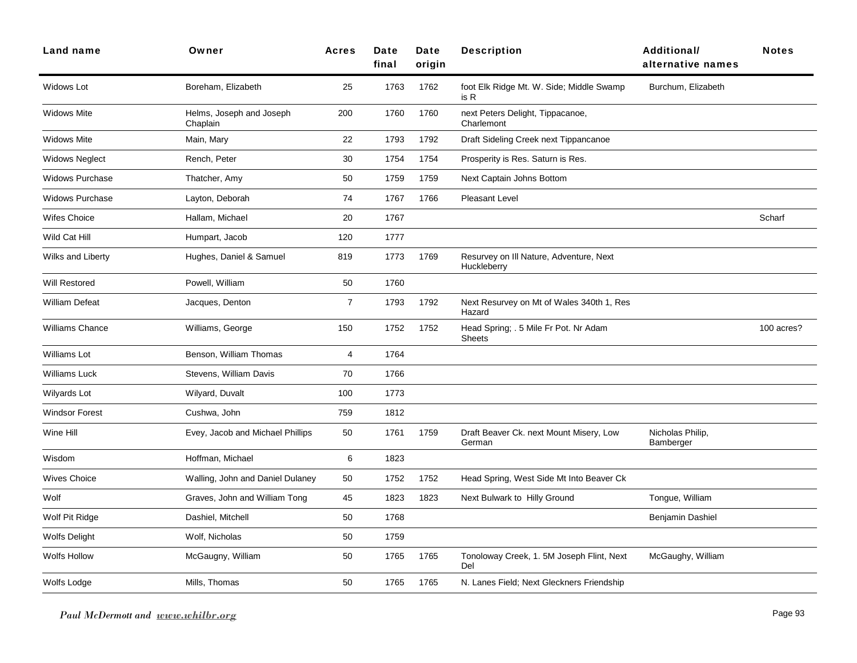| <b>Land name</b>       | Owner                                | <b>Acres</b>   | Date<br>final | Date<br>origin | <b>Description</b>                                     | Additional/<br>alternative names | <b>Notes</b> |
|------------------------|--------------------------------------|----------------|---------------|----------------|--------------------------------------------------------|----------------------------------|--------------|
| Widows Lot             | Boreham, Elizabeth                   | 25             | 1763          | 1762           | foot Elk Ridge Mt. W. Side; Middle Swamp<br>is R       | Burchum, Elizabeth               |              |
| <b>Widows Mite</b>     | Helms, Joseph and Joseph<br>Chaplain | 200            | 1760          | 1760           | next Peters Delight, Tippacanoe,<br>Charlemont         |                                  |              |
| <b>Widows Mite</b>     | Main, Mary                           | 22             | 1793          | 1792           | Draft Sideling Creek next Tippancanoe                  |                                  |              |
| <b>Widows Neglect</b>  | Rench, Peter                         | 30             | 1754          | 1754           | Prosperity is Res. Saturn is Res.                      |                                  |              |
| <b>Widows Purchase</b> | Thatcher, Amy                        | 50             | 1759          | 1759           | Next Captain Johns Bottom                              |                                  |              |
| <b>Widows Purchase</b> | Layton, Deborah                      | 74             | 1767          | 1766           | Pleasant Level                                         |                                  |              |
| <b>Wifes Choice</b>    | Hallam, Michael                      | 20             | 1767          |                |                                                        |                                  | Scharf       |
| Wild Cat Hill          | Humpart, Jacob                       | 120            | 1777          |                |                                                        |                                  |              |
| Wilks and Liberty      | Hughes, Daniel & Samuel              | 819            | 1773          | 1769           | Resurvey on III Nature, Adventure, Next<br>Huckleberry |                                  |              |
| <b>Will Restored</b>   | Powell, William                      | 50             | 1760          |                |                                                        |                                  |              |
| William Defeat         | Jacques, Denton                      | $\overline{7}$ | 1793          | 1792           | Next Resurvey on Mt of Wales 340th 1, Res<br>Hazard    |                                  |              |
| <b>Williams Chance</b> | Williams, George                     | 150            | 1752          | 1752           | Head Spring; . 5 Mile Fr Pot. Nr Adam<br><b>Sheets</b> |                                  | 100 acres?   |
| <b>Williams Lot</b>    | Benson, William Thomas               | 4              | 1764          |                |                                                        |                                  |              |
| Williams Luck          | Stevens, William Davis               | 70             | 1766          |                |                                                        |                                  |              |
| Wilyards Lot           | Wilyard, Duvalt                      | 100            | 1773          |                |                                                        |                                  |              |
| <b>Windsor Forest</b>  | Cushwa, John                         | 759            | 1812          |                |                                                        |                                  |              |
| Wine Hill              | Evey, Jacob and Michael Phillips     | 50             | 1761          | 1759           | Draft Beaver Ck. next Mount Misery, Low<br>German      | Nicholas Philip,<br>Bamberger    |              |
| Wisdom                 | Hoffman, Michael                     | 6              | 1823          |                |                                                        |                                  |              |
| <b>Wives Choice</b>    | Walling, John and Daniel Dulaney     | 50             | 1752          | 1752           | Head Spring, West Side Mt Into Beaver Ck               |                                  |              |
| Wolf                   | Graves, John and William Tong        | 45             | 1823          | 1823           | Next Bulwark to Hilly Ground                           | Tongue, William                  |              |
| Wolf Pit Ridge         | Dashiel, Mitchell                    | 50             | 1768          |                |                                                        | Benjamin Dashiel                 |              |
| <b>Wolfs Delight</b>   | Wolf, Nicholas                       | 50             | 1759          |                |                                                        |                                  |              |
| Wolfs Hollow           | McGaugny, William                    | 50             | 1765          | 1765           | Tonoloway Creek, 1. 5M Joseph Flint, Next<br>Del       | McGaughy, William                |              |
| Wolfs Lodge            | Mills, Thomas                        | 50             | 1765          | 1765           | N. Lanes Field; Next Gleckners Friendship              |                                  |              |